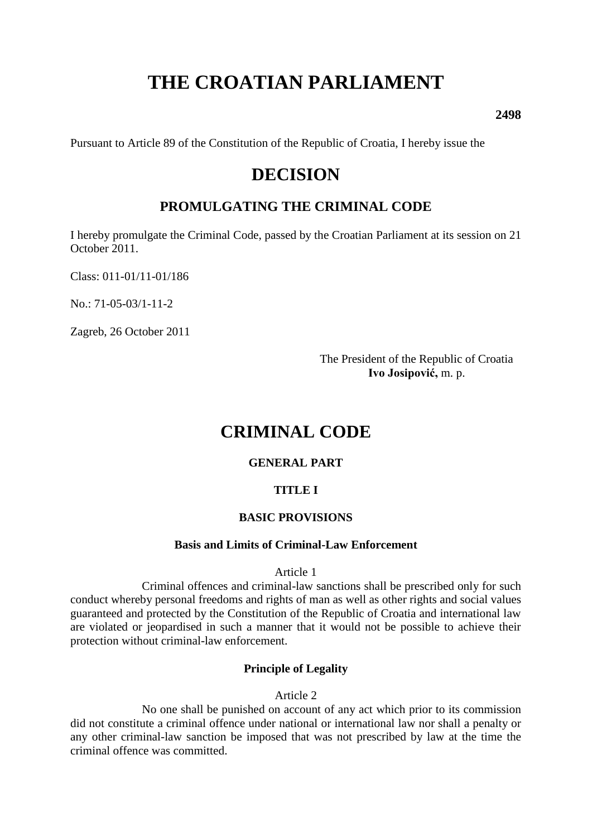# **THE CROATIAN PARLIAMENT**

**2498**

Pursuant to Article 89 of the Constitution of the Republic of Croatia, I hereby issue the

## **DECISION**

## **PROMULGATING THE CRIMINAL CODE**

I hereby promulgate the Criminal Code, passed by the Croatian Parliament at its session on 21 October 2011.

Class: 011-01/11-01/186

No.: 71-05-03/1-11-2

Zagreb, 26 October 2011

The President of the Republic of Croatia **Ivo Josipović,** m. p.

## **CRIMINAL CODE**

#### **GENERAL PART**

## **TITLE I**

#### **BASIC PROVISIONS**

#### **Basis and Limits of Criminal-Law Enforcement**

Article 1

Criminal offences and criminal-law sanctions shall be prescribed only for such conduct whereby personal freedoms and rights of man as well as other rights and social values guaranteed and protected by the Constitution of the Republic of Croatia and international law are violated or jeopardised in such a manner that it would not be possible to achieve their protection without criminal-law enforcement.

## **Principle of Legality**

Article 2

No one shall be punished on account of any act which prior to its commission did not constitute a criminal offence under national or international law nor shall a penalty or any other criminal-law sanction be imposed that was not prescribed by law at the time the criminal offence was committed.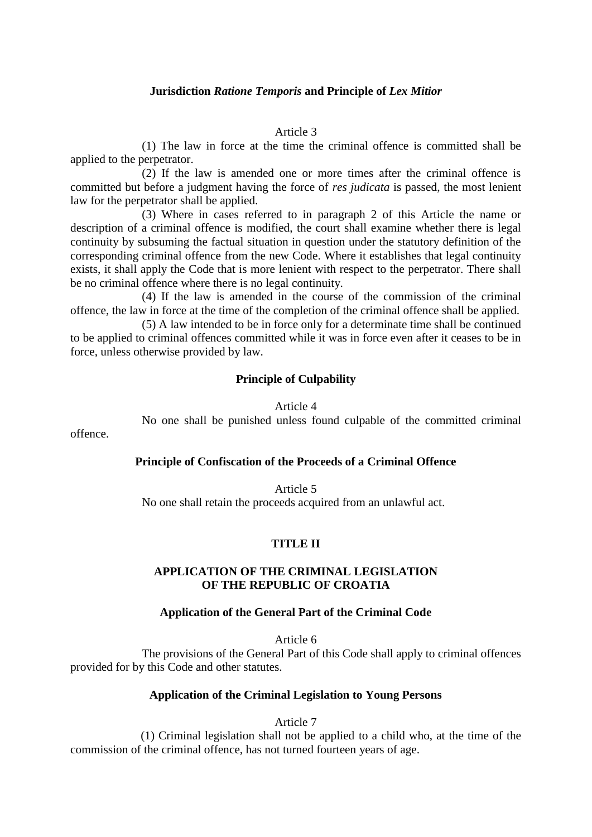#### **Jurisdiction** *Ratione Temporis* **and Principle of** *Lex Mitior*

#### Article 3

(1) The law in force at the time the criminal offence is committed shall be applied to the perpetrator.

(2) If the law is amended one or more times after the criminal offence is committed but before a judgment having the force of *res judicata* is passed, the most lenient law for the perpetrator shall be applied.

(3) Where in cases referred to in paragraph 2 of this Article the name or description of a criminal offence is modified, the court shall examine whether there is legal continuity by subsuming the factual situation in question under the statutory definition of the corresponding criminal offence from the new Code. Where it establishes that legal continuity exists, it shall apply the Code that is more lenient with respect to the perpetrator. There shall be no criminal offence where there is no legal continuity.

(4) If the law is amended in the course of the commission of the criminal offence, the law in force at the time of the completion of the criminal offence shall be applied.

(5) A law intended to be in force only for a determinate time shall be continued to be applied to criminal offences committed while it was in force even after it ceases to be in force, unless otherwise provided by law.

#### **Principle of Culpability**

Article 4

No one shall be punished unless found culpable of the committed criminal

offence.

#### **Principle of Confiscation of the Proceeds of a Criminal Offence**

Article 5 No one shall retain the proceeds acquired from an unlawful act.

#### **TITLE II**

#### **APPLICATION OF THE CRIMINAL LEGISLATION OF THE REPUBLIC OF CROATIA**

#### **Application of the General Part of the Criminal Code**

Article 6

The provisions of the General Part of this Code shall apply to criminal offences provided for by this Code and other statutes.

#### **Application of the Criminal Legislation to Young Persons**

Article 7

(1) Criminal legislation shall not be applied to a child who, at the time of the commission of the criminal offence, has not turned fourteen years of age.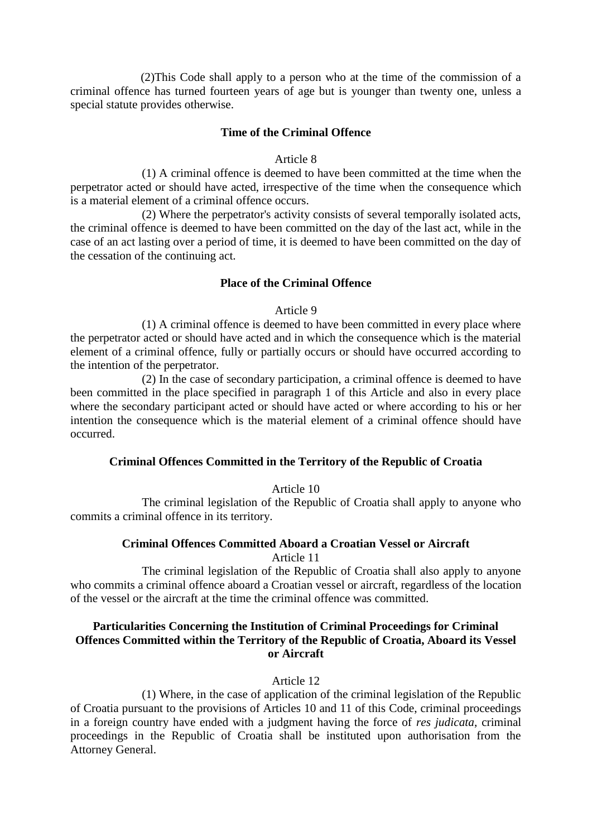(2)This Code shall apply to a person who at the time of the commission of a criminal offence has turned fourteen years of age but is younger than twenty one, unless a special statute provides otherwise.

#### **Time of the Criminal Offence**

#### Article 8

(1) A criminal offence is deemed to have been committed at the time when the perpetrator acted or should have acted, irrespective of the time when the consequence which is a material element of a criminal offence occurs.

(2) Where the perpetrator's activity consists of several temporally isolated acts, the criminal offence is deemed to have been committed on the day of the last act, while in the case of an act lasting over a period of time, it is deemed to have been committed on the day of the cessation of the continuing act.

#### **Place of the Criminal Offence**

#### Article 9

(1) A criminal offence is deemed to have been committed in every place where the perpetrator acted or should have acted and in which the consequence which is the material element of a criminal offence, fully or partially occurs or should have occurred according to the intention of the perpetrator.

(2) In the case of secondary participation, a criminal offence is deemed to have been committed in the place specified in paragraph 1 of this Article and also in every place where the secondary participant acted or should have acted or where according to his or her intention the consequence which is the material element of a criminal offence should have occurred.

#### **Criminal Offences Committed in the Territory of the Republic of Croatia**

Article 10

The criminal legislation of the Republic of Croatia shall apply to anyone who commits a criminal offence in its territory.

## **Criminal Offences Committed Aboard a Croatian Vessel or Aircraft**

Article 11

The criminal legislation of the Republic of Croatia shall also apply to anyone who commits a criminal offence aboard a Croatian vessel or aircraft, regardless of the location of the vessel or the aircraft at the time the criminal offence was committed.

## **Particularities Concerning the Institution of Criminal Proceedings for Criminal Offences Committed within the Territory of the Republic of Croatia, Aboard its Vessel or Aircraft**

Article 12

(1) Where, in the case of application of the criminal legislation of the Republic of Croatia pursuant to the provisions of Articles 10 and 11 of this Code, criminal proceedings in a foreign country have ended with a judgment having the force of *res judicata*, criminal proceedings in the Republic of Croatia shall be instituted upon authorisation from the Attorney General.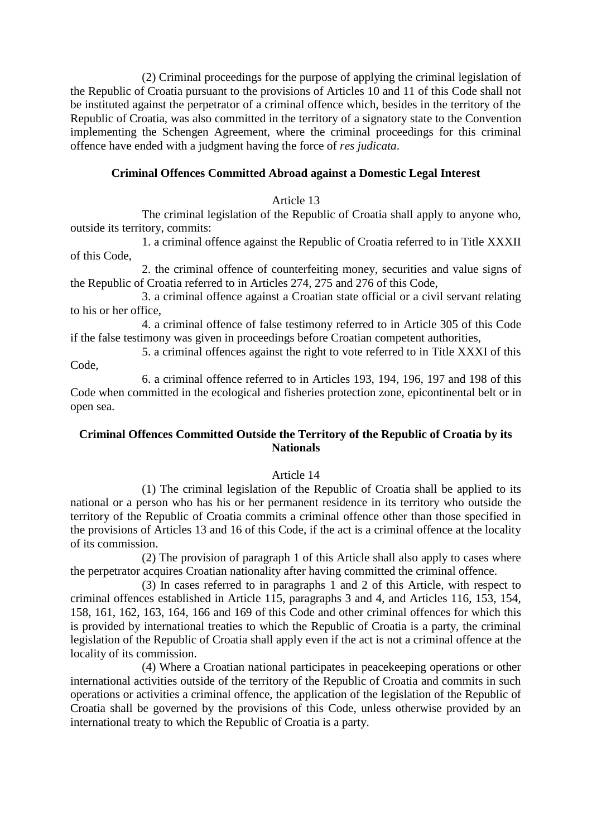(2) Criminal proceedings for the purpose of applying the criminal legislation of the Republic of Croatia pursuant to the provisions of Articles 10 and 11 of this Code shall not be instituted against the perpetrator of a criminal offence which, besides in the territory of the Republic of Croatia, was also committed in the territory of a signatory state to the Convention implementing the Schengen Agreement, where the criminal proceedings for this criminal offence have ended with a judgment having the force of *res judicata*.

## **Criminal Offences Committed Abroad against a Domestic Legal Interest**

#### Article 13

The criminal legislation of the Republic of Croatia shall apply to anyone who, outside its territory, commits:

1. a criminal offence against the Republic of Croatia referred to in Title XXXII of this Code,

2. the criminal offence of counterfeiting money, securities and value signs of the Republic of Croatia referred to in Articles 274, 275 and 276 of this Code,

3. a criminal offence against a Croatian state official or a civil servant relating to his or her office,

4. a criminal offence of false testimony referred to in Article 305 of this Code if the false testimony was given in proceedings before Croatian competent authorities,

5. a criminal offences against the right to vote referred to in Title XXXI of this Code,

6. a criminal offence referred to in Articles 193, 194, 196, 197 and 198 of this Code when committed in the ecological and fisheries protection zone, epicontinental belt or in open sea.

## **Criminal Offences Committed Outside the Territory of the Republic of Croatia by its Nationals**

#### Article 14

(1) The criminal legislation of the Republic of Croatia shall be applied to its national or a person who has his or her permanent residence in its territory who outside the territory of the Republic of Croatia commits a criminal offence other than those specified in the provisions of Articles 13 and 16 of this Code, if the act is a criminal offence at the locality of its commission.

(2) The provision of paragraph 1 of this Article shall also apply to cases where the perpetrator acquires Croatian nationality after having committed the criminal offence.

(3) In cases referred to in paragraphs 1 and 2 of this Article, with respect to criminal offences established in Article 115, paragraphs 3 and 4, and Articles 116, 153, 154, 158, 161, 162, 163, 164, 166 and 169 of this Code and other criminal offences for which this is provided by international treaties to which the Republic of Croatia is a party, the criminal legislation of the Republic of Croatia shall apply even if the act is not a criminal offence at the locality of its commission.

(4) Where a Croatian national participates in peacekeeping operations or other international activities outside of the territory of the Republic of Croatia and commits in such operations or activities a criminal offence, the application of the legislation of the Republic of Croatia shall be governed by the provisions of this Code, unless otherwise provided by an international treaty to which the Republic of Croatia is a party.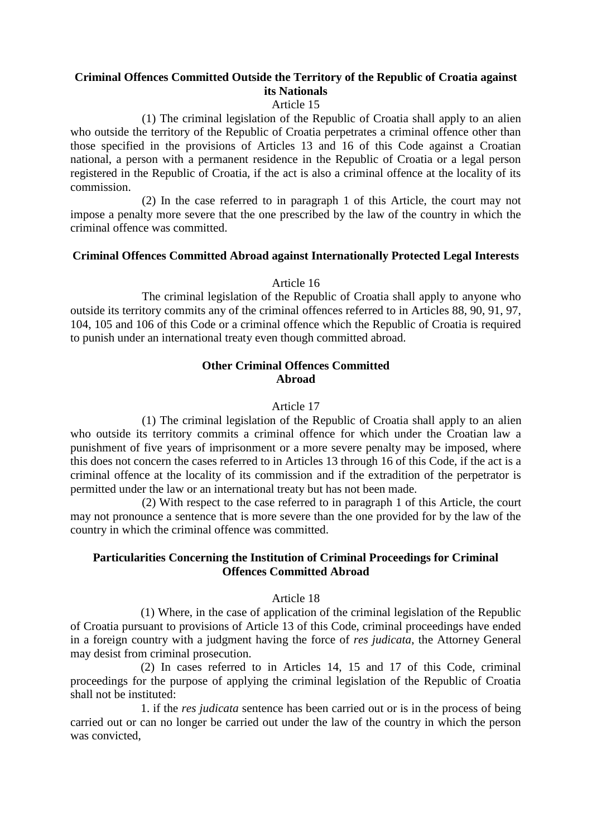## **Criminal Offences Committed Outside the Territory of the Republic of Croatia against its Nationals**

## Article 15

(1) The criminal legislation of the Republic of Croatia shall apply to an alien who outside the territory of the Republic of Croatia perpetrates a criminal offence other than those specified in the provisions of Articles 13 and 16 of this Code against a Croatian national, a person with a permanent residence in the Republic of Croatia or a legal person registered in the Republic of Croatia, if the act is also a criminal offence at the locality of its commission.

(2) In the case referred to in paragraph 1 of this Article, the court may not impose a penalty more severe that the one prescribed by the law of the country in which the criminal offence was committed.

## **Criminal Offences Committed Abroad against Internationally Protected Legal Interests**

#### Article 16

The criminal legislation of the Republic of Croatia shall apply to anyone who outside its territory commits any of the criminal offences referred to in Articles 88, 90, 91, 97, 104, 105 and 106 of this Code or a criminal offence which the Republic of Croatia is required to punish under an international treaty even though committed abroad.

## **Other Criminal Offences Committed Abroad**

#### Article 17

(1) The criminal legislation of the Republic of Croatia shall apply to an alien who outside its territory commits a criminal offence for which under the Croatian law a punishment of five years of imprisonment or a more severe penalty may be imposed, where this does not concern the cases referred to in Articles 13 through 16 of this Code, if the act is a criminal offence at the locality of its commission and if the extradition of the perpetrator is permitted under the law or an international treaty but has not been made.

(2) With respect to the case referred to in paragraph 1 of this Article, the court may not pronounce a sentence that is more severe than the one provided for by the law of the country in which the criminal offence was committed.

#### **Particularities Concerning the Institution of Criminal Proceedings for Criminal Offences Committed Abroad**

#### Article 18

(1) Where, in the case of application of the criminal legislation of the Republic of Croatia pursuant to provisions of Article 13 of this Code, criminal proceedings have ended in a foreign country with a judgment having the force of *res judicata*, the Attorney General may desist from criminal prosecution.

(2) In cases referred to in Articles 14, 15 and 17 of this Code, criminal proceedings for the purpose of applying the criminal legislation of the Republic of Croatia shall not be instituted:

1. if the *res judicata* sentence has been carried out or is in the process of being carried out or can no longer be carried out under the law of the country in which the person was convicted,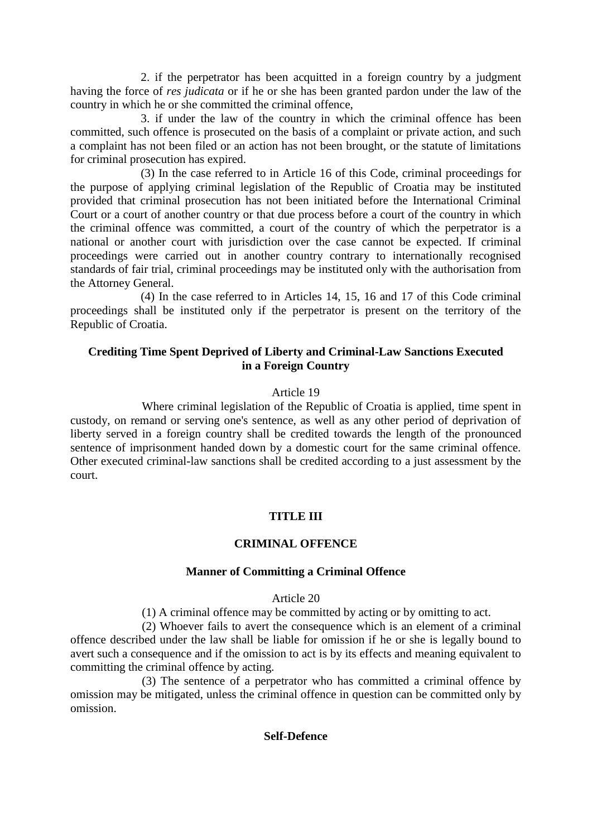2. if the perpetrator has been acquitted in a foreign country by a judgment having the force of *res judicata* or if he or she has been granted pardon under the law of the country in which he or she committed the criminal offence,

3. if under the law of the country in which the criminal offence has been committed, such offence is prosecuted on the basis of a complaint or private action, and such a complaint has not been filed or an action has not been brought, or the statute of limitations for criminal prosecution has expired.

(3) In the case referred to in Article 16 of this Code, criminal proceedings for the purpose of applying criminal legislation of the Republic of Croatia may be instituted provided that criminal prosecution has not been initiated before the International Criminal Court or a court of another country or that due process before a court of the country in which the criminal offence was committed, a court of the country of which the perpetrator is a national or another court with jurisdiction over the case cannot be expected. If criminal proceedings were carried out in another country contrary to internationally recognised standards of fair trial, criminal proceedings may be instituted only with the authorisation from the Attorney General.

(4) In the case referred to in Articles 14, 15, 16 and 17 of this Code criminal proceedings shall be instituted only if the perpetrator is present on the territory of the Republic of Croatia.

## **Crediting Time Spent Deprived of Liberty and Criminal-Law Sanctions Executed in a Foreign Country**

#### Article 19

Where criminal legislation of the Republic of Croatia is applied, time spent in custody, on remand or serving one's sentence, as well as any other period of deprivation of liberty served in a foreign country shall be credited towards the length of the pronounced sentence of imprisonment handed down by a domestic court for the same criminal offence. Other executed criminal-law sanctions shall be credited according to a just assessment by the court.

#### **TITLE III**

#### **CRIMINAL OFFENCE**

#### **Manner of Committing a Criminal Offence**

#### Article 20

(1) A criminal offence may be committed by acting or by omitting to act.

(2) Whoever fails to avert the consequence which is an element of a criminal offence described under the law shall be liable for omission if he or she is legally bound to avert such a consequence and if the omission to act is by its effects and meaning equivalent to committing the criminal offence by acting.

(3) The sentence of a perpetrator who has committed a criminal offence by omission may be mitigated, unless the criminal offence in question can be committed only by omission.

#### **Self-Defence**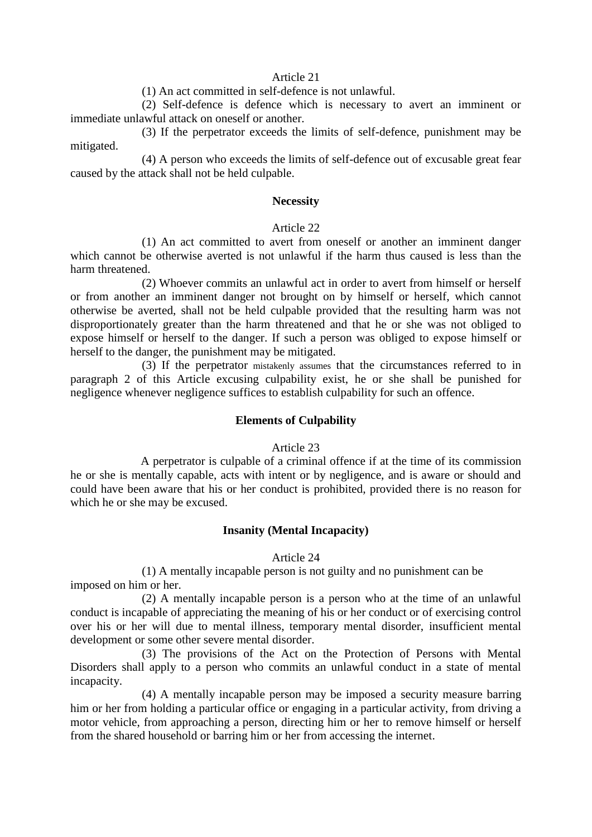#### Article 21

(1) An act committed in self-defence is not unlawful.

(2) Self-defence is defence which is necessary to avert an imminent or immediate unlawful attack on oneself or another.

(3) If the perpetrator exceeds the limits of self-defence, punishment may be mitigated.

(4) A person who exceeds the limits of self-defence out of excusable great fear caused by the attack shall not be held culpable.

#### **Necessity**

#### Article 22

(1) An act committed to avert from oneself or another an imminent danger which cannot be otherwise averted is not unlawful if the harm thus caused is less than the harm threatened.

(2) Whoever commits an unlawful act in order to avert from himself or herself or from another an imminent danger not brought on by himself or herself, which cannot otherwise be averted, shall not be held culpable provided that the resulting harm was not disproportionately greater than the harm threatened and that he or she was not obliged to expose himself or herself to the danger. If such a person was obliged to expose himself or herself to the danger, the punishment may be mitigated.

(3) If the perpetrator mistakenly assumes that the circumstances referred to in paragraph 2 of this Article excusing culpability exist, he or she shall be punished for negligence whenever negligence suffices to establish culpability for such an offence.

#### **Elements of Culpability**

#### Article 23

A perpetrator is culpable of a criminal offence if at the time of its commission he or she is mentally capable, acts with intent or by negligence, and is aware or should and could have been aware that his or her conduct is prohibited, provided there is no reason for which he or she may be excused.

#### **Insanity (Mental Incapacity)**

#### Article 24

(1) A mentally incapable person is not guilty and no punishment can be imposed on him or her.

(2) A mentally incapable person is a person who at the time of an unlawful conduct is incapable of appreciating the meaning of his or her conduct or of exercising control over his or her will due to mental illness, temporary mental disorder, insufficient mental development or some other severe mental disorder.

(3) The provisions of the Act on the Protection of Persons with Mental Disorders shall apply to a person who commits an unlawful conduct in a state of mental incapacity.

(4) A mentally incapable person may be imposed a security measure barring him or her from holding a particular office or engaging in a particular activity, from driving a motor vehicle, from approaching a person, directing him or her to remove himself or herself from the shared household or barring him or her from accessing the internet.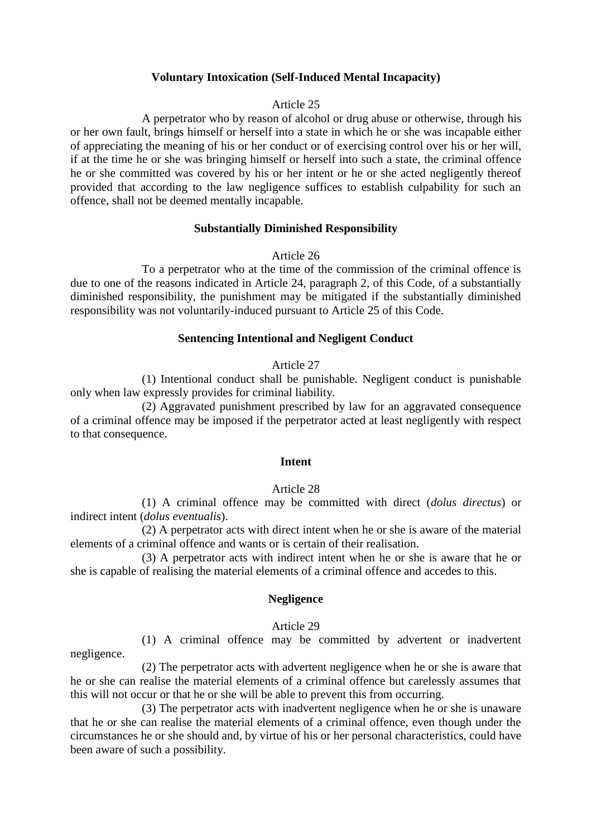## **Voluntary Intoxication (Self-Induced Mental Incapacity)**

#### Article 25

A perpetrator who by reason of alcohol or drug abuse or otherwise, through his or her own fault, brings himself or herself into a state in which he or she was incapable either of appreciating the meaning of his or her conduct or of exercising control over his or her will, if at the time he or she was bringing himself or herself into such a state, the criminal offence he or she committed was covered by his or her intent or he or she acted negligently thereof provided that according to the law negligence suffices to establish culpability for such an offence, shall not be deemed mentally incapable.

#### **Substantially Diminished Responsibility**

#### Article 26

To a perpetrator who at the time of the commission of the criminal offence is due to one of the reasons indicated in Article 24, paragraph 2, of this Code, of a substantially diminished responsibility, the punishment may be mitigated if the substantially diminished responsibility was not voluntarily-induced pursuant to Article 25 of this Code.

#### **Sentencing Intentional and Negligent Conduct**

#### Article 27

(1) Intentional conduct shall be punishable. Negligent conduct is punishable only when law expressly provides for criminal liability.

(2) Aggravated punishment prescribed by law for an aggravated consequence of a criminal offence may be imposed if the perpetrator acted at least negligently with respect to that consequence.

#### **Intent**

#### Article 28

(1) A criminal offence may be committed with direct (*dolus directus*) or indirect intent (*dolus eventualis*).

(2) A perpetrator acts with direct intent when he or she is aware of the material elements of a criminal offence and wants or is certain of their realisation.

(3) A perpetrator acts with indirect intent when he or she is aware that he or she is capable of realising the material elements of a criminal offence and accedes to this.

#### **Negligence**

#### Article 29

(1) A criminal offence may be committed by advertent or inadvertent negligence.

(2) The perpetrator acts with advertent negligence when he or she is aware that he or she can realise the material elements of a criminal offence but carelessly assumes that this will not occur or that he or she will be able to prevent this from occurring.

(3) The perpetrator acts with inadvertent negligence when he or she is unaware that he or she can realise the material elements of a criminal offence, even though under the circumstances he or she should and, by virtue of his or her personal characteristics, could have been aware of such a possibility.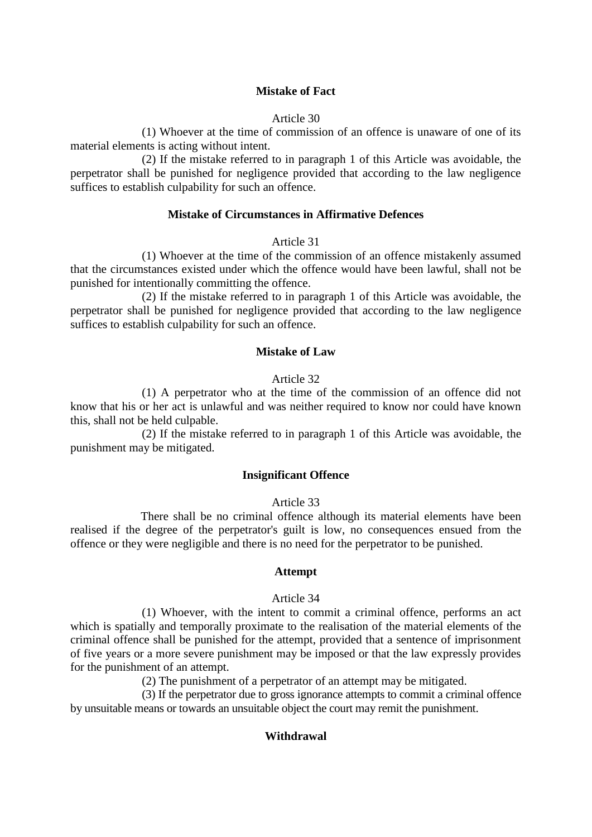#### Article 30

(1) Whoever at the time of commission of an offence is unaware of one of its material elements is acting without intent.

(2) If the mistake referred to in paragraph 1 of this Article was avoidable, the perpetrator shall be punished for negligence provided that according to the law negligence suffices to establish culpability for such an offence.

#### **Mistake of Circumstances in Affirmative Defences**

#### Article 31

(1) Whoever at the time of the commission of an offence mistakenly assumed that the circumstances existed under which the offence would have been lawful, shall not be punished for intentionally committing the offence.

(2) If the mistake referred to in paragraph 1 of this Article was avoidable, the perpetrator shall be punished for negligence provided that according to the law negligence suffices to establish culpability for such an offence.

#### **Mistake of Law**

#### Article 32

(1) A perpetrator who at the time of the commission of an offence did not know that his or her act is unlawful and was neither required to know nor could have known this, shall not be held culpable.

(2) If the mistake referred to in paragraph 1 of this Article was avoidable, the punishment may be mitigated.

## **Insignificant Offence**

#### Article 33

There shall be no criminal offence although its material elements have been realised if the degree of the perpetrator's guilt is low, no consequences ensued from the offence or they were negligible and there is no need for the perpetrator to be punished.

#### **Attempt**

#### Article 34

(1) Whoever, with the intent to commit a criminal offence, performs an act which is spatially and temporally proximate to the realisation of the material elements of the criminal offence shall be punished for the attempt, provided that a sentence of imprisonment of five years or a more severe punishment may be imposed or that the law expressly provides for the punishment of an attempt.

(2) The punishment of a perpetrator of an attempt may be mitigated.

(3) If the perpetrator due to gross ignorance attempts to commit a criminal offence by unsuitable means or towards an unsuitable object the court may remit the punishment.

#### **Withdrawal**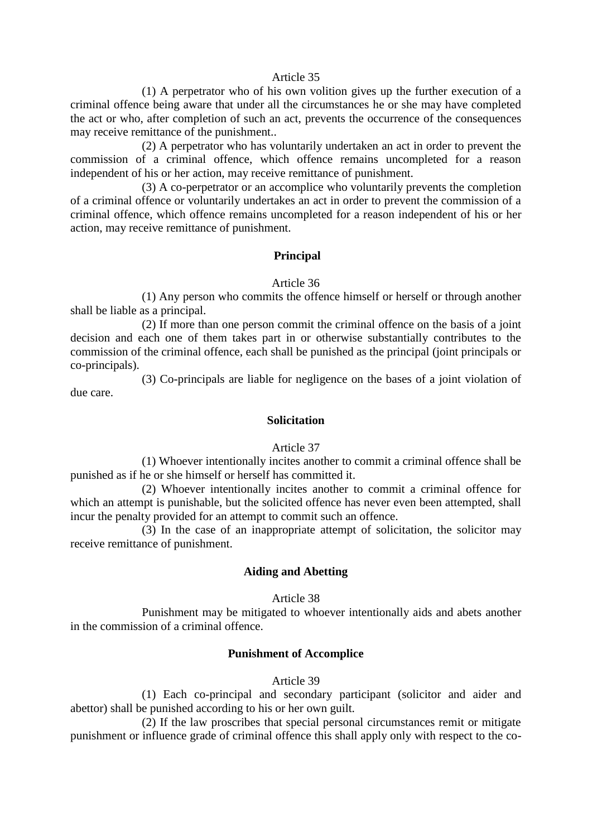#### Article 35

(1) A perpetrator who of his own volition gives up the further execution of a criminal offence being aware that under all the circumstances he or she may have completed the act or who, after completion of such an act, prevents the occurrence of the consequences may receive remittance of the punishment..

(2) A perpetrator who has voluntarily undertaken an act in order to prevent the commission of a criminal offence, which offence remains uncompleted for a reason independent of his or her action, may receive remittance of punishment.

(3) A co-perpetrator or an accomplice who voluntarily prevents the completion of a criminal offence or voluntarily undertakes an act in order to prevent the commission of a criminal offence, which offence remains uncompleted for a reason independent of his or her action, may receive remittance of punishment.

#### **Principal**

#### Article 36

(1) Any person who commits the offence himself or herself or through another shall be liable as a principal.

(2) If more than one person commit the criminal offence on the basis of a joint decision and each one of them takes part in or otherwise substantially contributes to the commission of the criminal offence, each shall be punished as the principal (joint principals or co-principals).

(3) Co-principals are liable for negligence on the bases of a joint violation of due care.

## **Solicitation**

#### Article 37

(1) Whoever intentionally incites another to commit a criminal offence shall be punished as if he or she himself or herself has committed it.

(2) Whoever intentionally incites another to commit a criminal offence for which an attempt is punishable, but the solicited offence has never even been attempted, shall incur the penalty provided for an attempt to commit such an offence.

(3) In the case of an inappropriate attempt of solicitation, the solicitor may receive remittance of punishment.

#### **Aiding and Abetting**

#### Article 38

Punishment may be mitigated to whoever intentionally aids and abets another in the commission of a criminal offence.

#### **Punishment of Accomplice**

#### Article 39

(1) Each co-principal and secondary participant (solicitor and aider and abettor) shall be punished according to his or her own guilt.

(2) If the law proscribes that special personal circumstances remit or mitigate punishment or influence grade of criminal offence this shall apply only with respect to the co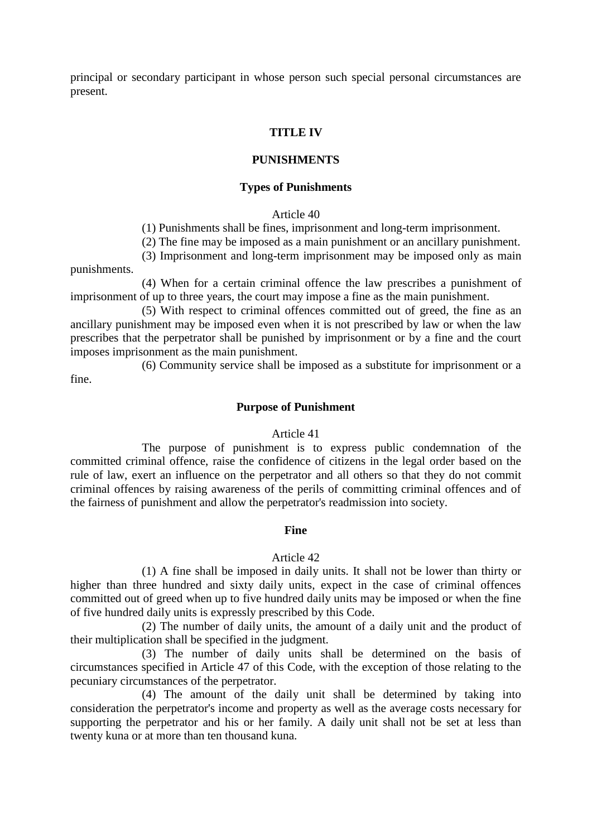principal or secondary participant in whose person such special personal circumstances are present.

#### **TITLE IV**

## **PUNISHMENTS**

#### **Types of Punishments**

#### Article 40

(1) Punishments shall be fines, imprisonment and long-term imprisonment.

(2) The fine may be imposed as a main punishment or an ancillary punishment.

(3) Imprisonment and long-term imprisonment may be imposed only as main

punishments.

(4) When for a certain criminal offence the law prescribes a punishment of imprisonment of up to three years, the court may impose a fine as the main punishment.

(5) With respect to criminal offences committed out of greed, the fine as an ancillary punishment may be imposed even when it is not prescribed by law or when the law prescribes that the perpetrator shall be punished by imprisonment or by a fine and the court imposes imprisonment as the main punishment.

(6) Community service shall be imposed as a substitute for imprisonment or a fine.

#### **Purpose of Punishment**

#### Article 41

The purpose of punishment is to express public condemnation of the committed criminal offence, raise the confidence of citizens in the legal order based on the rule of law, exert an influence on the perpetrator and all others so that they do not commit criminal offences by raising awareness of the perils of committing criminal offences and of the fairness of punishment and allow the perpetrator's readmission into society.

#### **Fine**

#### Article 42

(1) A fine shall be imposed in daily units. It shall not be lower than thirty or higher than three hundred and sixty daily units, expect in the case of criminal offences committed out of greed when up to five hundred daily units may be imposed or when the fine of five hundred daily units is expressly prescribed by this Code.

(2) The number of daily units, the amount of a daily unit and the product of their multiplication shall be specified in the judgment.

(3) The number of daily units shall be determined on the basis of circumstances specified in Article 47 of this Code, with the exception of those relating to the pecuniary circumstances of the perpetrator.

(4) The amount of the daily unit shall be determined by taking into consideration the perpetrator's income and property as well as the average costs necessary for supporting the perpetrator and his or her family. A daily unit shall not be set at less than twenty kuna or at more than ten thousand kuna.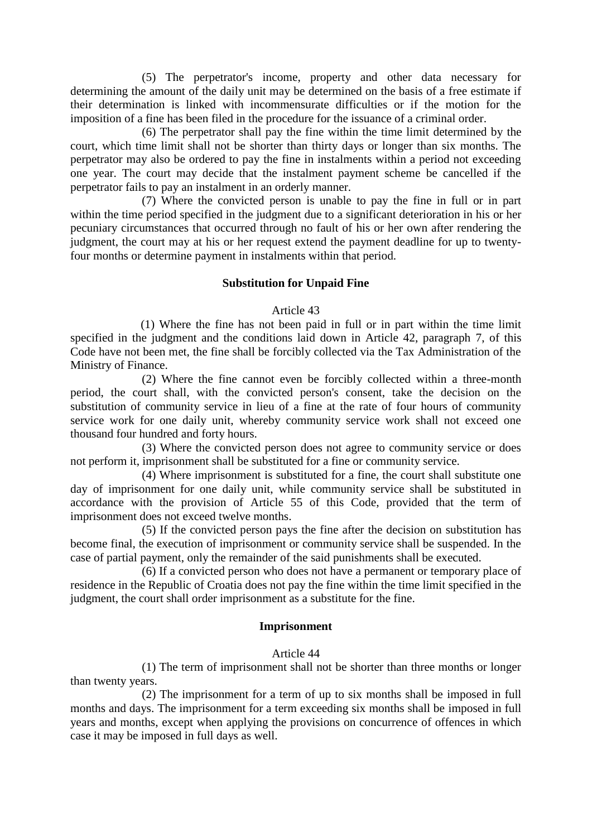(5) The perpetrator's income, property and other data necessary for determining the amount of the daily unit may be determined on the basis of a free estimate if their determination is linked with incommensurate difficulties or if the motion for the imposition of a fine has been filed in the procedure for the issuance of a criminal order.

(6) The perpetrator shall pay the fine within the time limit determined by the court, which time limit shall not be shorter than thirty days or longer than six months. The perpetrator may also be ordered to pay the fine in instalments within a period not exceeding one year. The court may decide that the instalment payment scheme be cancelled if the perpetrator fails to pay an instalment in an orderly manner.

(7) Where the convicted person is unable to pay the fine in full or in part within the time period specified in the judgment due to a significant deterioration in his or her pecuniary circumstances that occurred through no fault of his or her own after rendering the judgment, the court may at his or her request extend the payment deadline for up to twentyfour months or determine payment in instalments within that period.

#### **Substitution for Unpaid Fine**

#### Article 43

(1) Where the fine has not been paid in full or in part within the time limit specified in the judgment and the conditions laid down in Article 42, paragraph 7, of this Code have not been met, the fine shall be forcibly collected via the Tax Administration of the Ministry of Finance.

(2) Where the fine cannot even be forcibly collected within a three-month period, the court shall, with the convicted person's consent, take the decision on the substitution of community service in lieu of a fine at the rate of four hours of community service work for one daily unit, whereby community service work shall not exceed one thousand four hundred and forty hours.

(3) Where the convicted person does not agree to community service or does not perform it, imprisonment shall be substituted for a fine or community service.

(4) Where imprisonment is substituted for a fine, the court shall substitute one day of imprisonment for one daily unit, while community service shall be substituted in accordance with the provision of Article 55 of this Code, provided that the term of imprisonment does not exceed twelve months.

(5) If the convicted person pays the fine after the decision on substitution has become final, the execution of imprisonment or community service shall be suspended. In the case of partial payment, only the remainder of the said punishments shall be executed.

(6) If a convicted person who does not have a permanent or temporary place of residence in the Republic of Croatia does not pay the fine within the time limit specified in the judgment, the court shall order imprisonment as a substitute for the fine.

## **Imprisonment**

#### Article 44

(1) The term of imprisonment shall not be shorter than three months or longer than twenty years.

(2) The imprisonment for a term of up to six months shall be imposed in full months and days. The imprisonment for a term exceeding six months shall be imposed in full years and months, except when applying the provisions on concurrence of offences in which case it may be imposed in full days as well.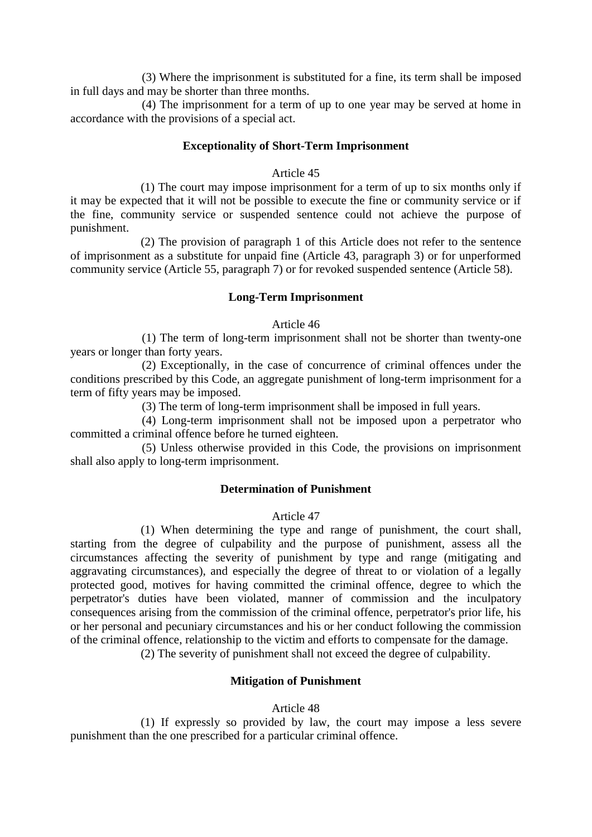(3) Where the imprisonment is substituted for a fine, its term shall be imposed in full days and may be shorter than three months.

(4) The imprisonment for a term of up to one year may be served at home in accordance with the provisions of a special act.

#### **Exceptionality of Short-Term Imprisonment**

#### Article 45

(1) The court may impose imprisonment for a term of up to six months only if it may be expected that it will not be possible to execute the fine or community service or if the fine, community service or suspended sentence could not achieve the purpose of punishment.

(2) The provision of paragraph 1 of this Article does not refer to the sentence of imprisonment as a substitute for unpaid fine (Article 43, paragraph 3) or for unperformed community service (Article 55, paragraph 7) or for revoked suspended sentence (Article 58).

#### **Long-Term Imprisonment**

#### Article 46

(1) The term of long-term imprisonment shall not be shorter than twenty-one years or longer than forty years.

(2) Exceptionally, in the case of concurrence of criminal offences under the conditions prescribed by this Code, an aggregate punishment of long-term imprisonment for a term of fifty years may be imposed.

(3) The term of long-term imprisonment shall be imposed in full years.

(4) Long-term imprisonment shall not be imposed upon a perpetrator who committed a criminal offence before he turned eighteen.

(5) Unless otherwise provided in this Code, the provisions on imprisonment shall also apply to long-term imprisonment.

#### **Determination of Punishment**

## Article 47

(1) When determining the type and range of punishment, the court shall, starting from the degree of culpability and the purpose of punishment, assess all the circumstances affecting the severity of punishment by type and range (mitigating and aggravating circumstances), and especially the degree of threat to or violation of a legally protected good, motives for having committed the criminal offence, degree to which the perpetrator's duties have been violated, manner of commission and the inculpatory consequences arising from the commission of the criminal offence, perpetrator's prior life, his or her personal and pecuniary circumstances and his or her conduct following the commission of the criminal offence, relationship to the victim and efforts to compensate for the damage.

(2) The severity of punishment shall not exceed the degree of culpability.

#### **Mitigation of Punishment**

#### Article 48

(1) If expressly so provided by law, the court may impose a less severe punishment than the one prescribed for a particular criminal offence.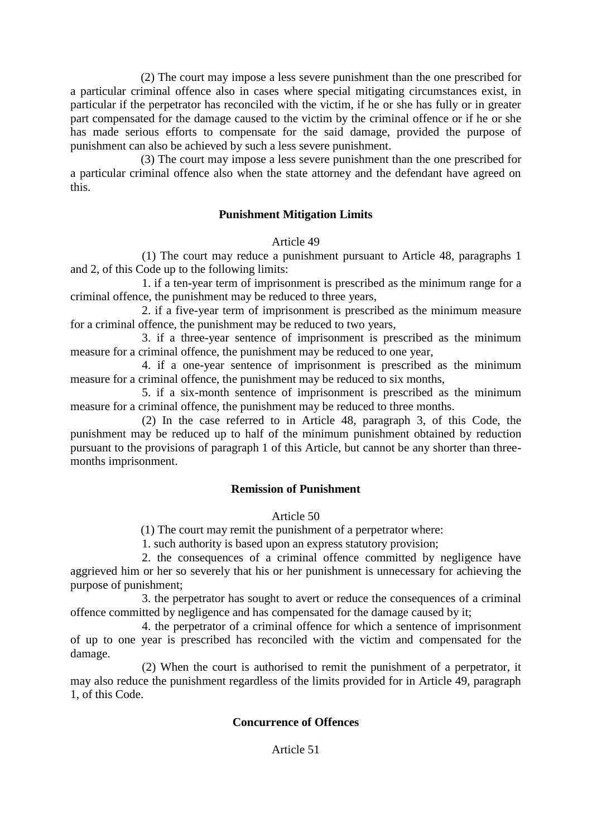(2) The court may impose a less severe punishment than the one prescribed for a particular criminal offence also in cases where special mitigating circumstances exist, in particular if the perpetrator has reconciled with the victim, if he or she has fully or in greater part compensated for the damage caused to the victim by the criminal offence or if he or she has made serious efforts to compensate for the said damage, provided the purpose of punishment can also be achieved by such a less severe punishment.

(3) The court may impose a less severe punishment than the one prescribed for a particular criminal offence also when the state attorney and the defendant have agreed on this.

## **Punishment Mitigation Limits**

#### Article 49

(1) The court may reduce a punishment pursuant to Article 48, paragraphs 1 and 2, of this Code up to the following limits:

1. if a ten-year term of imprisonment is prescribed as the minimum range for a criminal offence, the punishment may be reduced to three years,

2. if a five-year term of imprisonment is prescribed as the minimum measure for a criminal offence, the punishment may be reduced to two years,

3. if a three-year sentence of imprisonment is prescribed as the minimum measure for a criminal offence, the punishment may be reduced to one year,

4. if a one-year sentence of imprisonment is prescribed as the minimum measure for a criminal offence, the punishment may be reduced to six months,

5. if a six-month sentence of imprisonment is prescribed as the minimum measure for a criminal offence, the punishment may be reduced to three months.

(2) In the case referred to in Article 48, paragraph 3, of this Code, the punishment may be reduced up to half of the minimum punishment obtained by reduction pursuant to the provisions of paragraph 1 of this Article, but cannot be any shorter than threemonths imprisonment.

#### **Remission of Punishment**

Article 50

(1) The court may remit the punishment of a perpetrator where:

1. such authority is based upon an express statutory provision;

2. the consequences of a criminal offence committed by negligence have aggrieved him or her so severely that his or her punishment is unnecessary for achieving the purpose of punishment;

3. the perpetrator has sought to avert or reduce the consequences of a criminal offence committed by negligence and has compensated for the damage caused by it;

4. the perpetrator of a criminal offence for which a sentence of imprisonment of up to one year is prescribed has reconciled with the victim and compensated for the damage.

(2) When the court is authorised to remit the punishment of a perpetrator, it may also reduce the punishment regardless of the limits provided for in Article 49, paragraph 1, of this Code.

#### **Concurrence of Offences**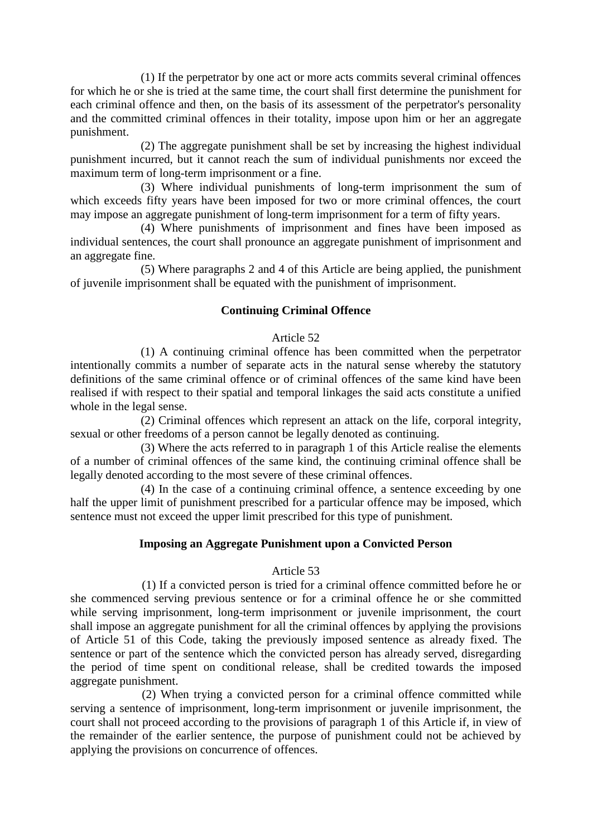(1) If the perpetrator by one act or more acts commits several criminal offences for which he or she is tried at the same time, the court shall first determine the punishment for each criminal offence and then, on the basis of its assessment of the perpetrator's personality and the committed criminal offences in their totality, impose upon him or her an aggregate punishment.

(2) The aggregate punishment shall be set by increasing the highest individual punishment incurred, but it cannot reach the sum of individual punishments nor exceed the maximum term of long-term imprisonment or a fine.

(3) Where individual punishments of long-term imprisonment the sum of which exceeds fifty years have been imposed for two or more criminal offences, the court may impose an aggregate punishment of long-term imprisonment for a term of fifty years.

(4) Where punishments of imprisonment and fines have been imposed as individual sentences, the court shall pronounce an aggregate punishment of imprisonment and an aggregate fine.

(5) Where paragraphs 2 and 4 of this Article are being applied, the punishment of juvenile imprisonment shall be equated with the punishment of imprisonment.

## **Continuing Criminal Offence**

#### Article 52

(1) A continuing criminal offence has been committed when the perpetrator intentionally commits a number of separate acts in the natural sense whereby the statutory definitions of the same criminal offence or of criminal offences of the same kind have been realised if with respect to their spatial and temporal linkages the said acts constitute a unified whole in the legal sense.

(2) Criminal offences which represent an attack on the life, corporal integrity, sexual or other freedoms of a person cannot be legally denoted as continuing.

(3) Where the acts referred to in paragraph 1 of this Article realise the elements of a number of criminal offences of the same kind, the continuing criminal offence shall be legally denoted according to the most severe of these criminal offences.

(4) In the case of a continuing criminal offence, a sentence exceeding by one half the upper limit of punishment prescribed for a particular offence may be imposed, which sentence must not exceed the upper limit prescribed for this type of punishment.

#### **Imposing an Aggregate Punishment upon a Convicted Person**

#### Article 53

(1) If a convicted person is tried for a criminal offence committed before he or she commenced serving previous sentence or for a criminal offence he or she committed while serving imprisonment, long-term imprisonment or juvenile imprisonment, the court shall impose an aggregate punishment for all the criminal offences by applying the provisions of Article 51 of this Code, taking the previously imposed sentence as already fixed. The sentence or part of the sentence which the convicted person has already served, disregarding the period of time spent on conditional release, shall be credited towards the imposed aggregate punishment.

(2) When trying a convicted person for a criminal offence committed while serving a sentence of imprisonment, long-term imprisonment or juvenile imprisonment, the court shall not proceed according to the provisions of paragraph 1 of this Article if, in view of the remainder of the earlier sentence, the purpose of punishment could not be achieved by applying the provisions on concurrence of offences.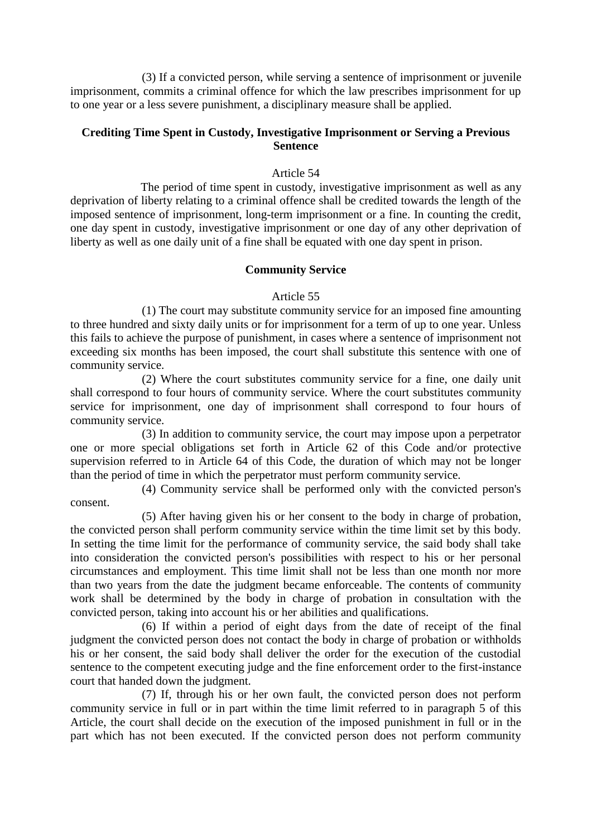(3) If a convicted person, while serving a sentence of imprisonment or juvenile imprisonment, commits a criminal offence for which the law prescribes imprisonment for up to one year or a less severe punishment, a disciplinary measure shall be applied.

## **Crediting Time Spent in Custody, Investigative Imprisonment or Serving a Previous Sentence**

## Article 54

The period of time spent in custody, investigative imprisonment as well as any deprivation of liberty relating to a criminal offence shall be credited towards the length of the imposed sentence of imprisonment, long-term imprisonment or a fine. In counting the credit, one day spent in custody, investigative imprisonment or one day of any other deprivation of liberty as well as one daily unit of a fine shall be equated with one day spent in prison.

#### **Community Service**

#### Article 55

(1) The court may substitute community service for an imposed fine amounting to three hundred and sixty daily units or for imprisonment for a term of up to one year. Unless this fails to achieve the purpose of punishment, in cases where a sentence of imprisonment not exceeding six months has been imposed, the court shall substitute this sentence with one of community service.

(2) Where the court substitutes community service for a fine, one daily unit shall correspond to four hours of community service. Where the court substitutes community service for imprisonment, one day of imprisonment shall correspond to four hours of community service.

(3) In addition to community service, the court may impose upon a perpetrator one or more special obligations set forth in Article 62 of this Code and/or protective supervision referred to in Article 64 of this Code, the duration of which may not be longer than the period of time in which the perpetrator must perform community service.

(4) Community service shall be performed only with the convicted person's consent.

(5) After having given his or her consent to the body in charge of probation, the convicted person shall perform community service within the time limit set by this body. In setting the time limit for the performance of community service, the said body shall take into consideration the convicted person's possibilities with respect to his or her personal circumstances and employment. This time limit shall not be less than one month nor more than two years from the date the judgment became enforceable. The contents of community work shall be determined by the body in charge of probation in consultation with the convicted person, taking into account his or her abilities and qualifications.

(6) If within a period of eight days from the date of receipt of the final judgment the convicted person does not contact the body in charge of probation or withholds his or her consent, the said body shall deliver the order for the execution of the custodial sentence to the competent executing judge and the fine enforcement order to the first-instance court that handed down the judgment.

(7) If, through his or her own fault, the convicted person does not perform community service in full or in part within the time limit referred to in paragraph 5 of this Article, the court shall decide on the execution of the imposed punishment in full or in the part which has not been executed. If the convicted person does not perform community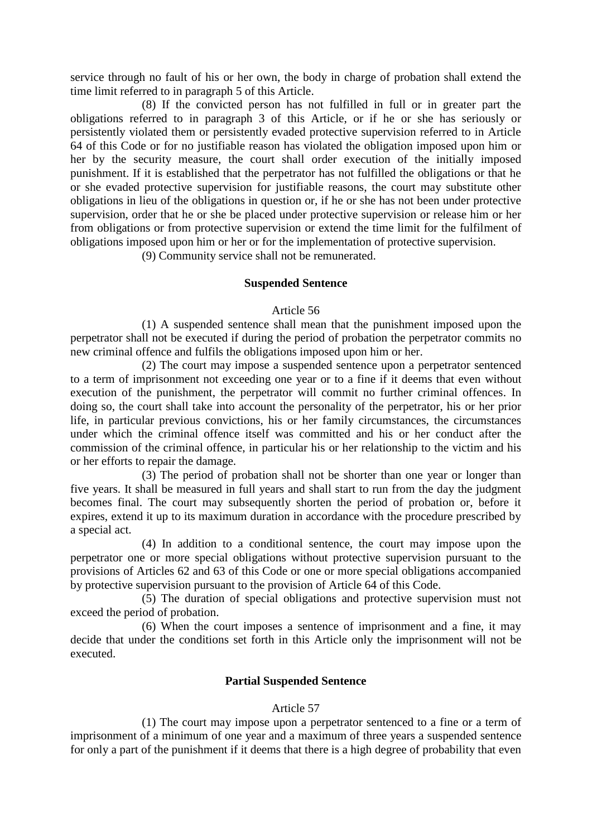service through no fault of his or her own, the body in charge of probation shall extend the time limit referred to in paragraph 5 of this Article.

(8) If the convicted person has not fulfilled in full or in greater part the obligations referred to in paragraph 3 of this Article, or if he or she has seriously or persistently violated them or persistently evaded protective supervision referred to in Article 64 of this Code or for no justifiable reason has violated the obligation imposed upon him or her by the security measure, the court shall order execution of the initially imposed punishment. If it is established that the perpetrator has not fulfilled the obligations or that he or she evaded protective supervision for justifiable reasons, the court may substitute other obligations in lieu of the obligations in question or, if he or she has not been under protective supervision, order that he or she be placed under protective supervision or release him or her from obligations or from protective supervision or extend the time limit for the fulfilment of obligations imposed upon him or her or for the implementation of protective supervision.

(9) Community service shall not be remunerated.

#### **Suspended Sentence**

#### Article 56

(1) A suspended sentence shall mean that the punishment imposed upon the perpetrator shall not be executed if during the period of probation the perpetrator commits no new criminal offence and fulfils the obligations imposed upon him or her.

(2) The court may impose a suspended sentence upon a perpetrator sentenced to a term of imprisonment not exceeding one year or to a fine if it deems that even without execution of the punishment, the perpetrator will commit no further criminal offences. In doing so, the court shall take into account the personality of the perpetrator, his or her prior life, in particular previous convictions, his or her family circumstances, the circumstances under which the criminal offence itself was committed and his or her conduct after the commission of the criminal offence, in particular his or her relationship to the victim and his or her efforts to repair the damage.

(3) The period of probation shall not be shorter than one year or longer than five years. It shall be measured in full years and shall start to run from the day the judgment becomes final. The court may subsequently shorten the period of probation or, before it expires, extend it up to its maximum duration in accordance with the procedure prescribed by a special act.

(4) In addition to a conditional sentence, the court may impose upon the perpetrator one or more special obligations without protective supervision pursuant to the provisions of Articles 62 and 63 of this Code or one or more special obligations accompanied by protective supervision pursuant to the provision of Article 64 of this Code.

(5) The duration of special obligations and protective supervision must not exceed the period of probation.

(6) When the court imposes a sentence of imprisonment and a fine, it may decide that under the conditions set forth in this Article only the imprisonment will not be executed.

#### **Partial Suspended Sentence**

#### Article 57

(1) The court may impose upon a perpetrator sentenced to a fine or a term of imprisonment of a minimum of one year and a maximum of three years a suspended sentence for only a part of the punishment if it deems that there is a high degree of probability that even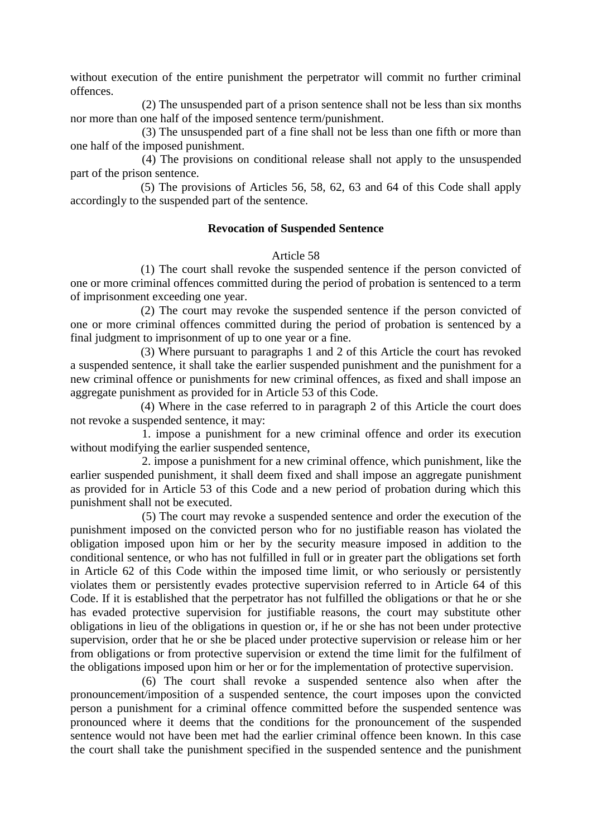without execution of the entire punishment the perpetrator will commit no further criminal offences.

(2) The unsuspended part of a prison sentence shall not be less than six months nor more than one half of the imposed sentence term/punishment.

(3) The unsuspended part of a fine shall not be less than one fifth or more than one half of the imposed punishment.

(4) The provisions on conditional release shall not apply to the unsuspended part of the prison sentence.

(5) The provisions of Articles 56, 58, 62, 63 and 64 of this Code shall apply accordingly to the suspended part of the sentence.

#### **Revocation of Suspended Sentence**

#### Article 58

(1) The court shall revoke the suspended sentence if the person convicted of one or more criminal offences committed during the period of probation is sentenced to a term of imprisonment exceeding one year.

(2) The court may revoke the suspended sentence if the person convicted of one or more criminal offences committed during the period of probation is sentenced by a final judgment to imprisonment of up to one year or a fine.

(3) Where pursuant to paragraphs 1 and 2 of this Article the court has revoked a suspended sentence, it shall take the earlier suspended punishment and the punishment for a new criminal offence or punishments for new criminal offences, as fixed and shall impose an aggregate punishment as provided for in Article 53 of this Code.

(4) Where in the case referred to in paragraph 2 of this Article the court does not revoke a suspended sentence, it may:

1. impose a punishment for a new criminal offence and order its execution without modifying the earlier suspended sentence,

2. impose a punishment for a new criminal offence, which punishment, like the earlier suspended punishment, it shall deem fixed and shall impose an aggregate punishment as provided for in Article 53 of this Code and a new period of probation during which this punishment shall not be executed.

(5) The court may revoke a suspended sentence and order the execution of the punishment imposed on the convicted person who for no justifiable reason has violated the obligation imposed upon him or her by the security measure imposed in addition to the conditional sentence, or who has not fulfilled in full or in greater part the obligations set forth in Article 62 of this Code within the imposed time limit, or who seriously or persistently violates them or persistently evades protective supervision referred to in Article 64 of this Code. If it is established that the perpetrator has not fulfilled the obligations or that he or she has evaded protective supervision for justifiable reasons, the court may substitute other obligations in lieu of the obligations in question or, if he or she has not been under protective supervision, order that he or she be placed under protective supervision or release him or her from obligations or from protective supervision or extend the time limit for the fulfilment of the obligations imposed upon him or her or for the implementation of protective supervision.

(6) The court shall revoke a suspended sentence also when after the pronouncement/imposition of a suspended sentence, the court imposes upon the convicted person a punishment for a criminal offence committed before the suspended sentence was pronounced where it deems that the conditions for the pronouncement of the suspended sentence would not have been met had the earlier criminal offence been known. In this case the court shall take the punishment specified in the suspended sentence and the punishment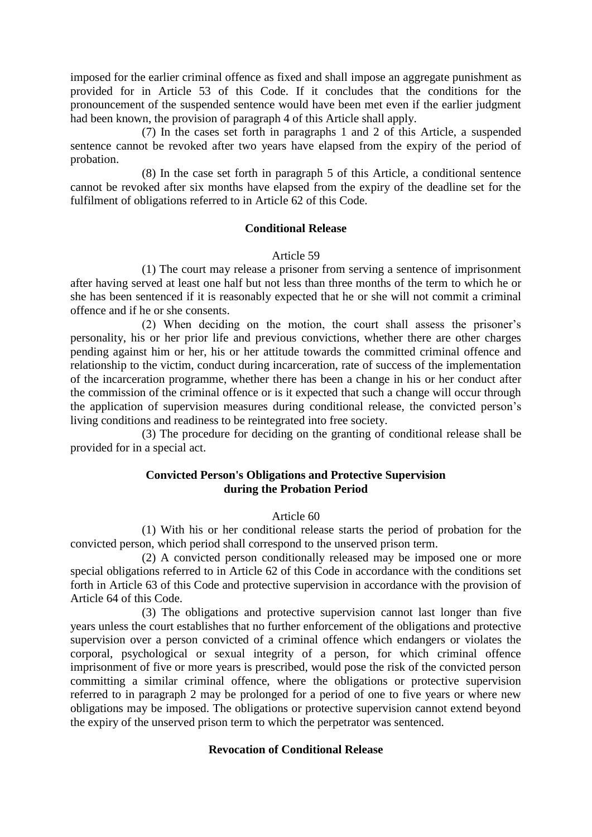imposed for the earlier criminal offence as fixed and shall impose an aggregate punishment as provided for in Article 53 of this Code. If it concludes that the conditions for the pronouncement of the suspended sentence would have been met even if the earlier judgment had been known, the provision of paragraph 4 of this Article shall apply.

(7) In the cases set forth in paragraphs 1 and 2 of this Article, a suspended sentence cannot be revoked after two years have elapsed from the expiry of the period of probation.

(8) In the case set forth in paragraph 5 of this Article, a conditional sentence cannot be revoked after six months have elapsed from the expiry of the deadline set for the fulfilment of obligations referred to in Article 62 of this Code.

#### **Conditional Release**

#### Article 59

(1) The court may release a prisoner from serving a sentence of imprisonment after having served at least one half but not less than three months of the term to which he or she has been sentenced if it is reasonably expected that he or she will not commit a criminal offence and if he or she consents.

(2) When deciding on the motion, the court shall assess the prisoner's personality, his or her prior life and previous convictions, whether there are other charges pending against him or her, his or her attitude towards the committed criminal offence and relationship to the victim, conduct during incarceration, rate of success of the implementation of the incarceration programme, whether there has been a change in his or her conduct after the commission of the criminal offence or is it expected that such a change will occur through the application of supervision measures during conditional release, the convicted person's living conditions and readiness to be reintegrated into free society.

(3) The procedure for deciding on the granting of conditional release shall be provided for in a special act.

#### **Convicted Person's Obligations and Protective Supervision during the Probation Period**

#### Article 60

(1) With his or her conditional release starts the period of probation for the convicted person, which period shall correspond to the unserved prison term.

(2) A convicted person conditionally released may be imposed one or more special obligations referred to in Article 62 of this Code in accordance with the conditions set forth in Article 63 of this Code and protective supervision in accordance with the provision of Article 64 of this Code.

(3) The obligations and protective supervision cannot last longer than five years unless the court establishes that no further enforcement of the obligations and protective supervision over a person convicted of a criminal offence which endangers or violates the corporal, psychological or sexual integrity of a person, for which criminal offence imprisonment of five or more years is prescribed, would pose the risk of the convicted person committing a similar criminal offence, where the obligations or protective supervision referred to in paragraph 2 may be prolonged for a period of one to five years or where new obligations may be imposed. The obligations or protective supervision cannot extend beyond the expiry of the unserved prison term to which the perpetrator was sentenced.

#### **Revocation of Conditional Release**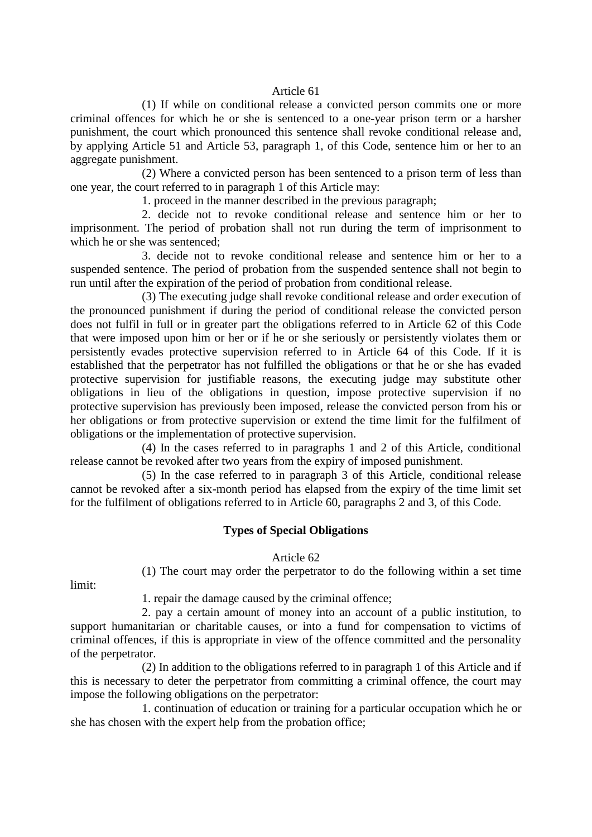#### Article 61

(1) If while on conditional release a convicted person commits one or more criminal offences for which he or she is sentenced to a one-year prison term or a harsher punishment, the court which pronounced this sentence shall revoke conditional release and, by applying Article 51 and Article 53, paragraph 1, of this Code, sentence him or her to an aggregate punishment.

(2) Where a convicted person has been sentenced to a prison term of less than one year, the court referred to in paragraph 1 of this Article may:

1. proceed in the manner described in the previous paragraph;

2. decide not to revoke conditional release and sentence him or her to imprisonment. The period of probation shall not run during the term of imprisonment to which he or she was sentenced;

3. decide not to revoke conditional release and sentence him or her to a suspended sentence. The period of probation from the suspended sentence shall not begin to run until after the expiration of the period of probation from conditional release.

(3) The executing judge shall revoke conditional release and order execution of the pronounced punishment if during the period of conditional release the convicted person does not fulfil in full or in greater part the obligations referred to in Article 62 of this Code that were imposed upon him or her or if he or she seriously or persistently violates them or persistently evades protective supervision referred to in Article 64 of this Code. If it is established that the perpetrator has not fulfilled the obligations or that he or she has evaded protective supervision for justifiable reasons, the executing judge may substitute other obligations in lieu of the obligations in question, impose protective supervision if no protective supervision has previously been imposed, release the convicted person from his or her obligations or from protective supervision or extend the time limit for the fulfilment of obligations or the implementation of protective supervision.

(4) In the cases referred to in paragraphs 1 and 2 of this Article, conditional release cannot be revoked after two years from the expiry of imposed punishment.

(5) In the case referred to in paragraph 3 of this Article, conditional release cannot be revoked after a six-month period has elapsed from the expiry of the time limit set for the fulfilment of obligations referred to in Article 60, paragraphs 2 and 3, of this Code.

#### **Types of Special Obligations**

#### Article 62

(1) The court may order the perpetrator to do the following within a set time

limit:

1. repair the damage caused by the criminal offence;

2. pay a certain amount of money into an account of a public institution, to support humanitarian or charitable causes, or into a fund for compensation to victims of criminal offences, if this is appropriate in view of the offence committed and the personality of the perpetrator.

(2) In addition to the obligations referred to in paragraph 1 of this Article and if this is necessary to deter the perpetrator from committing a criminal offence, the court may impose the following obligations on the perpetrator:

1. continuation of education or training for a particular occupation which he or she has chosen with the expert help from the probation office;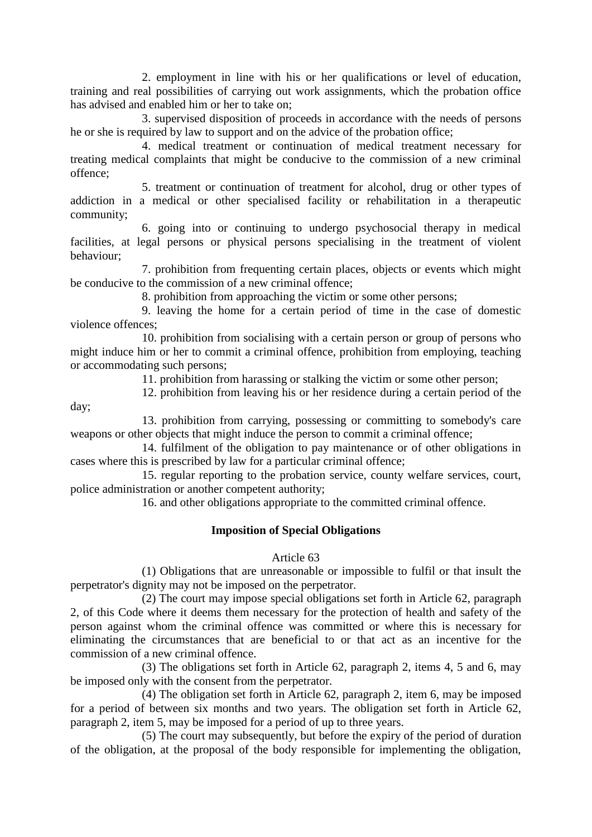2. employment in line with his or her qualifications or level of education, training and real possibilities of carrying out work assignments, which the probation office has advised and enabled him or her to take on;

3. supervised disposition of proceeds in accordance with the needs of persons he or she is required by law to support and on the advice of the probation office;

4. medical treatment or continuation of medical treatment necessary for treating medical complaints that might be conducive to the commission of a new criminal offence;

5. treatment or continuation of treatment for alcohol, drug or other types of addiction in a medical or other specialised facility or rehabilitation in a therapeutic community;

6. going into or continuing to undergo psychosocial therapy in medical facilities, at legal persons or physical persons specialising in the treatment of violent behaviour;

7. prohibition from frequenting certain places, objects or events which might be conducive to the commission of a new criminal offence;

8. prohibition from approaching the victim or some other persons;

9. leaving the home for a certain period of time in the case of domestic violence offences;

10. prohibition from socialising with a certain person or group of persons who might induce him or her to commit a criminal offence, prohibition from employing, teaching or accommodating such persons;

11. prohibition from harassing or stalking the victim or some other person;

12. prohibition from leaving his or her residence during a certain period of the

13. prohibition from carrying, possessing or committing to somebody's care weapons or other objects that might induce the person to commit a criminal offence;

day;

14. fulfilment of the obligation to pay maintenance or of other obligations in cases where this is prescribed by law for a particular criminal offence;

15. regular reporting to the probation service, county welfare services, court, police administration or another competent authority;

16. and other obligations appropriate to the committed criminal offence.

#### **Imposition of Special Obligations**

#### Article 63

(1) Obligations that are unreasonable or impossible to fulfil or that insult the perpetrator's dignity may not be imposed on the perpetrator.

(2) The court may impose special obligations set forth in Article 62, paragraph 2, of this Code where it deems them necessary for the protection of health and safety of the person against whom the criminal offence was committed or where this is necessary for eliminating the circumstances that are beneficial to or that act as an incentive for the commission of a new criminal offence.

(3) The obligations set forth in Article 62, paragraph 2, items 4, 5 and 6, may be imposed only with the consent from the perpetrator.

(4) The obligation set forth in Article 62, paragraph 2, item 6, may be imposed for a period of between six months and two years. The obligation set forth in Article 62, paragraph 2, item 5, may be imposed for a period of up to three years.

(5) The court may subsequently, but before the expiry of the period of duration of the obligation, at the proposal of the body responsible for implementing the obligation,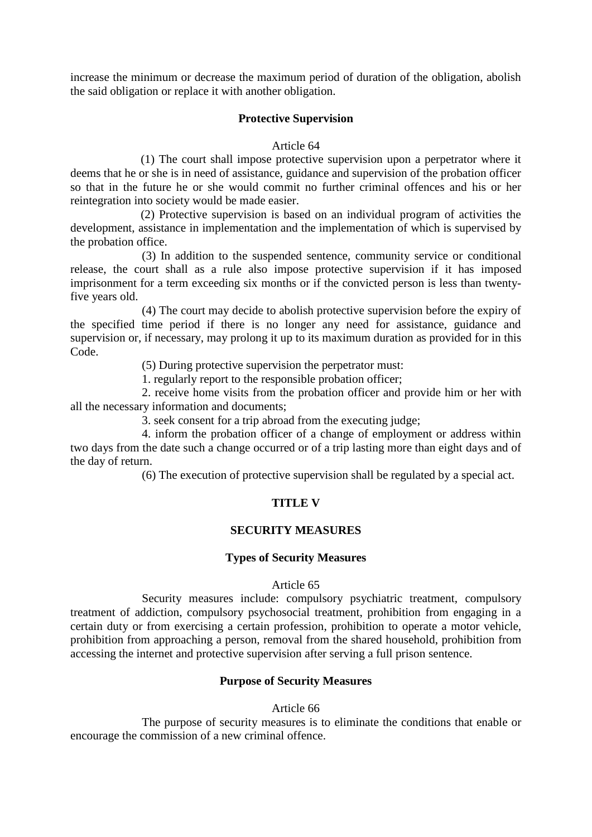increase the minimum or decrease the maximum period of duration of the obligation, abolish the said obligation or replace it with another obligation.

#### **Protective Supervision**

#### Article 64

(1) The court shall impose protective supervision upon a perpetrator where it deems that he or she is in need of assistance, guidance and supervision of the probation officer so that in the future he or she would commit no further criminal offences and his or her reintegration into society would be made easier.

(2) Protective supervision is based on an individual program of activities the development, assistance in implementation and the implementation of which is supervised by the probation office.

(3) In addition to the suspended sentence, community service or conditional release, the court shall as a rule also impose protective supervision if it has imposed imprisonment for a term exceeding six months or if the convicted person is less than twentyfive years old.

(4) The court may decide to abolish protective supervision before the expiry of the specified time period if there is no longer any need for assistance, guidance and supervision or, if necessary, may prolong it up to its maximum duration as provided for in this Code.

(5) During protective supervision the perpetrator must:

1. regularly report to the responsible probation officer;

2. receive home visits from the probation officer and provide him or her with all the necessary information and documents;

3. seek consent for a trip abroad from the executing judge;

4. inform the probation officer of a change of employment or address within two days from the date such a change occurred or of a trip lasting more than eight days and of the day of return.

(6) The execution of protective supervision shall be regulated by a special act.

#### **TITLE V**

#### **SECURITY MEASURES**

#### **Types of Security Measures**

#### Article 65

Security measures include: compulsory psychiatric treatment, compulsory treatment of addiction, compulsory psychosocial treatment, prohibition from engaging in a certain duty or from exercising a certain profession, prohibition to operate a motor vehicle, prohibition from approaching a person, removal from the shared household, prohibition from accessing the internet and protective supervision after serving a full prison sentence.

#### **Purpose of Security Measures**

#### Article 66

The purpose of security measures is to eliminate the conditions that enable or encourage the commission of a new criminal offence.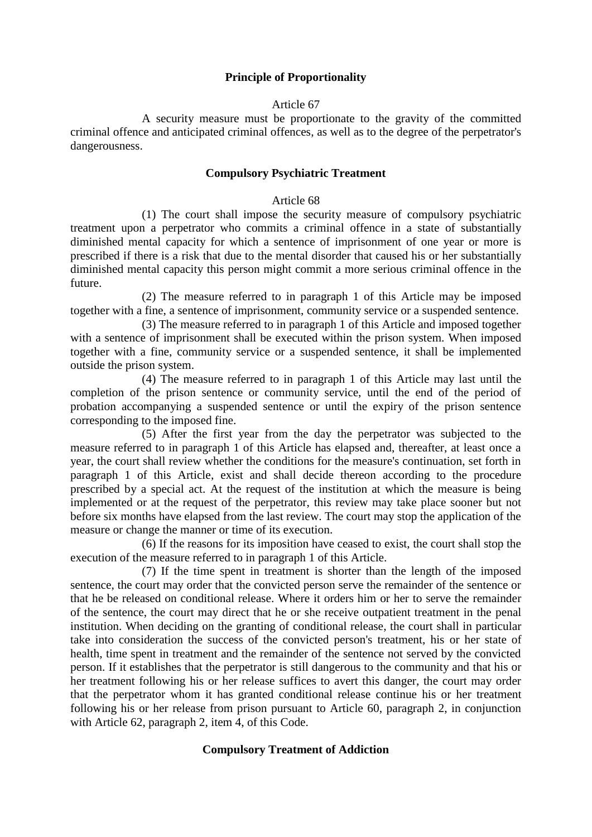## **Principle of Proportionality**

#### Article 67

A security measure must be proportionate to the gravity of the committed criminal offence and anticipated criminal offences, as well as to the degree of the perpetrator's dangerousness.

#### **Compulsory Psychiatric Treatment**

#### Article 68

(1) The court shall impose the security measure of compulsory psychiatric treatment upon a perpetrator who commits a criminal offence in a state of substantially diminished mental capacity for which a sentence of imprisonment of one year or more is prescribed if there is a risk that due to the mental disorder that caused his or her substantially diminished mental capacity this person might commit a more serious criminal offence in the future.

(2) The measure referred to in paragraph 1 of this Article may be imposed together with a fine, a sentence of imprisonment, community service or a suspended sentence.

(3) The measure referred to in paragraph 1 of this Article and imposed together with a sentence of imprisonment shall be executed within the prison system. When imposed together with a fine, community service or a suspended sentence, it shall be implemented outside the prison system.

(4) The measure referred to in paragraph 1 of this Article may last until the completion of the prison sentence or community service, until the end of the period of probation accompanying a suspended sentence or until the expiry of the prison sentence corresponding to the imposed fine.

(5) After the first year from the day the perpetrator was subjected to the measure referred to in paragraph 1 of this Article has elapsed and, thereafter, at least once a year, the court shall review whether the conditions for the measure's continuation, set forth in paragraph 1 of this Article, exist and shall decide thereon according to the procedure prescribed by a special act. At the request of the institution at which the measure is being implemented or at the request of the perpetrator, this review may take place sooner but not before six months have elapsed from the last review. The court may stop the application of the measure or change the manner or time of its execution.

(6) If the reasons for its imposition have ceased to exist, the court shall stop the execution of the measure referred to in paragraph 1 of this Article.

(7) If the time spent in treatment is shorter than the length of the imposed sentence, the court may order that the convicted person serve the remainder of the sentence or that he be released on conditional release. Where it orders him or her to serve the remainder of the sentence, the court may direct that he or she receive outpatient treatment in the penal institution. When deciding on the granting of conditional release, the court shall in particular take into consideration the success of the convicted person's treatment, his or her state of health, time spent in treatment and the remainder of the sentence not served by the convicted person. If it establishes that the perpetrator is still dangerous to the community and that his or her treatment following his or her release suffices to avert this danger, the court may order that the perpetrator whom it has granted conditional release continue his or her treatment following his or her release from prison pursuant to Article 60, paragraph 2, in conjunction with Article 62, paragraph 2, item 4, of this Code.

#### **Compulsory Treatment of Addiction**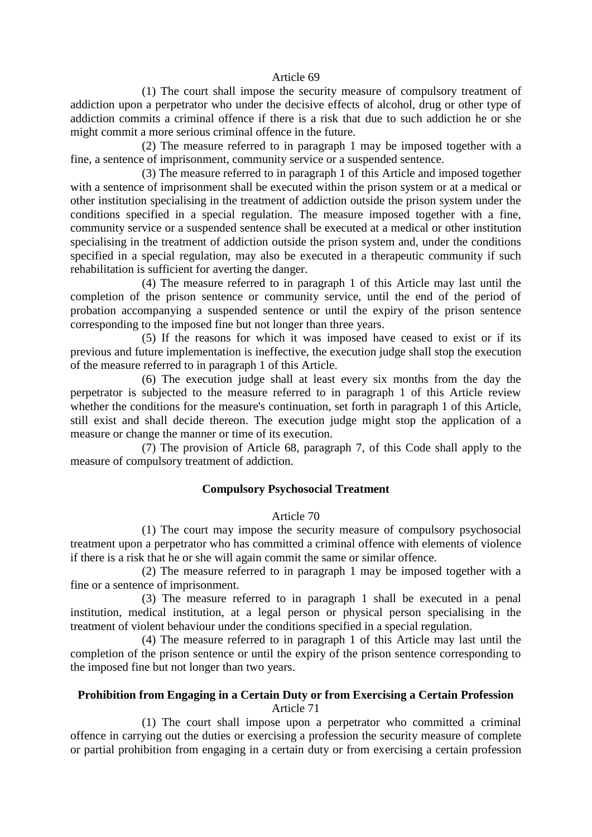#### Article 69

(1) The court shall impose the security measure of compulsory treatment of addiction upon a perpetrator who under the decisive effects of alcohol, drug or other type of addiction commits a criminal offence if there is a risk that due to such addiction he or she might commit a more serious criminal offence in the future.

(2) The measure referred to in paragraph 1 may be imposed together with a fine, a sentence of imprisonment, community service or a suspended sentence.

(3) The measure referred to in paragraph 1 of this Article and imposed together with a sentence of imprisonment shall be executed within the prison system or at a medical or other institution specialising in the treatment of addiction outside the prison system under the conditions specified in a special regulation. The measure imposed together with a fine, community service or a suspended sentence shall be executed at a medical or other institution specialising in the treatment of addiction outside the prison system and, under the conditions specified in a special regulation, may also be executed in a therapeutic community if such rehabilitation is sufficient for averting the danger.

(4) The measure referred to in paragraph 1 of this Article may last until the completion of the prison sentence or community service, until the end of the period of probation accompanying a suspended sentence or until the expiry of the prison sentence corresponding to the imposed fine but not longer than three years.

(5) If the reasons for which it was imposed have ceased to exist or if its previous and future implementation is ineffective, the execution judge shall stop the execution of the measure referred to in paragraph 1 of this Article.

(6) The execution judge shall at least every six months from the day the perpetrator is subjected to the measure referred to in paragraph 1 of this Article review whether the conditions for the measure's continuation, set forth in paragraph 1 of this Article, still exist and shall decide thereon. The execution judge might stop the application of a measure or change the manner or time of its execution.

(7) The provision of Article 68, paragraph 7, of this Code shall apply to the measure of compulsory treatment of addiction.

#### **Compulsory Psychosocial Treatment**

#### Article 70

(1) The court may impose the security measure of compulsory psychosocial treatment upon a perpetrator who has committed a criminal offence with elements of violence if there is a risk that he or she will again commit the same or similar offence.

(2) The measure referred to in paragraph 1 may be imposed together with a fine or a sentence of imprisonment.

(3) The measure referred to in paragraph 1 shall be executed in a penal institution, medical institution, at a legal person or physical person specialising in the treatment of violent behaviour under the conditions specified in a special regulation.

(4) The measure referred to in paragraph 1 of this Article may last until the completion of the prison sentence or until the expiry of the prison sentence corresponding to the imposed fine but not longer than two years.

#### **Prohibition from Engaging in a Certain Duty or from Exercising a Certain Profession**  Article 71

(1) The court shall impose upon a perpetrator who committed a criminal offence in carrying out the duties or exercising a profession the security measure of complete or partial prohibition from engaging in a certain duty or from exercising a certain profession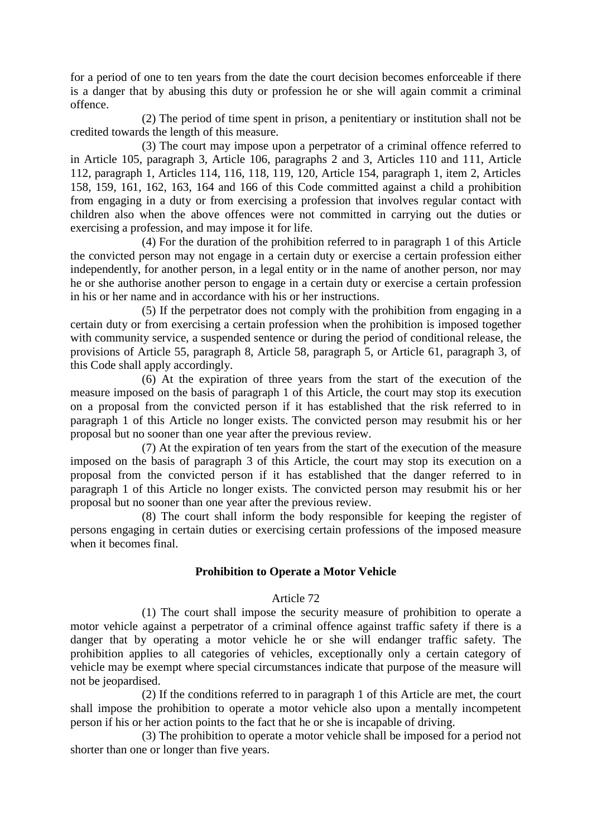for a period of one to ten years from the date the court decision becomes enforceable if there is a danger that by abusing this duty or profession he or she will again commit a criminal offence.

(2) The period of time spent in prison, a penitentiary or institution shall not be credited towards the length of this measure.

(3) The court may impose upon a perpetrator of a criminal offence referred to in Article 105, paragraph 3, Article 106, paragraphs 2 and 3, Articles 110 and 111, Article 112, paragraph 1, Articles 114, 116, 118, 119, 120, Article 154, paragraph 1, item 2, Articles 158, 159, 161, 162, 163, 164 and 166 of this Code committed against a child a prohibition from engaging in a duty or from exercising a profession that involves regular contact with children also when the above offences were not committed in carrying out the duties or exercising a profession, and may impose it for life.

(4) For the duration of the prohibition referred to in paragraph 1 of this Article the convicted person may not engage in a certain duty or exercise a certain profession either independently, for another person, in a legal entity or in the name of another person, nor may he or she authorise another person to engage in a certain duty or exercise a certain profession in his or her name and in accordance with his or her instructions.

(5) If the perpetrator does not comply with the prohibition from engaging in a certain duty or from exercising a certain profession when the prohibition is imposed together with community service, a suspended sentence or during the period of conditional release, the provisions of Article 55, paragraph 8, Article 58, paragraph 5, or Article 61, paragraph 3, of this Code shall apply accordingly.

(6) At the expiration of three years from the start of the execution of the measure imposed on the basis of paragraph 1 of this Article, the court may stop its execution on a proposal from the convicted person if it has established that the risk referred to in paragraph 1 of this Article no longer exists. The convicted person may resubmit his or her proposal but no sooner than one year after the previous review.

(7) At the expiration of ten years from the start of the execution of the measure imposed on the basis of paragraph 3 of this Article, the court may stop its execution on a proposal from the convicted person if it has established that the danger referred to in paragraph 1 of this Article no longer exists. The convicted person may resubmit his or her proposal but no sooner than one year after the previous review.

(8) The court shall inform the body responsible for keeping the register of persons engaging in certain duties or exercising certain professions of the imposed measure when it becomes final.

#### **Prohibition to Operate a Motor Vehicle**

#### Article 72

(1) The court shall impose the security measure of prohibition to operate a motor vehicle against a perpetrator of a criminal offence against traffic safety if there is a danger that by operating a motor vehicle he or she will endanger traffic safety. The prohibition applies to all categories of vehicles, exceptionally only a certain category of vehicle may be exempt where special circumstances indicate that purpose of the measure will not be jeopardised.

(2) If the conditions referred to in paragraph 1 of this Article are met, the court shall impose the prohibition to operate a motor vehicle also upon a mentally incompetent person if his or her action points to the fact that he or she is incapable of driving.

(3) The prohibition to operate a motor vehicle shall be imposed for a period not shorter than one or longer than five years.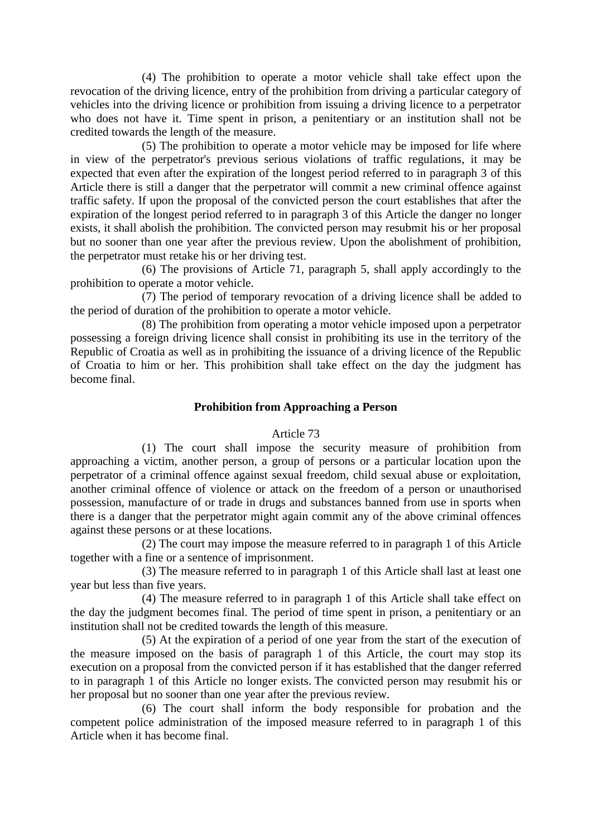(4) The prohibition to operate a motor vehicle shall take effect upon the revocation of the driving licence, entry of the prohibition from driving a particular category of vehicles into the driving licence or prohibition from issuing a driving licence to a perpetrator who does not have it. Time spent in prison, a penitentiary or an institution shall not be credited towards the length of the measure.

(5) The prohibition to operate a motor vehicle may be imposed for life where in view of the perpetrator's previous serious violations of traffic regulations, it may be expected that even after the expiration of the longest period referred to in paragraph 3 of this Article there is still a danger that the perpetrator will commit a new criminal offence against traffic safety. If upon the proposal of the convicted person the court establishes that after the expiration of the longest period referred to in paragraph 3 of this Article the danger no longer exists, it shall abolish the prohibition. The convicted person may resubmit his or her proposal but no sooner than one year after the previous review. Upon the abolishment of prohibition, the perpetrator must retake his or her driving test.

(6) The provisions of Article 71, paragraph 5, shall apply accordingly to the prohibition to operate a motor vehicle.

(7) The period of temporary revocation of a driving licence shall be added to the period of duration of the prohibition to operate a motor vehicle.

(8) The prohibition from operating a motor vehicle imposed upon a perpetrator possessing a foreign driving licence shall consist in prohibiting its use in the territory of the Republic of Croatia as well as in prohibiting the issuance of a driving licence of the Republic of Croatia to him or her. This prohibition shall take effect on the day the judgment has become final.

#### **Prohibition from Approaching a Person**

#### Article 73

(1) The court shall impose the security measure of prohibition from approaching a victim, another person, a group of persons or a particular location upon the perpetrator of a criminal offence against sexual freedom, child sexual abuse or exploitation, another criminal offence of violence or attack on the freedom of a person or unauthorised possession, manufacture of or trade in drugs and substances banned from use in sports when there is a danger that the perpetrator might again commit any of the above criminal offences against these persons or at these locations.

(2) The court may impose the measure referred to in paragraph 1 of this Article together with a fine or a sentence of imprisonment.

(3) The measure referred to in paragraph 1 of this Article shall last at least one year but less than five years.

(4) The measure referred to in paragraph 1 of this Article shall take effect on the day the judgment becomes final. The period of time spent in prison, a penitentiary or an institution shall not be credited towards the length of this measure.

(5) At the expiration of a period of one year from the start of the execution of the measure imposed on the basis of paragraph 1 of this Article, the court may stop its execution on a proposal from the convicted person if it has established that the danger referred to in paragraph 1 of this Article no longer exists. The convicted person may resubmit his or her proposal but no sooner than one year after the previous review.

(6) The court shall inform the body responsible for probation and the competent police administration of the imposed measure referred to in paragraph 1 of this Article when it has become final.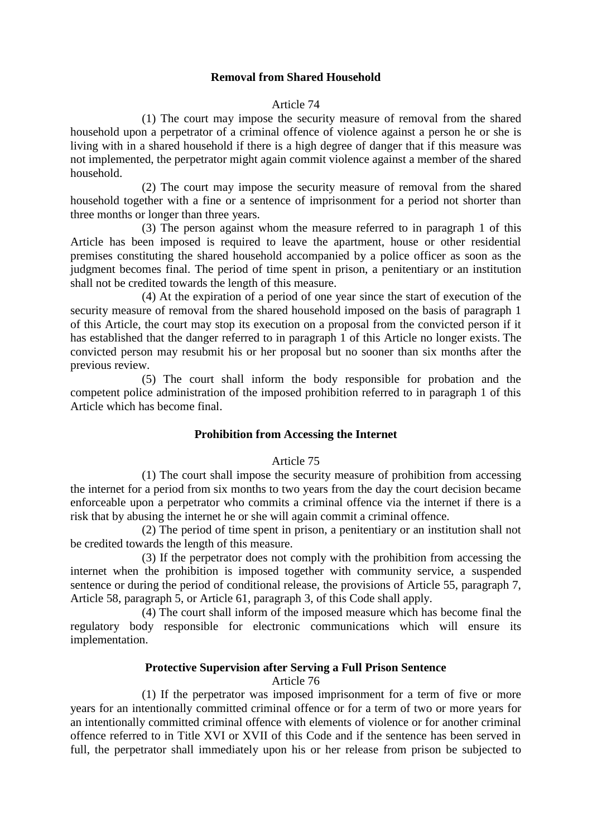## **Removal from Shared Household**

#### Article 74

(1) The court may impose the security measure of removal from the shared household upon a perpetrator of a criminal offence of violence against a person he or she is living with in a shared household if there is a high degree of danger that if this measure was not implemented, the perpetrator might again commit violence against a member of the shared household.

(2) The court may impose the security measure of removal from the shared household together with a fine or a sentence of imprisonment for a period not shorter than three months or longer than three years.

(3) The person against whom the measure referred to in paragraph 1 of this Article has been imposed is required to leave the apartment, house or other residential premises constituting the shared household accompanied by a police officer as soon as the judgment becomes final. The period of time spent in prison, a penitentiary or an institution shall not be credited towards the length of this measure.

(4) At the expiration of a period of one year since the start of execution of the security measure of removal from the shared household imposed on the basis of paragraph 1 of this Article, the court may stop its execution on a proposal from the convicted person if it has established that the danger referred to in paragraph 1 of this Article no longer exists. The convicted person may resubmit his or her proposal but no sooner than six months after the previous review.

(5) The court shall inform the body responsible for probation and the competent police administration of the imposed prohibition referred to in paragraph 1 of this Article which has become final.

#### **Prohibition from Accessing the Internet**

#### Article 75

(1) The court shall impose the security measure of prohibition from accessing the internet for a period from six months to two years from the day the court decision became enforceable upon a perpetrator who commits a criminal offence via the internet if there is a risk that by abusing the internet he or she will again commit a criminal offence.

(2) The period of time spent in prison, a penitentiary or an institution shall not be credited towards the length of this measure.

(3) If the perpetrator does not comply with the prohibition from accessing the internet when the prohibition is imposed together with community service, a suspended sentence or during the period of conditional release, the provisions of Article 55, paragraph 7, Article 58, paragraph 5, or Article 61, paragraph 3, of this Code shall apply.

(4) The court shall inform of the imposed measure which has become final the regulatory body responsible for electronic communications which will ensure its implementation.

#### **Protective Supervision after Serving a Full Prison Sentence**

Article 76

(1) If the perpetrator was imposed imprisonment for a term of five or more years for an intentionally committed criminal offence or for a term of two or more years for an intentionally committed criminal offence with elements of violence or for another criminal offence referred to in Title XVI or XVII of this Code and if the sentence has been served in full, the perpetrator shall immediately upon his or her release from prison be subjected to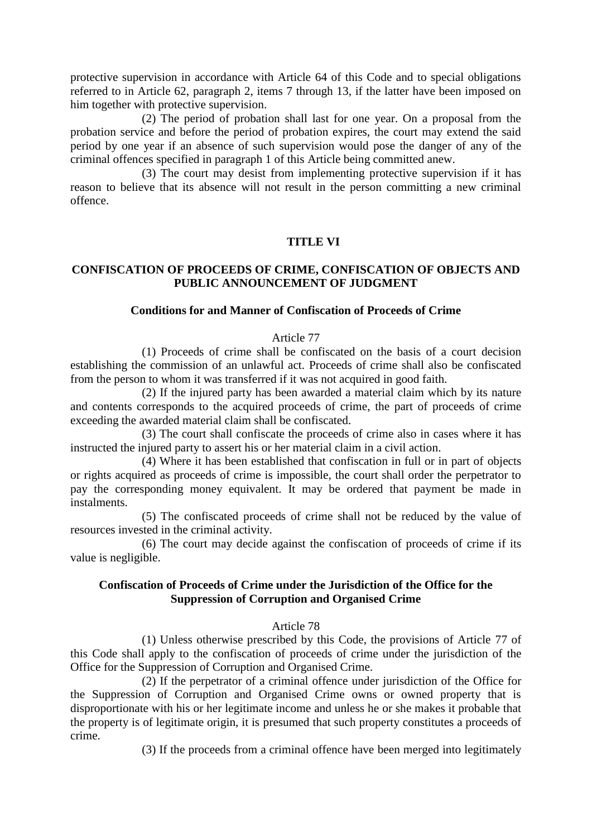protective supervision in accordance with Article 64 of this Code and to special obligations referred to in Article 62, paragraph 2, items 7 through 13, if the latter have been imposed on him together with protective supervision.

(2) The period of probation shall last for one year. On a proposal from the probation service and before the period of probation expires, the court may extend the said period by one year if an absence of such supervision would pose the danger of any of the criminal offences specified in paragraph 1 of this Article being committed anew.

(3) The court may desist from implementing protective supervision if it has reason to believe that its absence will not result in the person committing a new criminal offence.

#### **TITLE VI**

## **CONFISCATION OF PROCEEDS OF CRIME, CONFISCATION OF OBJECTS AND PUBLIC ANNOUNCEMENT OF JUDGMENT**

#### **Conditions for and Manner of Confiscation of Proceeds of Crime**

#### Article 77

(1) Proceeds of crime shall be confiscated on the basis of a court decision establishing the commission of an unlawful act. Proceeds of crime shall also be confiscated from the person to whom it was transferred if it was not acquired in good faith.

(2) If the injured party has been awarded a material claim which by its nature and contents corresponds to the acquired proceeds of crime, the part of proceeds of crime exceeding the awarded material claim shall be confiscated.

(3) The court shall confiscate the proceeds of crime also in cases where it has instructed the injured party to assert his or her material claim in a civil action.

(4) Where it has been established that confiscation in full or in part of objects or rights acquired as proceeds of crime is impossible, the court shall order the perpetrator to pay the corresponding money equivalent. It may be ordered that payment be made in instalments.

(5) The confiscated proceeds of crime shall not be reduced by the value of resources invested in the criminal activity.

(6) The court may decide against the confiscation of proceeds of crime if its value is negligible.

## **Confiscation of Proceeds of Crime under the Jurisdiction of the Office for the Suppression of Corruption and Organised Crime**

#### Article 78

(1) Unless otherwise prescribed by this Code, the provisions of Article 77 of this Code shall apply to the confiscation of proceeds of crime under the jurisdiction of the Office for the Suppression of Corruption and Organised Crime.

(2) If the perpetrator of a criminal offence under jurisdiction of the Office for the Suppression of Corruption and Organised Crime owns or owned property that is disproportionate with his or her legitimate income and unless he or she makes it probable that the property is of legitimate origin, it is presumed that such property constitutes a proceeds of crime.

(3) If the proceeds from a criminal offence have been merged into legitimately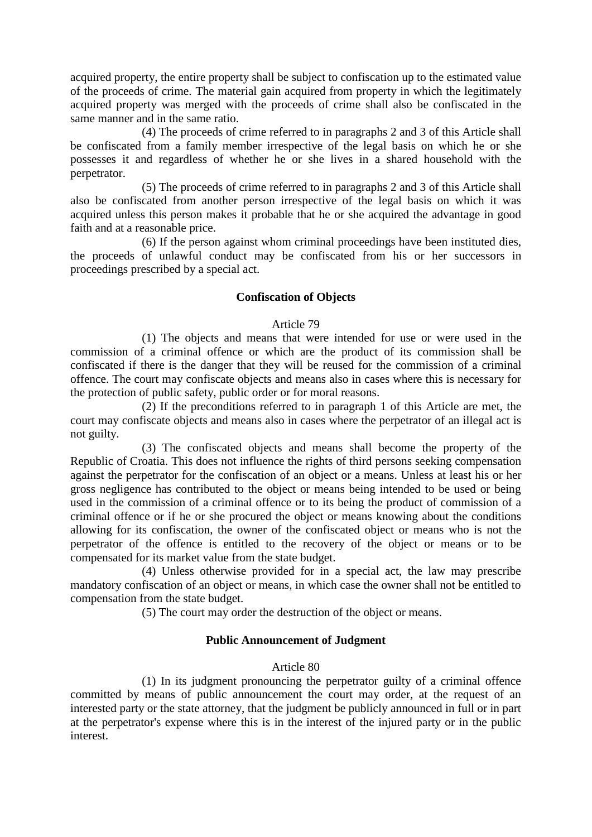acquired property, the entire property shall be subject to confiscation up to the estimated value of the proceeds of crime. The material gain acquired from property in which the legitimately acquired property was merged with the proceeds of crime shall also be confiscated in the same manner and in the same ratio.

(4) The proceeds of crime referred to in paragraphs 2 and 3 of this Article shall be confiscated from a family member irrespective of the legal basis on which he or she possesses it and regardless of whether he or she lives in a shared household with the perpetrator.

(5) The proceeds of crime referred to in paragraphs 2 and 3 of this Article shall also be confiscated from another person irrespective of the legal basis on which it was acquired unless this person makes it probable that he or she acquired the advantage in good faith and at a reasonable price.

(6) If the person against whom criminal proceedings have been instituted dies, the proceeds of unlawful conduct may be confiscated from his or her successors in proceedings prescribed by a special act.

#### **Confiscation of Objects**

#### Article 79

(1) The objects and means that were intended for use or were used in the commission of a criminal offence or which are the product of its commission shall be confiscated if there is the danger that they will be reused for the commission of a criminal offence. The court may confiscate objects and means also in cases where this is necessary for the protection of public safety, public order or for moral reasons.

(2) If the preconditions referred to in paragraph 1 of this Article are met, the court may confiscate objects and means also in cases where the perpetrator of an illegal act is not guilty.

(3) The confiscated objects and means shall become the property of the Republic of Croatia. This does not influence the rights of third persons seeking compensation against the perpetrator for the confiscation of an object or a means. Unless at least his or her gross negligence has contributed to the object or means being intended to be used or being used in the commission of a criminal offence or to its being the product of commission of a criminal offence or if he or she procured the object or means knowing about the conditions allowing for its confiscation, the owner of the confiscated object or means who is not the perpetrator of the offence is entitled to the recovery of the object or means or to be compensated for its market value from the state budget.

(4) Unless otherwise provided for in a special act, the law may prescribe mandatory confiscation of an object or means, in which case the owner shall not be entitled to compensation from the state budget.

(5) The court may order the destruction of the object or means.

#### **Public Announcement of Judgment**

#### Article 80

(1) In its judgment pronouncing the perpetrator guilty of a criminal offence committed by means of public announcement the court may order, at the request of an interested party or the state attorney, that the judgment be publicly announced in full or in part at the perpetrator's expense where this is in the interest of the injured party or in the public interest.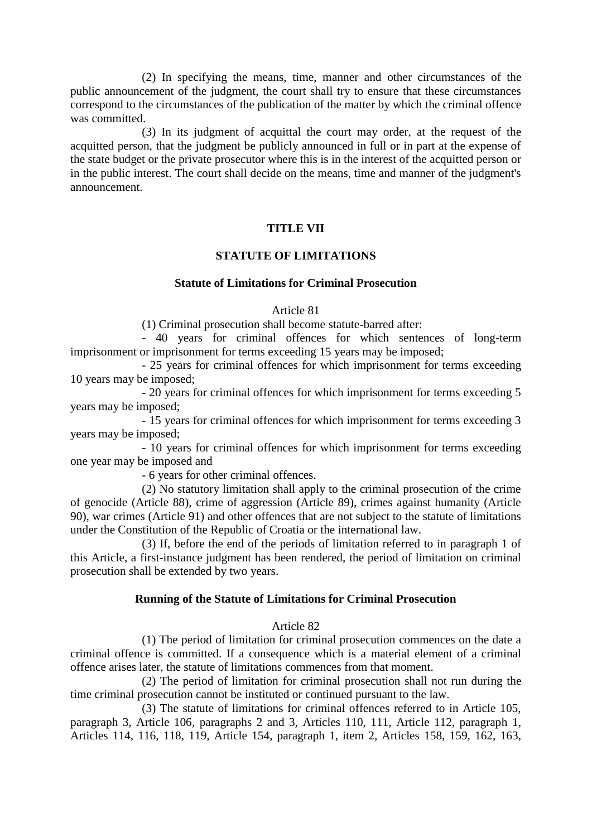(2) In specifying the means, time, manner and other circumstances of the public announcement of the judgment, the court shall try to ensure that these circumstances correspond to the circumstances of the publication of the matter by which the criminal offence was committed.

(3) In its judgment of acquittal the court may order, at the request of the acquitted person, that the judgment be publicly announced in full or in part at the expense of the state budget or the private prosecutor where this is in the interest of the acquitted person or in the public interest. The court shall decide on the means, time and manner of the judgment's announcement.

#### **TITLE VII**

#### **STATUTE OF LIMITATIONS**

## **Statute of Limitations for Criminal Prosecution**

#### Article 81

(1) Criminal prosecution shall become statute-barred after:

- 40 years for criminal offences for which sentences of long-term imprisonment or imprisonment for terms exceeding 15 years may be imposed;

- 25 years for criminal offences for which imprisonment for terms exceeding 10 years may be imposed;

- 20 years for criminal offences for which imprisonment for terms exceeding 5 years may be imposed;

- 15 years for criminal offences for which imprisonment for terms exceeding 3 years may be imposed;

- 10 years for criminal offences for which imprisonment for terms exceeding one year may be imposed and

- 6 years for other criminal offences.

(2) No statutory limitation shall apply to the criminal prosecution of the crime of genocide (Article 88), crime of aggression (Article 89), crimes against humanity (Article 90), war crimes (Article 91) and other offences that are not subject to the statute of limitations under the Constitution of the Republic of Croatia or the international law.

(3) If, before the end of the periods of limitation referred to in paragraph 1 of this Article, a first-instance judgment has been rendered, the period of limitation on criminal prosecution shall be extended by two years.

#### **Running of the Statute of Limitations for Criminal Prosecution**

#### Article 82

(1) The period of limitation for criminal prosecution commences on the date a criminal offence is committed. If a consequence which is a material element of a criminal offence arises later, the statute of limitations commences from that moment.

(2) The period of limitation for criminal prosecution shall not run during the time criminal prosecution cannot be instituted or continued pursuant to the law.

(3) The statute of limitations for criminal offences referred to in Article 105, paragraph 3, Article 106, paragraphs 2 and 3, Articles 110, 111, Article 112, paragraph 1, Articles 114, 116, 118, 119, Article 154, paragraph 1, item 2, Articles 158, 159, 162, 163,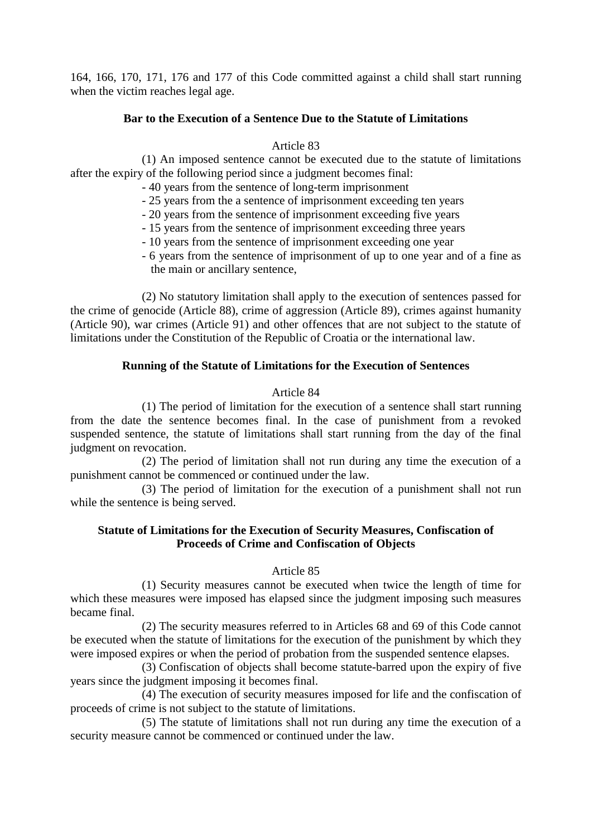164, 166, 170, 171, 176 and 177 of this Code committed against a child shall start running when the victim reaches legal age.

#### **Bar to the Execution of a Sentence Due to the Statute of Limitations**

#### Article 83

(1) An imposed sentence cannot be executed due to the statute of limitations after the expiry of the following period since a judgment becomes final:

- 40 years from the sentence of long-term imprisonment

- 25 years from the a sentence of imprisonment exceeding ten years
- 20 years from the sentence of imprisonment exceeding five years
- 15 years from the sentence of imprisonment exceeding three years
- 10 years from the sentence of imprisonment exceeding one year
- 6 years from the sentence of imprisonment of up to one year and of a fine as the main or ancillary sentence,

(2) No statutory limitation shall apply to the execution of sentences passed for the crime of genocide (Article 88), crime of aggression (Article 89), crimes against humanity (Article 90), war crimes (Article 91) and other offences that are not subject to the statute of limitations under the Constitution of the Republic of Croatia or the international law.

#### **Running of the Statute of Limitations for the Execution of Sentences**

#### Article 84

(1) The period of limitation for the execution of a sentence shall start running from the date the sentence becomes final. In the case of punishment from a revoked suspended sentence, the statute of limitations shall start running from the day of the final judgment on revocation.

(2) The period of limitation shall not run during any time the execution of a punishment cannot be commenced or continued under the law.

(3) The period of limitation for the execution of a punishment shall not run while the sentence is being served.

## **Statute of Limitations for the Execution of Security Measures, Confiscation of Proceeds of Crime and Confiscation of Objects**

#### Article 85

(1) Security measures cannot be executed when twice the length of time for which these measures were imposed has elapsed since the judgment imposing such measures became final.

(2) The security measures referred to in Articles 68 and 69 of this Code cannot be executed when the statute of limitations for the execution of the punishment by which they were imposed expires or when the period of probation from the suspended sentence elapses.

(3) Confiscation of objects shall become statute-barred upon the expiry of five years since the judgment imposing it becomes final.

(4) The execution of security measures imposed for life and the confiscation of proceeds of crime is not subject to the statute of limitations.

(5) The statute of limitations shall not run during any time the execution of a security measure cannot be commenced or continued under the law.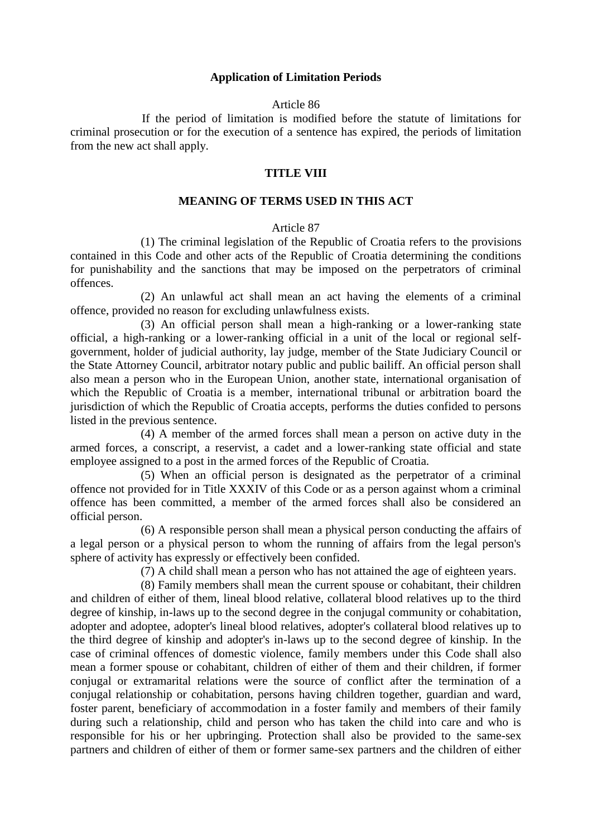#### **Application of Limitation Periods**

#### Article 86

If the period of limitation is modified before the statute of limitations for criminal prosecution or for the execution of a sentence has expired, the periods of limitation from the new act shall apply.

#### **TITLE VIII**

#### **MEANING OF TERMS USED IN THIS ACT**

## Article 87

(1) The criminal legislation of the Republic of Croatia refers to the provisions contained in this Code and other acts of the Republic of Croatia determining the conditions for punishability and the sanctions that may be imposed on the perpetrators of criminal offences.

(2) An unlawful act shall mean an act having the elements of a criminal offence, provided no reason for excluding unlawfulness exists.

(3) An official person shall mean a high-ranking or a lower-ranking state official, a high-ranking or a lower-ranking official in a unit of the local or regional selfgovernment, holder of judicial authority, lay judge, member of the State Judiciary Council or the State Attorney Council, arbitrator notary public and public bailiff. An official person shall also mean a person who in the European Union, another state, international organisation of which the Republic of Croatia is a member, international tribunal or arbitration board the jurisdiction of which the Republic of Croatia accepts, performs the duties confided to persons listed in the previous sentence.

(4) A member of the armed forces shall mean a person on active duty in the armed forces, a conscript, a reservist, a cadet and a lower-ranking state official and state employee assigned to a post in the armed forces of the Republic of Croatia.

(5) When an official person is designated as the perpetrator of a criminal offence not provided for in Title XXXIV of this Code or as a person against whom a criminal offence has been committed, a member of the armed forces shall also be considered an official person.

(6) A responsible person shall mean a physical person conducting the affairs of a legal person or a physical person to whom the running of affairs from the legal person's sphere of activity has expressly or effectively been confided.

(7) A child shall mean a person who has not attained the age of eighteen years.

(8) Family members shall mean the current spouse or cohabitant, their children and children of either of them, lineal blood relative, collateral blood relatives up to the third degree of kinship, in-laws up to the second degree in the conjugal community or cohabitation, adopter and adoptee, adopter's lineal blood relatives, adopter's collateral blood relatives up to the third degree of kinship and adopter's in-laws up to the second degree of kinship. In the case of criminal offences of domestic violence, family members under this Code shall also mean a former spouse or cohabitant, children of either of them and their children, if former conjugal or extramarital relations were the source of conflict after the termination of a conjugal relationship or cohabitation, persons having children together, guardian and ward, foster parent, beneficiary of accommodation in a foster family and members of their family during such a relationship, child and person who has taken the child into care and who is responsible for his or her upbringing. Protection shall also be provided to the same-sex partners and children of either of them or former same-sex partners and the children of either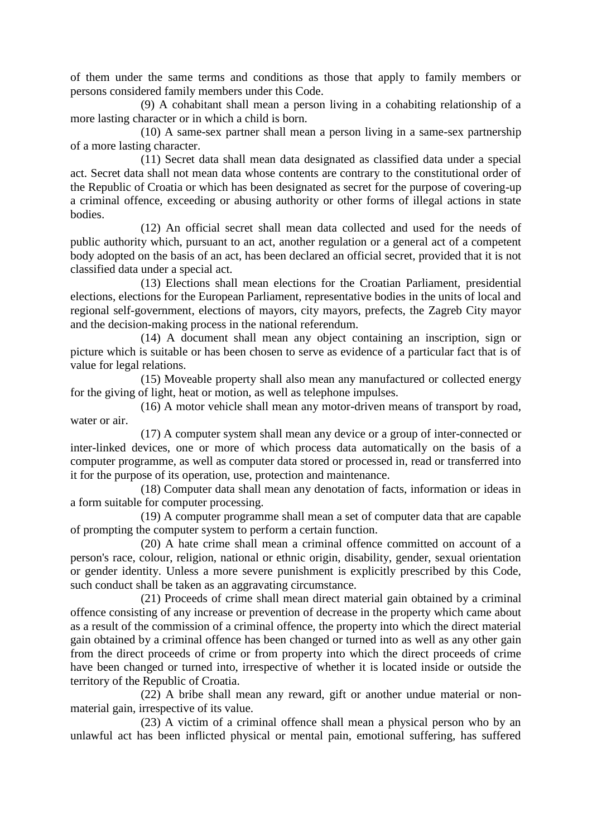of them under the same terms and conditions as those that apply to family members or persons considered family members under this Code.

(9) A cohabitant shall mean a person living in a cohabiting relationship of a more lasting character or in which a child is born.

(10) A same-sex partner shall mean a person living in a same-sex partnership of a more lasting character.

(11) Secret data shall mean data designated as classified data under a special act. Secret data shall not mean data whose contents are contrary to the constitutional order of the Republic of Croatia or which has been designated as secret for the purpose of covering-up a criminal offence, exceeding or abusing authority or other forms of illegal actions in state bodies.

(12) An official secret shall mean data collected and used for the needs of public authority which, pursuant to an act, another regulation or a general act of a competent body adopted on the basis of an act, has been declared an official secret, provided that it is not classified data under a special act.

(13) Elections shall mean elections for the Croatian Parliament, presidential elections, elections for the European Parliament, representative bodies in the units of local and regional self-government, elections of mayors, city mayors, prefects, the Zagreb City mayor and the decision-making process in the national referendum.

(14) A document shall mean any object containing an inscription, sign or picture which is suitable or has been chosen to serve as evidence of a particular fact that is of value for legal relations.

(15) Moveable property shall also mean any manufactured or collected energy for the giving of light, heat or motion, as well as telephone impulses.

(16) A motor vehicle shall mean any motor-driven means of transport by road, water or air.

(17) A computer system shall mean any device or a group of inter-connected or inter-linked devices, one or more of which process data automatically on the basis of a computer programme, as well as computer data stored or processed in, read or transferred into it for the purpose of its operation, use, protection and maintenance.

(18) Computer data shall mean any denotation of facts, information or ideas in a form suitable for computer processing.

(19) A computer programme shall mean a set of computer data that are capable of prompting the computer system to perform a certain function.

(20) A hate crime shall mean a criminal offence committed on account of a person's race, colour, religion, national or ethnic origin, disability, gender, sexual orientation or gender identity. Unless a more severe punishment is explicitly prescribed by this Code, such conduct shall be taken as an aggravating circumstance.

(21) Proceeds of crime shall mean direct material gain obtained by a criminal offence consisting of any increase or prevention of decrease in the property which came about as a result of the commission of a criminal offence, the property into which the direct material gain obtained by a criminal offence has been changed or turned into as well as any other gain from the direct proceeds of crime or from property into which the direct proceeds of crime have been changed or turned into, irrespective of whether it is located inside or outside the territory of the Republic of Croatia.

(22) A bribe shall mean any reward, gift or another undue material or nonmaterial gain, irrespective of its value.

(23) A victim of a criminal offence shall mean a physical person who by an unlawful act has been inflicted physical or mental pain, emotional suffering, has suffered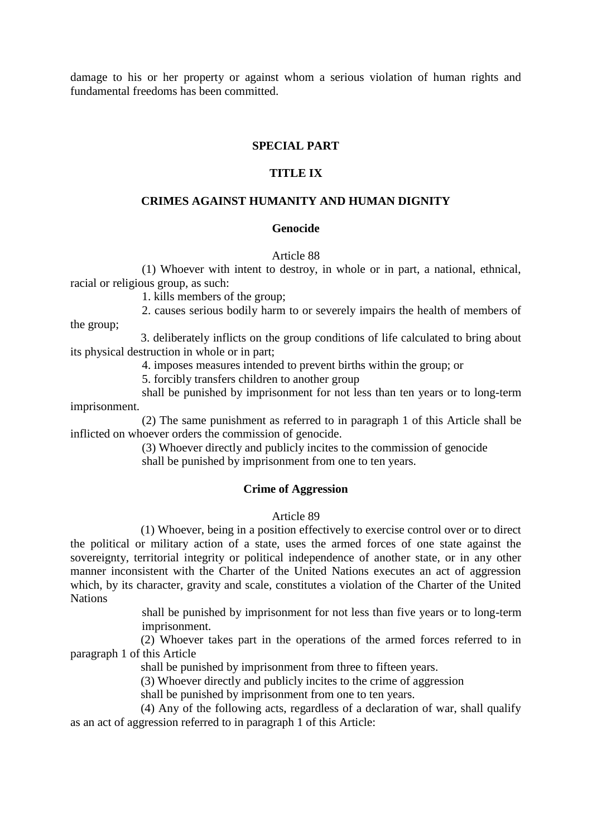damage to his or her property or against whom a serious violation of human rights and fundamental freedoms has been committed.

#### **SPECIAL PART**

#### **TITLE IX**

#### **CRIMES AGAINST HUMANITY AND HUMAN DIGNITY**

#### **Genocide**

#### Article 88

(1) Whoever with intent to destroy, in whole or in part, a national, ethnical, racial or religious group, as such:

1. kills members of the group;

2. causes serious bodily harm to or severely impairs the health of members of the group;

3. deliberately inflicts on the group conditions of life calculated to bring about its physical destruction in whole or in part;

4. imposes measures intended to prevent births within the group; or

5. forcibly transfers children to another group

shall be punished by imprisonment for not less than ten years or to long-term imprisonment.

(2) The same punishment as referred to in paragraph 1 of this Article shall be inflicted on whoever orders the commission of genocide.

> (3) Whoever directly and publicly incites to the commission of genocide shall be punished by imprisonment from one to ten years.

#### **Crime of Aggression**

#### Article 89

(1) Whoever, being in a position effectively to exercise control over or to direct the political or military action of a state, uses the armed forces of one state against the sovereignty, territorial integrity or political independence of another state, or in any other manner inconsistent with the Charter of the United Nations executes an act of aggression which, by its character, gravity and scale, constitutes a violation of the Charter of the United **Nations** 

> shall be punished by imprisonment for not less than five years or to long-term imprisonment.

(2) Whoever takes part in the operations of the armed forces referred to in paragraph 1 of this Article

shall be punished by imprisonment from three to fifteen years.

(3) Whoever directly and publicly incites to the crime of aggression

shall be punished by imprisonment from one to ten years.

(4) Any of the following acts, regardless of a declaration of war, shall qualify as an act of aggression referred to in paragraph 1 of this Article: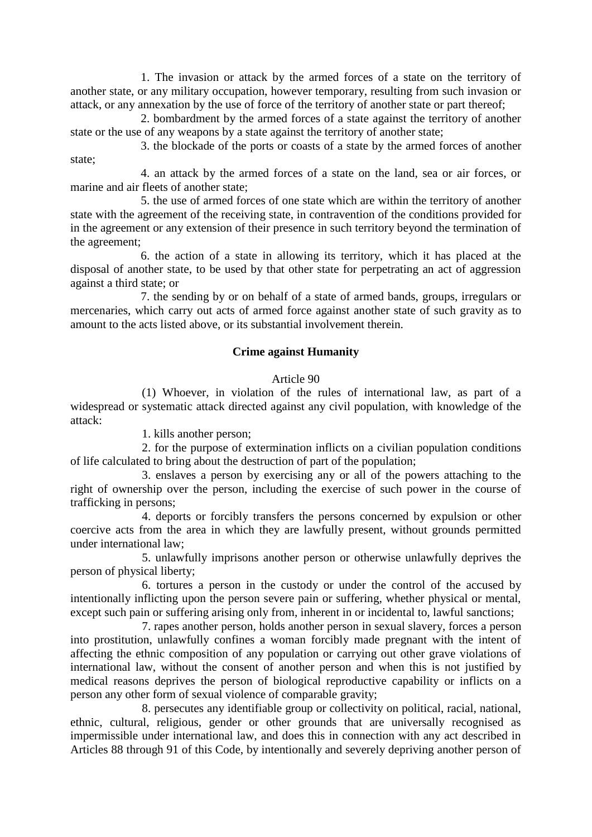1. The invasion or attack by the armed forces of a state on the territory of another state, or any military occupation, however temporary, resulting from such invasion or attack, or any annexation by the use of force of the territory of another state or part thereof;

2. bombardment by the armed forces of a state against the territory of another state or the use of any weapons by a state against the territory of another state;

3. the blockade of the ports or coasts of a state by the armed forces of another state;

4. an attack by the armed forces of a state on the land, sea or air forces, or marine and air fleets of another state;

5. the use of armed forces of one state which are within the territory of another state with the agreement of the receiving state, in contravention of the conditions provided for in the agreement or any extension of their presence in such territory beyond the termination of the agreement;

6. the action of a state in allowing its territory, which it has placed at the disposal of another state, to be used by that other state for perpetrating an act of aggression against a third state; or

7. the sending by or on behalf of a state of armed bands, groups, irregulars or mercenaries, which carry out acts of armed force against another state of such gravity as to amount to the acts listed above, or its substantial involvement therein.

## **Crime against Humanity**

#### Article 90

(1) Whoever, in violation of the rules of international law, as part of a widespread or systematic attack directed against any civil population, with knowledge of the attack:

1. kills another person;

2. for the purpose of extermination inflicts on a civilian population conditions of life calculated to bring about the destruction of part of the population;

3. enslaves a person by exercising any or all of the powers attaching to the right of ownership over the person, including the exercise of such power in the course of trafficking in persons;

4. deports or forcibly transfers the persons concerned by expulsion or other coercive acts from the area in which they are lawfully present, without grounds permitted under international law;

5. unlawfully imprisons another person or otherwise unlawfully deprives the person of physical liberty;

6. tortures a person in the custody or under the control of the accused by intentionally inflicting upon the person severe pain or suffering, whether physical or mental, except such pain or suffering arising only from, inherent in or incidental to, lawful sanctions;

7. rapes another person, holds another person in sexual slavery, forces a person into prostitution, unlawfully confines a woman forcibly made pregnant with the intent of affecting the ethnic composition of any population or carrying out other grave violations of international law, without the consent of another person and when this is not justified by medical reasons deprives the person of biological reproductive capability or inflicts on a person any other form of sexual violence of comparable gravity;

8. persecutes any identifiable group or collectivity on political, racial, national, ethnic, cultural, religious, gender or other grounds that are universally recognised as impermissible under international law, and does this in connection with any act described in Articles 88 through 91 of this Code, by intentionally and severely depriving another person of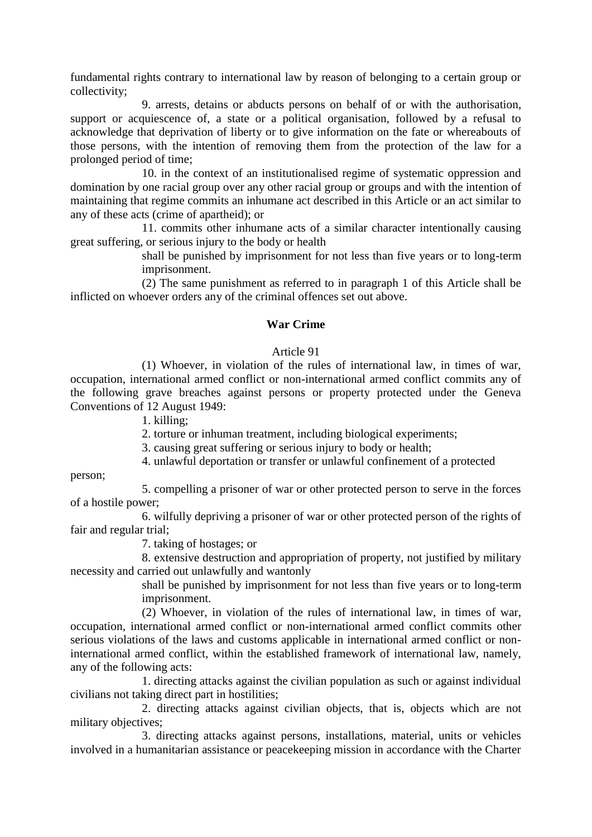fundamental rights contrary to international law by reason of belonging to a certain group or collectivity;

9. arrests, detains or abducts persons on behalf of or with the authorisation, support or acquiescence of, a state or a political organisation, followed by a refusal to acknowledge that deprivation of liberty or to give information on the fate or whereabouts of those persons, with the intention of removing them from the protection of the law for a prolonged period of time;

10. in the context of an institutionalised regime of systematic oppression and domination by one racial group over any other racial group or groups and with the intention of maintaining that regime commits an inhumane act described in this Article or an act similar to any of these acts (crime of apartheid); or

11. commits other inhumane acts of a similar character intentionally causing great suffering, or serious injury to the body or health

> shall be punished by imprisonment for not less than five years or to long-term imprisonment.

(2) The same punishment as referred to in paragraph 1 of this Article shall be inflicted on whoever orders any of the criminal offences set out above.

## **War Crime**

#### Article 91

(1) Whoever, in violation of the rules of international law, in times of war, occupation, international armed conflict or non-international armed conflict commits any of the following grave breaches against persons or property protected under the Geneva Conventions of 12 August 1949:

1. killing;

2. torture or inhuman treatment, including biological experiments;

3. causing great suffering or serious injury to body or health;

4. unlawful deportation or transfer or unlawful confinement of a protected

person;

5. compelling a prisoner of war or other protected person to serve in the forces of a hostile power;

6. wilfully depriving a prisoner of war or other protected person of the rights of fair and regular trial;

7. taking of hostages; or

8. extensive destruction and appropriation of property, not justified by military necessity and carried out unlawfully and wantonly

> shall be punished by imprisonment for not less than five years or to long-term imprisonment.

(2) Whoever, in violation of the rules of international law, in times of war, occupation, international armed conflict or non-international armed conflict commits other serious violations of the laws and customs applicable in international armed conflict or noninternational armed conflict, within the established framework of international law, namely, any of the following acts:

1. directing attacks against the civilian population as such or against individual civilians not taking direct part in hostilities;

2. directing attacks against civilian objects, that is, objects which are not military objectives;

3. directing attacks against persons, installations, material, units or vehicles involved in a humanitarian assistance or peacekeeping mission in accordance with the Charter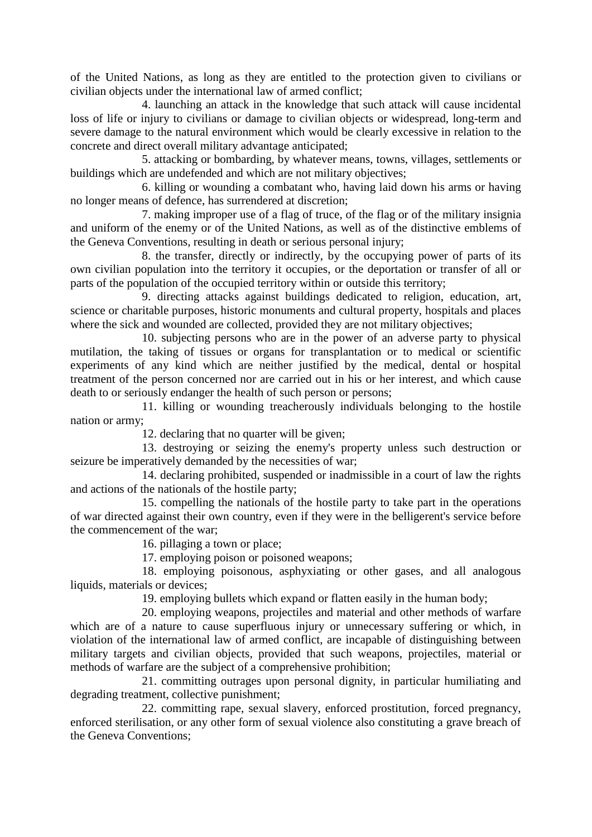of the United Nations, as long as they are entitled to the protection given to civilians or civilian objects under the international law of armed conflict;

4. launching an attack in the knowledge that such attack will cause incidental loss of life or injury to civilians or damage to civilian objects or widespread, long-term and severe damage to the natural environment which would be clearly excessive in relation to the concrete and direct overall military advantage anticipated;

5. attacking or bombarding, by whatever means, towns, villages, settlements or buildings which are undefended and which are not military objectives;

6. killing or wounding a combatant who, having laid down his arms or having no longer means of defence, has surrendered at discretion;

7. making improper use of a flag of truce, of the flag or of the military insignia and uniform of the enemy or of the United Nations, as well as of the distinctive emblems of the Geneva Conventions, resulting in death or serious personal injury;

8. the transfer, directly or indirectly, by the occupying power of parts of its own civilian population into the territory it occupies, or the deportation or transfer of all or parts of the population of the occupied territory within or outside this territory;

9. directing attacks against buildings dedicated to religion, education, art, science or charitable purposes, historic monuments and cultural property, hospitals and places where the sick and wounded are collected, provided they are not military objectives;

10. subjecting persons who are in the power of an adverse party to physical mutilation, the taking of tissues or organs for transplantation or to medical or scientific experiments of any kind which are neither justified by the medical, dental or hospital treatment of the person concerned nor are carried out in his or her interest, and which cause death to or seriously endanger the health of such person or persons;

11. killing or wounding treacherously individuals belonging to the hostile nation or army;

12. declaring that no quarter will be given;

13. destroying or seizing the enemy's property unless such destruction or seizure be imperatively demanded by the necessities of war;

14. declaring prohibited, suspended or inadmissible in a court of law the rights and actions of the nationals of the hostile party;

15. compelling the nationals of the hostile party to take part in the operations of war directed against their own country, even if they were in the belligerent's service before the commencement of the war;

16. pillaging a town or place;

17. employing poison or poisoned weapons;

18. employing poisonous, asphyxiating or other gases, and all analogous liquids, materials or devices;

19. employing bullets which expand or flatten easily in the human body;

20. employing weapons, projectiles and material and other methods of warfare which are of a nature to cause superfluous injury or unnecessary suffering or which, in violation of the international law of armed conflict, are incapable of distinguishing between military targets and civilian objects, provided that such weapons, projectiles, material or methods of warfare are the subject of a comprehensive prohibition;

21. committing outrages upon personal dignity, in particular humiliating and degrading treatment, collective punishment;

22. committing rape, sexual slavery, enforced prostitution, forced pregnancy, enforced sterilisation, or any other form of sexual violence also constituting a grave breach of the Geneva Conventions;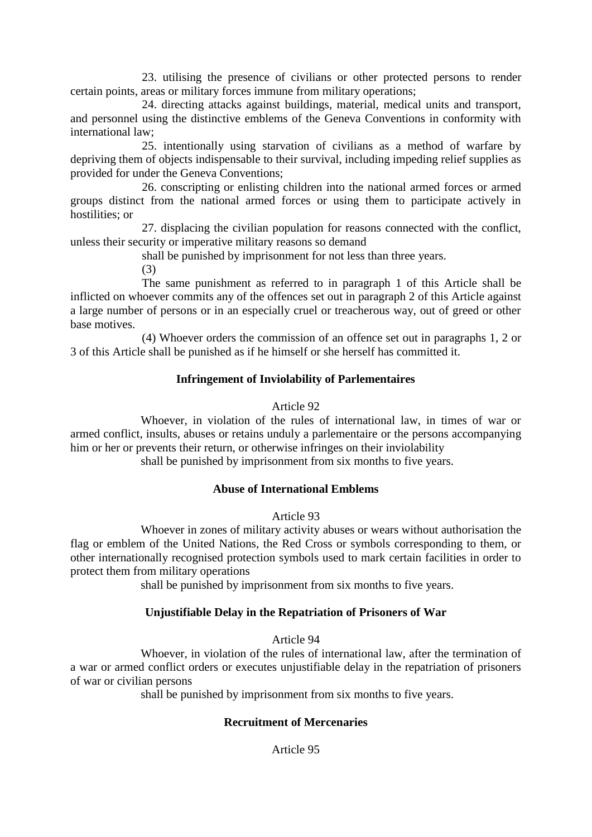23. utilising the presence of civilians or other protected persons to render certain points, areas or military forces immune from military operations;

24. directing attacks against buildings, material, medical units and transport, and personnel using the distinctive emblems of the Geneva Conventions in conformity with international law;

25. intentionally using starvation of civilians as a method of warfare by depriving them of objects indispensable to their survival, including impeding relief supplies as provided for under the Geneva Conventions;

26. conscripting or enlisting children into the national armed forces or armed groups distinct from the national armed forces or using them to participate actively in hostilities; or

27. displacing the civilian population for reasons connected with the conflict, unless their security or imperative military reasons so demand

shall be punished by imprisonment for not less than three years.

(3)

The same punishment as referred to in paragraph 1 of this Article shall be inflicted on whoever commits any of the offences set out in paragraph 2 of this Article against a large number of persons or in an especially cruel or treacherous way, out of greed or other base motives.

(4) Whoever orders the commission of an offence set out in paragraphs 1, 2 or 3 of this Article shall be punished as if he himself or she herself has committed it.

# **Infringement of Inviolability of Parlementaires**

# Article 92

Whoever, in violation of the rules of international law, in times of war or armed conflict, insults, abuses or retains unduly a parlementaire or the persons accompanying him or her or prevents their return, or otherwise infringes on their inviolability

shall be punished by imprisonment from six months to five years.

# **Abuse of International Emblems**

### Article 93

Whoever in zones of military activity abuses or wears without authorisation the flag or emblem of the United Nations, the Red Cross or symbols corresponding to them, or other internationally recognised protection symbols used to mark certain facilities in order to protect them from military operations

shall be punished by imprisonment from six months to five years.

# **Unjustifiable Delay in the Repatriation of Prisoners of War**

Article 94

Whoever, in violation of the rules of international law, after the termination of a war or armed conflict orders or executes unjustifiable delay in the repatriation of prisoners of war or civilian persons

shall be punished by imprisonment from six months to five years.

# **Recruitment of Mercenaries**

Article 95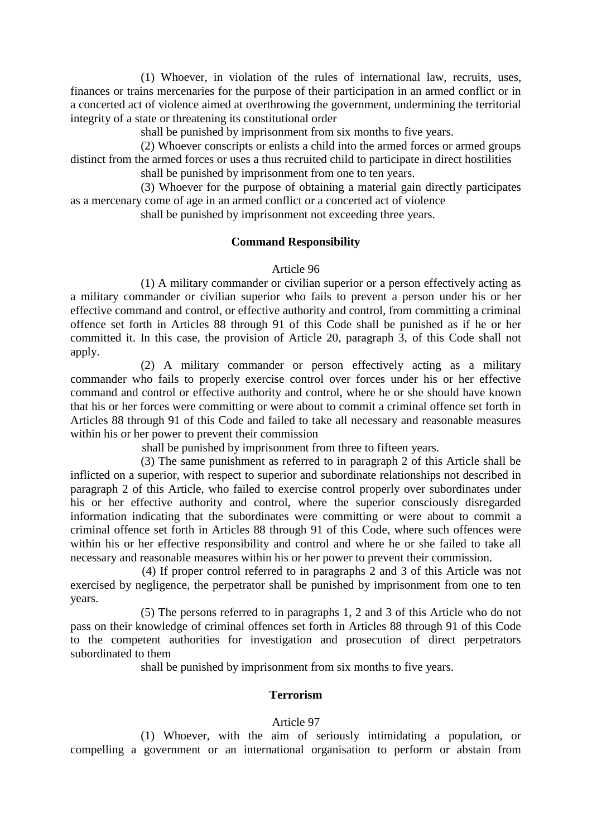(1) Whoever, in violation of the rules of international law, recruits, uses, finances or trains mercenaries for the purpose of their participation in an armed conflict or in a concerted act of violence aimed at overthrowing the government, undermining the territorial integrity of a state or threatening its constitutional order

shall be punished by imprisonment from six months to five years.

(2) Whoever conscripts or enlists a child into the armed forces or armed groups distinct from the armed forces or uses a thus recruited child to participate in direct hostilities

shall be punished by imprisonment from one to ten years.

(3) Whoever for the purpose of obtaining a material gain directly participates as a mercenary come of age in an armed conflict or a concerted act of violence

shall be punished by imprisonment not exceeding three years.

### **Command Responsibility**

### Article 96

(1) A military commander or civilian superior or a person effectively acting as a military commander or civilian superior who fails to prevent a person under his or her effective command and control, or effective authority and control, from committing a criminal offence set forth in Articles 88 through 91 of this Code shall be punished as if he or her committed it. In this case, the provision of Article 20, paragraph 3, of this Code shall not apply.

(2) A military commander or person effectively acting as a military commander who fails to properly exercise control over forces under his or her effective command and control or effective authority and control, where he or she should have known that his or her forces were committing or were about to commit a criminal offence set forth in Articles 88 through 91 of this Code and failed to take all necessary and reasonable measures within his or her power to prevent their commission

shall be punished by imprisonment from three to fifteen years.

(3) The same punishment as referred to in paragraph 2 of this Article shall be inflicted on a superior, with respect to superior and subordinate relationships not described in paragraph 2 of this Article, who failed to exercise control properly over subordinates under his or her effective authority and control, where the superior consciously disregarded information indicating that the subordinates were committing or were about to commit a criminal offence set forth in Articles 88 through 91 of this Code, where such offences were within his or her effective responsibility and control and where he or she failed to take all necessary and reasonable measures within his or her power to prevent their commission.

(4) If proper control referred to in paragraphs 2 and 3 of this Article was not exercised by negligence, the perpetrator shall be punished by imprisonment from one to ten years.

(5) The persons referred to in paragraphs 1, 2 and 3 of this Article who do not pass on their knowledge of criminal offences set forth in Articles 88 through 91 of this Code to the competent authorities for investigation and prosecution of direct perpetrators subordinated to them

shall be punished by imprisonment from six months to five years.

# **Terrorism**

### Article 97

(1) Whoever, with the aim of seriously intimidating a population, or compelling a government or an international organisation to perform or abstain from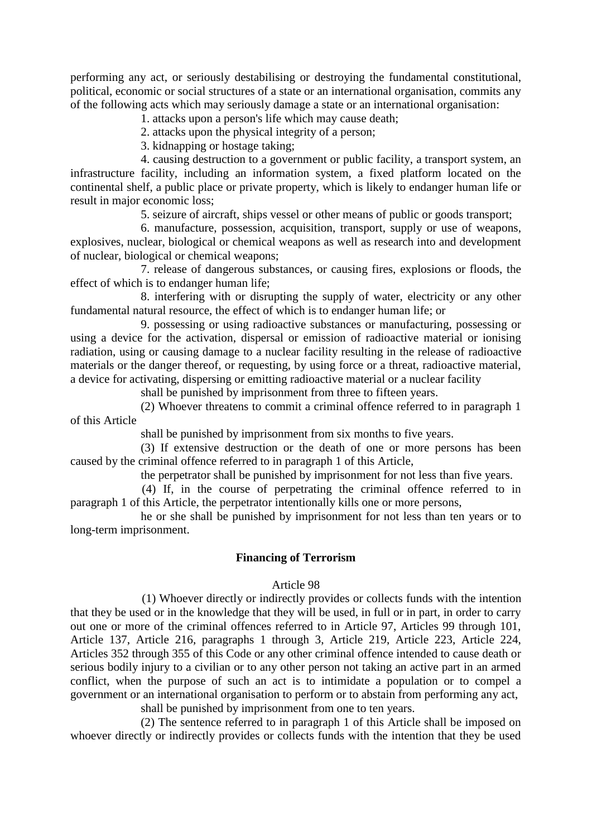performing any act, or seriously destabilising or destroying the fundamental constitutional, political, economic or social structures of a state or an international organisation, commits any of the following acts which may seriously damage a state or an international organisation:

1. attacks upon a person's life which may cause death;

2. attacks upon the physical integrity of a person;

3. kidnapping or hostage taking;

4. causing destruction to a government or public facility, a transport system, an infrastructure facility, including an information system, a fixed platform located on the continental shelf, a public place or private property, which is likely to endanger human life or result in major economic loss;

5. seizure of aircraft, ships vessel or other means of public or goods transport;

6. manufacture, possession, acquisition, transport, supply or use of weapons, explosives, nuclear, biological or chemical weapons as well as research into and development of nuclear, biological or chemical weapons;

7. release of dangerous substances, or causing fires, explosions or floods, the effect of which is to endanger human life;

8. interfering with or disrupting the supply of water, electricity or any other fundamental natural resource, the effect of which is to endanger human life; or

9. possessing or using radioactive substances or manufacturing, possessing or using a device for the activation, dispersal or emission of radioactive material or ionising radiation, using or causing damage to a nuclear facility resulting in the release of radioactive materials or the danger thereof, or requesting, by using force or a threat, radioactive material, a device for activating, dispersing or emitting radioactive material or a nuclear facility

shall be punished by imprisonment from three to fifteen years.

(2) Whoever threatens to commit a criminal offence referred to in paragraph 1 of this Article

shall be punished by imprisonment from six months to five years.

(3) If extensive destruction or the death of one or more persons has been caused by the criminal offence referred to in paragraph 1 of this Article,

the perpetrator shall be punished by imprisonment for not less than five years.

(4) If, in the course of perpetrating the criminal offence referred to in paragraph 1 of this Article, the perpetrator intentionally kills one or more persons,

he or she shall be punished by imprisonment for not less than ten years or to long-term imprisonment.

### **Financing of Terrorism**

### Article 98

(1) Whoever directly or indirectly provides or collects funds with the intention that they be used or in the knowledge that they will be used, in full or in part, in order to carry out one or more of the criminal offences referred to in Article 97, Articles 99 through 101, Article 137, Article 216, paragraphs 1 through 3, Article 219, Article 223, Article 224, Articles 352 through 355 of this Code or any other criminal offence intended to cause death or serious bodily injury to a civilian or to any other person not taking an active part in an armed conflict, when the purpose of such an act is to intimidate a population or to compel a government or an international organisation to perform or to abstain from performing any act, shall be punished by imprisonment from one to ten years.

(2) The sentence referred to in paragraph 1 of this Article shall be imposed on whoever directly or indirectly provides or collects funds with the intention that they be used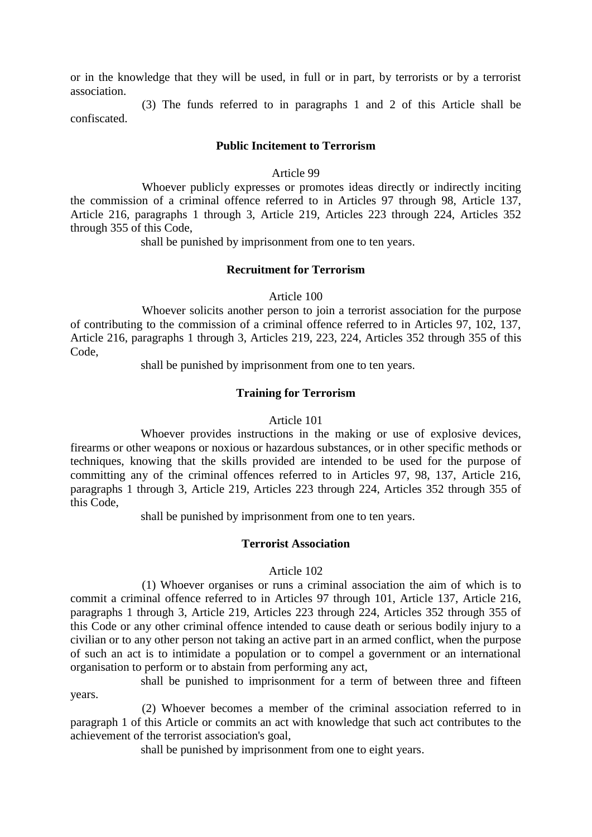or in the knowledge that they will be used, in full or in part, by terrorists or by a terrorist association.

(3) The funds referred to in paragraphs 1 and 2 of this Article shall be confiscated.

#### **Public Incitement to Terrorism**

#### Article 99

Whoever publicly expresses or promotes ideas directly or indirectly inciting the commission of a criminal offence referred to in Articles 97 through 98, Article 137, Article 216, paragraphs 1 through 3, Article 219, Articles 223 through 224, Articles 352 through 355 of this Code,

shall be punished by imprisonment from one to ten years.

#### **Recruitment for Terrorism**

Article 100

Whoever solicits another person to join a terrorist association for the purpose of contributing to the commission of a criminal offence referred to in Articles 97, 102, 137, Article 216, paragraphs 1 through 3, Articles 219, 223, 224, Articles 352 through 355 of this Code,

shall be punished by imprisonment from one to ten years.

#### **Training for Terrorism**

#### Article 101

Whoever provides instructions in the making or use of explosive devices, firearms or other weapons or noxious or hazardous substances, or in other specific methods or techniques, knowing that the skills provided are intended to be used for the purpose of committing any of the criminal offences referred to in Articles 97, 98, 137, Article 216, paragraphs 1 through 3, Article 219, Articles 223 through 224, Articles 352 through 355 of this Code,

shall be punished by imprisonment from one to ten years.

#### **Terrorist Association**

#### Article 102

(1) Whoever organises or runs a criminal association the aim of which is to commit a criminal offence referred to in Articles 97 through 101, Article 137, Article 216, paragraphs 1 through 3, Article 219, Articles 223 through 224, Articles 352 through 355 of this Code or any other criminal offence intended to cause death or serious bodily injury to a civilian or to any other person not taking an active part in an armed conflict, when the purpose of such an act is to intimidate a population or to compel a government or an international organisation to perform or to abstain from performing any act,

shall be punished to imprisonment for a term of between three and fifteen years.

(2) Whoever becomes a member of the criminal association referred to in paragraph 1 of this Article or commits an act with knowledge that such act contributes to the achievement of the terrorist association's goal,

shall be punished by imprisonment from one to eight years.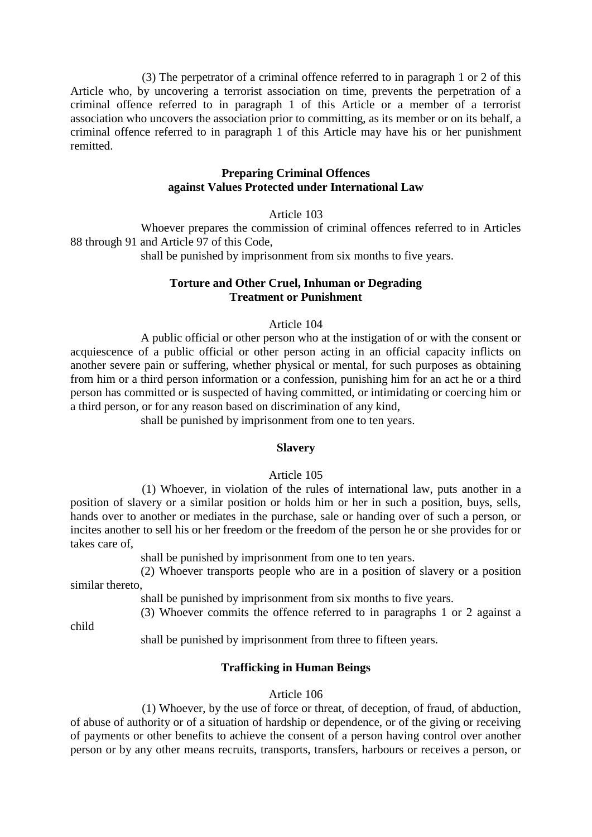(3) The perpetrator of a criminal offence referred to in paragraph 1 or 2 of this Article who, by uncovering a terrorist association on time, prevents the perpetration of a criminal offence referred to in paragraph 1 of this Article or a member of a terrorist association who uncovers the association prior to committing, as its member or on its behalf, a criminal offence referred to in paragraph 1 of this Article may have his or her punishment remitted.

### **Preparing Criminal Offences against Values Protected under International Law**

Article 103

Whoever prepares the commission of criminal offences referred to in Articles 88 through 91 and Article 97 of this Code,

shall be punished by imprisonment from six months to five years.

## **Torture and Other Cruel, Inhuman or Degrading Treatment or Punishment**

### Article 104

A public official or other person who at the instigation of or with the consent or acquiescence of a public official or other person acting in an official capacity inflicts on another severe pain or suffering, whether physical or mental, for such purposes as obtaining from him or a third person information or a confession, punishing him for an act he or a third person has committed or is suspected of having committed, or intimidating or coercing him or a third person, or for any reason based on discrimination of any kind,

shall be punished by imprisonment from one to ten years.

#### **Slavery**

#### Article 105

(1) Whoever, in violation of the rules of international law, puts another in a position of slavery or a similar position or holds him or her in such a position, buys, sells, hands over to another or mediates in the purchase, sale or handing over of such a person, or incites another to sell his or her freedom or the freedom of the person he or she provides for or takes care of,

shall be punished by imprisonment from one to ten years.

(2) Whoever transports people who are in a position of slavery or a position similar thereto,

shall be punished by imprisonment from six months to five years.

(3) Whoever commits the offence referred to in paragraphs 1 or 2 against a

child

shall be punished by imprisonment from three to fifteen years.

### **Trafficking in Human Beings**

#### Article 106

(1) Whoever, by the use of force or threat, of deception, of fraud, of abduction, of abuse of authority or of a situation of hardship or dependence, or of the giving or receiving of payments or other benefits to achieve the consent of a person having control over another person or by any other means recruits, transports, transfers, harbours or receives a person, or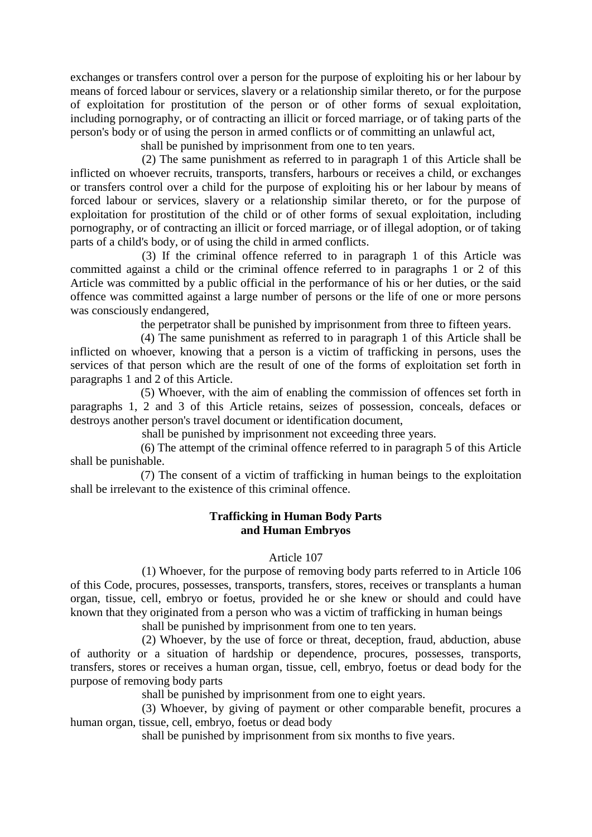exchanges or transfers control over a person for the purpose of exploiting his or her labour by means of forced labour or services, slavery or a relationship similar thereto, or for the purpose of exploitation for prostitution of the person or of other forms of sexual exploitation, including pornography, or of contracting an illicit or forced marriage, or of taking parts of the person's body or of using the person in armed conflicts or of committing an unlawful act,

shall be punished by imprisonment from one to ten years.

(2) The same punishment as referred to in paragraph 1 of this Article shall be inflicted on whoever recruits, transports, transfers, harbours or receives a child, or exchanges or transfers control over a child for the purpose of exploiting his or her labour by means of forced labour or services, slavery or a relationship similar thereto, or for the purpose of exploitation for prostitution of the child or of other forms of sexual exploitation, including pornography, or of contracting an illicit or forced marriage, or of illegal adoption, or of taking parts of a child's body, or of using the child in armed conflicts.

(3) If the criminal offence referred to in paragraph 1 of this Article was committed against a child or the criminal offence referred to in paragraphs 1 or 2 of this Article was committed by a public official in the performance of his or her duties, or the said offence was committed against a large number of persons or the life of one or more persons was consciously endangered,

the perpetrator shall be punished by imprisonment from three to fifteen years.

(4) The same punishment as referred to in paragraph 1 of this Article shall be inflicted on whoever, knowing that a person is a victim of trafficking in persons, uses the services of that person which are the result of one of the forms of exploitation set forth in paragraphs 1 and 2 of this Article.

(5) Whoever, with the aim of enabling the commission of offences set forth in paragraphs 1, 2 and 3 of this Article retains, seizes of possession, conceals, defaces or destroys another person's travel document or identification document,

shall be punished by imprisonment not exceeding three years.

(6) The attempt of the criminal offence referred to in paragraph 5 of this Article shall be punishable.

(7) The consent of a victim of trafficking in human beings to the exploitation shall be irrelevant to the existence of this criminal offence.

### **Trafficking in Human Body Parts and Human Embryos**

#### Article 107

(1) Whoever, for the purpose of removing body parts referred to in Article 106 of this Code, procures, possesses, transports, transfers, stores, receives or transplants a human organ, tissue, cell, embryo or foetus, provided he or she knew or should and could have known that they originated from a person who was a victim of trafficking in human beings

shall be punished by imprisonment from one to ten years.

(2) Whoever, by the use of force or threat, deception, fraud, abduction, abuse of authority or a situation of hardship or dependence, procures, possesses, transports, transfers, stores or receives a human organ, tissue, cell, embryo, foetus or dead body for the purpose of removing body parts

shall be punished by imprisonment from one to eight years.

(3) Whoever, by giving of payment or other comparable benefit, procures a human organ, tissue, cell, embryo, foetus or dead body

shall be punished by imprisonment from six months to five years.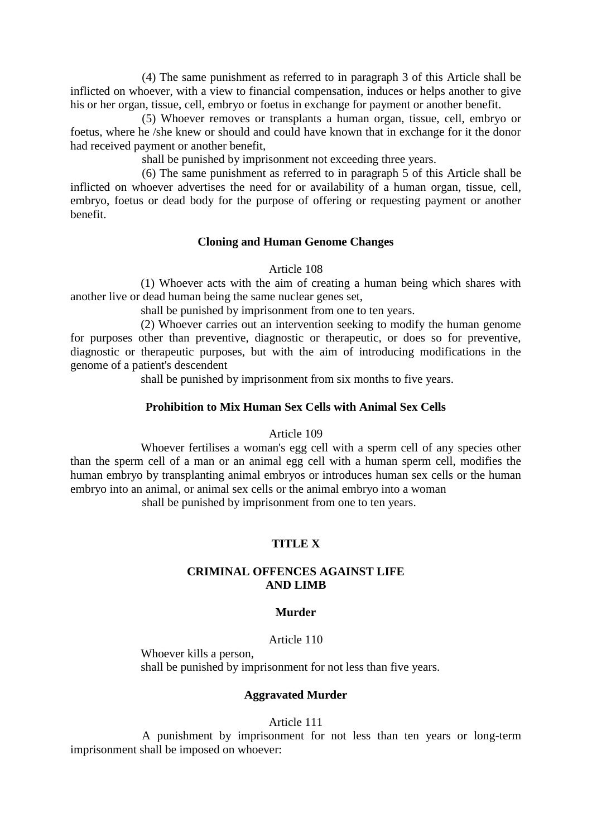(4) The same punishment as referred to in paragraph 3 of this Article shall be inflicted on whoever, with a view to financial compensation, induces or helps another to give his or her organ, tissue, cell, embryo or foetus in exchange for payment or another benefit.

(5) Whoever removes or transplants a human organ, tissue, cell, embryo or foetus, where he /she knew or should and could have known that in exchange for it the donor had received payment or another benefit,

shall be punished by imprisonment not exceeding three years.

(6) The same punishment as referred to in paragraph 5 of this Article shall be inflicted on whoever advertises the need for or availability of a human organ, tissue, cell, embryo, foetus or dead body for the purpose of offering or requesting payment or another benefit.

### **Cloning and Human Genome Changes**

Article 108

(1) Whoever acts with the aim of creating a human being which shares with another live or dead human being the same nuclear genes set,

shall be punished by imprisonment from one to ten years.

(2) Whoever carries out an intervention seeking to modify the human genome for purposes other than preventive, diagnostic or therapeutic, or does so for preventive, diagnostic or therapeutic purposes, but with the aim of introducing modifications in the genome of a patient's descendent

shall be punished by imprisonment from six months to five years.

### **Prohibition to Mix Human Sex Cells with Animal Sex Cells**

#### Article 109

Whoever fertilises a woman's egg cell with a sperm cell of any species other than the sperm cell of a man or an animal egg cell with a human sperm cell, modifies the human embryo by transplanting animal embryos or introduces human sex cells or the human embryo into an animal, or animal sex cells or the animal embryo into a woman

shall be punished by imprisonment from one to ten years.

# **TITLE X**

### **CRIMINAL OFFENCES AGAINST LIFE AND LIMB**

#### **Murder**

#### Article 110

Whoever kills a person, shall be punished by imprisonment for not less than five years.

#### **Aggravated Murder**

Article 111

A punishment by imprisonment for not less than ten years or long-term imprisonment shall be imposed on whoever: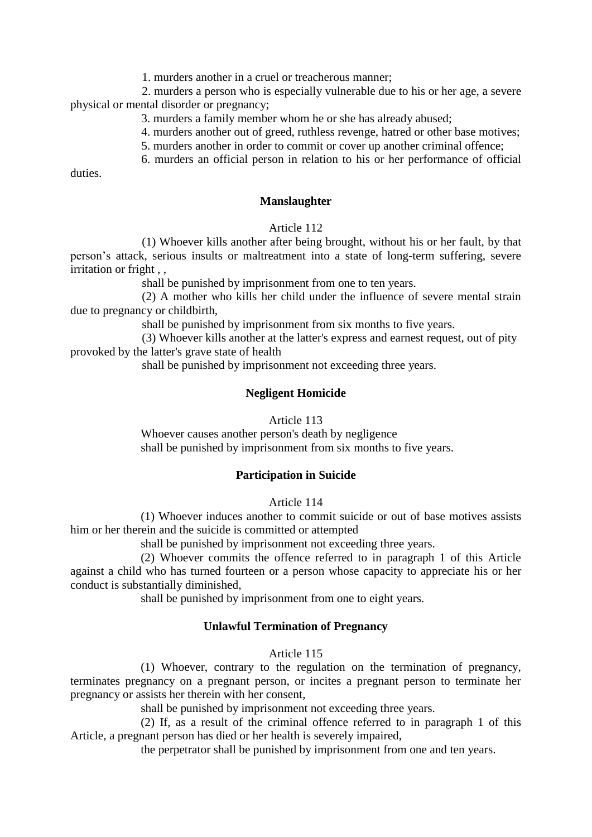1. murders another in a cruel or treacherous manner;

2. murders a person who is especially vulnerable due to his or her age, a severe physical or mental disorder or pregnancy;

3. murders a family member whom he or she has already abused;

4. murders another out of greed, ruthless revenge, hatred or other base motives;

5. murders another in order to commit or cover up another criminal offence;

6. murders an official person in relation to his or her performance of official

duties.

### **Manslaughter**

### Article 112

(1) Whoever kills another after being brought, without his or her fault, by that person's attack, serious insults or maltreatment into a state of long-term suffering, severe irritation or fright,

shall be punished by imprisonment from one to ten years.

(2) A mother who kills her child under the influence of severe mental strain due to pregnancy or childbirth,

shall be punished by imprisonment from six months to five years.

(3) Whoever kills another at the latter's express and earnest request, out of pity provoked by the latter's grave state of health

shall be punished by imprisonment not exceeding three years.

# **Negligent Homicide**

### Article 113

Whoever causes another person's death by negligence shall be punished by imprisonment from six months to five years.

# **Participation in Suicide**

Article 114

(1) Whoever induces another to commit suicide or out of base motives assists him or her therein and the suicide is committed or attempted

shall be punished by imprisonment not exceeding three years.

(2) Whoever commits the offence referred to in paragraph 1 of this Article against a child who has turned fourteen or a person whose capacity to appreciate his or her conduct is substantially diminished,

shall be punished by imprisonment from one to eight years.

# **Unlawful Termination of Pregnancy**

### Article 115

(1) Whoever, contrary to the regulation on the termination of pregnancy, terminates pregnancy on a pregnant person, or incites a pregnant person to terminate her pregnancy or assists her therein with her consent,

shall be punished by imprisonment not exceeding three years.

(2) If, as a result of the criminal offence referred to in paragraph 1 of this Article, a pregnant person has died or her health is severely impaired,

the perpetrator shall be punished by imprisonment from one and ten years.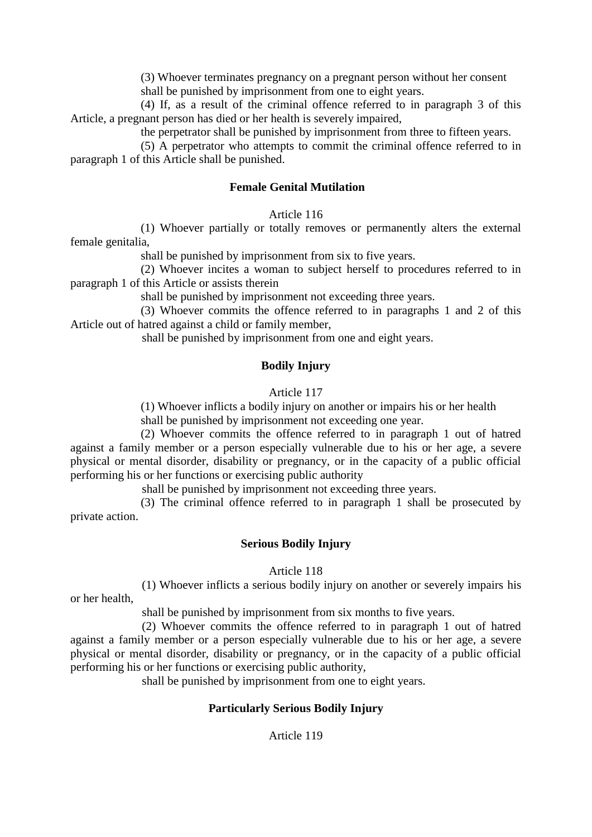(3) Whoever terminates pregnancy on a pregnant person without her consent

shall be punished by imprisonment from one to eight years.

(4) If, as a result of the criminal offence referred to in paragraph 3 of this Article, a pregnant person has died or her health is severely impaired,

the perpetrator shall be punished by imprisonment from three to fifteen years.

(5) A perpetrator who attempts to commit the criminal offence referred to in paragraph 1 of this Article shall be punished.

# **Female Genital Mutilation**

Article 116

(1) Whoever partially or totally removes or permanently alters the external female genitalia,

shall be punished by imprisonment from six to five years.

(2) Whoever incites a woman to subject herself to procedures referred to in paragraph 1 of this Article or assists therein

shall be punished by imprisonment not exceeding three years.

(3) Whoever commits the offence referred to in paragraphs 1 and 2 of this Article out of hatred against a child or family member,

shall be punished by imprisonment from one and eight years.

# **Bodily Injury**

# Article 117

(1) Whoever inflicts a bodily injury on another or impairs his or her health

shall be punished by imprisonment not exceeding one year.

(2) Whoever commits the offence referred to in paragraph 1 out of hatred against a family member or a person especially vulnerable due to his or her age, a severe physical or mental disorder, disability or pregnancy, or in the capacity of a public official performing his or her functions or exercising public authority

shall be punished by imprisonment not exceeding three years.

(3) The criminal offence referred to in paragraph 1 shall be prosecuted by private action.

# **Serious Bodily Injury**

Article 118

(1) Whoever inflicts a serious bodily injury on another or severely impairs his or her health,

shall be punished by imprisonment from six months to five years.

(2) Whoever commits the offence referred to in paragraph 1 out of hatred against a family member or a person especially vulnerable due to his or her age, a severe physical or mental disorder, disability or pregnancy, or in the capacity of a public official performing his or her functions or exercising public authority,

shall be punished by imprisonment from one to eight years.

# **Particularly Serious Bodily Injury**

Article 119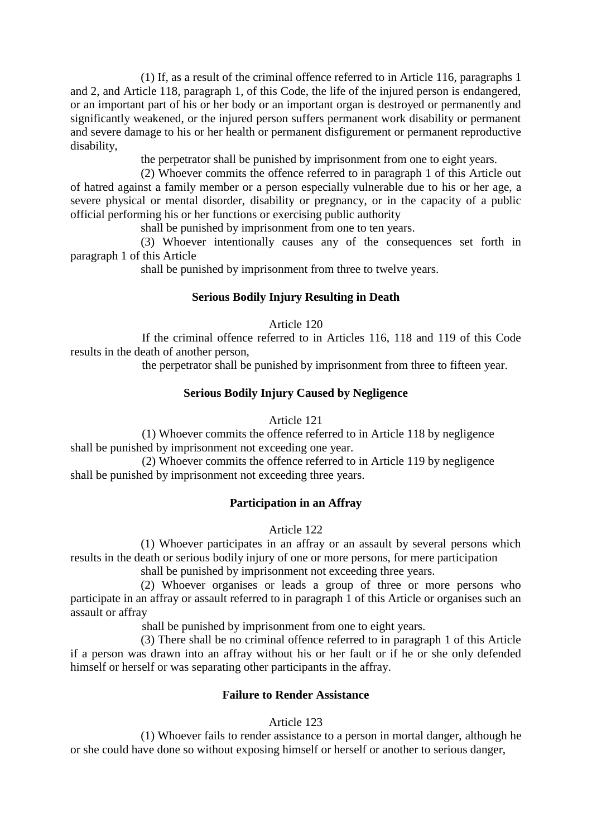(1) If, as a result of the criminal offence referred to in Article 116, paragraphs 1 and 2, and Article 118, paragraph 1, of this Code, the life of the injured person is endangered, or an important part of his or her body or an important organ is destroyed or permanently and significantly weakened, or the injured person suffers permanent work disability or permanent and severe damage to his or her health or permanent disfigurement or permanent reproductive disability,

the perpetrator shall be punished by imprisonment from one to eight years.

(2) Whoever commits the offence referred to in paragraph 1 of this Article out of hatred against a family member or a person especially vulnerable due to his or her age, a severe physical or mental disorder, disability or pregnancy, or in the capacity of a public official performing his or her functions or exercising public authority

shall be punished by imprisonment from one to ten years.

(3) Whoever intentionally causes any of the consequences set forth in paragraph 1 of this Article

shall be punished by imprisonment from three to twelve years.

# **Serious Bodily Injury Resulting in Death**

Article 120

If the criminal offence referred to in Articles 116, 118 and 119 of this Code results in the death of another person,

the perpetrator shall be punished by imprisonment from three to fifteen year.

# **Serious Bodily Injury Caused by Negligence**

Article 121

(1) Whoever commits the offence referred to in Article 118 by negligence shall be punished by imprisonment not exceeding one year.

(2) Whoever commits the offence referred to in Article 119 by negligence shall be punished by imprisonment not exceeding three years.

# **Participation in an Affray**

Article 122

(1) Whoever participates in an affray or an assault by several persons which results in the death or serious bodily injury of one or more persons, for mere participation

shall be punished by imprisonment not exceeding three years.

(2) Whoever organises or leads a group of three or more persons who participate in an affray or assault referred to in paragraph 1 of this Article or organises such an assault or affray

shall be punished by imprisonment from one to eight years.

(3) There shall be no criminal offence referred to in paragraph 1 of this Article if a person was drawn into an affray without his or her fault or if he or she only defended himself or herself or was separating other participants in the affray.

### **Failure to Render Assistance**

Article 123

(1) Whoever fails to render assistance to a person in mortal danger, although he or she could have done so without exposing himself or herself or another to serious danger,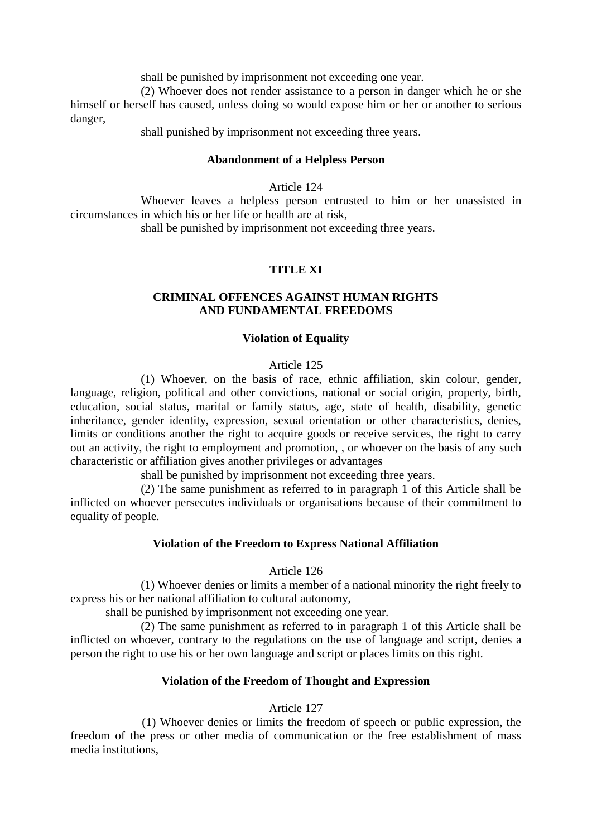shall be punished by imprisonment not exceeding one year.

(2) Whoever does not render assistance to a person in danger which he or she himself or herself has caused, unless doing so would expose him or her or another to serious danger,

shall punished by imprisonment not exceeding three years.

### **Abandonment of a Helpless Person**

Article 124

Whoever leaves a helpless person entrusted to him or her unassisted in circumstances in which his or her life or health are at risk,

shall be punished by imprisonment not exceeding three years.

### **TITLE XI**

### **CRIMINAL OFFENCES AGAINST HUMAN RIGHTS AND FUNDAMENTAL FREEDOMS**

#### **Violation of Equality**

### Article 125

(1) Whoever, on the basis of race, ethnic affiliation, skin colour, gender, language, religion, political and other convictions, national or social origin, property, birth, education, social status, marital or family status, age, state of health, disability, genetic inheritance, gender identity, expression, sexual orientation or other characteristics, denies, limits or conditions another the right to acquire goods or receive services, the right to carry out an activity, the right to employment and promotion, , or whoever on the basis of any such characteristic or affiliation gives another privileges or advantages

shall be punished by imprisonment not exceeding three years.

(2) The same punishment as referred to in paragraph 1 of this Article shall be inflicted on whoever persecutes individuals or organisations because of their commitment to equality of people.

#### **Violation of the Freedom to Express National Affiliation**

#### Article 126

(1) Whoever denies or limits a member of a national minority the right freely to express his or her national affiliation to cultural autonomy,

shall be punished by imprisonment not exceeding one year.

(2) The same punishment as referred to in paragraph 1 of this Article shall be inflicted on whoever, contrary to the regulations on the use of language and script, denies a person the right to use his or her own language and script or places limits on this right.

#### **Violation of the Freedom of Thought and Expression**

#### Article 127

(1) Whoever denies or limits the freedom of speech or public expression, the freedom of the press or other media of communication or the free establishment of mass media institutions,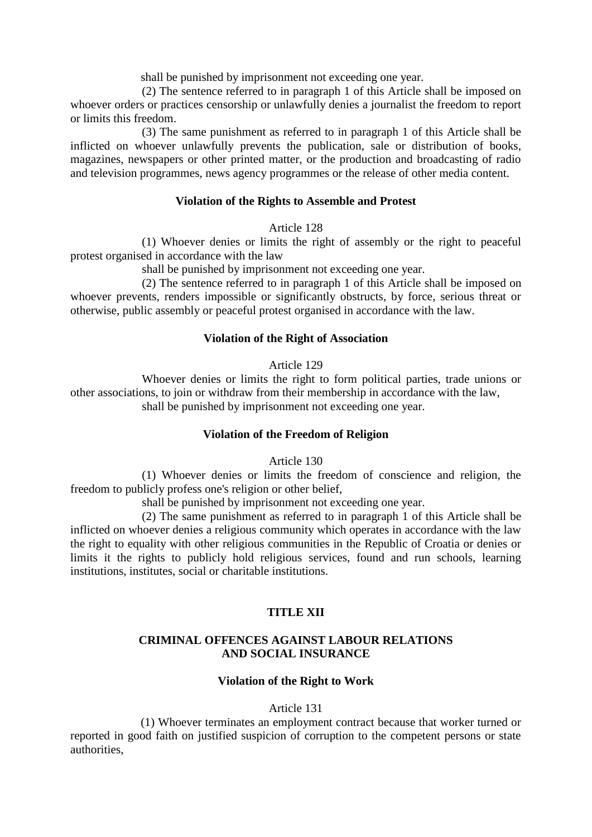shall be punished by imprisonment not exceeding one year.

(2) The sentence referred to in paragraph 1 of this Article shall be imposed on whoever orders or practices censorship or unlawfully denies a journalist the freedom to report or limits this freedom.

(3) The same punishment as referred to in paragraph 1 of this Article shall be inflicted on whoever unlawfully prevents the publication, sale or distribution of books, magazines, newspapers or other printed matter, or the production and broadcasting of radio and television programmes, news agency programmes or the release of other media content.

### **Violation of the Rights to Assemble and Protest**

Article 128

(1) Whoever denies or limits the right of assembly or the right to peaceful protest organised in accordance with the law

shall be punished by imprisonment not exceeding one year.

(2) The sentence referred to in paragraph 1 of this Article shall be imposed on whoever prevents, renders impossible or significantly obstructs, by force, serious threat or otherwise, public assembly or peaceful protest organised in accordance with the law.

### **Violation of the Right of Association**

Article 129

Whoever denies or limits the right to form political parties, trade unions or other associations, to join or withdraw from their membership in accordance with the law, shall be punished by imprisonment not exceeding one year.

### **Violation of the Freedom of Religion**

Article 130

(1) Whoever denies or limits the freedom of conscience and religion, the freedom to publicly profess one's religion or other belief,

shall be punished by imprisonment not exceeding one year.

(2) The same punishment as referred to in paragraph 1 of this Article shall be inflicted on whoever denies a religious community which operates in accordance with the law the right to equality with other religious communities in the Republic of Croatia or denies or limits it the rights to publicly hold religious services, found and run schools, learning institutions, institutes, social or charitable institutions.

# **TITLE XII**

# **CRIMINAL OFFENCES AGAINST LABOUR RELATIONS AND SOCIAL INSURANCE**

# **Violation of the Right to Work**

### Article 131

(1) Whoever terminates an employment contract because that worker turned or reported in good faith on justified suspicion of corruption to the competent persons or state authorities,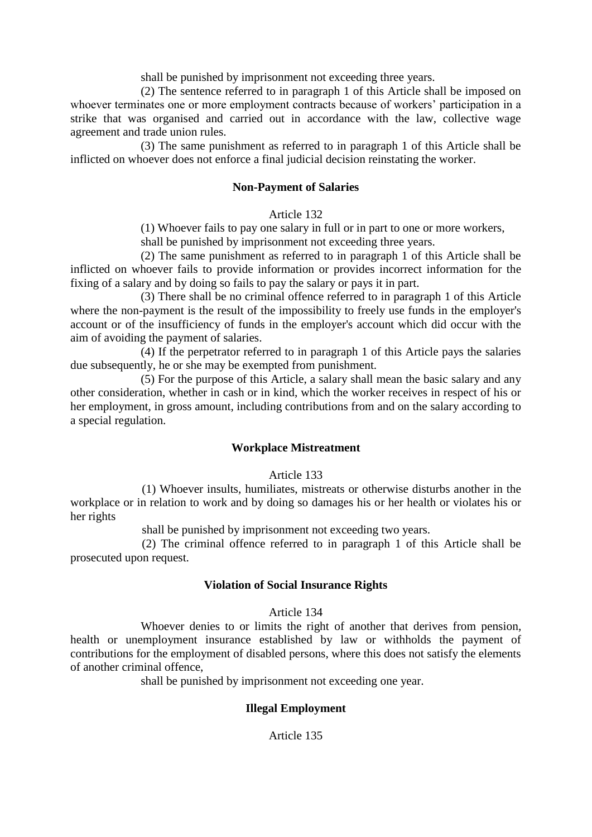shall be punished by imprisonment not exceeding three years.

(2) The sentence referred to in paragraph 1 of this Article shall be imposed on whoever terminates one or more employment contracts because of workers' participation in a strike that was organised and carried out in accordance with the law, collective wage agreement and trade union rules.

(3) The same punishment as referred to in paragraph 1 of this Article shall be inflicted on whoever does not enforce a final judicial decision reinstating the worker.

### **Non-Payment of Salaries**

### Article 132

(1) Whoever fails to pay one salary in full or in part to one or more workers,

shall be punished by imprisonment not exceeding three years.

(2) The same punishment as referred to in paragraph 1 of this Article shall be inflicted on whoever fails to provide information or provides incorrect information for the fixing of a salary and by doing so fails to pay the salary or pays it in part.

(3) There shall be no criminal offence referred to in paragraph 1 of this Article where the non-payment is the result of the impossibility to freely use funds in the employer's account or of the insufficiency of funds in the employer's account which did occur with the aim of avoiding the payment of salaries.

(4) If the perpetrator referred to in paragraph 1 of this Article pays the salaries due subsequently, he or she may be exempted from punishment.

(5) For the purpose of this Article, a salary shall mean the basic salary and any other consideration, whether in cash or in kind, which the worker receives in respect of his or her employment, in gross amount, including contributions from and on the salary according to a special regulation.

### **Workplace Mistreatment**

Article 133

(1) Whoever insults, humiliates, mistreats or otherwise disturbs another in the workplace or in relation to work and by doing so damages his or her health or violates his or her rights

shall be punished by imprisonment not exceeding two years.

(2) The criminal offence referred to in paragraph 1 of this Article shall be prosecuted upon request.

#### **Violation of Social Insurance Rights**

#### Article 134

Whoever denies to or limits the right of another that derives from pension, health or unemployment insurance established by law or withholds the payment of contributions for the employment of disabled persons, where this does not satisfy the elements of another criminal offence,

shall be punished by imprisonment not exceeding one year.

### **Illegal Employment**

Article 135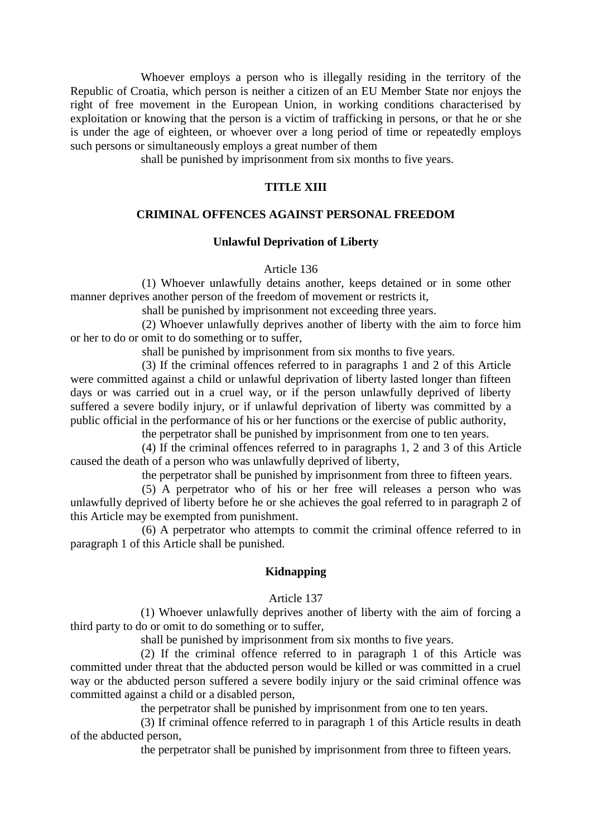Whoever employs a person who is illegally residing in the territory of the Republic of Croatia, which person is neither a citizen of an EU Member State nor enjoys the right of free movement in the European Union, in working conditions characterised by exploitation or knowing that the person is a victim of trafficking in persons, or that he or she is under the age of eighteen, or whoever over a long period of time or repeatedly employs such persons or simultaneously employs a great number of them

shall be punished by imprisonment from six months to five years.

### **TITLE XIII**

# **CRIMINAL OFFENCES AGAINST PERSONAL FREEDOM**

### **Unlawful Deprivation of Liberty**

Article 136

(1) Whoever unlawfully detains another, keeps detained or in some other manner deprives another person of the freedom of movement or restricts it,

shall be punished by imprisonment not exceeding three years.

(2) Whoever unlawfully deprives another of liberty with the aim to force him or her to do or omit to do something or to suffer,

shall be punished by imprisonment from six months to five years.

(3) If the criminal offences referred to in paragraphs 1 and 2 of this Article were committed against a child or unlawful deprivation of liberty lasted longer than fifteen days or was carried out in a cruel way, or if the person unlawfully deprived of liberty suffered a severe bodily injury, or if unlawful deprivation of liberty was committed by a public official in the performance of his or her functions or the exercise of public authority,

the perpetrator shall be punished by imprisonment from one to ten years.

(4) If the criminal offences referred to in paragraphs 1, 2 and 3 of this Article caused the death of a person who was unlawfully deprived of liberty,

the perpetrator shall be punished by imprisonment from three to fifteen years.

(5) A perpetrator who of his or her free will releases a person who was unlawfully deprived of liberty before he or she achieves the goal referred to in paragraph 2 of this Article may be exempted from punishment.

(6) A perpetrator who attempts to commit the criminal offence referred to in paragraph 1 of this Article shall be punished.

#### **Kidnapping**

#### Article 137

(1) Whoever unlawfully deprives another of liberty with the aim of forcing a third party to do or omit to do something or to suffer,

shall be punished by imprisonment from six months to five years.

(2) If the criminal offence referred to in paragraph 1 of this Article was committed under threat that the abducted person would be killed or was committed in a cruel way or the abducted person suffered a severe bodily injury or the said criminal offence was committed against a child or a disabled person,

the perpetrator shall be punished by imprisonment from one to ten years.

(3) If criminal offence referred to in paragraph 1 of this Article results in death of the abducted person,

the perpetrator shall be punished by imprisonment from three to fifteen years.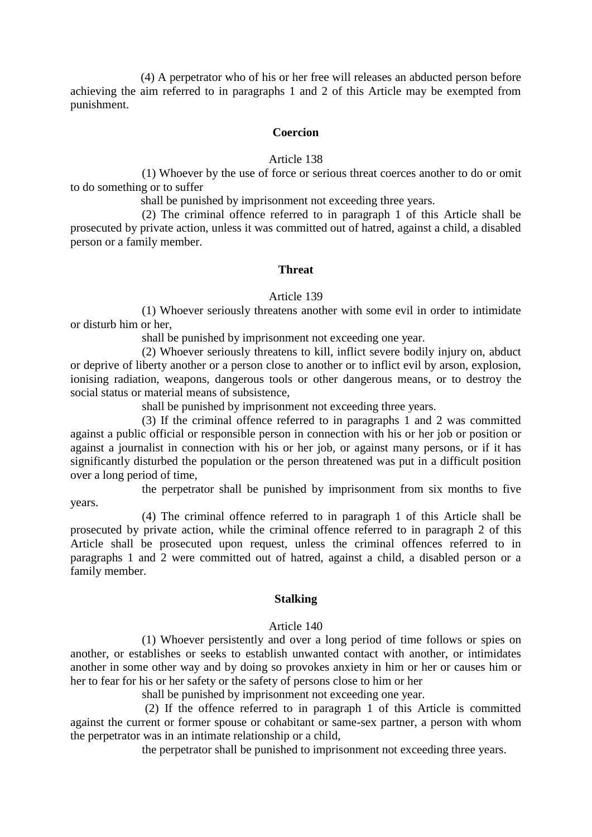(4) A perpetrator who of his or her free will releases an abducted person before achieving the aim referred to in paragraphs 1 and 2 of this Article may be exempted from punishment.

#### **Coercion**

#### Article 138

(1) Whoever by the use of force or serious threat coerces another to do or omit to do something or to suffer

shall be punished by imprisonment not exceeding three years.

(2) The criminal offence referred to in paragraph 1 of this Article shall be prosecuted by private action, unless it was committed out of hatred, against a child, a disabled person or a family member.

#### **Threat**

#### Article 139

(1) Whoever seriously threatens another with some evil in order to intimidate or disturb him or her,

shall be punished by imprisonment not exceeding one year.

(2) Whoever seriously threatens to kill, inflict severe bodily injury on, abduct or deprive of liberty another or a person close to another or to inflict evil by arson, explosion, ionising radiation, weapons, dangerous tools or other dangerous means, or to destroy the social status or material means of subsistence,

shall be punished by imprisonment not exceeding three years.

(3) If the criminal offence referred to in paragraphs 1 and 2 was committed against a public official or responsible person in connection with his or her job or position or against a journalist in connection with his or her job, or against many persons, or if it has significantly disturbed the population or the person threatened was put in a difficult position over a long period of time,

the perpetrator shall be punished by imprisonment from six months to five

(4) The criminal offence referred to in paragraph 1 of this Article shall be prosecuted by private action, while the criminal offence referred to in paragraph 2 of this Article shall be prosecuted upon request, unless the criminal offences referred to in paragraphs 1 and 2 were committed out of hatred, against a child, a disabled person or a family member.

years.

#### **Stalking**

#### Article 140

(1) Whoever persistently and over a long period of time follows or spies on another, or establishes or seeks to establish unwanted contact with another, or intimidates another in some other way and by doing so provokes anxiety in him or her or causes him or her to fear for his or her safety or the safety of persons close to him or her

shall be punished by imprisonment not exceeding one year.

(2) If the offence referred to in paragraph 1 of this Article is committed against the current or former spouse or cohabitant or same-sex partner, a person with whom the perpetrator was in an intimate relationship or a child,

the perpetrator shall be punished to imprisonment not exceeding three years.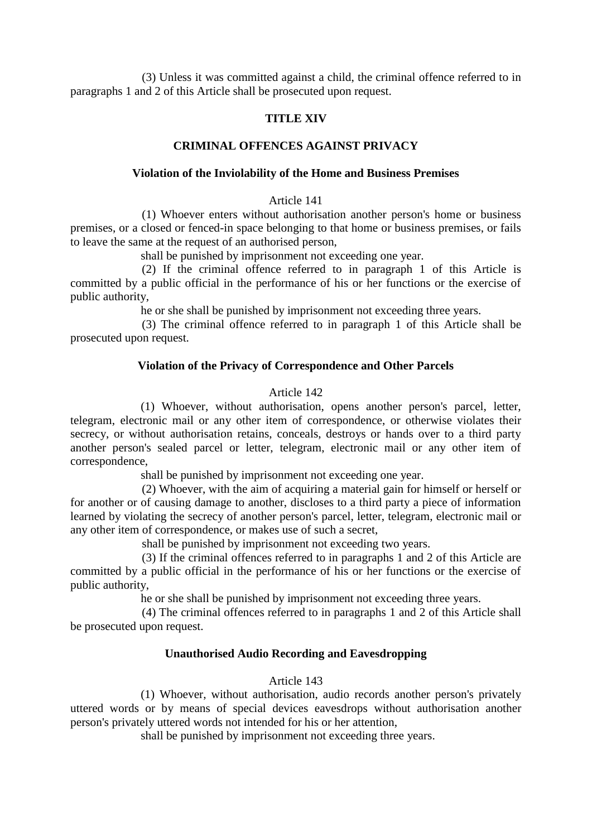(3) Unless it was committed against a child, the criminal offence referred to in paragraphs 1 and 2 of this Article shall be prosecuted upon request.

### **TITLE XIV**

#### **CRIMINAL OFFENCES AGAINST PRIVACY**

#### **Violation of the Inviolability of the Home and Business Premises**

#### Article 141

(1) Whoever enters without authorisation another person's home or business premises, or a closed or fenced-in space belonging to that home or business premises, or fails to leave the same at the request of an authorised person,

shall be punished by imprisonment not exceeding one year.

(2) If the criminal offence referred to in paragraph 1 of this Article is committed by a public official in the performance of his or her functions or the exercise of public authority,

he or she shall be punished by imprisonment not exceeding three years.

(3) The criminal offence referred to in paragraph 1 of this Article shall be prosecuted upon request.

#### **Violation of the Privacy of Correspondence and Other Parcels**

#### Article 142

(1) Whoever, without authorisation, opens another person's parcel, letter, telegram, electronic mail or any other item of correspondence, or otherwise violates their secrecy, or without authorisation retains, conceals, destroys or hands over to a third party another person's sealed parcel or letter, telegram, electronic mail or any other item of correspondence,

shall be punished by imprisonment not exceeding one year.

(2) Whoever, with the aim of acquiring a material gain for himself or herself or for another or of causing damage to another, discloses to a third party a piece of information learned by violating the secrecy of another person's parcel, letter, telegram, electronic mail or any other item of correspondence, or makes use of such a secret,

shall be punished by imprisonment not exceeding two years.

(3) If the criminal offences referred to in paragraphs 1 and 2 of this Article are committed by a public official in the performance of his or her functions or the exercise of public authority,

he or she shall be punished by imprisonment not exceeding three years.

(4) The criminal offences referred to in paragraphs 1 and 2 of this Article shall be prosecuted upon request.

#### **Unauthorised Audio Recording and Eavesdropping**

#### Article 143

(1) Whoever, without authorisation, audio records another person's privately uttered words or by means of special devices eavesdrops without authorisation another person's privately uttered words not intended for his or her attention,

shall be punished by imprisonment not exceeding three years.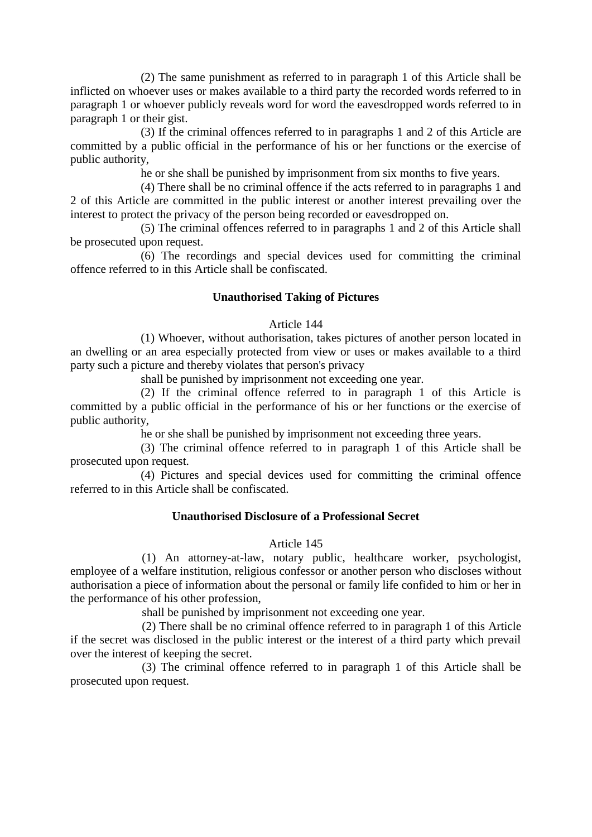(2) The same punishment as referred to in paragraph 1 of this Article shall be inflicted on whoever uses or makes available to a third party the recorded words referred to in paragraph 1 or whoever publicly reveals word for word the eavesdropped words referred to in paragraph 1 or their gist.

(3) If the criminal offences referred to in paragraphs 1 and 2 of this Article are committed by a public official in the performance of his or her functions or the exercise of public authority,

he or she shall be punished by imprisonment from six months to five years.

(4) There shall be no criminal offence if the acts referred to in paragraphs 1 and 2 of this Article are committed in the public interest or another interest prevailing over the interest to protect the privacy of the person being recorded or eavesdropped on.

(5) The criminal offences referred to in paragraphs 1 and 2 of this Article shall be prosecuted upon request.

(6) The recordings and special devices used for committing the criminal offence referred to in this Article shall be confiscated.

### **Unauthorised Taking of Pictures**

#### Article 144

(1) Whoever, without authorisation, takes pictures of another person located in an dwelling or an area especially protected from view or uses or makes available to a third party such a picture and thereby violates that person's privacy

shall be punished by imprisonment not exceeding one year.

(2) If the criminal offence referred to in paragraph 1 of this Article is committed by a public official in the performance of his or her functions or the exercise of public authority,

he or she shall be punished by imprisonment not exceeding three years.

(3) The criminal offence referred to in paragraph 1 of this Article shall be prosecuted upon request.

(4) Pictures and special devices used for committing the criminal offence referred to in this Article shall be confiscated.

#### **Unauthorised Disclosure of a Professional Secret**

#### Article 145

(1) An attorney-at-law, notary public, healthcare worker, psychologist, employee of a welfare institution, religious confessor or another person who discloses without authorisation a piece of information about the personal or family life confided to him or her in the performance of his other profession,

shall be punished by imprisonment not exceeding one year.

(2) There shall be no criminal offence referred to in paragraph 1 of this Article if the secret was disclosed in the public interest or the interest of a third party which prevail over the interest of keeping the secret.

(3) The criminal offence referred to in paragraph 1 of this Article shall be prosecuted upon request.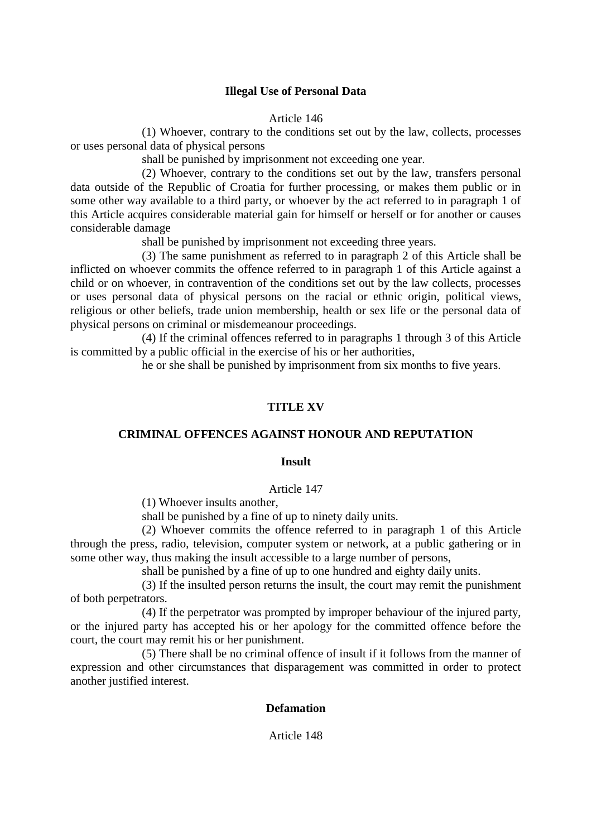### **Illegal Use of Personal Data**

Article 146

(1) Whoever, contrary to the conditions set out by the law, collects, processes or uses personal data of physical persons

shall be punished by imprisonment not exceeding one year.

(2) Whoever, contrary to the conditions set out by the law, transfers personal data outside of the Republic of Croatia for further processing, or makes them public or in some other way available to a third party, or whoever by the act referred to in paragraph 1 of this Article acquires considerable material gain for himself or herself or for another or causes considerable damage

shall be punished by imprisonment not exceeding three years.

(3) The same punishment as referred to in paragraph 2 of this Article shall be inflicted on whoever commits the offence referred to in paragraph 1 of this Article against a child or on whoever, in contravention of the conditions set out by the law collects, processes or uses personal data of physical persons on the racial or ethnic origin, political views, religious or other beliefs, trade union membership, health or sex life or the personal data of physical persons on criminal or misdemeanour proceedings.

(4) If the criminal offences referred to in paragraphs 1 through 3 of this Article is committed by a public official in the exercise of his or her authorities,

he or she shall be punished by imprisonment from six months to five years.

### **TITLE XV**

### **CRIMINAL OFFENCES AGAINST HONOUR AND REPUTATION**

#### **Insult**

#### Article 147

(1) Whoever insults another,

shall be punished by a fine of up to ninety daily units.

(2) Whoever commits the offence referred to in paragraph 1 of this Article through the press, radio, television, computer system or network, at a public gathering or in some other way, thus making the insult accessible to a large number of persons,

shall be punished by a fine of up to one hundred and eighty daily units.

(3) If the insulted person returns the insult, the court may remit the punishment of both perpetrators.

(4) If the perpetrator was prompted by improper behaviour of the injured party, or the injured party has accepted his or her apology for the committed offence before the court, the court may remit his or her punishment.

(5) There shall be no criminal offence of insult if it follows from the manner of expression and other circumstances that disparagement was committed in order to protect another justified interest.

### **Defamation**

Article 148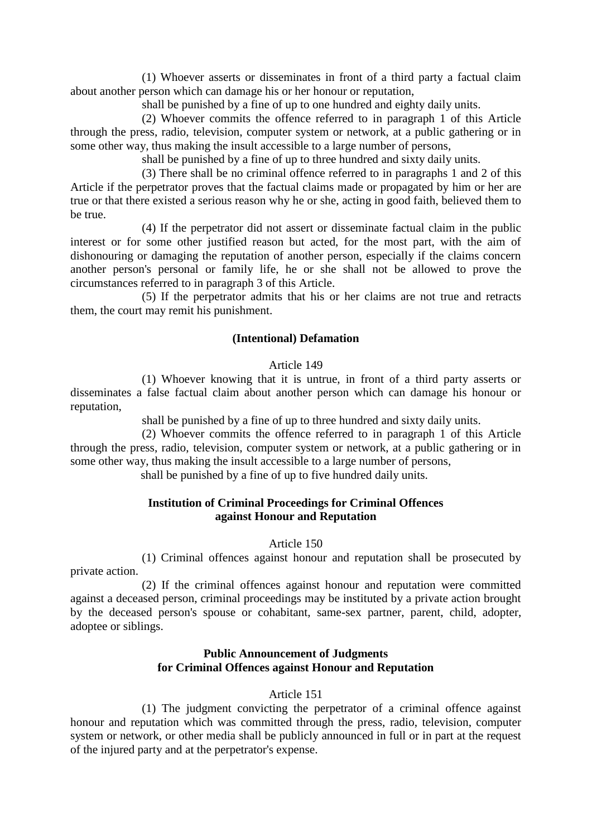(1) Whoever asserts or disseminates in front of a third party a factual claim about another person which can damage his or her honour or reputation,

shall be punished by a fine of up to one hundred and eighty daily units.

(2) Whoever commits the offence referred to in paragraph 1 of this Article through the press, radio, television, computer system or network, at a public gathering or in some other way, thus making the insult accessible to a large number of persons,

shall be punished by a fine of up to three hundred and sixty daily units.

(3) There shall be no criminal offence referred to in paragraphs 1 and 2 of this Article if the perpetrator proves that the factual claims made or propagated by him or her are true or that there existed a serious reason why he or she, acting in good faith, believed them to be true.

(4) If the perpetrator did not assert or disseminate factual claim in the public interest or for some other justified reason but acted, for the most part, with the aim of dishonouring or damaging the reputation of another person, especially if the claims concern another person's personal or family life, he or she shall not be allowed to prove the circumstances referred to in paragraph 3 of this Article.

(5) If the perpetrator admits that his or her claims are not true and retracts them, the court may remit his punishment.

### **(Intentional) Defamation**

#### Article 149

(1) Whoever knowing that it is untrue, in front of a third party asserts or disseminates a false factual claim about another person which can damage his honour or reputation,

shall be punished by a fine of up to three hundred and sixty daily units.

(2) Whoever commits the offence referred to in paragraph 1 of this Article through the press, radio, television, computer system or network, at a public gathering or in some other way, thus making the insult accessible to a large number of persons,

shall be punished by a fine of up to five hundred daily units.

### **Institution of Criminal Proceedings for Criminal Offences against Honour and Reputation**

Article 150

(1) Criminal offences against honour and reputation shall be prosecuted by private action.

(2) If the criminal offences against honour and reputation were committed against a deceased person, criminal proceedings may be instituted by a private action brought by the deceased person's spouse or cohabitant, same-sex partner, parent, child, adopter, adoptee or siblings.

# **Public Announcement of Judgments for Criminal Offences against Honour and Reputation**

### Article 151

(1) The judgment convicting the perpetrator of a criminal offence against honour and reputation which was committed through the press, radio, television, computer system or network, or other media shall be publicly announced in full or in part at the request of the injured party and at the perpetrator's expense.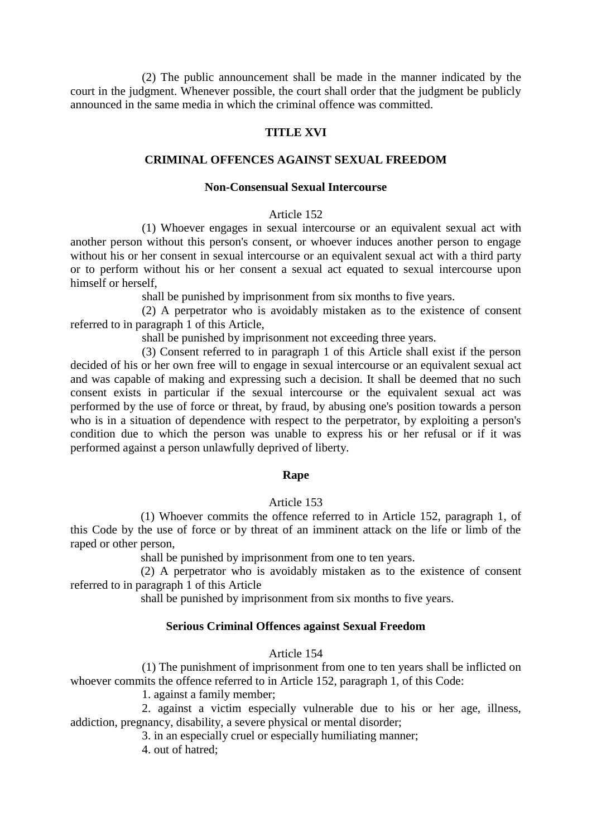(2) The public announcement shall be made in the manner indicated by the court in the judgment. Whenever possible, the court shall order that the judgment be publicly announced in the same media in which the criminal offence was committed.

# **TITLE XVI**

### **CRIMINAL OFFENCES AGAINST SEXUAL FREEDOM**

#### **Non-Consensual Sexual Intercourse**

#### Article 152

(1) Whoever engages in sexual intercourse or an equivalent sexual act with another person without this person's consent, or whoever induces another person to engage without his or her consent in sexual intercourse or an equivalent sexual act with a third party or to perform without his or her consent a sexual act equated to sexual intercourse upon himself or herself,

shall be punished by imprisonment from six months to five years.

(2) A perpetrator who is avoidably mistaken as to the existence of consent referred to in paragraph 1 of this Article,

shall be punished by imprisonment not exceeding three years.

(3) Consent referred to in paragraph 1 of this Article shall exist if the person decided of his or her own free will to engage in sexual intercourse or an equivalent sexual act and was capable of making and expressing such a decision. It shall be deemed that no such consent exists in particular if the sexual intercourse or the equivalent sexual act was performed by the use of force or threat, by fraud, by abusing one's position towards a person who is in a situation of dependence with respect to the perpetrator, by exploiting a person's condition due to which the person was unable to express his or her refusal or if it was performed against a person unlawfully deprived of liberty.

#### **Rape**

#### Article 153

(1) Whoever commits the offence referred to in Article 152, paragraph 1, of this Code by the use of force or by threat of an imminent attack on the life or limb of the raped or other person,

shall be punished by imprisonment from one to ten years.

(2) A perpetrator who is avoidably mistaken as to the existence of consent referred to in paragraph 1 of this Article

shall be punished by imprisonment from six months to five years.

# **Serious Criminal Offences against Sexual Freedom**

#### Article 154

(1) The punishment of imprisonment from one to ten years shall be inflicted on whoever commits the offence referred to in Article 152, paragraph 1, of this Code:

1. against a family member;

2. against a victim especially vulnerable due to his or her age, illness, addiction, pregnancy, disability, a severe physical or mental disorder;

3. in an especially cruel or especially humiliating manner;

4. out of hatred;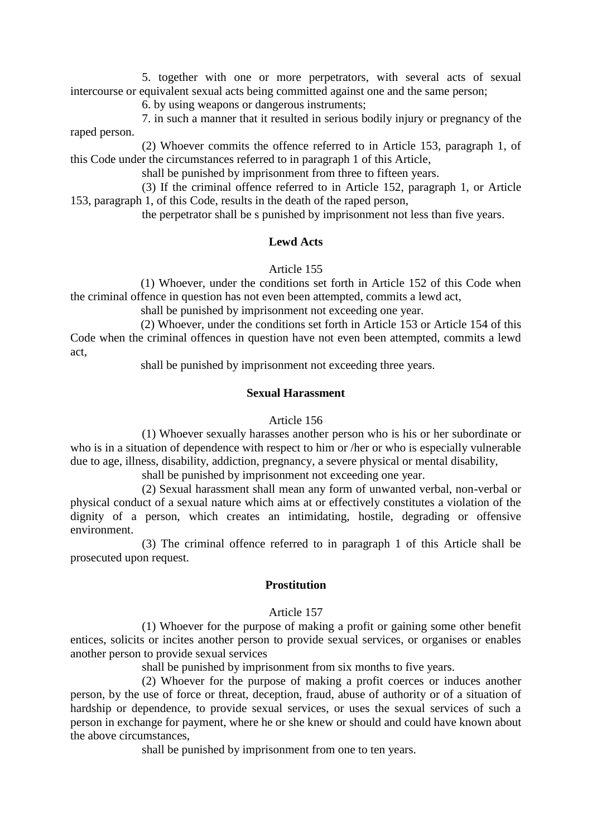5. together with one or more perpetrators, with several acts of sexual intercourse or equivalent sexual acts being committed against one and the same person;

6. by using weapons or dangerous instruments;

7. in such a manner that it resulted in serious bodily injury or pregnancy of the raped person.

(2) Whoever commits the offence referred to in Article 153, paragraph 1, of this Code under the circumstances referred to in paragraph 1 of this Article,

shall be punished by imprisonment from three to fifteen years.

(3) If the criminal offence referred to in Article 152, paragraph 1, or Article 153, paragraph 1, of this Code, results in the death of the raped person,

the perpetrator shall be s punished by imprisonment not less than five years.

#### **Lewd Acts**

#### Article 155

(1) Whoever, under the conditions set forth in Article 152 of this Code when the criminal offence in question has not even been attempted, commits a lewd act,

shall be punished by imprisonment not exceeding one year.

(2) Whoever, under the conditions set forth in Article 153 or Article 154 of this Code when the criminal offences in question have not even been attempted, commits a lewd act,

shall be punished by imprisonment not exceeding three years.

#### **Sexual Harassment**

#### Article 156

(1) Whoever sexually harasses another person who is his or her subordinate or who is in a situation of dependence with respect to him or /her or who is especially vulnerable due to age, illness, disability, addiction, pregnancy, a severe physical or mental disability,

shall be punished by imprisonment not exceeding one year.

(2) Sexual harassment shall mean any form of unwanted verbal, non-verbal or physical conduct of a sexual nature which aims at or effectively constitutes a violation of the dignity of a person, which creates an intimidating, hostile, degrading or offensive environment.

(3) The criminal offence referred to in paragraph 1 of this Article shall be prosecuted upon request.

### **Prostitution**

#### Article 157

(1) Whoever for the purpose of making a profit or gaining some other benefit entices, solicits or incites another person to provide sexual services, or organises or enables another person to provide sexual services

shall be punished by imprisonment from six months to five years.

(2) Whoever for the purpose of making a profit coerces or induces another person, by the use of force or threat, deception, fraud, abuse of authority or of a situation of hardship or dependence, to provide sexual services, or uses the sexual services of such a person in exchange for payment, where he or she knew or should and could have known about the above circumstances,

shall be punished by imprisonment from one to ten years.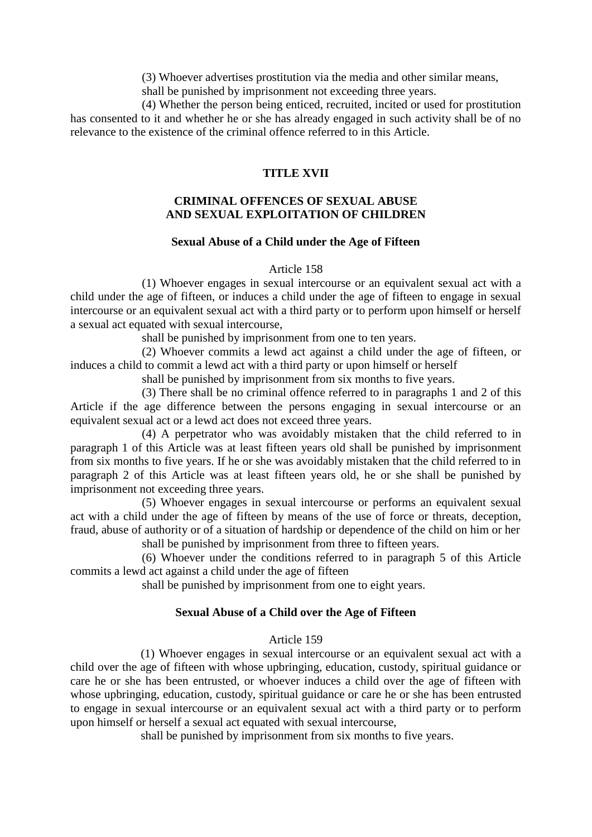(3) Whoever advertises prostitution via the media and other similar means,

shall be punished by imprisonment not exceeding three years.

(4) Whether the person being enticed, recruited, incited or used for prostitution has consented to it and whether he or she has already engaged in such activity shall be of no relevance to the existence of the criminal offence referred to in this Article.

# **TITLE XVII**

## **CRIMINAL OFFENCES OF SEXUAL ABUSE AND SEXUAL EXPLOITATION OF CHILDREN**

### **Sexual Abuse of a Child under the Age of Fifteen**

#### Article 158

(1) Whoever engages in sexual intercourse or an equivalent sexual act with a child under the age of fifteen, or induces a child under the age of fifteen to engage in sexual intercourse or an equivalent sexual act with a third party or to perform upon himself or herself a sexual act equated with sexual intercourse,

shall be punished by imprisonment from one to ten years.

(2) Whoever commits a lewd act against a child under the age of fifteen, or induces a child to commit a lewd act with a third party or upon himself or herself

shall be punished by imprisonment from six months to five years.

(3) There shall be no criminal offence referred to in paragraphs 1 and 2 of this Article if the age difference between the persons engaging in sexual intercourse or an equivalent sexual act or a lewd act does not exceed three years.

(4) A perpetrator who was avoidably mistaken that the child referred to in paragraph 1 of this Article was at least fifteen years old shall be punished by imprisonment from six months to five years. If he or she was avoidably mistaken that the child referred to in paragraph 2 of this Article was at least fifteen years old, he or she shall be punished by imprisonment not exceeding three years.

(5) Whoever engages in sexual intercourse or performs an equivalent sexual act with a child under the age of fifteen by means of the use of force or threats, deception, fraud, abuse of authority or of a situation of hardship or dependence of the child on him or her

shall be punished by imprisonment from three to fifteen years.

(6) Whoever under the conditions referred to in paragraph 5 of this Article commits a lewd act against a child under the age of fifteen

shall be punished by imprisonment from one to eight years.

### **Sexual Abuse of a Child over the Age of Fifteen**

### Article 159

(1) Whoever engages in sexual intercourse or an equivalent sexual act with a child over the age of fifteen with whose upbringing, education, custody, spiritual guidance or care he or she has been entrusted, or whoever induces a child over the age of fifteen with whose upbringing, education, custody, spiritual guidance or care he or she has been entrusted to engage in sexual intercourse or an equivalent sexual act with a third party or to perform upon himself or herself a sexual act equated with sexual intercourse,

shall be punished by imprisonment from six months to five years.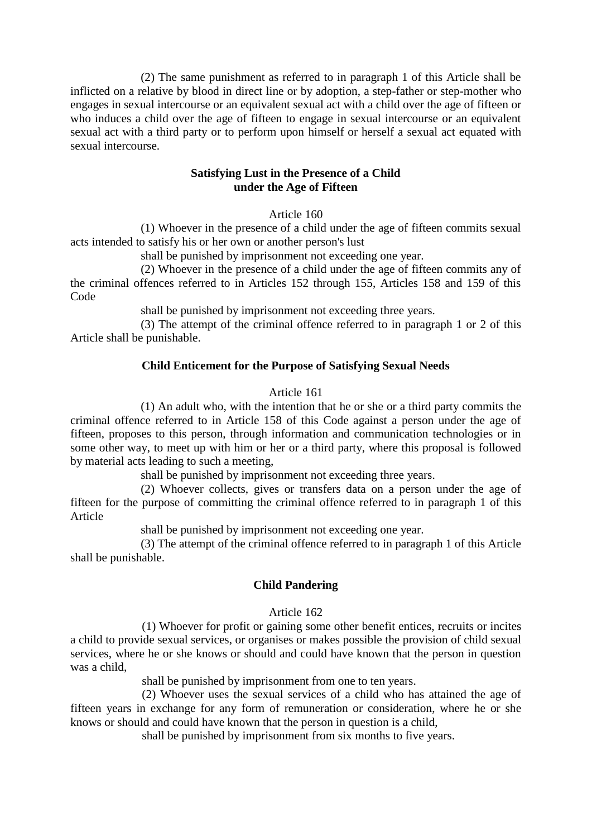(2) The same punishment as referred to in paragraph 1 of this Article shall be inflicted on a relative by blood in direct line or by adoption, a step-father or step-mother who engages in sexual intercourse or an equivalent sexual act with a child over the age of fifteen or who induces a child over the age of fifteen to engage in sexual intercourse or an equivalent sexual act with a third party or to perform upon himself or herself a sexual act equated with sexual intercourse.

### **Satisfying Lust in the Presence of a Child under the Age of Fifteen**

Article 160

(1) Whoever in the presence of a child under the age of fifteen commits sexual acts intended to satisfy his or her own or another person's lust

shall be punished by imprisonment not exceeding one year.

(2) Whoever in the presence of a child under the age of fifteen commits any of the criminal offences referred to in Articles 152 through 155, Articles 158 and 159 of this Code

shall be punished by imprisonment not exceeding three years.

(3) The attempt of the criminal offence referred to in paragraph 1 or 2 of this Article shall be punishable.

# **Child Enticement for the Purpose of Satisfying Sexual Needs**

### Article 161

(1) An adult who, with the intention that he or she or a third party commits the criminal offence referred to in Article 158 of this Code against a person under the age of fifteen, proposes to this person, through information and communication technologies or in some other way, to meet up with him or her or a third party, where this proposal is followed by material acts leading to such a meeting,

shall be punished by imprisonment not exceeding three years.

(2) Whoever collects, gives or transfers data on a person under the age of fifteen for the purpose of committing the criminal offence referred to in paragraph 1 of this Article

shall be punished by imprisonment not exceeding one year.

(3) The attempt of the criminal offence referred to in paragraph 1 of this Article shall be punishable.

# **Child Pandering**

### Article 162

(1) Whoever for profit or gaining some other benefit entices, recruits or incites a child to provide sexual services, or organises or makes possible the provision of child sexual services, where he or she knows or should and could have known that the person in question was a child,

shall be punished by imprisonment from one to ten years.

(2) Whoever uses the sexual services of a child who has attained the age of fifteen years in exchange for any form of remuneration or consideration, where he or she knows or should and could have known that the person in question is a child,

shall be punished by imprisonment from six months to five years.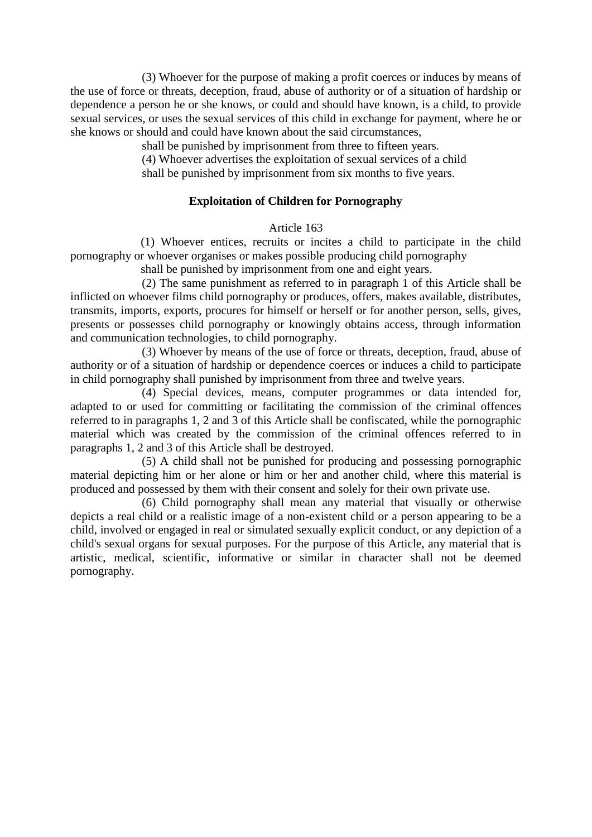(3) Whoever for the purpose of making a profit coerces or induces by means of the use of force or threats, deception, fraud, abuse of authority or of a situation of hardship or dependence a person he or she knows, or could and should have known, is a child, to provide sexual services, or uses the sexual services of this child in exchange for payment, where he or she knows or should and could have known about the said circumstances,

shall be punished by imprisonment from three to fifteen years.

(4) Whoever advertises the exploitation of sexual services of a child

shall be punished by imprisonment from six months to five years.

# **Exploitation of Children for Pornography**

# Article 163

(1) Whoever entices, recruits or incites a child to participate in the child pornography or whoever organises or makes possible producing child pornography

shall be punished by imprisonment from one and eight years.

(2) The same punishment as referred to in paragraph 1 of this Article shall be inflicted on whoever films child pornography or produces, offers, makes available, distributes, transmits, imports, exports, procures for himself or herself or for another person, sells, gives, presents or possesses child pornography or knowingly obtains access, through information and communication technologies, to child pornography.

(3) Whoever by means of the use of force or threats, deception, fraud, abuse of authority or of a situation of hardship or dependence coerces or induces a child to participate in child pornography shall punished by imprisonment from three and twelve years.

(4) Special devices, means, computer programmes or data intended for, adapted to or used for committing or facilitating the commission of the criminal offences referred to in paragraphs 1, 2 and 3 of this Article shall be confiscated, while the pornographic material which was created by the commission of the criminal offences referred to in paragraphs 1, 2 and 3 of this Article shall be destroyed.

(5) A child shall not be punished for producing and possessing pornographic material depicting him or her alone or him or her and another child, where this material is produced and possessed by them with their consent and solely for their own private use.

(6) Child pornography shall mean any material that visually or otherwise depicts a real child or a realistic image of a non-existent child or a person appearing to be a child, involved or engaged in real or simulated sexually explicit conduct, or any depiction of a child's sexual organs for sexual purposes. For the purpose of this Article, any material that is artistic, medical, scientific, informative or similar in character shall not be deemed pornography.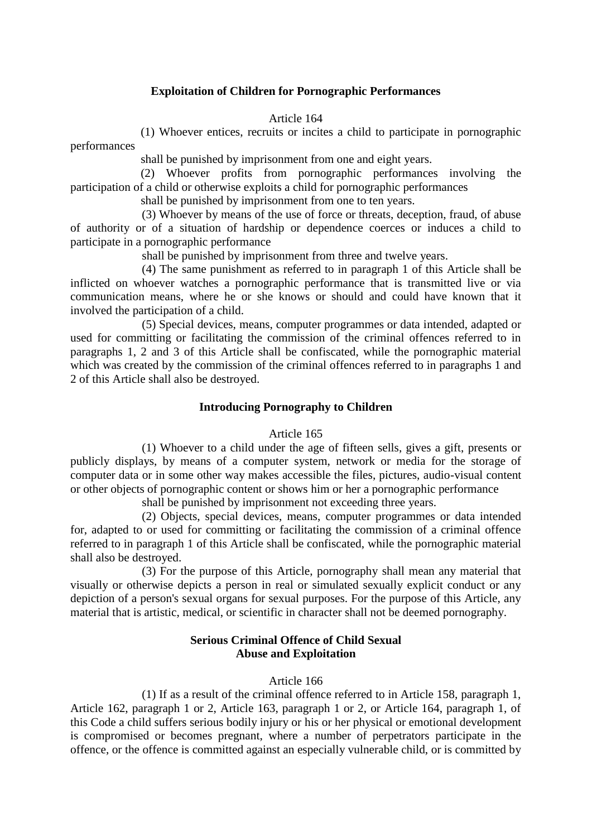### **Exploitation of Children for Pornographic Performances**

Article 164

(1) Whoever entices, recruits or incites a child to participate in pornographic

performances

shall be punished by imprisonment from one and eight years.

(2) Whoever profits from pornographic performances involving the participation of a child or otherwise exploits a child for pornographic performances

shall be punished by imprisonment from one to ten years.

(3) Whoever by means of the use of force or threats, deception, fraud, of abuse of authority or of a situation of hardship or dependence coerces or induces a child to participate in a pornographic performance

shall be punished by imprisonment from three and twelve years.

(4) The same punishment as referred to in paragraph 1 of this Article shall be inflicted on whoever watches a pornographic performance that is transmitted live or via communication means, where he or she knows or should and could have known that it involved the participation of a child.

(5) Special devices, means, computer programmes or data intended, adapted or used for committing or facilitating the commission of the criminal offences referred to in paragraphs 1, 2 and 3 of this Article shall be confiscated, while the pornographic material which was created by the commission of the criminal offences referred to in paragraphs 1 and 2 of this Article shall also be destroyed.

### **Introducing Pornography to Children**

#### Article 165

(1) Whoever to a child under the age of fifteen sells, gives a gift, presents or publicly displays, by means of a computer system, network or media for the storage of computer data or in some other way makes accessible the files, pictures, audio-visual content or other objects of pornographic content or shows him or her a pornographic performance

shall be punished by imprisonment not exceeding three years.

(2) Objects, special devices, means, computer programmes or data intended for, adapted to or used for committing or facilitating the commission of a criminal offence referred to in paragraph 1 of this Article shall be confiscated, while the pornographic material shall also be destroyed.

(3) For the purpose of this Article, pornography shall mean any material that visually or otherwise depicts a person in real or simulated sexually explicit conduct or any depiction of a person's sexual organs for sexual purposes. For the purpose of this Article, any material that is artistic, medical, or scientific in character shall not be deemed pornography.

### **Serious Criminal Offence of Child Sexual Abuse and Exploitation**

#### Article 166

(1) If as a result of the criminal offence referred to in Article 158, paragraph 1, Article 162, paragraph 1 or 2, Article 163, paragraph 1 or 2, or Article 164, paragraph 1, of this Code a child suffers serious bodily injury or his or her physical or emotional development is compromised or becomes pregnant, where a number of perpetrators participate in the offence, or the offence is committed against an especially vulnerable child, or is committed by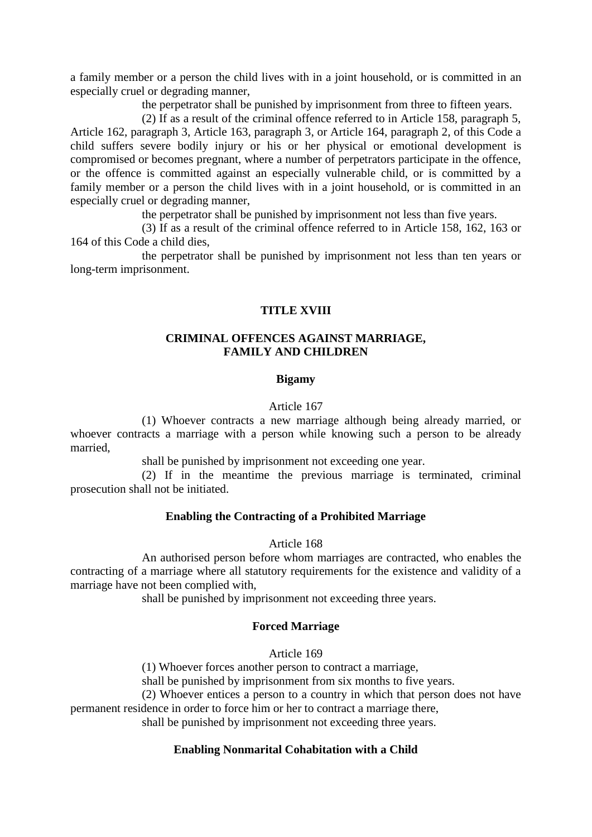a family member or a person the child lives with in a joint household, or is committed in an especially cruel or degrading manner,

the perpetrator shall be punished by imprisonment from three to fifteen years.

(2) If as a result of the criminal offence referred to in Article 158, paragraph 5, Article 162, paragraph 3, Article 163, paragraph 3, or Article 164, paragraph 2, of this Code a child suffers severe bodily injury or his or her physical or emotional development is compromised or becomes pregnant, where a number of perpetrators participate in the offence, or the offence is committed against an especially vulnerable child, or is committed by a family member or a person the child lives with in a joint household, or is committed in an especially cruel or degrading manner,

the perpetrator shall be punished by imprisonment not less than five years.

(3) If as a result of the criminal offence referred to in Article 158, 162, 163 or 164 of this Code a child dies,

the perpetrator shall be punished by imprisonment not less than ten years or long-term imprisonment.

# **TITLE XVIII**

#### **CRIMINAL OFFENCES AGAINST MARRIAGE, FAMILY AND CHILDREN**

#### **Bigamy**

#### Article 167

(1) Whoever contracts a new marriage although being already married, or whoever contracts a marriage with a person while knowing such a person to be already married,

shall be punished by imprisonment not exceeding one year.

(2) If in the meantime the previous marriage is terminated, criminal prosecution shall not be initiated.

#### **Enabling the Contracting of a Prohibited Marriage**

#### Article 168

An authorised person before whom marriages are contracted, who enables the contracting of a marriage where all statutory requirements for the existence and validity of a marriage have not been complied with,

shall be punished by imprisonment not exceeding three years.

#### **Forced Marriage**

Article 169

(1) Whoever forces another person to contract a marriage,

shall be punished by imprisonment from six months to five years.

(2) Whoever entices a person to a country in which that person does not have permanent residence in order to force him or her to contract a marriage there,

shall be punished by imprisonment not exceeding three years.

#### **Enabling Nonmarital Cohabitation with a Child**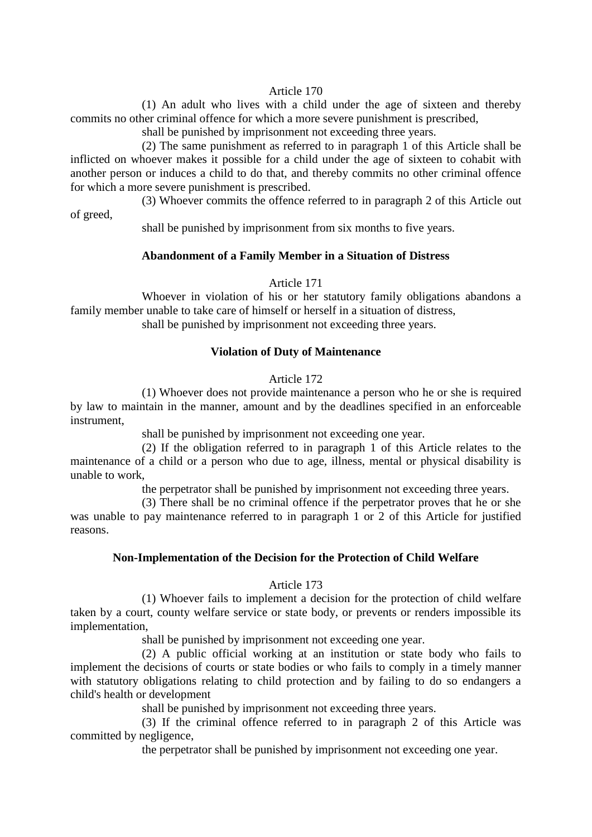#### Article 170

(1) An adult who lives with a child under the age of sixteen and thereby commits no other criminal offence for which a more severe punishment is prescribed,

shall be punished by imprisonment not exceeding three years.

(2) The same punishment as referred to in paragraph 1 of this Article shall be inflicted on whoever makes it possible for a child under the age of sixteen to cohabit with another person or induces a child to do that, and thereby commits no other criminal offence for which a more severe punishment is prescribed.

(3) Whoever commits the offence referred to in paragraph 2 of this Article out of greed,

shall be punished by imprisonment from six months to five years.

### **Abandonment of a Family Member in a Situation of Distress**

Article 171

Whoever in violation of his or her statutory family obligations abandons a family member unable to take care of himself or herself in a situation of distress, shall be punished by imprisonment not exceeding three years.

#### **Violation of Duty of Maintenance**

#### Article 172

(1) Whoever does not provide maintenance a person who he or she is required by law to maintain in the manner, amount and by the deadlines specified in an enforceable instrument,

shall be punished by imprisonment not exceeding one year.

(2) If the obligation referred to in paragraph 1 of this Article relates to the maintenance of a child or a person who due to age, illness, mental or physical disability is unable to work,

the perpetrator shall be punished by imprisonment not exceeding three years.

(3) There shall be no criminal offence if the perpetrator proves that he or she was unable to pay maintenance referred to in paragraph 1 or 2 of this Article for justified reasons.

#### **Non-Implementation of the Decision for the Protection of Child Welfare**

#### Article 173

(1) Whoever fails to implement a decision for the protection of child welfare taken by a court, county welfare service or state body, or prevents or renders impossible its implementation,

shall be punished by imprisonment not exceeding one year.

(2) A public official working at an institution or state body who fails to implement the decisions of courts or state bodies or who fails to comply in a timely manner with statutory obligations relating to child protection and by failing to do so endangers a child's health or development

shall be punished by imprisonment not exceeding three years.

(3) If the criminal offence referred to in paragraph 2 of this Article was committed by negligence,

the perpetrator shall be punished by imprisonment not exceeding one year.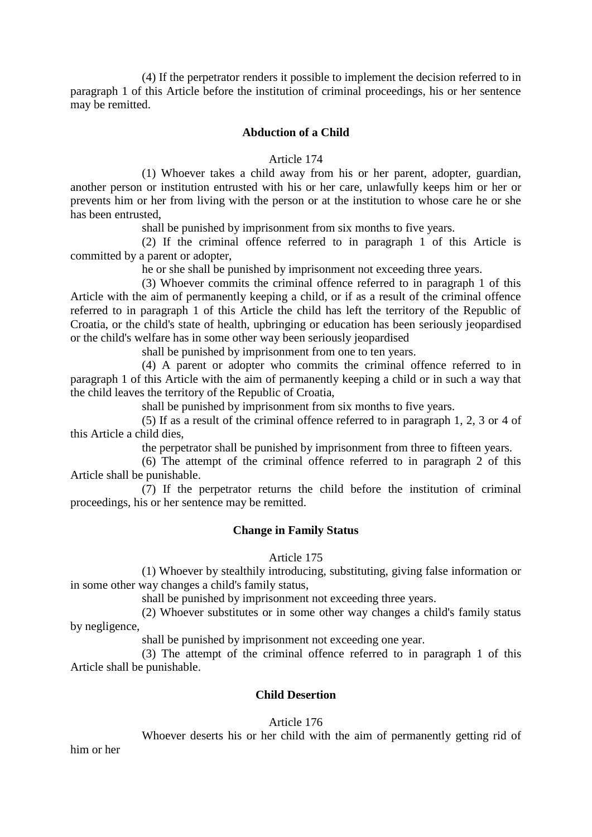(4) If the perpetrator renders it possible to implement the decision referred to in paragraph 1 of this Article before the institution of criminal proceedings, his or her sentence may be remitted.

### **Abduction of a Child**

Article 174

(1) Whoever takes a child away from his or her parent, adopter, guardian, another person or institution entrusted with his or her care, unlawfully keeps him or her or prevents him or her from living with the person or at the institution to whose care he or she has been entrusted,

shall be punished by imprisonment from six months to five years.

(2) If the criminal offence referred to in paragraph 1 of this Article is committed by a parent or adopter,

he or she shall be punished by imprisonment not exceeding three years.

(3) Whoever commits the criminal offence referred to in paragraph 1 of this Article with the aim of permanently keeping a child, or if as a result of the criminal offence referred to in paragraph 1 of this Article the child has left the territory of the Republic of Croatia, or the child's state of health, upbringing or education has been seriously jeopardised or the child's welfare has in some other way been seriously jeopardised

shall be punished by imprisonment from one to ten years.

(4) A parent or adopter who commits the criminal offence referred to in paragraph 1 of this Article with the aim of permanently keeping a child or in such a way that the child leaves the territory of the Republic of Croatia,

shall be punished by imprisonment from six months to five years.

(5) If as a result of the criminal offence referred to in paragraph 1, 2, 3 or 4 of this Article a child dies,

the perpetrator shall be punished by imprisonment from three to fifteen years.

(6) The attempt of the criminal offence referred to in paragraph 2 of this Article shall be punishable.

(7) If the perpetrator returns the child before the institution of criminal proceedings, his or her sentence may be remitted.

#### **Change in Family Status**

#### Article 175

(1) Whoever by stealthily introducing, substituting, giving false information or in some other way changes a child's family status,

shall be punished by imprisonment not exceeding three years.

(2) Whoever substitutes or in some other way changes a child's family status by negligence,

shall be punished by imprisonment not exceeding one year.

(3) The attempt of the criminal offence referred to in paragraph 1 of this Article shall be punishable.

### **Child Desertion**

### Article 176

Whoever deserts his or her child with the aim of permanently getting rid of

him or her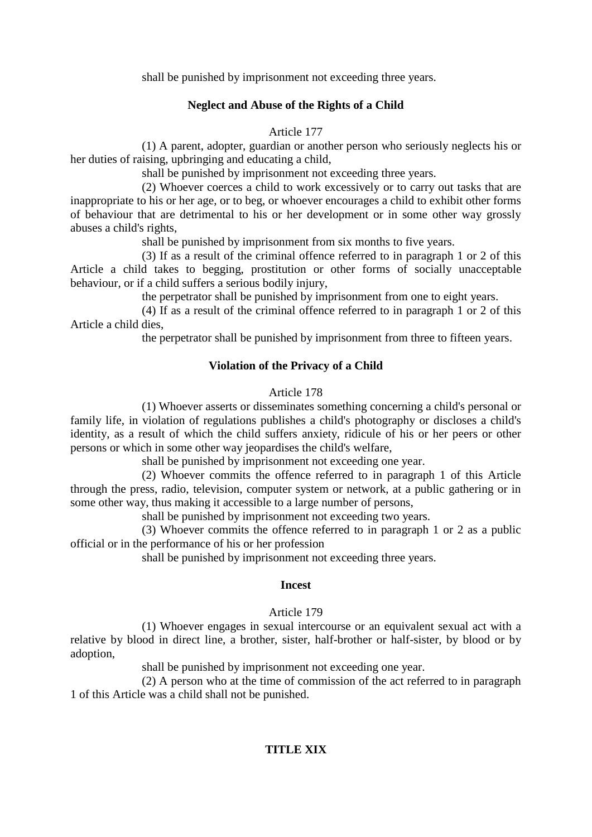shall be punished by imprisonment not exceeding three years.

# **Neglect and Abuse of the Rights of a Child**

Article 177

(1) A parent, adopter, guardian or another person who seriously neglects his or her duties of raising, upbringing and educating a child,

shall be punished by imprisonment not exceeding three years.

(2) Whoever coerces a child to work excessively or to carry out tasks that are inappropriate to his or her age, or to beg, or whoever encourages a child to exhibit other forms of behaviour that are detrimental to his or her development or in some other way grossly abuses a child's rights,

shall be punished by imprisonment from six months to five years.

(3) If as a result of the criminal offence referred to in paragraph 1 or 2 of this Article a child takes to begging, prostitution or other forms of socially unacceptable behaviour, or if a child suffers a serious bodily injury,

the perpetrator shall be punished by imprisonment from one to eight years.

(4) If as a result of the criminal offence referred to in paragraph 1 or 2 of this Article a child dies,

the perpetrator shall be punished by imprisonment from three to fifteen years.

# **Violation of the Privacy of a Child**

# Article 178

(1) Whoever asserts or disseminates something concerning a child's personal or family life, in violation of regulations publishes a child's photography or discloses a child's identity, as a result of which the child suffers anxiety, ridicule of his or her peers or other persons or which in some other way jeopardises the child's welfare,

shall be punished by imprisonment not exceeding one year.

(2) Whoever commits the offence referred to in paragraph 1 of this Article through the press, radio, television, computer system or network, at a public gathering or in some other way, thus making it accessible to a large number of persons,

shall be punished by imprisonment not exceeding two years.

(3) Whoever commits the offence referred to in paragraph 1 or 2 as a public official or in the performance of his or her profession

shall be punished by imprisonment not exceeding three years.

### **Incest**

# Article 179

(1) Whoever engages in sexual intercourse or an equivalent sexual act with a relative by blood in direct line, a brother, sister, half-brother or half-sister, by blood or by adoption,

shall be punished by imprisonment not exceeding one year.

(2) A person who at the time of commission of the act referred to in paragraph 1 of this Article was a child shall not be punished.

# **TITLE XIX**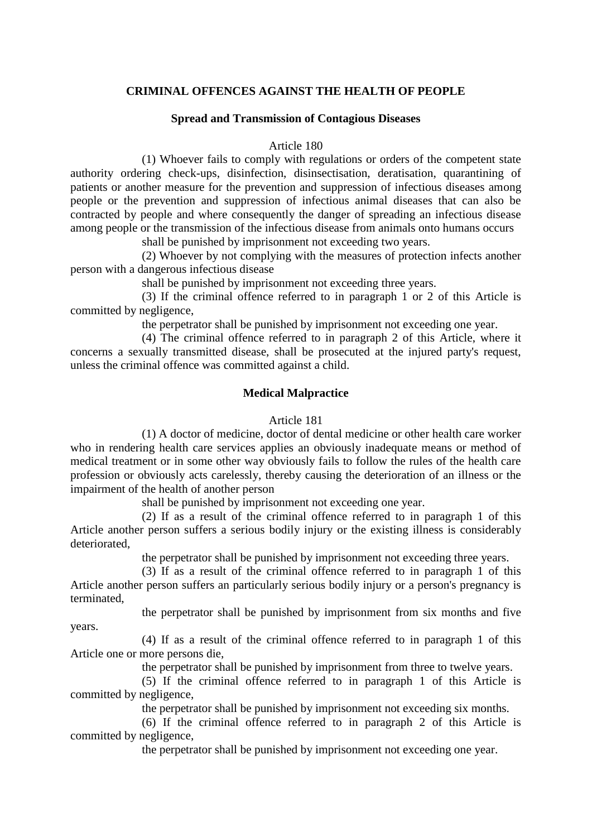### **CRIMINAL OFFENCES AGAINST THE HEALTH OF PEOPLE**

#### **Spread and Transmission of Contagious Diseases**

#### Article 180

(1) Whoever fails to comply with regulations or orders of the competent state authority ordering check-ups, disinfection, disinsectisation, deratisation, quarantining of patients or another measure for the prevention and suppression of infectious diseases among people or the prevention and suppression of infectious animal diseases that can also be contracted by people and where consequently the danger of spreading an infectious disease among people or the transmission of the infectious disease from animals onto humans occurs

shall be punished by imprisonment not exceeding two years.

(2) Whoever by not complying with the measures of protection infects another person with a dangerous infectious disease

shall be punished by imprisonment not exceeding three years.

(3) If the criminal offence referred to in paragraph 1 or 2 of this Article is committed by negligence,

the perpetrator shall be punished by imprisonment not exceeding one year.

(4) The criminal offence referred to in paragraph 2 of this Article, where it concerns a sexually transmitted disease, shall be prosecuted at the injured party's request. unless the criminal offence was committed against a child.

### **Medical Malpractice**

#### Article 181

(1) A doctor of medicine, doctor of dental medicine or other health care worker who in rendering health care services applies an obviously inadequate means or method of medical treatment or in some other way obviously fails to follow the rules of the health care profession or obviously acts carelessly, thereby causing the deterioration of an illness or the impairment of the health of another person

shall be punished by imprisonment not exceeding one year.

(2) If as a result of the criminal offence referred to in paragraph 1 of this Article another person suffers a serious bodily injury or the existing illness is considerably deteriorated,

the perpetrator shall be punished by imprisonment not exceeding three years.

(3) If as a result of the criminal offence referred to in paragraph 1 of this Article another person suffers an particularly serious bodily injury or a person's pregnancy is terminated,

the perpetrator shall be punished by imprisonment from six months and five

(4) If as a result of the criminal offence referred to in paragraph 1 of this Article one or more persons die,

years.

the perpetrator shall be punished by imprisonment from three to twelve years.

(5) If the criminal offence referred to in paragraph 1 of this Article is committed by negligence,

the perpetrator shall be punished by imprisonment not exceeding six months.

(6) If the criminal offence referred to in paragraph 2 of this Article is committed by negligence,

the perpetrator shall be punished by imprisonment not exceeding one year.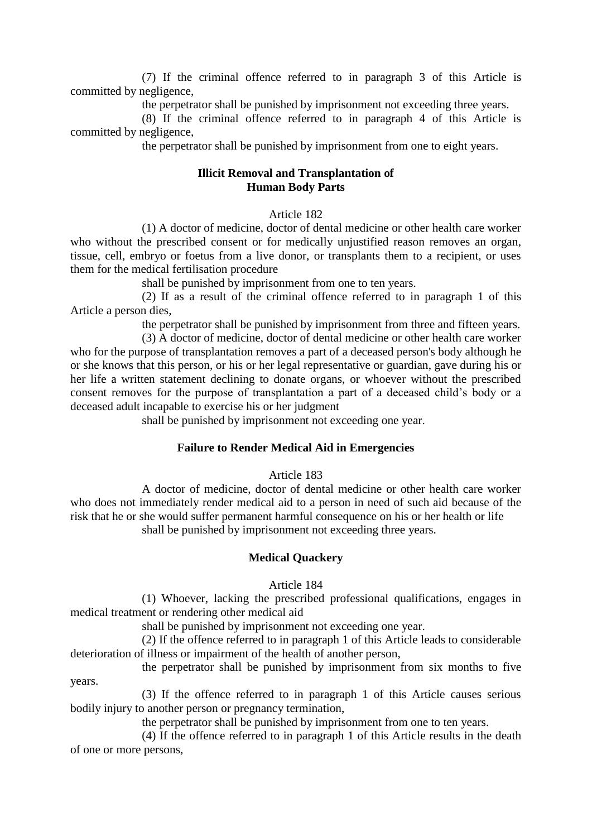(7) If the criminal offence referred to in paragraph 3 of this Article is committed by negligence,

the perpetrator shall be punished by imprisonment not exceeding three years.

(8) If the criminal offence referred to in paragraph 4 of this Article is committed by negligence,

the perpetrator shall be punished by imprisonment from one to eight years.

#### **Illicit Removal and Transplantation of Human Body Parts**

### Article 182

(1) A doctor of medicine, doctor of dental medicine or other health care worker who without the prescribed consent or for medically unjustified reason removes an organ, tissue, cell, embryo or foetus from a live donor, or transplants them to a recipient, or uses them for the medical fertilisation procedure

shall be punished by imprisonment from one to ten years.

(2) If as a result of the criminal offence referred to in paragraph 1 of this Article a person dies,

the perpetrator shall be punished by imprisonment from three and fifteen years.

(3) A doctor of medicine, doctor of dental medicine or other health care worker who for the purpose of transplantation removes a part of a deceased person's body although he or she knows that this person, or his or her legal representative or guardian, gave during his or her life a written statement declining to donate organs, or whoever without the prescribed consent removes for the purpose of transplantation a part of a deceased child's body or a deceased adult incapable to exercise his or her judgment

shall be punished by imprisonment not exceeding one year.

## **Failure to Render Medical Aid in Emergencies**

# Article 183

A doctor of medicine, doctor of dental medicine or other health care worker who does not immediately render medical aid to a person in need of such aid because of the risk that he or she would suffer permanent harmful consequence on his or her health or life shall be punished by imprisonment not exceeding three years.

### **Medical Quackery**

#### Article 184

(1) Whoever, lacking the prescribed professional qualifications, engages in medical treatment or rendering other medical aid

shall be punished by imprisonment not exceeding one year.

(2) If the offence referred to in paragraph 1 of this Article leads to considerable deterioration of illness or impairment of the health of another person,

the perpetrator shall be punished by imprisonment from six months to five years.

(3) If the offence referred to in paragraph 1 of this Article causes serious bodily injury to another person or pregnancy termination,

the perpetrator shall be punished by imprisonment from one to ten years.

(4) If the offence referred to in paragraph 1 of this Article results in the death of one or more persons,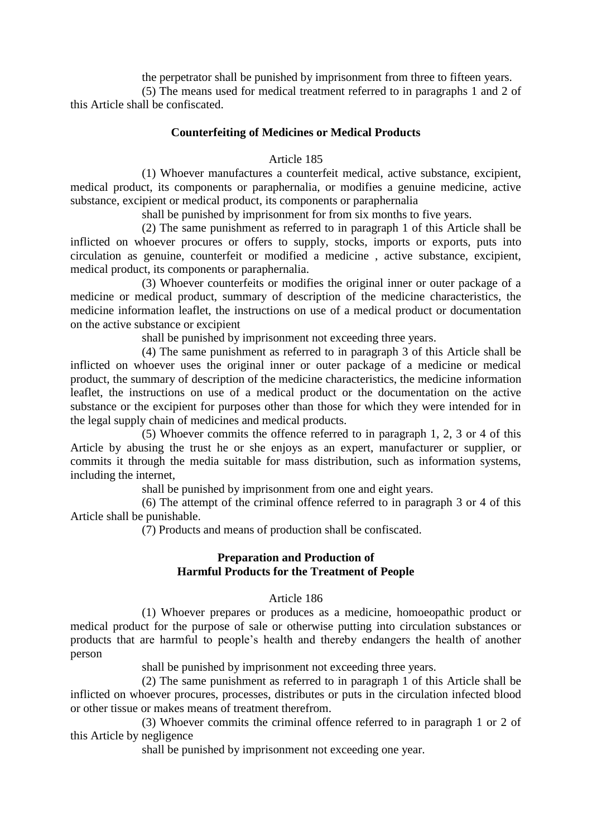the perpetrator shall be punished by imprisonment from three to fifteen years.

(5) The means used for medical treatment referred to in paragraphs 1 and 2 of this Article shall be confiscated.

# **Counterfeiting of Medicines or Medical Products**

## Article 185

(1) Whoever manufactures a counterfeit medical, active substance, excipient, medical product, its components or paraphernalia, or modifies a genuine medicine, active substance, excipient or medical product, its components or paraphernalia

shall be punished by imprisonment for from six months to five years.

(2) The same punishment as referred to in paragraph 1 of this Article shall be inflicted on whoever procures or offers to supply, stocks, imports or exports, puts into circulation as genuine, counterfeit or modified a medicine , active substance, excipient, medical product, its components or paraphernalia.

(3) Whoever counterfeits or modifies the original inner or outer package of a medicine or medical product, summary of description of the medicine characteristics, the medicine information leaflet, the instructions on use of a medical product or documentation on the active substance or excipient

shall be punished by imprisonment not exceeding three years.

(4) The same punishment as referred to in paragraph 3 of this Article shall be inflicted on whoever uses the original inner or outer package of a medicine or medical product, the summary of description of the medicine characteristics, the medicine information leaflet, the instructions on use of a medical product or the documentation on the active substance or the excipient for purposes other than those for which they were intended for in the legal supply chain of medicines and medical products.

(5) Whoever commits the offence referred to in paragraph 1, 2, 3 or 4 of this Article by abusing the trust he or she enjoys as an expert, manufacturer or supplier, or commits it through the media suitable for mass distribution, such as information systems, including the internet,

shall be punished by imprisonment from one and eight years.

(6) The attempt of the criminal offence referred to in paragraph 3 or 4 of this Article shall be punishable.

(7) Products and means of production shall be confiscated.

# **Preparation and Production of Harmful Products for the Treatment of People**

# Article 186

(1) Whoever prepares or produces as a medicine, homoeopathic product or medical product for the purpose of sale or otherwise putting into circulation substances or products that are harmful to people's health and thereby endangers the health of another person

shall be punished by imprisonment not exceeding three years.

(2) The same punishment as referred to in paragraph 1 of this Article shall be inflicted on whoever procures, processes, distributes or puts in the circulation infected blood or other tissue or makes means of treatment therefrom.

(3) Whoever commits the criminal offence referred to in paragraph 1 or 2 of this Article by negligence

shall be punished by imprisonment not exceeding one year.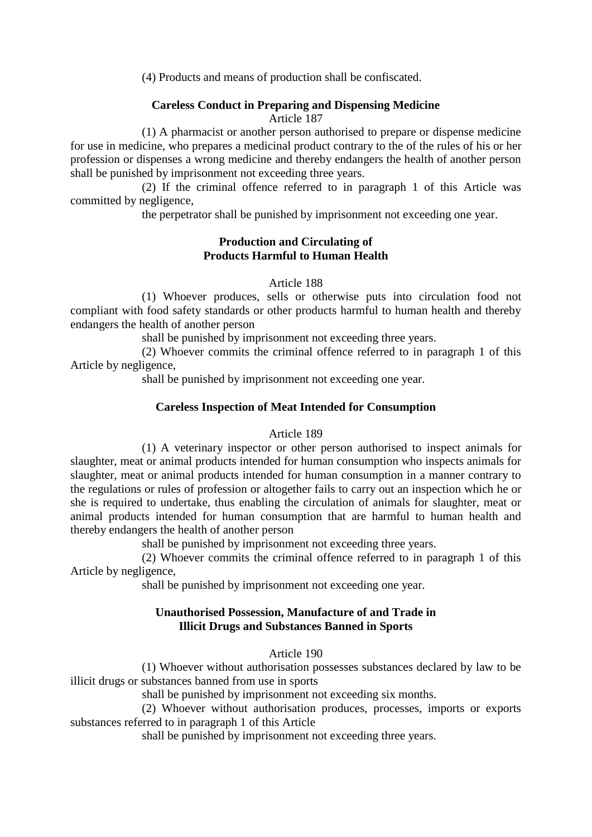(4) Products and means of production shall be confiscated.

# **Careless Conduct in Preparing and Dispensing Medicine**

Article 187

(1) A pharmacist or another person authorised to prepare or dispense medicine for use in medicine, who prepares a medicinal product contrary to the of the rules of his or her profession or dispenses a wrong medicine and thereby endangers the health of another person shall be punished by imprisonment not exceeding three years.

(2) If the criminal offence referred to in paragraph 1 of this Article was committed by negligence,

the perpetrator shall be punished by imprisonment not exceeding one year.

# **Production and Circulating of Products Harmful to Human Health**

### Article 188

(1) Whoever produces, sells or otherwise puts into circulation food not compliant with food safety standards or other products harmful to human health and thereby endangers the health of another person

shall be punished by imprisonment not exceeding three years.

(2) Whoever commits the criminal offence referred to in paragraph 1 of this Article by negligence,

shall be punished by imprisonment not exceeding one year.

# **Careless Inspection of Meat Intended for Consumption**

### Article 189

(1) A veterinary inspector or other person authorised to inspect animals for slaughter, meat or animal products intended for human consumption who inspects animals for slaughter, meat or animal products intended for human consumption in a manner contrary to the regulations or rules of profession or altogether fails to carry out an inspection which he or she is required to undertake, thus enabling the circulation of animals for slaughter, meat or animal products intended for human consumption that are harmful to human health and thereby endangers the health of another person

shall be punished by imprisonment not exceeding three years.

(2) Whoever commits the criminal offence referred to in paragraph 1 of this Article by negligence,

shall be punished by imprisonment not exceeding one year.

# **Unauthorised Possession, Manufacture of and Trade in Illicit Drugs and Substances Banned in Sports**

Article 190

(1) Whoever without authorisation possesses substances declared by law to be illicit drugs or substances banned from use in sports

shall be punished by imprisonment not exceeding six months.

(2) Whoever without authorisation produces, processes, imports or exports substances referred to in paragraph 1 of this Article

shall be punished by imprisonment not exceeding three years.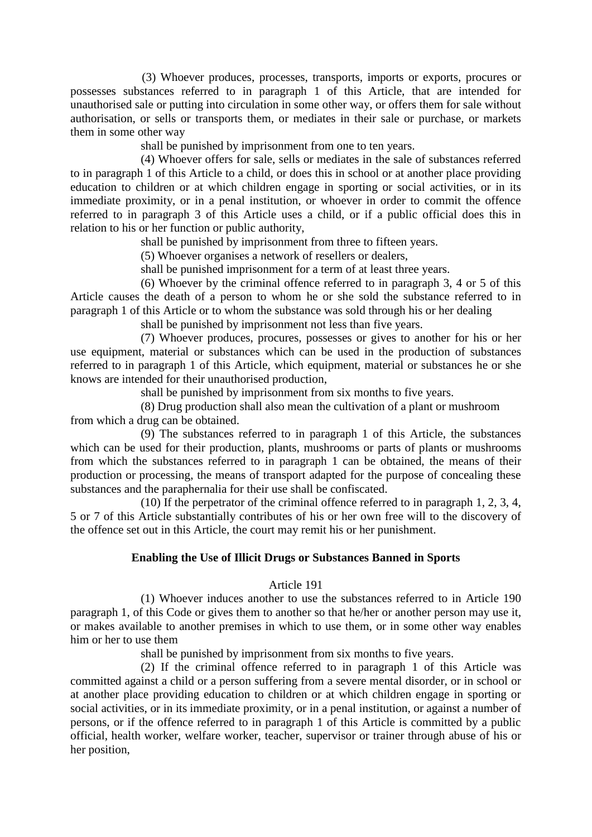(3) Whoever produces, processes, transports, imports or exports, procures or possesses substances referred to in paragraph 1 of this Article, that are intended for unauthorised sale or putting into circulation in some other way, or offers them for sale without authorisation, or sells or transports them, or mediates in their sale or purchase, or markets them in some other way

shall be punished by imprisonment from one to ten years.

(4) Whoever offers for sale, sells or mediates in the sale of substances referred to in paragraph 1 of this Article to a child, or does this in school or at another place providing education to children or at which children engage in sporting or social activities, or in its immediate proximity, or in a penal institution, or whoever in order to commit the offence referred to in paragraph 3 of this Article uses a child, or if a public official does this in relation to his or her function or public authority,

shall be punished by imprisonment from three to fifteen years.

(5) Whoever organises a network of resellers or dealers,

shall be punished imprisonment for a term of at least three years.

(6) Whoever by the criminal offence referred to in paragraph 3, 4 or 5 of this Article causes the death of a person to whom he or she sold the substance referred to in paragraph 1 of this Article or to whom the substance was sold through his or her dealing

shall be punished by imprisonment not less than five years.

(7) Whoever produces, procures, possesses or gives to another for his or her use equipment, material or substances which can be used in the production of substances referred to in paragraph 1 of this Article, which equipment, material or substances he or she knows are intended for their unauthorised production,

shall be punished by imprisonment from six months to five years.

(8) Drug production shall also mean the cultivation of a plant or mushroom from which a drug can be obtained.

(9) The substances referred to in paragraph 1 of this Article, the substances which can be used for their production, plants, mushrooms or parts of plants or mushrooms from which the substances referred to in paragraph 1 can be obtained, the means of their production or processing, the means of transport adapted for the purpose of concealing these substances and the paraphernalia for their use shall be confiscated.

(10) If the perpetrator of the criminal offence referred to in paragraph 1, 2, 3, 4, 5 or 7 of this Article substantially contributes of his or her own free will to the discovery of the offence set out in this Article, the court may remit his or her punishment.

### **Enabling the Use of Illicit Drugs or Substances Banned in Sports**

### Article 191

(1) Whoever induces another to use the substances referred to in Article 190 paragraph 1, of this Code or gives them to another so that he/her or another person may use it, or makes available to another premises in which to use them, or in some other way enables him or her to use them

shall be punished by imprisonment from six months to five years.

(2) If the criminal offence referred to in paragraph 1 of this Article was committed against a child or a person suffering from a severe mental disorder, or in school or at another place providing education to children or at which children engage in sporting or social activities, or in its immediate proximity, or in a penal institution, or against a number of persons, or if the offence referred to in paragraph 1 of this Article is committed by a public official, health worker, welfare worker, teacher, supervisor or trainer through abuse of his or her position,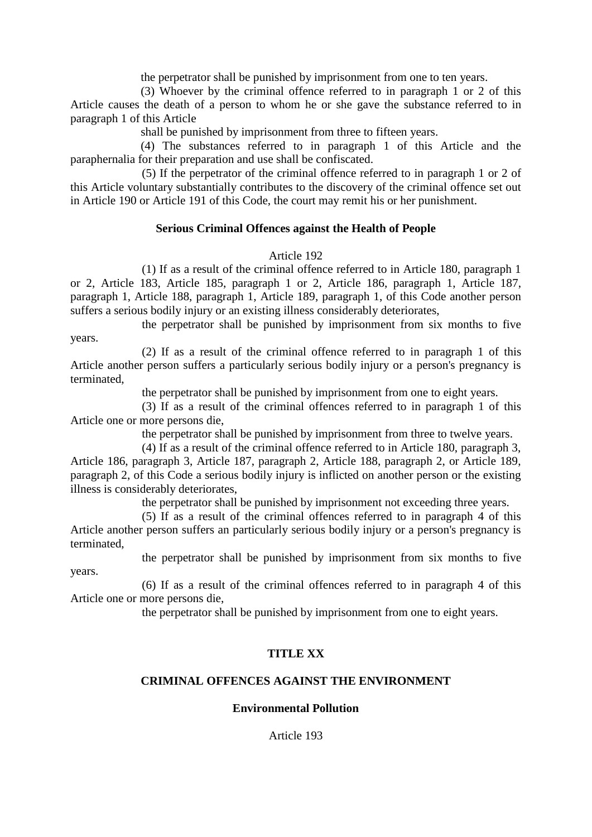the perpetrator shall be punished by imprisonment from one to ten years.

(3) Whoever by the criminal offence referred to in paragraph 1 or 2 of this Article causes the death of a person to whom he or she gave the substance referred to in paragraph 1 of this Article

shall be punished by imprisonment from three to fifteen years.

(4) The substances referred to in paragraph 1 of this Article and the paraphernalia for their preparation and use shall be confiscated.

(5) If the perpetrator of the criminal offence referred to in paragraph 1 or 2 of this Article voluntary substantially contributes to the discovery of the criminal offence set out in Article 190 or Article 191 of this Code, the court may remit his or her punishment.

### **Serious Criminal Offences against the Health of People**

### Article 192

(1) If as a result of the criminal offence referred to in Article 180, paragraph 1 or 2, Article 183, Article 185, paragraph 1 or 2, Article 186, paragraph 1, Article 187, paragraph 1, Article 188, paragraph 1, Article 189, paragraph 1, of this Code another person suffers a serious bodily injury or an existing illness considerably deteriorates,

the perpetrator shall be punished by imprisonment from six months to five years.

(2) If as a result of the criminal offence referred to in paragraph 1 of this Article another person suffers a particularly serious bodily injury or a person's pregnancy is terminated,

the perpetrator shall be punished by imprisonment from one to eight years.

(3) If as a result of the criminal offences referred to in paragraph 1 of this Article one or more persons die,

the perpetrator shall be punished by imprisonment from three to twelve years.

(4) If as a result of the criminal offence referred to in Article 180, paragraph 3, Article 186, paragraph 3, Article 187, paragraph 2, Article 188, paragraph 2, or Article 189, paragraph 2, of this Code a serious bodily injury is inflicted on another person or the existing illness is considerably deteriorates,

the perpetrator shall be punished by imprisonment not exceeding three years.

(5) If as a result of the criminal offences referred to in paragraph 4 of this Article another person suffers an particularly serious bodily injury or a person's pregnancy is terminated,

the perpetrator shall be punished by imprisonment from six months to five

years.

(6) If as a result of the criminal offences referred to in paragraph 4 of this Article one or more persons die,

the perpetrator shall be punished by imprisonment from one to eight years.

# **TITLE XX**

## **CRIMINAL OFFENCES AGAINST THE ENVIRONMENT**

### **Environmental Pollution**

Article 193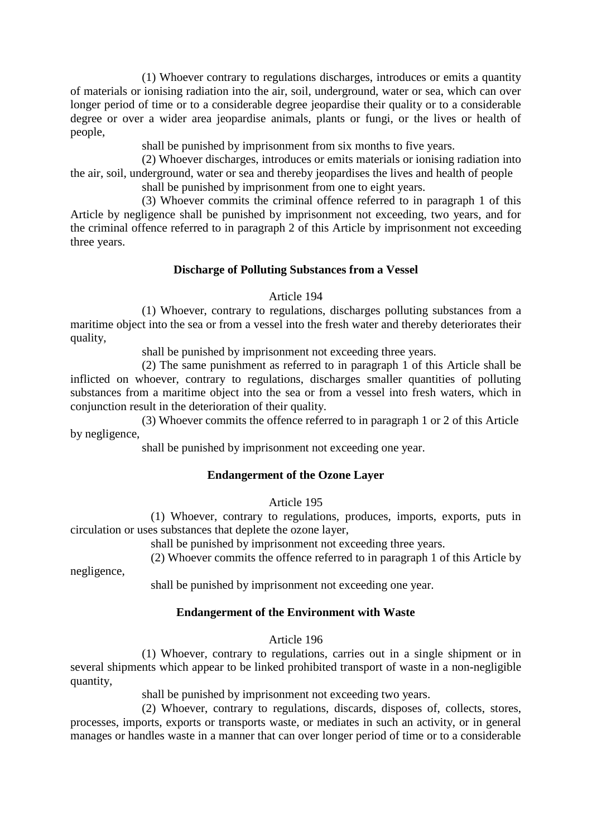(1) Whoever contrary to regulations discharges, introduces or emits a quantity of materials or ionising radiation into the air, soil, underground, water or sea, which can over longer period of time or to a considerable degree jeopardise their quality or to a considerable degree or over a wider area jeopardise animals, plants or fungi, or the lives or health of people,

shall be punished by imprisonment from six months to five years.

(2) Whoever discharges, introduces or emits materials or ionising radiation into the air, soil, underground, water or sea and thereby jeopardises the lives and health of people shall be punished by imprisonment from one to eight years.

(3) Whoever commits the criminal offence referred to in paragraph 1 of this Article by negligence shall be punished by imprisonment not exceeding, two years, and for the criminal offence referred to in paragraph 2 of this Article by imprisonment not exceeding three years.

# **Discharge of Polluting Substances from a Vessel**

# Article 194

(1) Whoever, contrary to regulations, discharges polluting substances from a maritime object into the sea or from a vessel into the fresh water and thereby deteriorates their quality,

shall be punished by imprisonment not exceeding three years.

(2) The same punishment as referred to in paragraph 1 of this Article shall be inflicted on whoever, contrary to regulations, discharges smaller quantities of polluting substances from a maritime object into the sea or from a vessel into fresh waters, which in conjunction result in the deterioration of their quality.

(3) Whoever commits the offence referred to in paragraph 1 or 2 of this Article by negligence,

shall be punished by imprisonment not exceeding one year.

# **Endangerment of the Ozone Layer**

Article 195

(1) Whoever, contrary to regulations, produces, imports, exports, puts in circulation or uses substances that deplete the ozone layer,

shall be punished by imprisonment not exceeding three years.

(2) Whoever commits the offence referred to in paragraph 1 of this Article by

negligence,

shall be punished by imprisonment not exceeding one year.

# **Endangerment of the Environment with Waste**

Article 196

(1) Whoever, contrary to regulations, carries out in a single shipment or in several shipments which appear to be linked prohibited transport of waste in a non-negligible quantity,

shall be punished by imprisonment not exceeding two years.

(2) Whoever, contrary to regulations, discards, disposes of, collects, stores, processes, imports, exports or transports waste, or mediates in such an activity, or in general manages or handles waste in a manner that can over longer period of time or to a considerable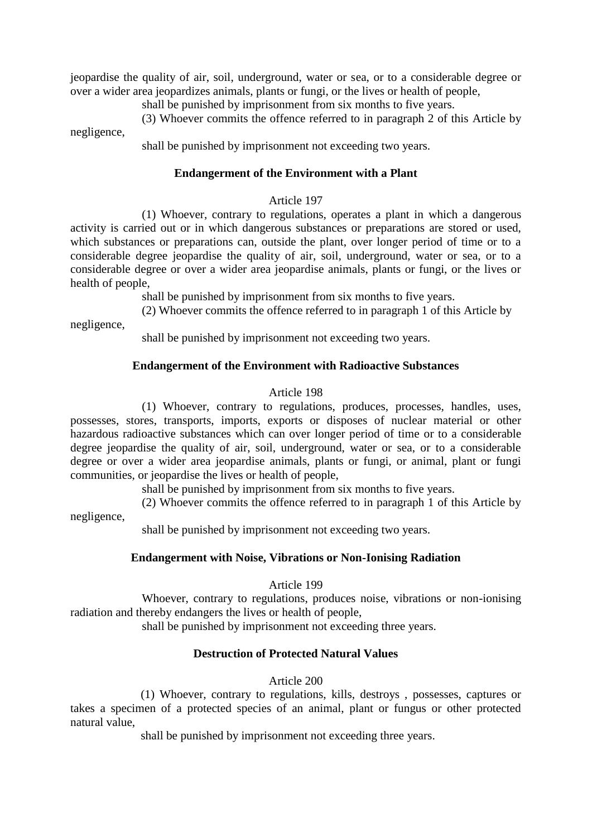jeopardise the quality of air, soil, underground, water or sea, or to a considerable degree or over a wider area jeopardizes animals, plants or fungi, or the lives or health of people,

shall be punished by imprisonment from six months to five years.

(3) Whoever commits the offence referred to in paragraph 2 of this Article by negligence,

shall be punished by imprisonment not exceeding two years.

# **Endangerment of the Environment with a Plant**

#### Article 197

(1) Whoever, contrary to regulations, operates a plant in which a dangerous activity is carried out or in which dangerous substances or preparations are stored or used, which substances or preparations can, outside the plant, over longer period of time or to a considerable degree jeopardise the quality of air, soil, underground, water or sea, or to a considerable degree or over a wider area jeopardise animals, plants or fungi, or the lives or health of people,

shall be punished by imprisonment from six months to five years.

(2) Whoever commits the offence referred to in paragraph 1 of this Article by

negligence,

negligence,

shall be punished by imprisonment not exceeding two years.

# **Endangerment of the Environment with Radioactive Substances**

# Article 198

(1) Whoever, contrary to regulations, produces, processes, handles, uses, possesses, stores, transports, imports, exports or disposes of nuclear material or other hazardous radioactive substances which can over longer period of time or to a considerable degree jeopardise the quality of air, soil, underground, water or sea, or to a considerable degree or over a wider area jeopardise animals, plants or fungi, or animal, plant or fungi communities, or jeopardise the lives or health of people,

shall be punished by imprisonment from six months to five years.

(2) Whoever commits the offence referred to in paragraph 1 of this Article by

shall be punished by imprisonment not exceeding two years.

# **Endangerment with Noise, Vibrations or Non-Ionising Radiation**

# Article 199

Whoever, contrary to regulations, produces noise, vibrations or non-ionising radiation and thereby endangers the lives or health of people,

shall be punished by imprisonment not exceeding three years.

# **Destruction of Protected Natural Values**

Article 200

(1) Whoever, contrary to regulations, kills, destroys , possesses, captures or takes a specimen of a protected species of an animal, plant or fungus or other protected natural value,

shall be punished by imprisonment not exceeding three years.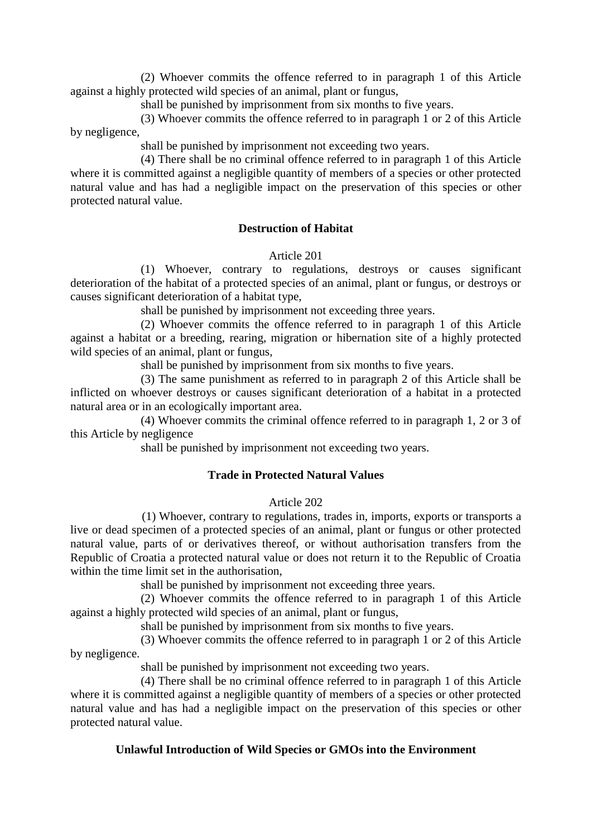(2) Whoever commits the offence referred to in paragraph 1 of this Article against a highly protected wild species of an animal, plant or fungus,

shall be punished by imprisonment from six months to five years.

(3) Whoever commits the offence referred to in paragraph 1 or 2 of this Article by negligence,

shall be punished by imprisonment not exceeding two years.

(4) There shall be no criminal offence referred to in paragraph 1 of this Article where it is committed against a negligible quantity of members of a species or other protected natural value and has had a negligible impact on the preservation of this species or other protected natural value.

# **Destruction of Habitat**

Article 201

(1) Whoever, contrary to regulations, destroys or causes significant deterioration of the habitat of a protected species of an animal, plant or fungus, or destroys or causes significant deterioration of a habitat type,

shall be punished by imprisonment not exceeding three years.

(2) Whoever commits the offence referred to in paragraph 1 of this Article against a habitat or a breeding, rearing, migration or hibernation site of a highly protected wild species of an animal, plant or fungus,

shall be punished by imprisonment from six months to five years.

(3) The same punishment as referred to in paragraph 2 of this Article shall be inflicted on whoever destroys or causes significant deterioration of a habitat in a protected natural area or in an ecologically important area.

(4) Whoever commits the criminal offence referred to in paragraph 1, 2 or 3 of this Article by negligence

shall be punished by imprisonment not exceeding two years.

# **Trade in Protected Natural Values**

# Article 202

(1) Whoever, contrary to regulations, trades in, imports, exports or transports a live or dead specimen of a protected species of an animal, plant or fungus or other protected natural value, parts of or derivatives thereof, or without authorisation transfers from the Republic of Croatia a protected natural value or does not return it to the Republic of Croatia within the time limit set in the authorisation,

shall be punished by imprisonment not exceeding three years.

(2) Whoever commits the offence referred to in paragraph 1 of this Article against a highly protected wild species of an animal, plant or fungus,

shall be punished by imprisonment from six months to five years.

(3) Whoever commits the offence referred to in paragraph 1 or 2 of this Article by negligence.

shall be punished by imprisonment not exceeding two years.

(4) There shall be no criminal offence referred to in paragraph 1 of this Article where it is committed against a negligible quantity of members of a species or other protected natural value and has had a negligible impact on the preservation of this species or other protected natural value.

# **Unlawful Introduction of Wild Species or GMOs into the Environment**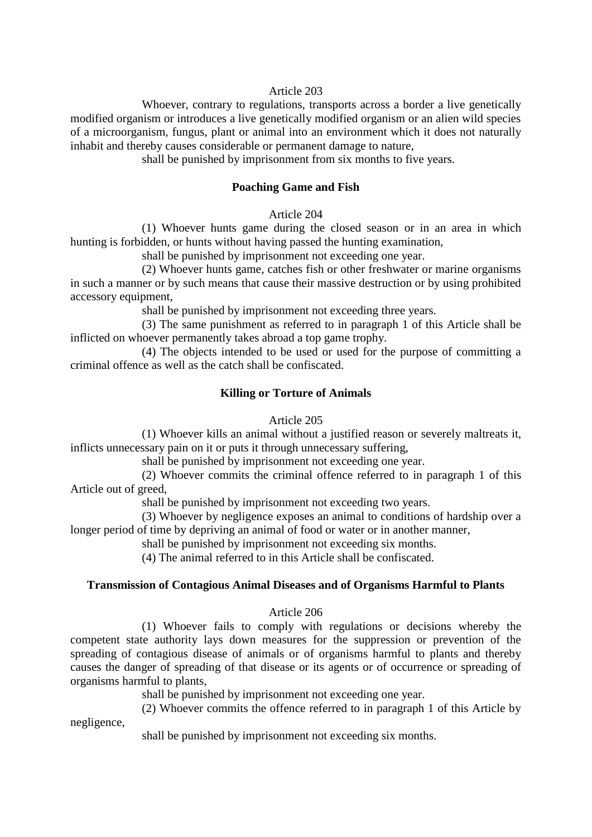#### Article 203

Whoever, contrary to regulations, transports across a border a live genetically modified organism or introduces a live genetically modified organism or an alien wild species of a microorganism, fungus, plant or animal into an environment which it does not naturally inhabit and thereby causes considerable or permanent damage to nature,

shall be punished by imprisonment from six months to five years.

#### **Poaching Game and Fish**

Article 204

(1) Whoever hunts game during the closed season or in an area in which hunting is forbidden, or hunts without having passed the hunting examination,

shall be punished by imprisonment not exceeding one year.

(2) Whoever hunts game, catches fish or other freshwater or marine organisms in such a manner or by such means that cause their massive destruction or by using prohibited accessory equipment,

shall be punished by imprisonment not exceeding three years.

(3) The same punishment as referred to in paragraph 1 of this Article shall be inflicted on whoever permanently takes abroad a top game trophy.

(4) The objects intended to be used or used for the purpose of committing a criminal offence as well as the catch shall be confiscated.

# **Killing or Torture of Animals**

#### Article 205

(1) Whoever kills an animal without a justified reason or severely maltreats it, inflicts unnecessary pain on it or puts it through unnecessary suffering,

shall be punished by imprisonment not exceeding one year.

(2) Whoever commits the criminal offence referred to in paragraph 1 of this Article out of greed,

shall be punished by imprisonment not exceeding two years.

(3) Whoever by negligence exposes an animal to conditions of hardship over a longer period of time by depriving an animal of food or water or in another manner,

shall be punished by imprisonment not exceeding six months.

(4) The animal referred to in this Article shall be confiscated.

# **Transmission of Contagious Animal Diseases and of Organisms Harmful to Plants**

#### Article 206

(1) Whoever fails to comply with regulations or decisions whereby the competent state authority lays down measures for the suppression or prevention of the spreading of contagious disease of animals or of organisms harmful to plants and thereby causes the danger of spreading of that disease or its agents or of occurrence or spreading of organisms harmful to plants,

shall be punished by imprisonment not exceeding one year.

(2) Whoever commits the offence referred to in paragraph 1 of this Article by negligence,

shall be punished by imprisonment not exceeding six months.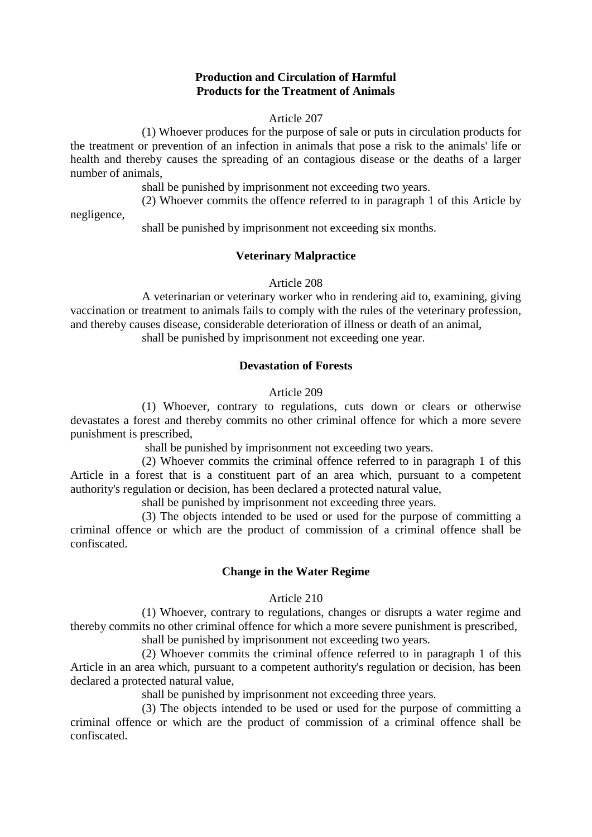# **Production and Circulation of Harmful Products for the Treatment of Animals**

#### Article 207

(1) Whoever produces for the purpose of sale or puts in circulation products for the treatment or prevention of an infection in animals that pose a risk to the animals' life or health and thereby causes the spreading of an contagious disease or the deaths of a larger number of animals,

shall be punished by imprisonment not exceeding two years.

(2) Whoever commits the offence referred to in paragraph 1 of this Article by

negligence,

shall be punished by imprisonment not exceeding six months.

#### **Veterinary Malpractice**

#### Article 208

A veterinarian or veterinary worker who in rendering aid to, examining, giving vaccination or treatment to animals fails to comply with the rules of the veterinary profession, and thereby causes disease, considerable deterioration of illness or death of an animal,

shall be punished by imprisonment not exceeding one year.

#### **Devastation of Forests**

#### Article 209

(1) Whoever, contrary to regulations, cuts down or clears or otherwise devastates a forest and thereby commits no other criminal offence for which a more severe punishment is prescribed,

shall be punished by imprisonment not exceeding two years.

(2) Whoever commits the criminal offence referred to in paragraph 1 of this Article in a forest that is a constituent part of an area which, pursuant to a competent authority's regulation or decision, has been declared a protected natural value,

shall be punished by imprisonment not exceeding three years.

(3) The objects intended to be used or used for the purpose of committing a criminal offence or which are the product of commission of a criminal offence shall be confiscated.

#### **Change in the Water Regime**

#### Article 210

(1) Whoever, contrary to regulations, changes or disrupts a water regime and thereby commits no other criminal offence for which a more severe punishment is prescribed, shall be punished by imprisonment not exceeding two years.

(2) Whoever commits the criminal offence referred to in paragraph 1 of this Article in an area which, pursuant to a competent authority's regulation or decision, has been declared a protected natural value,

shall be punished by imprisonment not exceeding three years.

(3) The objects intended to be used or used for the purpose of committing a criminal offence or which are the product of commission of a criminal offence shall be confiscated.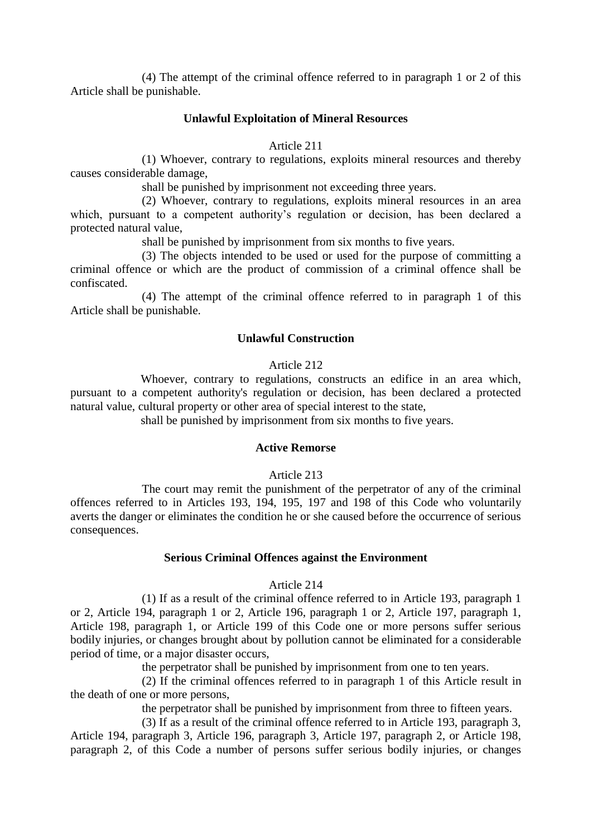(4) The attempt of the criminal offence referred to in paragraph 1 or 2 of this Article shall be punishable.

#### **Unlawful Exploitation of Mineral Resources**

#### Article 211

(1) Whoever, contrary to regulations, exploits mineral resources and thereby causes considerable damage,

shall be punished by imprisonment not exceeding three years.

(2) Whoever, contrary to regulations, exploits mineral resources in an area which, pursuant to a competent authority's regulation or decision, has been declared a protected natural value,

shall be punished by imprisonment from six months to five years.

(3) The objects intended to be used or used for the purpose of committing a criminal offence or which are the product of commission of a criminal offence shall be confiscated.

(4) The attempt of the criminal offence referred to in paragraph 1 of this Article shall be punishable.

#### **Unlawful Construction**

#### Article 212

Whoever, contrary to regulations, constructs an edifice in an area which, pursuant to a competent authority's regulation or decision, has been declared a protected natural value, cultural property or other area of special interest to the state,

shall be punished by imprisonment from six months to five years.

# **Active Remorse**

#### Article 213

The court may remit the punishment of the perpetrator of any of the criminal offences referred to in Articles 193, 194, 195, 197 and 198 of this Code who voluntarily averts the danger or eliminates the condition he or she caused before the occurrence of serious consequences.

#### **Serious Criminal Offences against the Environment**

# Article 214

(1) If as a result of the criminal offence referred to in Article 193, paragraph 1 or 2, Article 194, paragraph 1 or 2, Article 196, paragraph 1 or 2, Article 197, paragraph 1, Article 198, paragraph 1, or Article 199 of this Code one or more persons suffer serious bodily injuries, or changes brought about by pollution cannot be eliminated for a considerable period of time, or a major disaster occurs,

the perpetrator shall be punished by imprisonment from one to ten years.

(2) If the criminal offences referred to in paragraph 1 of this Article result in the death of one or more persons,

the perpetrator shall be punished by imprisonment from three to fifteen years.

(3) If as a result of the criminal offence referred to in Article 193, paragraph 3, Article 194, paragraph 3, Article 196, paragraph 3, Article 197, paragraph 2, or Article 198, paragraph 2, of this Code a number of persons suffer serious bodily injuries, or changes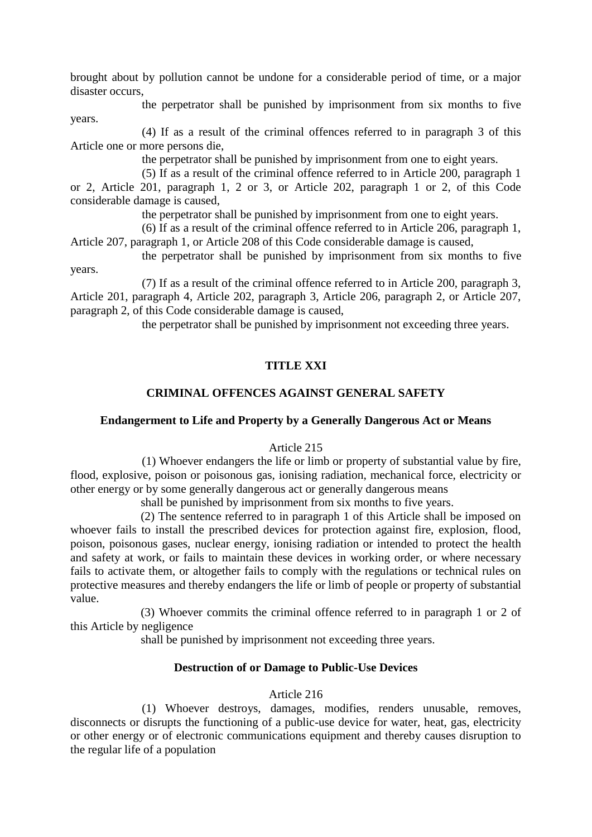brought about by pollution cannot be undone for a considerable period of time, or a major disaster occurs,

the perpetrator shall be punished by imprisonment from six months to five years.

(4) If as a result of the criminal offences referred to in paragraph 3 of this Article one or more persons die,

the perpetrator shall be punished by imprisonment from one to eight years.

(5) If as a result of the criminal offence referred to in Article 200, paragraph 1 or 2, Article 201, paragraph 1, 2 or 3, or Article 202, paragraph 1 or 2, of this Code considerable damage is caused,

the perpetrator shall be punished by imprisonment from one to eight years.

(6) If as a result of the criminal offence referred to in Article 206, paragraph 1, Article 207, paragraph 1, or Article 208 of this Code considerable damage is caused,

the perpetrator shall be punished by imprisonment from six months to five years.

(7) If as a result of the criminal offence referred to in Article 200, paragraph 3, Article 201, paragraph 4, Article 202, paragraph 3, Article 206, paragraph 2, or Article 207, paragraph 2, of this Code considerable damage is caused,

the perpetrator shall be punished by imprisonment not exceeding three years.

# **TITLE XXI**

# **CRIMINAL OFFENCES AGAINST GENERAL SAFETY**

#### **Endangerment to Life and Property by a Generally Dangerous Act or Means**

#### Article 215

(1) Whoever endangers the life or limb or property of substantial value by fire, flood, explosive, poison or poisonous gas, ionising radiation, mechanical force, electricity or other energy or by some generally dangerous act or generally dangerous means

shall be punished by imprisonment from six months to five years.

(2) The sentence referred to in paragraph 1 of this Article shall be imposed on whoever fails to install the prescribed devices for protection against fire, explosion, flood, poison, poisonous gases, nuclear energy, ionising radiation or intended to protect the health and safety at work, or fails to maintain these devices in working order, or where necessary fails to activate them, or altogether fails to comply with the regulations or technical rules on protective measures and thereby endangers the life or limb of people or property of substantial value.

(3) Whoever commits the criminal offence referred to in paragraph 1 or 2 of this Article by negligence

shall be punished by imprisonment not exceeding three years.

# **Destruction of or Damage to Public-Use Devices**

# Article 216

(1) Whoever destroys, damages, modifies, renders unusable, removes, disconnects or disrupts the functioning of a public-use device for water, heat, gas, electricity or other energy or of electronic communications equipment and thereby causes disruption to the regular life of a population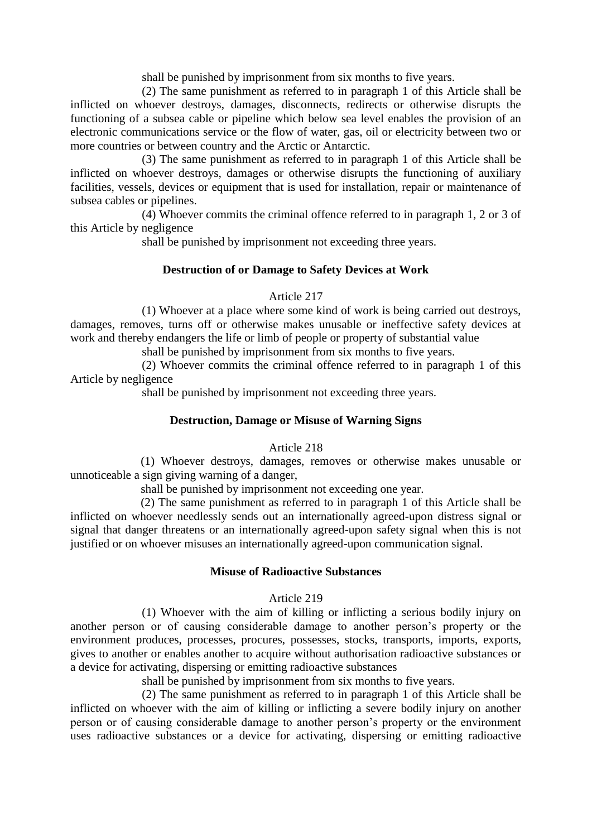shall be punished by imprisonment from six months to five years.

(2) The same punishment as referred to in paragraph 1 of this Article shall be inflicted on whoever destroys, damages, disconnects, redirects or otherwise disrupts the functioning of a subsea cable or pipeline which below sea level enables the provision of an electronic communications service or the flow of water, gas, oil or electricity between two or more countries or between country and the Arctic or Antarctic.

(3) The same punishment as referred to in paragraph 1 of this Article shall be inflicted on whoever destroys, damages or otherwise disrupts the functioning of auxiliary facilities, vessels, devices or equipment that is used for installation, repair or maintenance of subsea cables or pipelines.

(4) Whoever commits the criminal offence referred to in paragraph 1, 2 or 3 of this Article by negligence

shall be punished by imprisonment not exceeding three years.

# **Destruction of or Damage to Safety Devices at Work**

# Article 217

(1) Whoever at a place where some kind of work is being carried out destroys, damages, removes, turns off or otherwise makes unusable or ineffective safety devices at work and thereby endangers the life or limb of people or property of substantial value

shall be punished by imprisonment from six months to five years.

(2) Whoever commits the criminal offence referred to in paragraph 1 of this Article by negligence

shall be punished by imprisonment not exceeding three years.

# **Destruction, Damage or Misuse of Warning Signs**

# Article 218

(1) Whoever destroys, damages, removes or otherwise makes unusable or unnoticeable a sign giving warning of a danger,

shall be punished by imprisonment not exceeding one year.

(2) The same punishment as referred to in paragraph 1 of this Article shall be inflicted on whoever needlessly sends out an internationally agreed-upon distress signal or signal that danger threatens or an internationally agreed-upon safety signal when this is not justified or on whoever misuses an internationally agreed-upon communication signal.

# **Misuse of Radioactive Substances**

# Article 219

(1) Whoever with the aim of killing or inflicting a serious bodily injury on another person or of causing considerable damage to another person's property or the environment produces, processes, procures, possesses, stocks, transports, imports, exports, gives to another or enables another to acquire without authorisation radioactive substances or a device for activating, dispersing or emitting radioactive substances

shall be punished by imprisonment from six months to five years.

(2) The same punishment as referred to in paragraph 1 of this Article shall be inflicted on whoever with the aim of killing or inflicting a severe bodily injury on another person or of causing considerable damage to another person's property or the environment uses radioactive substances or a device for activating, dispersing or emitting radioactive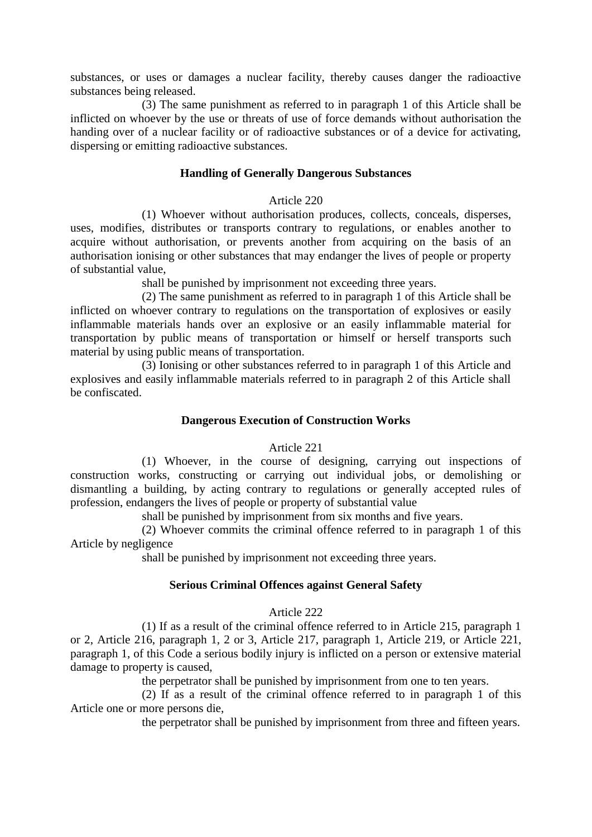substances, or uses or damages a nuclear facility, thereby causes danger the radioactive substances being released.

(3) The same punishment as referred to in paragraph 1 of this Article shall be inflicted on whoever by the use or threats of use of force demands without authorisation the handing over of a nuclear facility or of radioactive substances or of a device for activating, dispersing or emitting radioactive substances.

# **Handling of Generally Dangerous Substances**

#### Article 220

(1) Whoever without authorisation produces, collects, conceals, disperses, uses, modifies, distributes or transports contrary to regulations, or enables another to acquire without authorisation, or prevents another from acquiring on the basis of an authorisation ionising or other substances that may endanger the lives of people or property of substantial value,

shall be punished by imprisonment not exceeding three years.

(2) The same punishment as referred to in paragraph 1 of this Article shall be inflicted on whoever contrary to regulations on the transportation of explosives or easily inflammable materials hands over an explosive or an easily inflammable material for transportation by public means of transportation or himself or herself transports such material by using public means of transportation.

(3) Ionising or other substances referred to in paragraph 1 of this Article and explosives and easily inflammable materials referred to in paragraph 2 of this Article shall be confiscated.

# **Dangerous Execution of Construction Works**

# Article 221

(1) Whoever, in the course of designing, carrying out inspections of construction works, constructing or carrying out individual jobs, or demolishing or dismantling a building, by acting contrary to regulations or generally accepted rules of profession, endangers the lives of people or property of substantial value

shall be punished by imprisonment from six months and five years.

(2) Whoever commits the criminal offence referred to in paragraph 1 of this Article by negligence

shall be punished by imprisonment not exceeding three years.

# **Serious Criminal Offences against General Safety**

# Article 222

(1) If as a result of the criminal offence referred to in Article 215, paragraph 1 or 2, Article 216, paragraph 1, 2 or 3, Article 217, paragraph 1, Article 219, or Article 221, paragraph 1, of this Code a serious bodily injury is inflicted on a person or extensive material damage to property is caused,

the perpetrator shall be punished by imprisonment from one to ten years.

(2) If as a result of the criminal offence referred to in paragraph 1 of this Article one or more persons die,

the perpetrator shall be punished by imprisonment from three and fifteen years.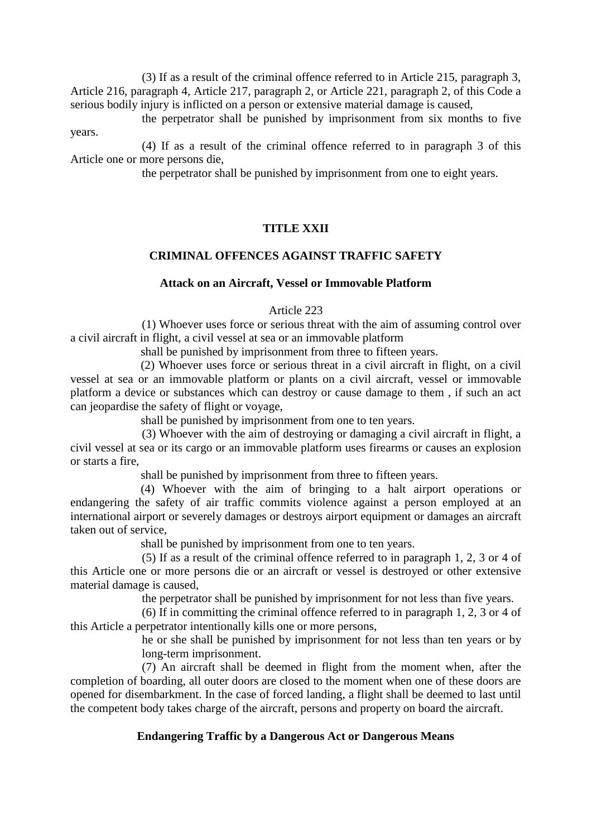(3) If as a result of the criminal offence referred to in Article 215, paragraph 3, Article 216, paragraph 4, Article 217, paragraph 2, or Article 221, paragraph 2, of this Code a serious bodily injury is inflicted on a person or extensive material damage is caused,

the perpetrator shall be punished by imprisonment from six months to five years.

(4) If as a result of the criminal offence referred to in paragraph 3 of this Article one or more persons die,

the perpetrator shall be punished by imprisonment from one to eight years.

# **TITLE XXII**

# **CRIMINAL OFFENCES AGAINST TRAFFIC SAFETY**

# **Attack on an Aircraft, Vessel or Immovable Platform**

#### Article 223

(1) Whoever uses force or serious threat with the aim of assuming control over a civil aircraft in flight, a civil vessel at sea or an immovable platform

shall be punished by imprisonment from three to fifteen years.

(2) Whoever uses force or serious threat in a civil aircraft in flight, on a civil vessel at sea or an immovable platform or plants on a civil aircraft, vessel or immovable platform a device or substances which can destroy or cause damage to them , if such an act can jeopardise the safety of flight or voyage,

shall be punished by imprisonment from one to ten years.

(3) Whoever with the aim of destroying or damaging a civil aircraft in flight, a civil vessel at sea or its cargo or an immovable platform uses firearms or causes an explosion or starts a fire,

shall be punished by imprisonment from three to fifteen years.

(4) Whoever with the aim of bringing to a halt airport operations or endangering the safety of air traffic commits violence against a person employed at an international airport or severely damages or destroys airport equipment or damages an aircraft taken out of service,

shall be punished by imprisonment from one to ten years.

(5) If as a result of the criminal offence referred to in paragraph 1, 2, 3 or 4 of this Article one or more persons die or an aircraft or vessel is destroyed or other extensive material damage is caused,

the perpetrator shall be punished by imprisonment for not less than five years.

(6) If in committing the criminal offence referred to in paragraph 1, 2, 3 or 4 of this Article a perpetrator intentionally kills one or more persons,

> he or she shall be punished by imprisonment for not less than ten years or by long-term imprisonment.

(7) An aircraft shall be deemed in flight from the moment when, after the completion of boarding, all outer doors are closed to the moment when one of these doors are opened for disembarkment. In the case of forced landing, a flight shall be deemed to last until the competent body takes charge of the aircraft, persons and property on board the aircraft.

# **Endangering Traffic by a Dangerous Act or Dangerous Means**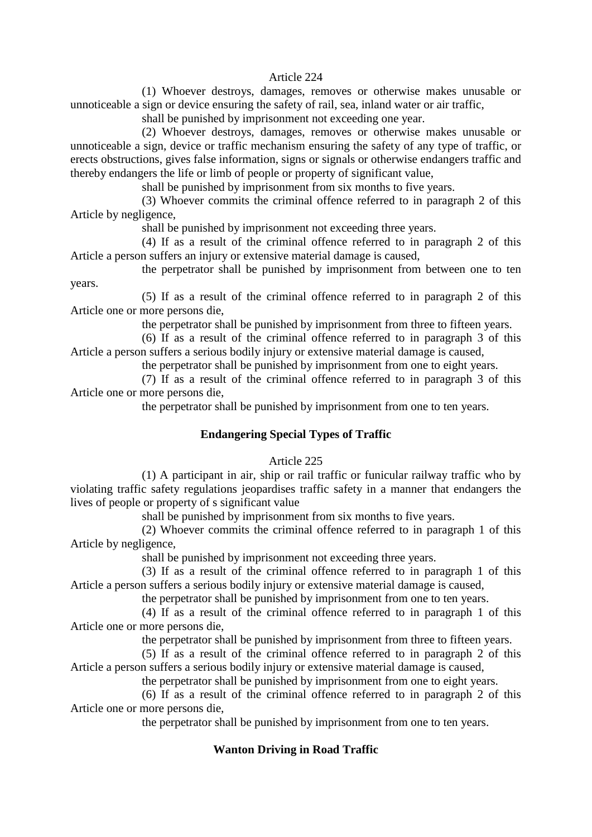#### Article 224

(1) Whoever destroys, damages, removes or otherwise makes unusable or unnoticeable a sign or device ensuring the safety of rail, sea, inland water or air traffic,

shall be punished by imprisonment not exceeding one year.

(2) Whoever destroys, damages, removes or otherwise makes unusable or unnoticeable a sign, device or traffic mechanism ensuring the safety of any type of traffic, or erects obstructions, gives false information, signs or signals or otherwise endangers traffic and thereby endangers the life or limb of people or property of significant value,

shall be punished by imprisonment from six months to five years.

(3) Whoever commits the criminal offence referred to in paragraph 2 of this Article by negligence,

shall be punished by imprisonment not exceeding three years.

(4) If as a result of the criminal offence referred to in paragraph 2 of this Article a person suffers an injury or extensive material damage is caused,

the perpetrator shall be punished by imprisonment from between one to ten years.

(5) If as a result of the criminal offence referred to in paragraph 2 of this Article one or more persons die,

the perpetrator shall be punished by imprisonment from three to fifteen years.

(6) If as a result of the criminal offence referred to in paragraph 3 of this Article a person suffers a serious bodily injury or extensive material damage is caused,

the perpetrator shall be punished by imprisonment from one to eight years.

(7) If as a result of the criminal offence referred to in paragraph 3 of this Article one or more persons die,

the perpetrator shall be punished by imprisonment from one to ten years.

# **Endangering Special Types of Traffic**

# Article 225

(1) A participant in air, ship or rail traffic or funicular railway traffic who by violating traffic safety regulations jeopardises traffic safety in a manner that endangers the lives of people or property of s significant value

shall be punished by imprisonment from six months to five years.

(2) Whoever commits the criminal offence referred to in paragraph 1 of this Article by negligence,

shall be punished by imprisonment not exceeding three years.

(3) If as a result of the criminal offence referred to in paragraph 1 of this Article a person suffers a serious bodily injury or extensive material damage is caused,

the perpetrator shall be punished by imprisonment from one to ten years.

(4) If as a result of the criminal offence referred to in paragraph 1 of this Article one or more persons die,

the perpetrator shall be punished by imprisonment from three to fifteen years.

(5) If as a result of the criminal offence referred to in paragraph 2 of this Article a person suffers a serious bodily injury or extensive material damage is caused,

the perpetrator shall be punished by imprisonment from one to eight years.

(6) If as a result of the criminal offence referred to in paragraph 2 of this Article one or more persons die,

the perpetrator shall be punished by imprisonment from one to ten years.

# **Wanton Driving in Road Traffic**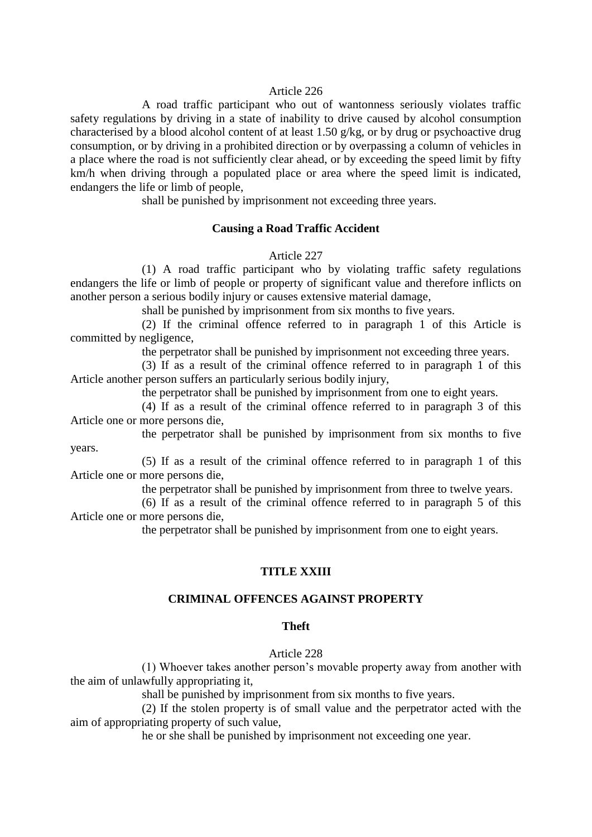#### Article 226

A road traffic participant who out of wantonness seriously violates traffic safety regulations by driving in a state of inability to drive caused by alcohol consumption characterised by a blood alcohol content of at least 1.50 g/kg, or by drug or psychoactive drug consumption, or by driving in a prohibited direction or by overpassing a column of vehicles in a place where the road is not sufficiently clear ahead, or by exceeding the speed limit by fifty km/h when driving through a populated place or area where the speed limit is indicated, endangers the life or limb of people,

shall be punished by imprisonment not exceeding three years.

#### **Causing a Road Traffic Accident**

Article 227

(1) A road traffic participant who by violating traffic safety regulations endangers the life or limb of people or property of significant value and therefore inflicts on another person a serious bodily injury or causes extensive material damage,

shall be punished by imprisonment from six months to five years.

(2) If the criminal offence referred to in paragraph 1 of this Article is committed by negligence,

the perpetrator shall be punished by imprisonment not exceeding three years.

(3) If as a result of the criminal offence referred to in paragraph 1 of this Article another person suffers an particularly serious bodily injury,

the perpetrator shall be punished by imprisonment from one to eight years.

(4) If as a result of the criminal offence referred to in paragraph 3 of this Article one or more persons die,

the perpetrator shall be punished by imprisonment from six months to five years.

(5) If as a result of the criminal offence referred to in paragraph 1 of this Article one or more persons die,

the perpetrator shall be punished by imprisonment from three to twelve years.

(6) If as a result of the criminal offence referred to in paragraph 5 of this Article one or more persons die,

the perpetrator shall be punished by imprisonment from one to eight years.

#### **TITLE XXIII**

#### **CRIMINAL OFFENCES AGAINST PROPERTY**

# **Theft**

#### Article 228

(1) Whoever takes another person's movable property away from another with the aim of unlawfully appropriating it,

shall be punished by imprisonment from six months to five years.

(2) If the stolen property is of small value and the perpetrator acted with the aim of appropriating property of such value,

he or she shall be punished by imprisonment not exceeding one year.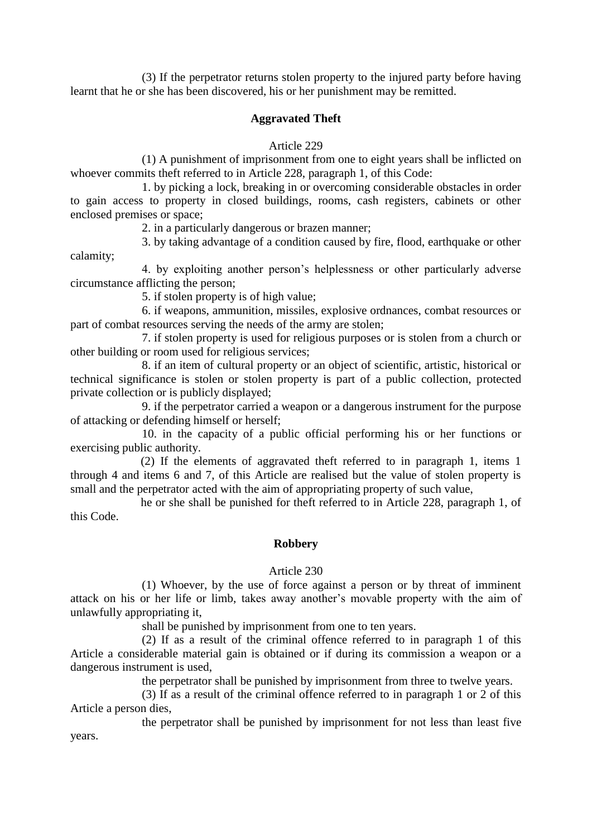(3) If the perpetrator returns stolen property to the injured party before having learnt that he or she has been discovered, his or her punishment may be remitted.

# **Aggravated Theft**

# Article 229

(1) A punishment of imprisonment from one to eight years shall be inflicted on whoever commits theft referred to in Article 228, paragraph 1, of this Code:

1. by picking a lock, breaking in or overcoming considerable obstacles in order to gain access to property in closed buildings, rooms, cash registers, cabinets or other enclosed premises or space;

2. in a particularly dangerous or brazen manner;

3. by taking advantage of a condition caused by fire, flood, earthquake or other calamity;

4. by exploiting another person's helplessness or other particularly adverse circumstance afflicting the person;

5. if stolen property is of high value;

6. if weapons, ammunition, missiles, explosive ordnances, combat resources or part of combat resources serving the needs of the army are stolen;

7. if stolen property is used for religious purposes or is stolen from a church or other building or room used for religious services;

8. if an item of cultural property or an object of scientific, artistic, historical or technical significance is stolen or stolen property is part of a public collection, protected private collection or is publicly displayed;

9. if the perpetrator carried a weapon or a dangerous instrument for the purpose of attacking or defending himself or herself;

10. in the capacity of a public official performing his or her functions or exercising public authority.

(2) If the elements of aggravated theft referred to in paragraph 1, items 1 through 4 and items 6 and 7, of this Article are realised but the value of stolen property is small and the perpetrator acted with the aim of appropriating property of such value,

he or she shall be punished for theft referred to in Article 228, paragraph 1, of this Code.

# **Robbery**

# Article 230

(1) Whoever, by the use of force against a person or by threat of imminent attack on his or her life or limb, takes away another's movable property with the aim of unlawfully appropriating it,

shall be punished by imprisonment from one to ten years.

(2) If as a result of the criminal offence referred to in paragraph 1 of this Article a considerable material gain is obtained or if during its commission a weapon or a dangerous instrument is used,

the perpetrator shall be punished by imprisonment from three to twelve years.

(3) If as a result of the criminal offence referred to in paragraph 1 or 2 of this Article a person dies,

the perpetrator shall be punished by imprisonment for not less than least five years.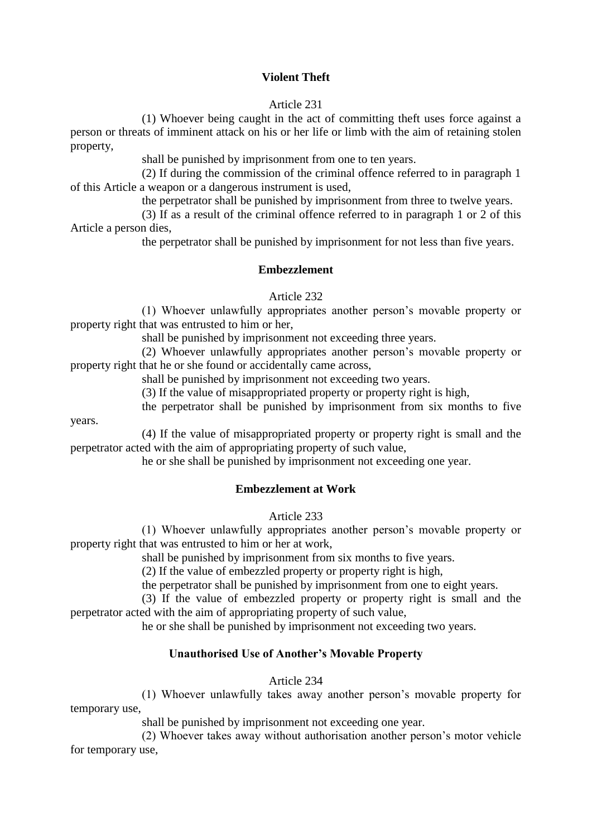# **Violent Theft**

# Article 231

(1) Whoever being caught in the act of committing theft uses force against a person or threats of imminent attack on his or her life or limb with the aim of retaining stolen property,

shall be punished by imprisonment from one to ten years.

(2) If during the commission of the criminal offence referred to in paragraph 1 of this Article a weapon or a dangerous instrument is used,

the perpetrator shall be punished by imprisonment from three to twelve years.

(3) If as a result of the criminal offence referred to in paragraph 1 or 2 of this Article a person dies,

the perpetrator shall be punished by imprisonment for not less than five years.

#### **Embezzlement**

#### Article 232

(1) Whoever unlawfully appropriates another person's movable property or property right that was entrusted to him or her,

shall be punished by imprisonment not exceeding three years.

(2) Whoever unlawfully appropriates another person's movable property or property right that he or she found or accidentally came across,

shall be punished by imprisonment not exceeding two years.

(3) If the value of misappropriated property or property right is high,

the perpetrator shall be punished by imprisonment from six months to five

years.

(4) If the value of misappropriated property or property right is small and the perpetrator acted with the aim of appropriating property of such value,

he or she shall be punished by imprisonment not exceeding one year.

# **Embezzlement at Work**

Article 233

(1) Whoever unlawfully appropriates another person's movable property or property right that was entrusted to him or her at work,

shall be punished by imprisonment from six months to five years.

(2) If the value of embezzled property or property right is high,

the perpetrator shall be punished by imprisonment from one to eight years.

(3) If the value of embezzled property or property right is small and the perpetrator acted with the aim of appropriating property of such value,

he or she shall be punished by imprisonment not exceeding two years.

# **Unauthorised Use of Another's Movable Property**

Article 234

(1) Whoever unlawfully takes away another person's movable property for temporary use,

shall be punished by imprisonment not exceeding one year.

(2) Whoever takes away without authorisation another person's motor vehicle for temporary use,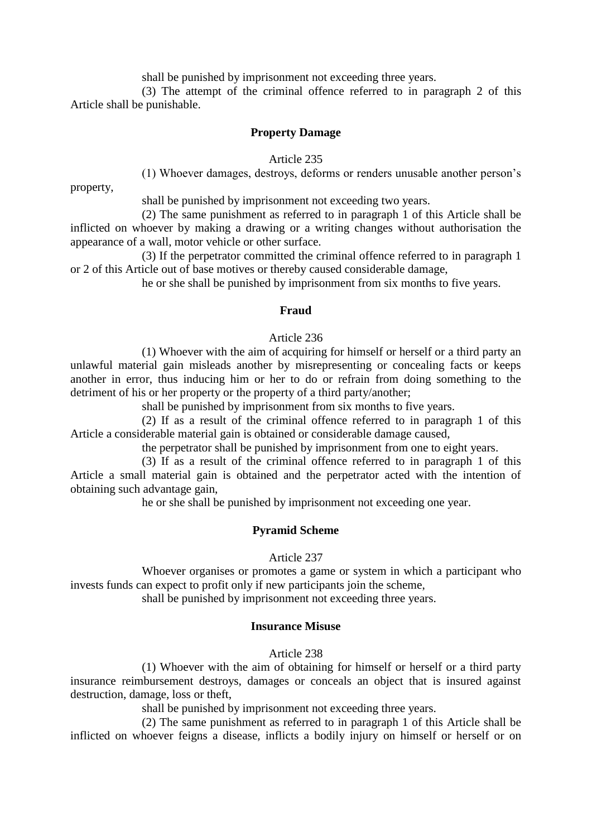shall be punished by imprisonment not exceeding three years.

(3) The attempt of the criminal offence referred to in paragraph 2 of this Article shall be punishable.

#### **Property Damage**

Article 235

property,

(1) Whoever damages, destroys, deforms or renders unusable another person's

shall be punished by imprisonment not exceeding two years.

(2) The same punishment as referred to in paragraph 1 of this Article shall be inflicted on whoever by making a drawing or a writing changes without authorisation the appearance of a wall, motor vehicle or other surface.

(3) If the perpetrator committed the criminal offence referred to in paragraph 1 or 2 of this Article out of base motives or thereby caused considerable damage,

he or she shall be punished by imprisonment from six months to five years.

#### **Fraud**

#### Article 236

(1) Whoever with the aim of acquiring for himself or herself or a third party an unlawful material gain misleads another by misrepresenting or concealing facts or keeps another in error, thus inducing him or her to do or refrain from doing something to the detriment of his or her property or the property of a third party/another;

shall be punished by imprisonment from six months to five years.

(2) If as a result of the criminal offence referred to in paragraph 1 of this Article a considerable material gain is obtained or considerable damage caused,

the perpetrator shall be punished by imprisonment from one to eight years.

(3) If as a result of the criminal offence referred to in paragraph 1 of this Article a small material gain is obtained and the perpetrator acted with the intention of obtaining such advantage gain,

he or she shall be punished by imprisonment not exceeding one year.

#### **Pyramid Scheme**

#### Article 237

Whoever organises or promotes a game or system in which a participant who invests funds can expect to profit only if new participants join the scheme,

shall be punished by imprisonment not exceeding three years.

#### **Insurance Misuse**

#### Article 238

(1) Whoever with the aim of obtaining for himself or herself or a third party insurance reimbursement destroys, damages or conceals an object that is insured against destruction, damage, loss or theft,

shall be punished by imprisonment not exceeding three years.

(2) The same punishment as referred to in paragraph 1 of this Article shall be inflicted on whoever feigns a disease, inflicts a bodily injury on himself or herself or on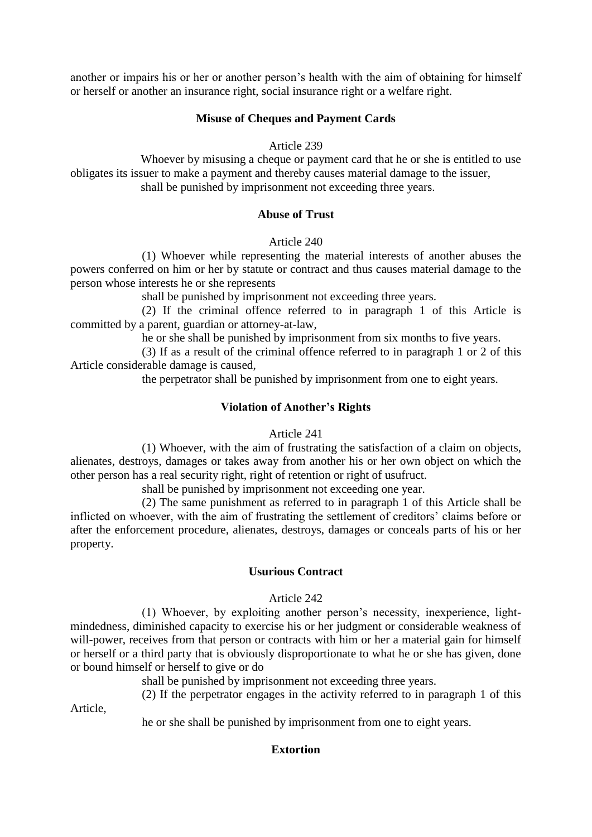another or impairs his or her or another person's health with the aim of obtaining for himself or herself or another an insurance right, social insurance right or a welfare right.

# **Misuse of Cheques and Payment Cards**

# Article 239

Whoever by misusing a cheque or payment card that he or she is entitled to use obligates its issuer to make a payment and thereby causes material damage to the issuer, shall be punished by imprisonment not exceeding three years.

# **Abuse of Trust**

# Article 240

(1) Whoever while representing the material interests of another abuses the powers conferred on him or her by statute or contract and thus causes material damage to the person whose interests he or she represents

shall be punished by imprisonment not exceeding three years.

(2) If the criminal offence referred to in paragraph 1 of this Article is committed by a parent, guardian or attorney-at-law,

he or she shall be punished by imprisonment from six months to five years.

(3) If as a result of the criminal offence referred to in paragraph 1 or 2 of this Article considerable damage is caused,

the perpetrator shall be punished by imprisonment from one to eight years.

# **Violation of Another's Rights**

# Article 241

(1) Whoever, with the aim of frustrating the satisfaction of a claim on objects, alienates, destroys, damages or takes away from another his or her own object on which the other person has a real security right, right of retention or right of usufruct.

shall be punished by imprisonment not exceeding one year.

(2) The same punishment as referred to in paragraph 1 of this Article shall be inflicted on whoever, with the aim of frustrating the settlement of creditors' claims before or after the enforcement procedure, alienates, destroys, damages or conceals parts of his or her property.

# **Usurious Contract**

# Article 242

(1) Whoever, by exploiting another person's necessity, inexperience, lightmindedness, diminished capacity to exercise his or her judgment or considerable weakness of will-power, receives from that person or contracts with him or her a material gain for himself or herself or a third party that is obviously disproportionate to what he or she has given, done or bound himself or herself to give or do

shall be punished by imprisonment not exceeding three years.

(2) If the perpetrator engages in the activity referred to in paragraph 1 of this

Article,

he or she shall be punished by imprisonment from one to eight years.

# **Extortion**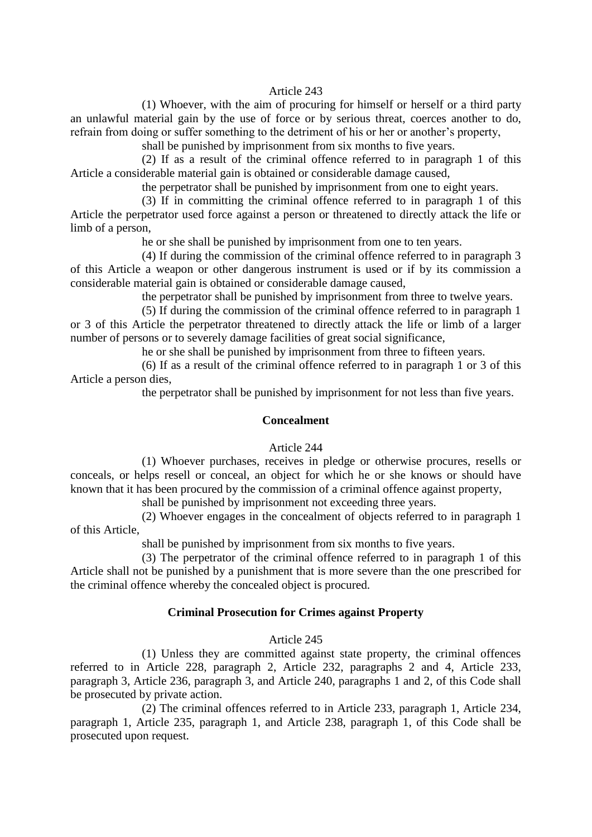#### Article 243

(1) Whoever, with the aim of procuring for himself or herself or a third party an unlawful material gain by the use of force or by serious threat, coerces another to do, refrain from doing or suffer something to the detriment of his or her or another's property,

shall be punished by imprisonment from six months to five years.

(2) If as a result of the criminal offence referred to in paragraph 1 of this Article a considerable material gain is obtained or considerable damage caused,

the perpetrator shall be punished by imprisonment from one to eight years.

(3) If in committing the criminal offence referred to in paragraph 1 of this Article the perpetrator used force against a person or threatened to directly attack the life or limb of a person,

he or she shall be punished by imprisonment from one to ten years.

(4) If during the commission of the criminal offence referred to in paragraph 3 of this Article a weapon or other dangerous instrument is used or if by its commission a considerable material gain is obtained or considerable damage caused,

the perpetrator shall be punished by imprisonment from three to twelve years.

(5) If during the commission of the criminal offence referred to in paragraph 1 or 3 of this Article the perpetrator threatened to directly attack the life or limb of a larger number of persons or to severely damage facilities of great social significance,

he or she shall be punished by imprisonment from three to fifteen years.

(6) If as a result of the criminal offence referred to in paragraph 1 or 3 of this Article a person dies,

the perpetrator shall be punished by imprisonment for not less than five years.

# **Concealment**

#### Article 244

(1) Whoever purchases, receives in pledge or otherwise procures, resells or conceals, or helps resell or conceal, an object for which he or she knows or should have known that it has been procured by the commission of a criminal offence against property,

shall be punished by imprisonment not exceeding three years.

(2) Whoever engages in the concealment of objects referred to in paragraph 1 of this Article,

shall be punished by imprisonment from six months to five years.

(3) The perpetrator of the criminal offence referred to in paragraph 1 of this Article shall not be punished by a punishment that is more severe than the one prescribed for the criminal offence whereby the concealed object is procured.

#### **Criminal Prosecution for Crimes against Property**

#### Article 245

(1) Unless they are committed against state property, the criminal offences referred to in Article 228, paragraph 2, Article 232, paragraphs 2 and 4, Article 233, paragraph 3, Article 236, paragraph 3, and Article 240, paragraphs 1 and 2, of this Code shall be prosecuted by private action.

(2) The criminal offences referred to in Article 233, paragraph 1, Article 234, paragraph 1, Article 235, paragraph 1, and Article 238, paragraph 1, of this Code shall be prosecuted upon request.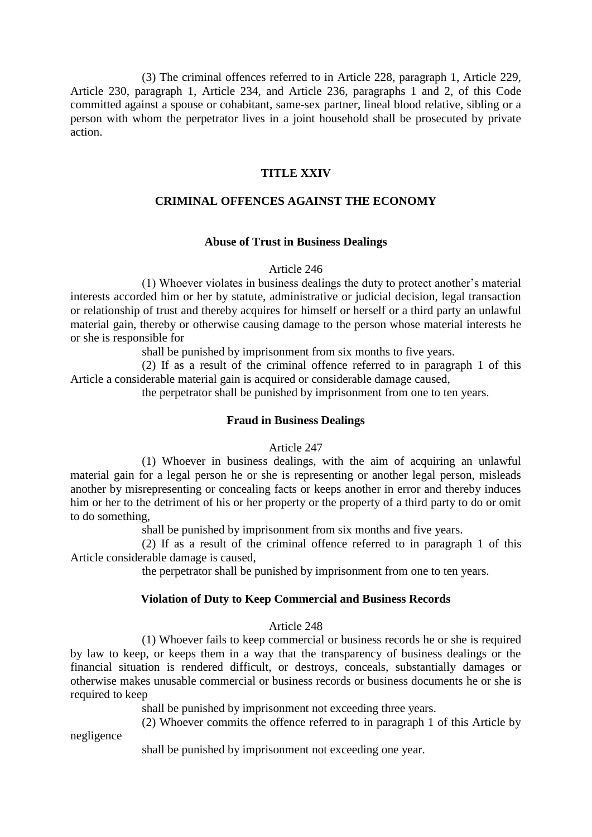(3) The criminal offences referred to in Article 228, paragraph 1, Article 229, Article 230, paragraph 1, Article 234, and Article 236, paragraphs 1 and 2, of this Code committed against a spouse or cohabitant, same-sex partner, lineal blood relative, sibling or a person with whom the perpetrator lives in a joint household shall be prosecuted by private action.

# **TITLE XXIV**

# **CRIMINAL OFFENCES AGAINST THE ECONOMY**

#### **Abuse of Trust in Business Dealings**

#### Article 246

(1) Whoever violates in business dealings the duty to protect another's material interests accorded him or her by statute, administrative or judicial decision, legal transaction or relationship of trust and thereby acquires for himself or herself or a third party an unlawful material gain, thereby or otherwise causing damage to the person whose material interests he or she is responsible for

shall be punished by imprisonment from six months to five years.

(2) If as a result of the criminal offence referred to in paragraph 1 of this Article a considerable material gain is acquired or considerable damage caused,

the perpetrator shall be punished by imprisonment from one to ten years.

#### **Fraud in Business Dealings**

Article 247

(1) Whoever in business dealings, with the aim of acquiring an unlawful material gain for a legal person he or she is representing or another legal person, misleads another by misrepresenting or concealing facts or keeps another in error and thereby induces him or her to the detriment of his or her property or the property of a third party to do or omit to do something,

shall be punished by imprisonment from six months and five years.

(2) If as a result of the criminal offence referred to in paragraph 1 of this Article considerable damage is caused,

the perpetrator shall be punished by imprisonment from one to ten years.

#### **Violation of Duty to Keep Commercial and Business Records**

#### Article 248

(1) Whoever fails to keep commercial or business records he or she is required by law to keep, or keeps them in a way that the transparency of business dealings or the financial situation is rendered difficult, or destroys, conceals, substantially damages or otherwise makes unusable commercial or business records or business documents he or she is required to keep

shall be punished by imprisonment not exceeding three years.

(2) Whoever commits the offence referred to in paragraph 1 of this Article by

negligence

shall be punished by imprisonment not exceeding one year.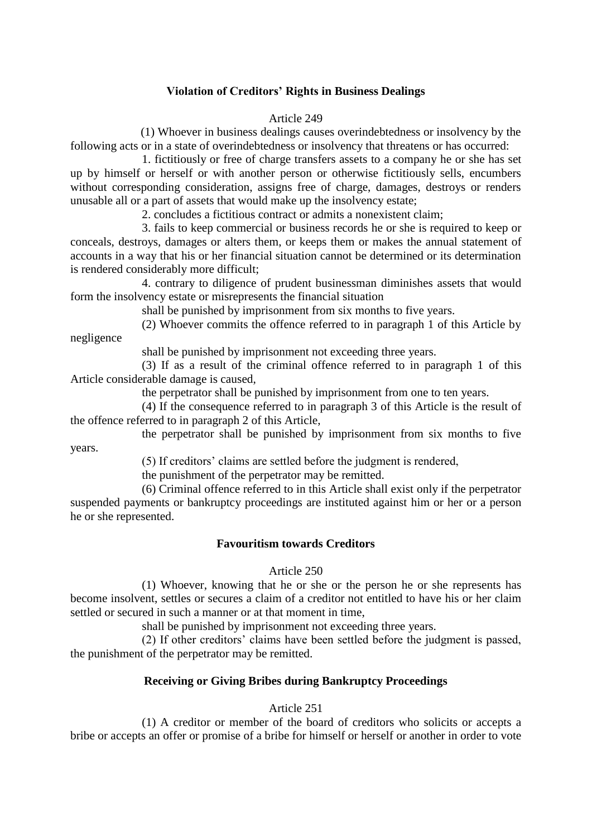# **Violation of Creditors' Rights in Business Dealings**

#### Article 249

(1) Whoever in business dealings causes overindebtedness or insolvency by the following acts or in a state of overindebtedness or insolvency that threatens or has occurred:

1. fictitiously or free of charge transfers assets to a company he or she has set up by himself or herself or with another person or otherwise fictitiously sells, encumbers without corresponding consideration, assigns free of charge, damages, destroys or renders unusable all or a part of assets that would make up the insolvency estate;

2. concludes a fictitious contract or admits a nonexistent claim;

3. fails to keep commercial or business records he or she is required to keep or conceals, destroys, damages or alters them, or keeps them or makes the annual statement of accounts in a way that his or her financial situation cannot be determined or its determination is rendered considerably more difficult;

4. contrary to diligence of prudent businessman diminishes assets that would form the insolvency estate or misrepresents the financial situation

shall be punished by imprisonment from six months to five years.

(2) Whoever commits the offence referred to in paragraph 1 of this Article by negligence

shall be punished by imprisonment not exceeding three years.

(3) If as a result of the criminal offence referred to in paragraph 1 of this Article considerable damage is caused,

the perpetrator shall be punished by imprisonment from one to ten years.

(4) If the consequence referred to in paragraph 3 of this Article is the result of the offence referred to in paragraph 2 of this Article,

the perpetrator shall be punished by imprisonment from six months to five years.

(5) If creditors' claims are settled before the judgment is rendered,

the punishment of the perpetrator may be remitted.

(6) Criminal offence referred to in this Article shall exist only if the perpetrator suspended payments or bankruptcy proceedings are instituted against him or her or a person he or she represented.

# **Favouritism towards Creditors**

#### Article 250

(1) Whoever, knowing that he or she or the person he or she represents has become insolvent, settles or secures a claim of a creditor not entitled to have his or her claim settled or secured in such a manner or at that moment in time,

shall be punished by imprisonment not exceeding three years.

(2) If other creditors' claims have been settled before the judgment is passed, the punishment of the perpetrator may be remitted.

# **Receiving or Giving Bribes during Bankruptcy Proceedings**

#### Article 251

(1) A creditor or member of the board of creditors who solicits or accepts a bribe or accepts an offer or promise of a bribe for himself or herself or another in order to vote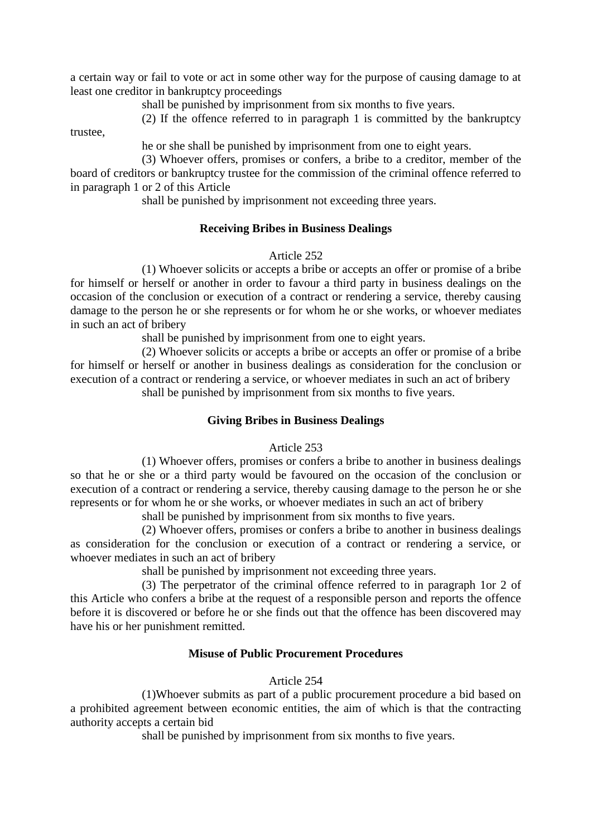a certain way or fail to vote or act in some other way for the purpose of causing damage to at least one creditor in bankruptcy proceedings

shall be punished by imprisonment from six months to five years.

(2) If the offence referred to in paragraph 1 is committed by the bankruptcy

trustee,

he or she shall be punished by imprisonment from one to eight years.

(3) Whoever offers, promises or confers, a bribe to a creditor, member of the board of creditors or bankruptcy trustee for the commission of the criminal offence referred to in paragraph 1 or 2 of this Article

shall be punished by imprisonment not exceeding three years.

# **Receiving Bribes in Business Dealings**

#### Article 252

(1) Whoever solicits or accepts a bribe or accepts an offer or promise of a bribe for himself or herself or another in order to favour a third party in business dealings on the occasion of the conclusion or execution of a contract or rendering a service, thereby causing damage to the person he or she represents or for whom he or she works, or whoever mediates in such an act of bribery

shall be punished by imprisonment from one to eight years.

(2) Whoever solicits or accepts a bribe or accepts an offer or promise of a bribe for himself or herself or another in business dealings as consideration for the conclusion or execution of a contract or rendering a service, or whoever mediates in such an act of bribery shall be punished by imprisonment from six months to five years.

# **Giving Bribes in Business Dealings**

Article 253

(1) Whoever offers, promises or confers a bribe to another in business dealings so that he or she or a third party would be favoured on the occasion of the conclusion or execution of a contract or rendering a service, thereby causing damage to the person he or she represents or for whom he or she works, or whoever mediates in such an act of bribery

shall be punished by imprisonment from six months to five years.

(2) Whoever offers, promises or confers a bribe to another in business dealings as consideration for the conclusion or execution of a contract or rendering a service, or whoever mediates in such an act of bribery

shall be punished by imprisonment not exceeding three years.

(3) The perpetrator of the criminal offence referred to in paragraph 1or 2 of this Article who confers a bribe at the request of a responsible person and reports the offence before it is discovered or before he or she finds out that the offence has been discovered may have his or her punishment remitted.

#### **Misuse of Public Procurement Procedures**

# Article 254

(1)Whoever submits as part of a public procurement procedure a bid based on a prohibited agreement between economic entities, the aim of which is that the contracting authority accepts a certain bid

shall be punished by imprisonment from six months to five years.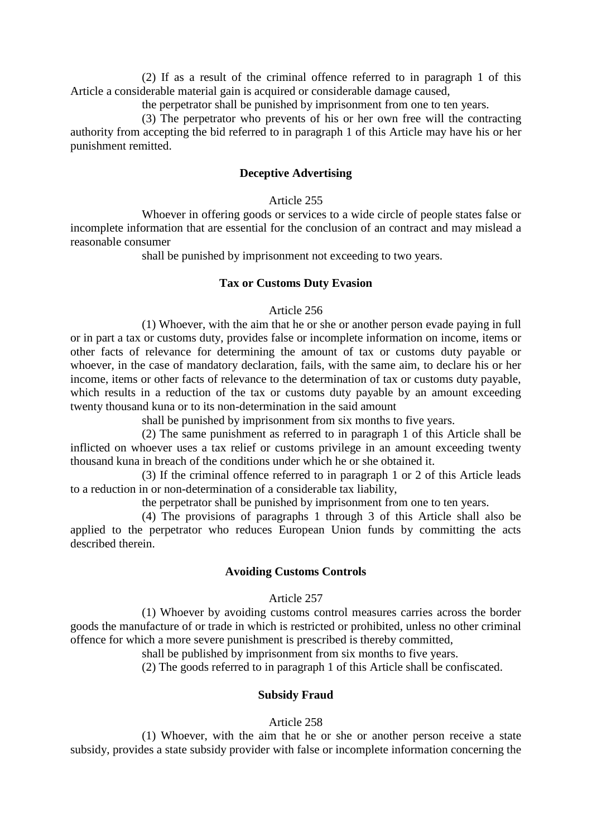(2) If as a result of the criminal offence referred to in paragraph 1 of this Article a considerable material gain is acquired or considerable damage caused,

the perpetrator shall be punished by imprisonment from one to ten years.

(3) The perpetrator who prevents of his or her own free will the contracting authority from accepting the bid referred to in paragraph 1 of this Article may have his or her punishment remitted.

#### **Deceptive Advertising**

#### Article 255

Whoever in offering goods or services to a wide circle of people states false or incomplete information that are essential for the conclusion of an contract and may mislead a reasonable consumer

shall be punished by imprisonment not exceeding to two years.

#### **Tax or Customs Duty Evasion**

#### Article 256

(1) Whoever, with the aim that he or she or another person evade paying in full or in part a tax or customs duty, provides false or incomplete information on income, items or other facts of relevance for determining the amount of tax or customs duty payable or whoever, in the case of mandatory declaration, fails, with the same aim, to declare his or her income, items or other facts of relevance to the determination of tax or customs duty payable, which results in a reduction of the tax or customs duty payable by an amount exceeding twenty thousand kuna or to its non-determination in the said amount

shall be punished by imprisonment from six months to five years.

(2) The same punishment as referred to in paragraph 1 of this Article shall be inflicted on whoever uses a tax relief or customs privilege in an amount exceeding twenty thousand kuna in breach of the conditions under which he or she obtained it.

(3) If the criminal offence referred to in paragraph 1 or 2 of this Article leads to a reduction in or non-determination of a considerable tax liability,

the perpetrator shall be punished by imprisonment from one to ten years.

(4) The provisions of paragraphs 1 through 3 of this Article shall also be applied to the perpetrator who reduces European Union funds by committing the acts described therein.

#### **Avoiding Customs Controls**

#### Article 257

(1) Whoever by avoiding customs control measures carries across the border goods the manufacture of or trade in which is restricted or prohibited, unless no other criminal offence for which a more severe punishment is prescribed is thereby committed,

shall be published by imprisonment from six months to five years.

(2) The goods referred to in paragraph 1 of this Article shall be confiscated.

#### **Subsidy Fraud**

#### Article 258

(1) Whoever, with the aim that he or she or another person receive a state subsidy, provides a state subsidy provider with false or incomplete information concerning the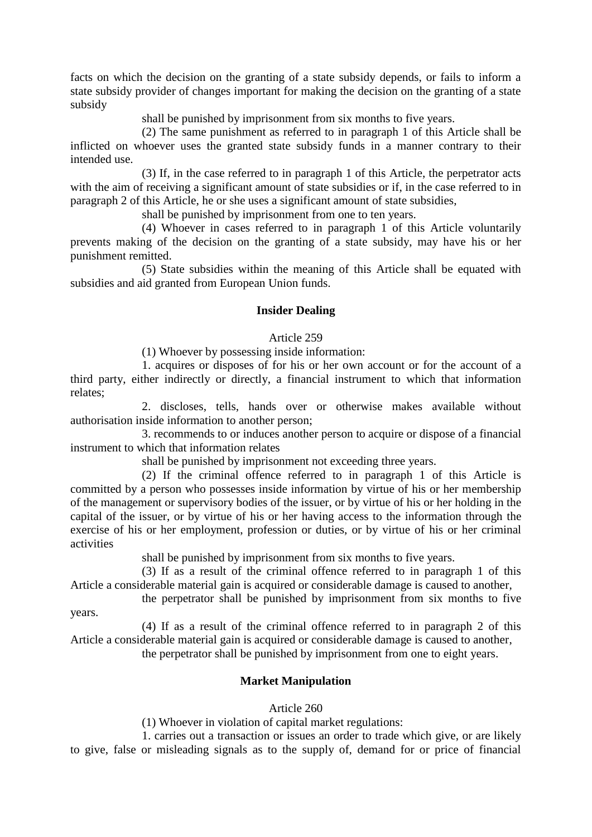facts on which the decision on the granting of a state subsidy depends, or fails to inform a state subsidy provider of changes important for making the decision on the granting of a state subsidy

shall be punished by imprisonment from six months to five years.

(2) The same punishment as referred to in paragraph 1 of this Article shall be inflicted on whoever uses the granted state subsidy funds in a manner contrary to their intended use.

(3) If, in the case referred to in paragraph 1 of this Article, the perpetrator acts with the aim of receiving a significant amount of state subsidies or if, in the case referred to in paragraph 2 of this Article, he or she uses a significant amount of state subsidies,

shall be punished by imprisonment from one to ten years.

(4) Whoever in cases referred to in paragraph 1 of this Article voluntarily prevents making of the decision on the granting of a state subsidy, may have his or her punishment remitted.

(5) State subsidies within the meaning of this Article shall be equated with subsidies and aid granted from European Union funds.

# **Insider Dealing**

# Article 259

(1) Whoever by possessing inside information:

1. acquires or disposes of for his or her own account or for the account of a third party, either indirectly or directly, a financial instrument to which that information relates;

2. discloses, tells, hands over or otherwise makes available without authorisation inside information to another person;

3. recommends to or induces another person to acquire or dispose of a financial instrument to which that information relates

shall be punished by imprisonment not exceeding three years.

(2) If the criminal offence referred to in paragraph 1 of this Article is committed by a person who possesses inside information by virtue of his or her membership of the management or supervisory bodies of the issuer, or by virtue of his or her holding in the capital of the issuer, or by virtue of his or her having access to the information through the exercise of his or her employment, profession or duties, or by virtue of his or her criminal activities

shall be punished by imprisonment from six months to five years.

(3) If as a result of the criminal offence referred to in paragraph 1 of this Article a considerable material gain is acquired or considerable damage is caused to another,

the perpetrator shall be punished by imprisonment from six months to five years.

(4) If as a result of the criminal offence referred to in paragraph 2 of this Article a considerable material gain is acquired or considerable damage is caused to another,

the perpetrator shall be punished by imprisonment from one to eight years.

# **Market Manipulation**

# Article 260

(1) Whoever in violation of capital market regulations:

1. carries out a transaction or issues an order to trade which give, or are likely to give, false or misleading signals as to the supply of, demand for or price of financial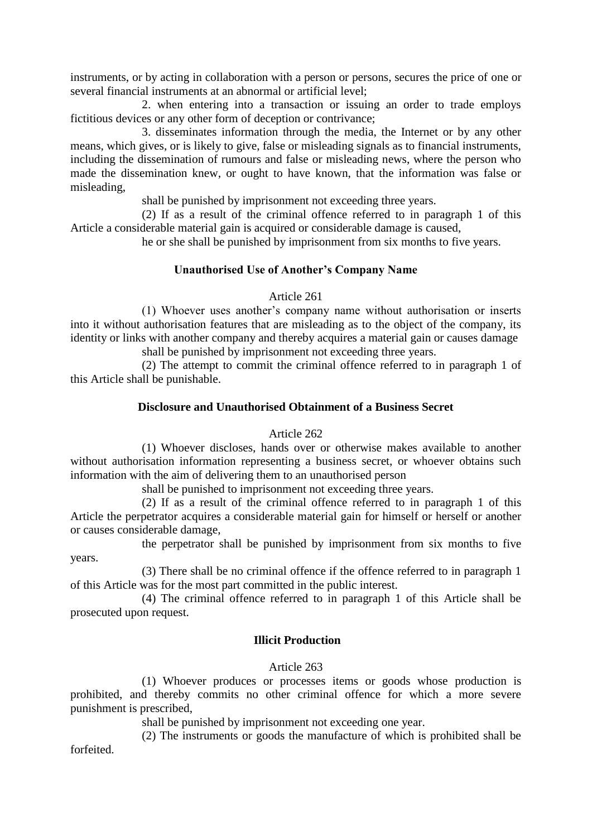instruments, or by acting in collaboration with a person or persons, secures the price of one or several financial instruments at an abnormal or artificial level;

2. when entering into a transaction or issuing an order to trade employs fictitious devices or any other form of deception or contrivance;

3. disseminates information through the media, the Internet or by any other means, which gives, or is likely to give, false or misleading signals as to financial instruments, including the dissemination of rumours and false or misleading news, where the person who made the dissemination knew, or ought to have known, that the information was false or misleading,

shall be punished by imprisonment not exceeding three years.

(2) If as a result of the criminal offence referred to in paragraph 1 of this Article a considerable material gain is acquired or considerable damage is caused,

he or she shall be punished by imprisonment from six months to five years.

# **Unauthorised Use of Another's Company Name**

# Article 261

(1) Whoever uses another's company name without authorisation or inserts into it without authorisation features that are misleading as to the object of the company, its identity or links with another company and thereby acquires a material gain or causes damage shall be punished by imprisonment not exceeding three years.

(2) The attempt to commit the criminal offence referred to in paragraph 1 of this Article shall be punishable.

# **Disclosure and Unauthorised Obtainment of a Business Secret**

#### Article 262

(1) Whoever discloses, hands over or otherwise makes available to another without authorisation information representing a business secret, or whoever obtains such information with the aim of delivering them to an unauthorised person

shall be punished to imprisonment not exceeding three years.

(2) If as a result of the criminal offence referred to in paragraph 1 of this Article the perpetrator acquires a considerable material gain for himself or herself or another or causes considerable damage,

the perpetrator shall be punished by imprisonment from six months to five years.

(3) There shall be no criminal offence if the offence referred to in paragraph 1 of this Article was for the most part committed in the public interest.

(4) The criminal offence referred to in paragraph 1 of this Article shall be prosecuted upon request.

# **Illicit Production**

# Article 263

(1) Whoever produces or processes items or goods whose production is prohibited, and thereby commits no other criminal offence for which a more severe punishment is prescribed,

shall be punished by imprisonment not exceeding one year.

(2) The instruments or goods the manufacture of which is prohibited shall be forfeited.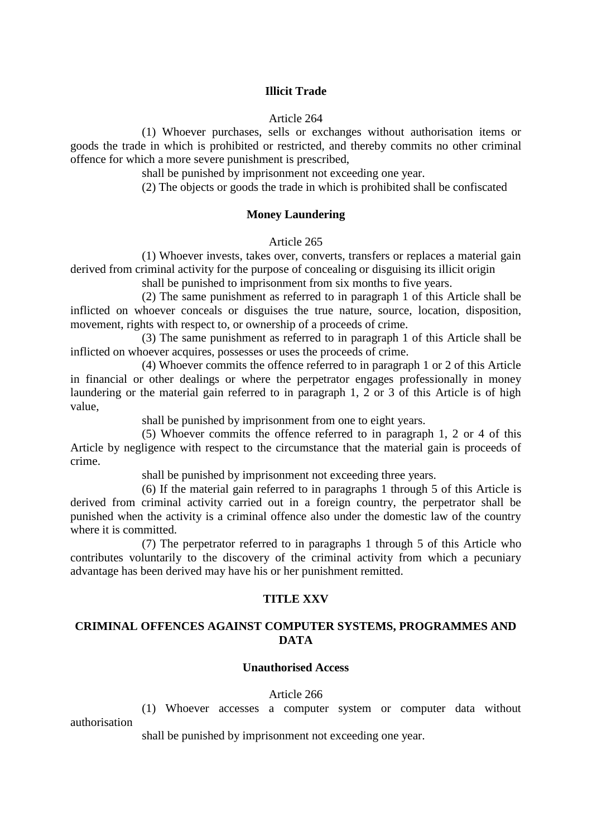#### **Illicit Trade**

#### Article 264

(1) Whoever purchases, sells or exchanges without authorisation items or goods the trade in which is prohibited or restricted, and thereby commits no other criminal offence for which a more severe punishment is prescribed,

shall be punished by imprisonment not exceeding one year.

(2) The objects or goods the trade in which is prohibited shall be confiscated

#### **Money Laundering**

Article 265

(1) Whoever invests, takes over, converts, transfers or replaces a material gain derived from criminal activity for the purpose of concealing or disguising its illicit origin

shall be punished to imprisonment from six months to five years.

(2) The same punishment as referred to in paragraph 1 of this Article shall be inflicted on whoever conceals or disguises the true nature, source, location, disposition, movement, rights with respect to, or ownership of a proceeds of crime.

(3) The same punishment as referred to in paragraph 1 of this Article shall be inflicted on whoever acquires, possesses or uses the proceeds of crime.

(4) Whoever commits the offence referred to in paragraph 1 or 2 of this Article in financial or other dealings or where the perpetrator engages professionally in money laundering or the material gain referred to in paragraph 1, 2 or 3 of this Article is of high value,

shall be punished by imprisonment from one to eight years.

(5) Whoever commits the offence referred to in paragraph 1, 2 or 4 of this Article by negligence with respect to the circumstance that the material gain is proceeds of crime.

shall be punished by imprisonment not exceeding three years.

(6) If the material gain referred to in paragraphs 1 through 5 of this Article is derived from criminal activity carried out in a foreign country, the perpetrator shall be punished when the activity is a criminal offence also under the domestic law of the country where it is committed.

(7) The perpetrator referred to in paragraphs 1 through 5 of this Article who contributes voluntarily to the discovery of the criminal activity from which a pecuniary advantage has been derived may have his or her punishment remitted.

#### **TITLE XXV**

# **CRIMINAL OFFENCES AGAINST COMPUTER SYSTEMS, PROGRAMMES AND DATA**

#### **Unauthorised Access**

#### Article 266

(1) Whoever accesses a computer system or computer data without authorisation

shall be punished by imprisonment not exceeding one year.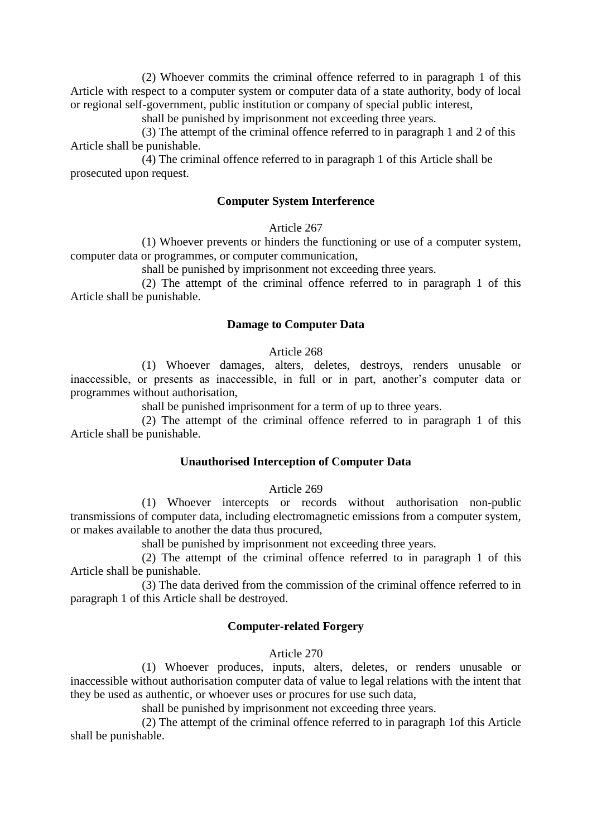(2) Whoever commits the criminal offence referred to in paragraph 1 of this Article with respect to a computer system or computer data of a state authority, body of local or regional self-government, public institution or company of special public interest,

shall be punished by imprisonment not exceeding three years.

(3) The attempt of the criminal offence referred to in paragraph 1 and 2 of this Article shall be punishable.

(4) The criminal offence referred to in paragraph 1 of this Article shall be prosecuted upon request.

# **Computer System Interference**

Article 267

(1) Whoever prevents or hinders the functioning or use of a computer system, computer data or programmes, or computer communication,

shall be punished by imprisonment not exceeding three years.

(2) The attempt of the criminal offence referred to in paragraph 1 of this Article shall be punishable.

#### **Damage to Computer Data**

#### Article 268

(1) Whoever damages, alters, deletes, destroys, renders unusable or inaccessible, or presents as inaccessible, in full or in part, another's computer data or programmes without authorisation,

shall be punished imprisonment for a term of up to three years.

(2) The attempt of the criminal offence referred to in paragraph 1 of this Article shall be punishable.

# **Unauthorised Interception of Computer Data**

#### Article 269

(1) Whoever intercepts or records without authorisation non-public transmissions of computer data, including electromagnetic emissions from a computer system, or makes available to another the data thus procured,

shall be punished by imprisonment not exceeding three years.

(2) The attempt of the criminal offence referred to in paragraph 1 of this Article shall be punishable.

(3) The data derived from the commission of the criminal offence referred to in paragraph 1 of this Article shall be destroyed.

# **Computer-related Forgery**

Article 270

(1) Whoever produces, inputs, alters, deletes, or renders unusable or inaccessible without authorisation computer data of value to legal relations with the intent that they be used as authentic, or whoever uses or procures for use such data,

shall be punished by imprisonment not exceeding three years.

(2) The attempt of the criminal offence referred to in paragraph 1of this Article shall be punishable.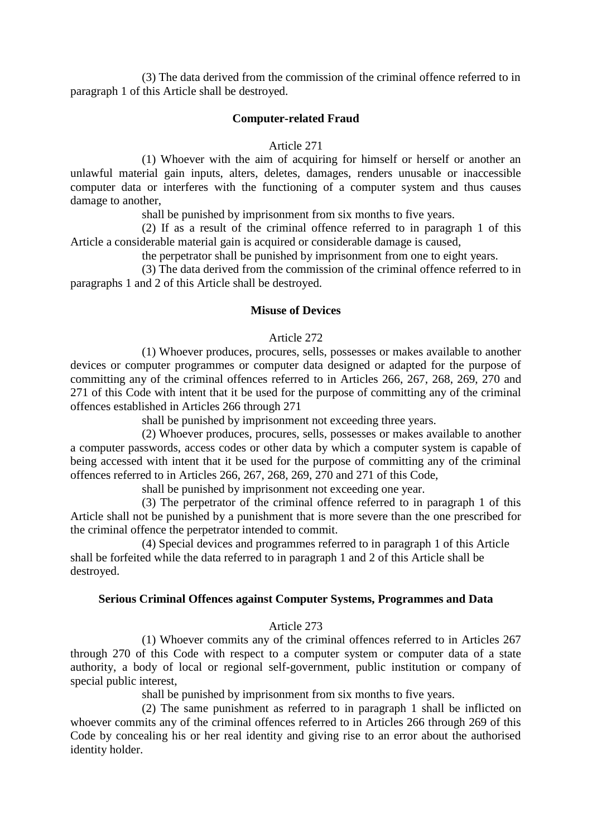(3) The data derived from the commission of the criminal offence referred to in paragraph 1 of this Article shall be destroyed.

#### **Computer-related Fraud**

#### Article 271

(1) Whoever with the aim of acquiring for himself or herself or another an unlawful material gain inputs, alters, deletes, damages, renders unusable or inaccessible computer data or interferes with the functioning of a computer system and thus causes damage to another,

shall be punished by imprisonment from six months to five years.

(2) If as a result of the criminal offence referred to in paragraph 1 of this Article a considerable material gain is acquired or considerable damage is caused,

the perpetrator shall be punished by imprisonment from one to eight years.

(3) The data derived from the commission of the criminal offence referred to in paragraphs 1 and 2 of this Article shall be destroyed.

#### **Misuse of Devices**

#### Article 272

(1) Whoever produces, procures, sells, possesses or makes available to another devices or computer programmes or computer data designed or adapted for the purpose of committing any of the criminal offences referred to in Articles 266, 267, 268, 269, 270 and 271 of this Code with intent that it be used for the purpose of committing any of the criminal offences established in Articles 266 through 271

shall be punished by imprisonment not exceeding three years.

(2) Whoever produces, procures, sells, possesses or makes available to another a computer passwords, access codes or other data by which a computer system is capable of being accessed with intent that it be used for the purpose of committing any of the criminal offences referred to in Articles 266, 267, 268, 269, 270 and 271 of this Code,

shall be punished by imprisonment not exceeding one year.

(3) The perpetrator of the criminal offence referred to in paragraph 1 of this Article shall not be punished by a punishment that is more severe than the one prescribed for the criminal offence the perpetrator intended to commit.

(4) Special devices and programmes referred to in paragraph 1 of this Article shall be forfeited while the data referred to in paragraph 1 and 2 of this Article shall be destroyed.

#### **Serious Criminal Offences against Computer Systems, Programmes and Data**

#### Article 273

(1) Whoever commits any of the criminal offences referred to in Articles 267 through 270 of this Code with respect to a computer system or computer data of a state authority, a body of local or regional self-government, public institution or company of special public interest,

shall be punished by imprisonment from six months to five years.

(2) The same punishment as referred to in paragraph 1 shall be inflicted on whoever commits any of the criminal offences referred to in Articles 266 through 269 of this Code by concealing his or her real identity and giving rise to an error about the authorised identity holder.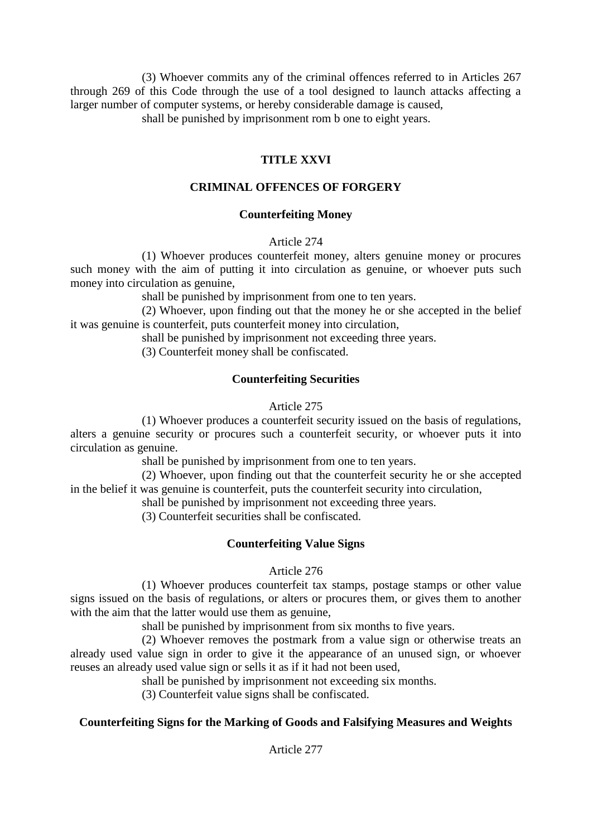(3) Whoever commits any of the criminal offences referred to in Articles 267 through 269 of this Code through the use of a tool designed to launch attacks affecting a larger number of computer systems, or hereby considerable damage is caused,

shall be punished by imprisonment rom b one to eight years.

# **TITLE XXVI**

# **CRIMINAL OFFENCES OF FORGERY**

# **Counterfeiting Money**

# Article 274

(1) Whoever produces counterfeit money, alters genuine money or procures such money with the aim of putting it into circulation as genuine, or whoever puts such money into circulation as genuine,

shall be punished by imprisonment from one to ten years.

(2) Whoever, upon finding out that the money he or she accepted in the belief it was genuine is counterfeit, puts counterfeit money into circulation,

shall be punished by imprisonment not exceeding three years.

(3) Counterfeit money shall be confiscated.

# **Counterfeiting Securities**

# Article 275

(1) Whoever produces a counterfeit security issued on the basis of regulations, alters a genuine security or procures such a counterfeit security, or whoever puts it into circulation as genuine.

shall be punished by imprisonment from one to ten years.

(2) Whoever, upon finding out that the counterfeit security he or she accepted in the belief it was genuine is counterfeit, puts the counterfeit security into circulation,

shall be punished by imprisonment not exceeding three years.

(3) Counterfeit securities shall be confiscated.

# **Counterfeiting Value Signs**

# Article 276

(1) Whoever produces counterfeit tax stamps, postage stamps or other value signs issued on the basis of regulations, or alters or procures them, or gives them to another with the aim that the latter would use them as genuine,

shall be punished by imprisonment from six months to five years.

(2) Whoever removes the postmark from a value sign or otherwise treats an already used value sign in order to give it the appearance of an unused sign, or whoever reuses an already used value sign or sells it as if it had not been used,

shall be punished by imprisonment not exceeding six months.

(3) Counterfeit value signs shall be confiscated.

# **Counterfeiting Signs for the Marking of Goods and Falsifying Measures and Weights**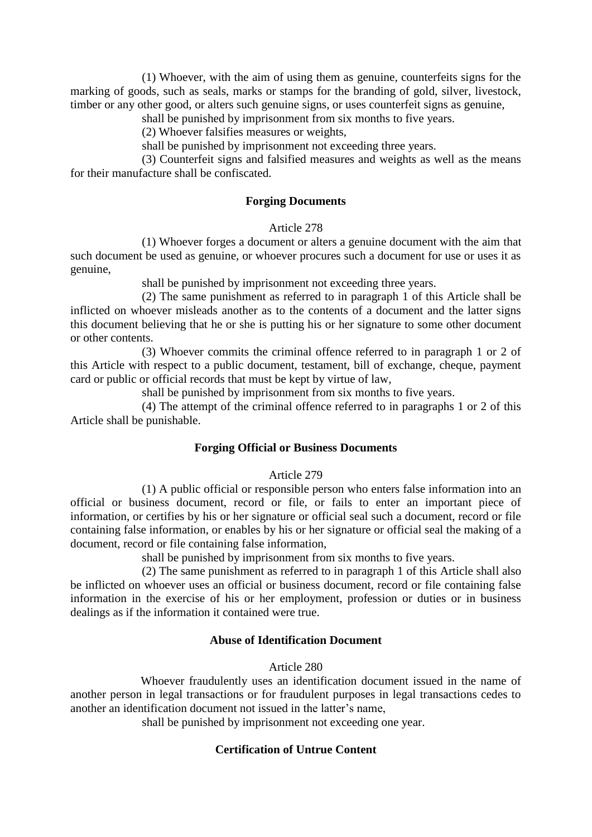(1) Whoever, with the aim of using them as genuine, counterfeits signs for the marking of goods, such as seals, marks or stamps for the branding of gold, silver, livestock, timber or any other good, or alters such genuine signs, or uses counterfeit signs as genuine,

shall be punished by imprisonment from six months to five years.

(2) Whoever falsifies measures or weights,

shall be punished by imprisonment not exceeding three years.

(3) Counterfeit signs and falsified measures and weights as well as the means for their manufacture shall be confiscated.

# **Forging Documents**

#### Article 278

(1) Whoever forges a document or alters a genuine document with the aim that such document be used as genuine, or whoever procures such a document for use or uses it as genuine,

shall be punished by imprisonment not exceeding three years.

(2) The same punishment as referred to in paragraph 1 of this Article shall be inflicted on whoever misleads another as to the contents of a document and the latter signs this document believing that he or she is putting his or her signature to some other document or other contents.

(3) Whoever commits the criminal offence referred to in paragraph 1 or 2 of this Article with respect to a public document, testament, bill of exchange, cheque, payment card or public or official records that must be kept by virtue of law,

shall be punished by imprisonment from six months to five years.

(4) The attempt of the criminal offence referred to in paragraphs 1 or 2 of this Article shall be punishable.

# **Forging Official or Business Documents**

# Article 279

(1) A public official or responsible person who enters false information into an official or business document, record or file, or fails to enter an important piece of information, or certifies by his or her signature or official seal such a document, record or file containing false information, or enables by his or her signature or official seal the making of a document, record or file containing false information,

shall be punished by imprisonment from six months to five years.

(2) The same punishment as referred to in paragraph 1 of this Article shall also be inflicted on whoever uses an official or business document, record or file containing false information in the exercise of his or her employment, profession or duties or in business dealings as if the information it contained were true.

# **Abuse of Identification Document**

#### Article 280

Whoever fraudulently uses an identification document issued in the name of another person in legal transactions or for fraudulent purposes in legal transactions cedes to another an identification document not issued in the latter's name,

shall be punished by imprisonment not exceeding one year.

# **Certification of Untrue Content**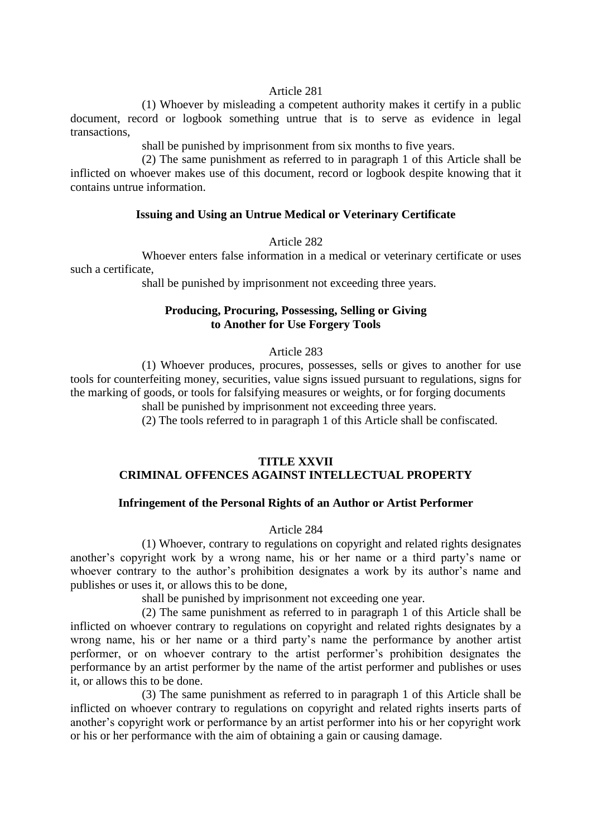#### Article 281

(1) Whoever by misleading a competent authority makes it certify in a public document, record or logbook something untrue that is to serve as evidence in legal transactions,

shall be punished by imprisonment from six months to five years.

(2) The same punishment as referred to in paragraph 1 of this Article shall be inflicted on whoever makes use of this document, record or logbook despite knowing that it contains untrue information.

#### **Issuing and Using an Untrue Medical or Veterinary Certificate**

#### Article 282

Whoever enters false information in a medical or veterinary certificate or uses such a certificate,

shall be punished by imprisonment not exceeding three years.

# **Producing, Procuring, Possessing, Selling or Giving to Another for Use Forgery Tools**

#### Article 283

(1) Whoever produces, procures, possesses, sells or gives to another for use tools for counterfeiting money, securities, value signs issued pursuant to regulations, signs for the marking of goods, or tools for falsifying measures or weights, or for forging documents

shall be punished by imprisonment not exceeding three years.

(2) The tools referred to in paragraph 1 of this Article shall be confiscated.

# **TITLE XXVII CRIMINAL OFFENCES AGAINST INTELLECTUAL PROPERTY**

#### **Infringement of the Personal Rights of an Author or Artist Performer**

Article 284

(1) Whoever, contrary to regulations on copyright and related rights designates another's copyright work by a wrong name, his or her name or a third party's name or whoever contrary to the author's prohibition designates a work by its author's name and publishes or uses it, or allows this to be done,

shall be punished by imprisonment not exceeding one year.

(2) The same punishment as referred to in paragraph 1 of this Article shall be inflicted on whoever contrary to regulations on copyright and related rights designates by a wrong name, his or her name or a third party's name the performance by another artist performer, or on whoever contrary to the artist performer's prohibition designates the performance by an artist performer by the name of the artist performer and publishes or uses it, or allows this to be done.

(3) The same punishment as referred to in paragraph 1 of this Article shall be inflicted on whoever contrary to regulations on copyright and related rights inserts parts of another's copyright work or performance by an artist performer into his or her copyright work or his or her performance with the aim of obtaining a gain or causing damage.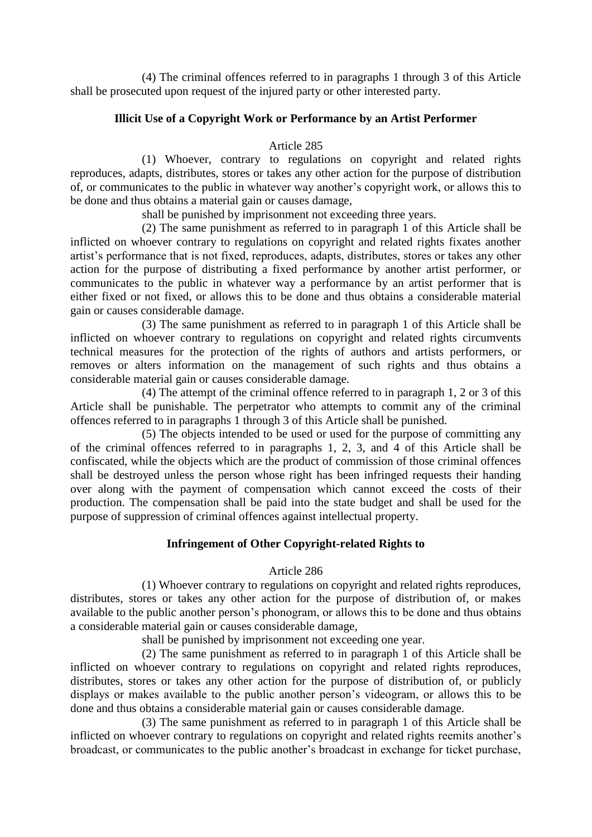(4) The criminal offences referred to in paragraphs 1 through 3 of this Article shall be prosecuted upon request of the injured party or other interested party.

# **Illicit Use of a Copyright Work or Performance by an Artist Performer**

#### Article 285

(1) Whoever, contrary to regulations on copyright and related rights reproduces, adapts, distributes, stores or takes any other action for the purpose of distribution of, or communicates to the public in whatever way another's copyright work, or allows this to be done and thus obtains a material gain or causes damage,

shall be punished by imprisonment not exceeding three years.

(2) The same punishment as referred to in paragraph 1 of this Article shall be inflicted on whoever contrary to regulations on copyright and related rights fixates another artist's performance that is not fixed, reproduces, adapts, distributes, stores or takes any other action for the purpose of distributing a fixed performance by another artist performer, or communicates to the public in whatever way a performance by an artist performer that is either fixed or not fixed, or allows this to be done and thus obtains a considerable material gain or causes considerable damage.

(3) The same punishment as referred to in paragraph 1 of this Article shall be inflicted on whoever contrary to regulations on copyright and related rights circumvents technical measures for the protection of the rights of authors and artists performers, or removes or alters information on the management of such rights and thus obtains a considerable material gain or causes considerable damage.

(4) The attempt of the criminal offence referred to in paragraph 1, 2 or 3 of this Article shall be punishable. The perpetrator who attempts to commit any of the criminal offences referred to in paragraphs 1 through 3 of this Article shall be punished.

(5) The objects intended to be used or used for the purpose of committing any of the criminal offences referred to in paragraphs 1, 2, 3, and 4 of this Article shall be confiscated, while the objects which are the product of commission of those criminal offences shall be destroyed unless the person whose right has been infringed requests their handing over along with the payment of compensation which cannot exceed the costs of their production. The compensation shall be paid into the state budget and shall be used for the purpose of suppression of criminal offences against intellectual property.

# **Infringement of Other Copyright-related Rights to**

# Article 286

(1) Whoever contrary to regulations on copyright and related rights reproduces, distributes, stores or takes any other action for the purpose of distribution of, or makes available to the public another person's phonogram, or allows this to be done and thus obtains a considerable material gain or causes considerable damage,

shall be punished by imprisonment not exceeding one year.

(2) The same punishment as referred to in paragraph 1 of this Article shall be inflicted on whoever contrary to regulations on copyright and related rights reproduces, distributes, stores or takes any other action for the purpose of distribution of, or publicly displays or makes available to the public another person's videogram, or allows this to be done and thus obtains a considerable material gain or causes considerable damage.

(3) The same punishment as referred to in paragraph 1 of this Article shall be inflicted on whoever contrary to regulations on copyright and related rights reemits another's broadcast, or communicates to the public another's broadcast in exchange for ticket purchase,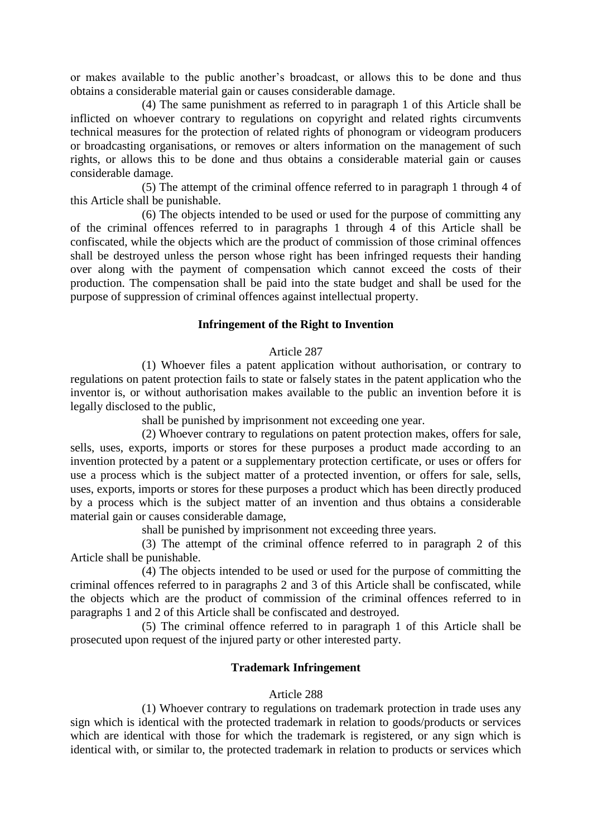or makes available to the public another's broadcast, or allows this to be done and thus obtains a considerable material gain or causes considerable damage.

(4) The same punishment as referred to in paragraph 1 of this Article shall be inflicted on whoever contrary to regulations on copyright and related rights circumvents technical measures for the protection of related rights of phonogram or videogram producers or broadcasting organisations, or removes or alters information on the management of such rights, or allows this to be done and thus obtains a considerable material gain or causes considerable damage.

(5) The attempt of the criminal offence referred to in paragraph 1 through 4 of this Article shall be punishable.

(6) The objects intended to be used or used for the purpose of committing any of the criminal offences referred to in paragraphs 1 through 4 of this Article shall be confiscated, while the objects which are the product of commission of those criminal offences shall be destroyed unless the person whose right has been infringed requests their handing over along with the payment of compensation which cannot exceed the costs of their production. The compensation shall be paid into the state budget and shall be used for the purpose of suppression of criminal offences against intellectual property.

# **Infringement of the Right to Invention**

#### Article 287

(1) Whoever files a patent application without authorisation, or contrary to regulations on patent protection fails to state or falsely states in the patent application who the inventor is, or without authorisation makes available to the public an invention before it is legally disclosed to the public,

shall be punished by imprisonment not exceeding one year.

(2) Whoever contrary to regulations on patent protection makes, offers for sale, sells, uses, exports, imports or stores for these purposes a product made according to an invention protected by a patent or a supplementary protection certificate, or uses or offers for use a process which is the subject matter of a protected invention, or offers for sale, sells, uses, exports, imports or stores for these purposes a product which has been directly produced by a process which is the subject matter of an invention and thus obtains a considerable material gain or causes considerable damage,

shall be punished by imprisonment not exceeding three years.

(3) The attempt of the criminal offence referred to in paragraph 2 of this Article shall be punishable.

(4) The objects intended to be used or used for the purpose of committing the criminal offences referred to in paragraphs 2 and 3 of this Article shall be confiscated, while the objects which are the product of commission of the criminal offences referred to in paragraphs 1 and 2 of this Article shall be confiscated and destroyed.

(5) The criminal offence referred to in paragraph 1 of this Article shall be prosecuted upon request of the injured party or other interested party.

# **Trademark Infringement**

#### Article 288

(1) Whoever contrary to regulations on trademark protection in trade uses any sign which is identical with the protected trademark in relation to goods/products or services which are identical with those for which the trademark is registered, or any sign which is identical with, or similar to, the protected trademark in relation to products or services which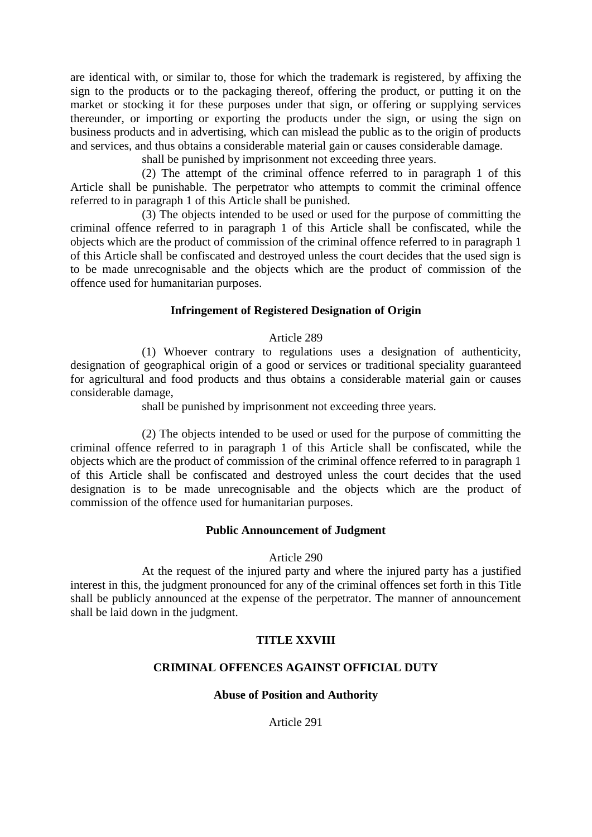are identical with, or similar to, those for which the trademark is registered, by affixing the sign to the products or to the packaging thereof, offering the product, or putting it on the market or stocking it for these purposes under that sign, or offering or supplying services thereunder, or importing or exporting the products under the sign, or using the sign on business products and in advertising, which can mislead the public as to the origin of products and services, and thus obtains a considerable material gain or causes considerable damage.

shall be punished by imprisonment not exceeding three years.

(2) The attempt of the criminal offence referred to in paragraph 1 of this Article shall be punishable. The perpetrator who attempts to commit the criminal offence referred to in paragraph 1 of this Article shall be punished.

(3) The objects intended to be used or used for the purpose of committing the criminal offence referred to in paragraph 1 of this Article shall be confiscated, while the objects which are the product of commission of the criminal offence referred to in paragraph 1 of this Article shall be confiscated and destroyed unless the court decides that the used sign is to be made unrecognisable and the objects which are the product of commission of the offence used for humanitarian purposes.

# **Infringement of Registered Designation of Origin**

# Article 289

(1) Whoever contrary to regulations uses a designation of authenticity, designation of geographical origin of a good or services or traditional speciality guaranteed for agricultural and food products and thus obtains a considerable material gain or causes considerable damage,

shall be punished by imprisonment not exceeding three years.

(2) The objects intended to be used or used for the purpose of committing the criminal offence referred to in paragraph 1 of this Article shall be confiscated, while the objects which are the product of commission of the criminal offence referred to in paragraph 1 of this Article shall be confiscated and destroyed unless the court decides that the used designation is to be made unrecognisable and the objects which are the product of commission of the offence used for humanitarian purposes.

# **Public Announcement of Judgment**

# Article 290

At the request of the injured party and where the injured party has a justified interest in this, the judgment pronounced for any of the criminal offences set forth in this Title shall be publicly announced at the expense of the perpetrator. The manner of announcement shall be laid down in the judgment.

# **TITLE XXVIII**

# **CRIMINAL OFFENCES AGAINST OFFICIAL DUTY**

# **Abuse of Position and Authority**

Article 291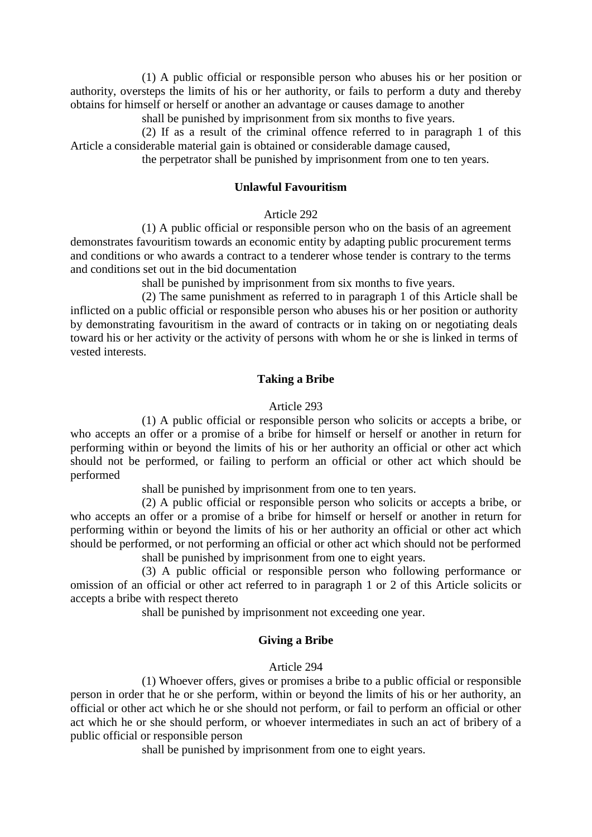(1) A public official or responsible person who abuses his or her position or authority, oversteps the limits of his or her authority, or fails to perform a duty and thereby obtains for himself or herself or another an advantage or causes damage to another

shall be punished by imprisonment from six months to five years.

(2) If as a result of the criminal offence referred to in paragraph 1 of this Article a considerable material gain is obtained or considerable damage caused,

the perpetrator shall be punished by imprisonment from one to ten years.

#### **Unlawful Favouritism**

#### Article 292

(1) A public official or responsible person who on the basis of an agreement demonstrates favouritism towards an economic entity by adapting public procurement terms and conditions or who awards a contract to a tenderer whose tender is contrary to the terms and conditions set out in the bid documentation

shall be punished by imprisonment from six months to five years.

(2) The same punishment as referred to in paragraph 1 of this Article shall be inflicted on a public official or responsible person who abuses his or her position or authority by demonstrating favouritism in the award of contracts or in taking on or negotiating deals toward his or her activity or the activity of persons with whom he or she is linked in terms of vested interests.

#### **Taking a Bribe**

#### Article 293

(1) A public official or responsible person who solicits or accepts a bribe, or who accepts an offer or a promise of a bribe for himself or herself or another in return for performing within or beyond the limits of his or her authority an official or other act which should not be performed, or failing to perform an official or other act which should be performed

shall be punished by imprisonment from one to ten years.

(2) A public official or responsible person who solicits or accepts a bribe, or who accepts an offer or a promise of a bribe for himself or herself or another in return for performing within or beyond the limits of his or her authority an official or other act which should be performed, or not performing an official or other act which should not be performed shall be punished by imprisonment from one to eight years.

(3) A public official or responsible person who following performance or omission of an official or other act referred to in paragraph 1 or 2 of this Article solicits or accepts a bribe with respect thereto

shall be punished by imprisonment not exceeding one year.

# **Giving a Bribe**

#### Article 294

(1) Whoever offers, gives or promises a bribe to a public official or responsible person in order that he or she perform, within or beyond the limits of his or her authority, an official or other act which he or she should not perform, or fail to perform an official or other act which he or she should perform, or whoever intermediates in such an act of bribery of a public official or responsible person

shall be punished by imprisonment from one to eight years.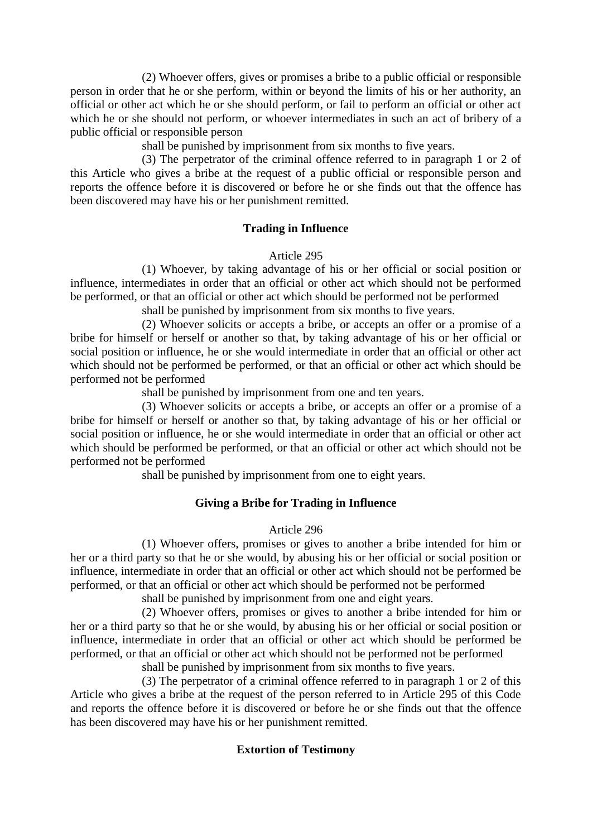(2) Whoever offers, gives or promises a bribe to a public official or responsible person in order that he or she perform, within or beyond the limits of his or her authority, an official or other act which he or she should perform, or fail to perform an official or other act which he or she should not perform, or whoever intermediates in such an act of bribery of a public official or responsible person

shall be punished by imprisonment from six months to five years.

(3) The perpetrator of the criminal offence referred to in paragraph 1 or 2 of this Article who gives a bribe at the request of a public official or responsible person and reports the offence before it is discovered or before he or she finds out that the offence has been discovered may have his or her punishment remitted.

# **Trading in Influence**

# Article 295

(1) Whoever, by taking advantage of his or her official or social position or influence, intermediates in order that an official or other act which should not be performed be performed, or that an official or other act which should be performed not be performed

shall be punished by imprisonment from six months to five years.

(2) Whoever solicits or accepts a bribe, or accepts an offer or a promise of a bribe for himself or herself or another so that, by taking advantage of his or her official or social position or influence, he or she would intermediate in order that an official or other act which should not be performed be performed, or that an official or other act which should be performed not be performed

shall be punished by imprisonment from one and ten years.

(3) Whoever solicits or accepts a bribe, or accepts an offer or a promise of a bribe for himself or herself or another so that, by taking advantage of his or her official or social position or influence, he or she would intermediate in order that an official or other act which should be performed be performed, or that an official or other act which should not be performed not be performed

shall be punished by imprisonment from one to eight years.

# **Giving a Bribe for Trading in Influence**

# Article 296

(1) Whoever offers, promises or gives to another a bribe intended for him or her or a third party so that he or she would, by abusing his or her official or social position or influence, intermediate in order that an official or other act which should not be performed be performed, or that an official or other act which should be performed not be performed

shall be punished by imprisonment from one and eight years.

(2) Whoever offers, promises or gives to another a bribe intended for him or her or a third party so that he or she would, by abusing his or her official or social position or influence, intermediate in order that an official or other act which should be performed be performed, or that an official or other act which should not be performed not be performed

shall be punished by imprisonment from six months to five years.

(3) The perpetrator of a criminal offence referred to in paragraph 1 or 2 of this Article who gives a bribe at the request of the person referred to in Article 295 of this Code and reports the offence before it is discovered or before he or she finds out that the offence has been discovered may have his or her punishment remitted.

# **Extortion of Testimony**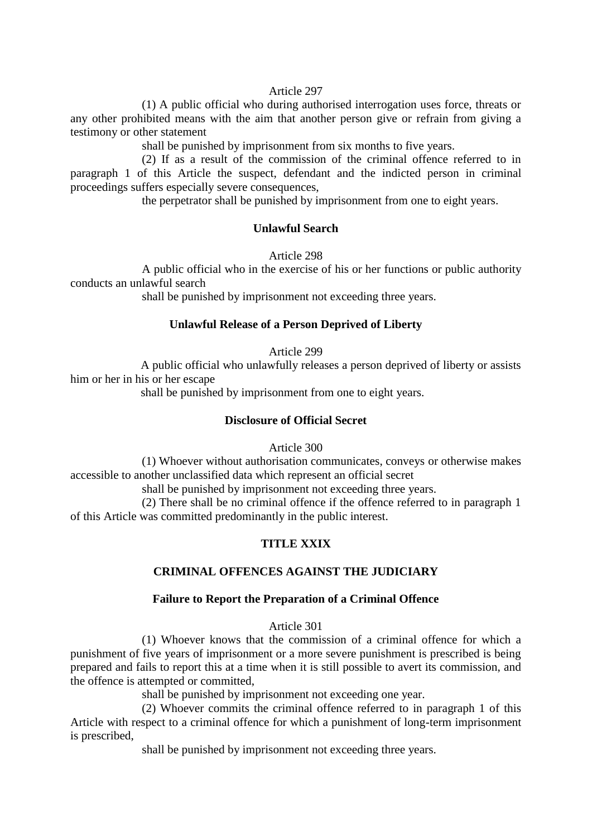#### Article 297

(1) A public official who during authorised interrogation uses force, threats or any other prohibited means with the aim that another person give or refrain from giving a testimony or other statement

shall be punished by imprisonment from six months to five years.

(2) If as a result of the commission of the criminal offence referred to in paragraph 1 of this Article the suspect, defendant and the indicted person in criminal proceedings suffers especially severe consequences,

the perpetrator shall be punished by imprisonment from one to eight years.

# **Unlawful Search**

Article 298

A public official who in the exercise of his or her functions or public authority conducts an unlawful search

shall be punished by imprisonment not exceeding three years.

# **Unlawful Release of a Person Deprived of Liberty**

Article 299

A public official who unlawfully releases a person deprived of liberty or assists him or her in his or her escape

shall be punished by imprisonment from one to eight years.

#### **Disclosure of Official Secret**

Article 300

(1) Whoever without authorisation communicates, conveys or otherwise makes accessible to another unclassified data which represent an official secret

shall be punished by imprisonment not exceeding three years.

(2) There shall be no criminal offence if the offence referred to in paragraph 1 of this Article was committed predominantly in the public interest.

# **TITLE XXIX**

# **CRIMINAL OFFENCES AGAINST THE JUDICIARY**

# **Failure to Report the Preparation of a Criminal Offence**

Article 301

(1) Whoever knows that the commission of a criminal offence for which a punishment of five years of imprisonment or a more severe punishment is prescribed is being prepared and fails to report this at a time when it is still possible to avert its commission, and the offence is attempted or committed,

shall be punished by imprisonment not exceeding one year.

(2) Whoever commits the criminal offence referred to in paragraph 1 of this Article with respect to a criminal offence for which a punishment of long-term imprisonment is prescribed,

shall be punished by imprisonment not exceeding three years.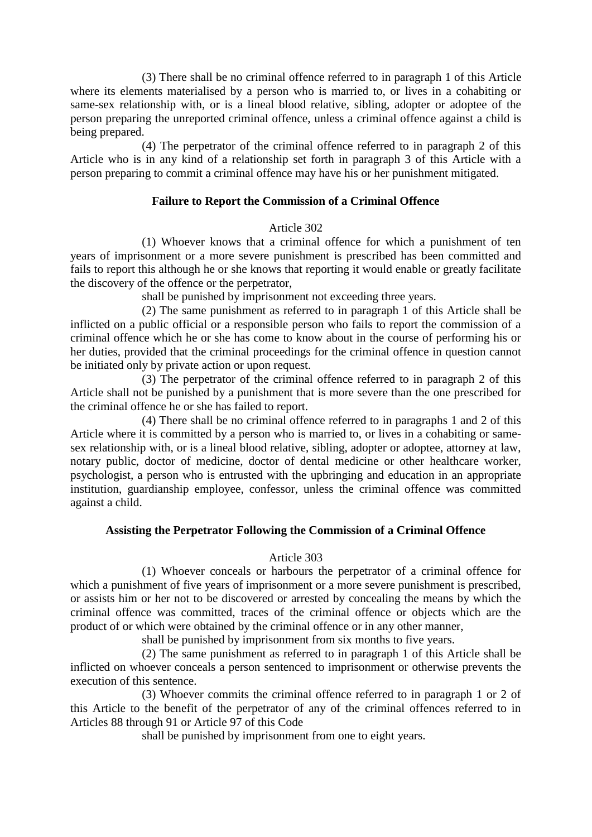(3) There shall be no criminal offence referred to in paragraph 1 of this Article where its elements materialised by a person who is married to, or lives in a cohabiting or same-sex relationship with, or is a lineal blood relative, sibling, adopter or adoptee of the person preparing the unreported criminal offence, unless a criminal offence against a child is being prepared.

(4) The perpetrator of the criminal offence referred to in paragraph 2 of this Article who is in any kind of a relationship set forth in paragraph 3 of this Article with a person preparing to commit a criminal offence may have his or her punishment mitigated.

# **Failure to Report the Commission of a Criminal Offence**

# Article 302

(1) Whoever knows that a criminal offence for which a punishment of ten years of imprisonment or a more severe punishment is prescribed has been committed and fails to report this although he or she knows that reporting it would enable or greatly facilitate the discovery of the offence or the perpetrator,

shall be punished by imprisonment not exceeding three years.

(2) The same punishment as referred to in paragraph 1 of this Article shall be inflicted on a public official or a responsible person who fails to report the commission of a criminal offence which he or she has come to know about in the course of performing his or her duties, provided that the criminal proceedings for the criminal offence in question cannot be initiated only by private action or upon request.

(3) The perpetrator of the criminal offence referred to in paragraph 2 of this Article shall not be punished by a punishment that is more severe than the one prescribed for the criminal offence he or she has failed to report.

(4) There shall be no criminal offence referred to in paragraphs 1 and 2 of this Article where it is committed by a person who is married to, or lives in a cohabiting or samesex relationship with, or is a lineal blood relative, sibling, adopter or adoptee, attorney at law, notary public, doctor of medicine, doctor of dental medicine or other healthcare worker, psychologist, a person who is entrusted with the upbringing and education in an appropriate institution, guardianship employee, confessor, unless the criminal offence was committed against a child.

# **Assisting the Perpetrator Following the Commission of a Criminal Offence**

# Article 303

(1) Whoever conceals or harbours the perpetrator of a criminal offence for which a punishment of five years of imprisonment or a more severe punishment is prescribed, or assists him or her not to be discovered or arrested by concealing the means by which the criminal offence was committed, traces of the criminal offence or objects which are the product of or which were obtained by the criminal offence or in any other manner,

shall be punished by imprisonment from six months to five years.

(2) The same punishment as referred to in paragraph 1 of this Article shall be inflicted on whoever conceals a person sentenced to imprisonment or otherwise prevents the execution of this sentence.

(3) Whoever commits the criminal offence referred to in paragraph 1 or 2 of this Article to the benefit of the perpetrator of any of the criminal offences referred to in Articles 88 through 91 or Article 97 of this Code

shall be punished by imprisonment from one to eight years.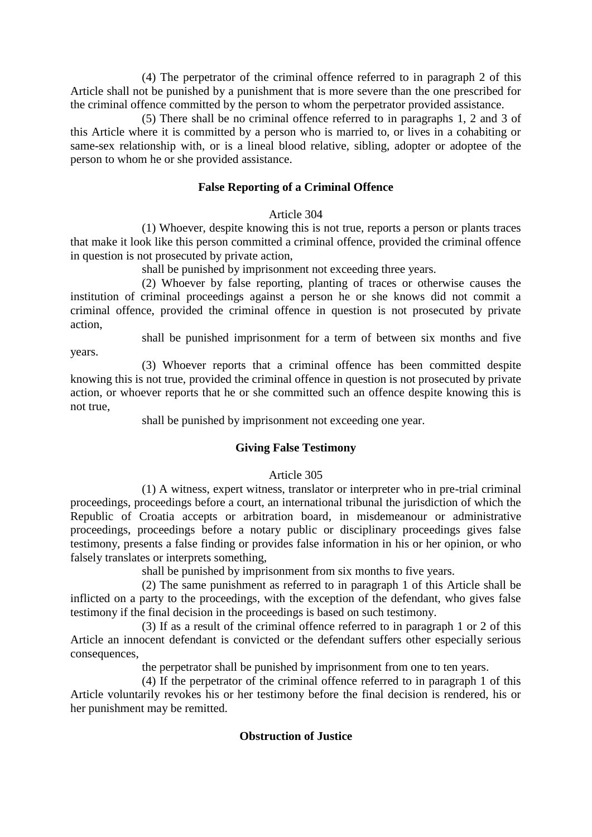(4) The perpetrator of the criminal offence referred to in paragraph 2 of this Article shall not be punished by a punishment that is more severe than the one prescribed for the criminal offence committed by the person to whom the perpetrator provided assistance.

(5) There shall be no criminal offence referred to in paragraphs 1, 2 and 3 of this Article where it is committed by a person who is married to, or lives in a cohabiting or same-sex relationship with, or is a lineal blood relative, sibling, adopter or adoptee of the person to whom he or she provided assistance.

# **False Reporting of a Criminal Offence**

## Article 304

(1) Whoever, despite knowing this is not true, reports a person or plants traces that make it look like this person committed a criminal offence, provided the criminal offence in question is not prosecuted by private action,

shall be punished by imprisonment not exceeding three years.

(2) Whoever by false reporting, planting of traces or otherwise causes the institution of criminal proceedings against a person he or she knows did not commit a criminal offence, provided the criminal offence in question is not prosecuted by private action,

shall be punished imprisonment for a term of between six months and five

years.

(3) Whoever reports that a criminal offence has been committed despite knowing this is not true, provided the criminal offence in question is not prosecuted by private action, or whoever reports that he or she committed such an offence despite knowing this is not true,

shall be punished by imprisonment not exceeding one year.

# **Giving False Testimony**

# Article 305

(1) A witness, expert witness, translator or interpreter who in pre-trial criminal proceedings, proceedings before a court, an international tribunal the jurisdiction of which the Republic of Croatia accepts or arbitration board, in misdemeanour or administrative proceedings, proceedings before a notary public or disciplinary proceedings gives false testimony, presents a false finding or provides false information in his or her opinion, or who falsely translates or interprets something,

shall be punished by imprisonment from six months to five years.

(2) The same punishment as referred to in paragraph 1 of this Article shall be inflicted on a party to the proceedings, with the exception of the defendant, who gives false testimony if the final decision in the proceedings is based on such testimony.

(3) If as a result of the criminal offence referred to in paragraph 1 or 2 of this Article an innocent defendant is convicted or the defendant suffers other especially serious consequences,

the perpetrator shall be punished by imprisonment from one to ten years.

(4) If the perpetrator of the criminal offence referred to in paragraph 1 of this Article voluntarily revokes his or her testimony before the final decision is rendered, his or her punishment may be remitted.

# **Obstruction of Justice**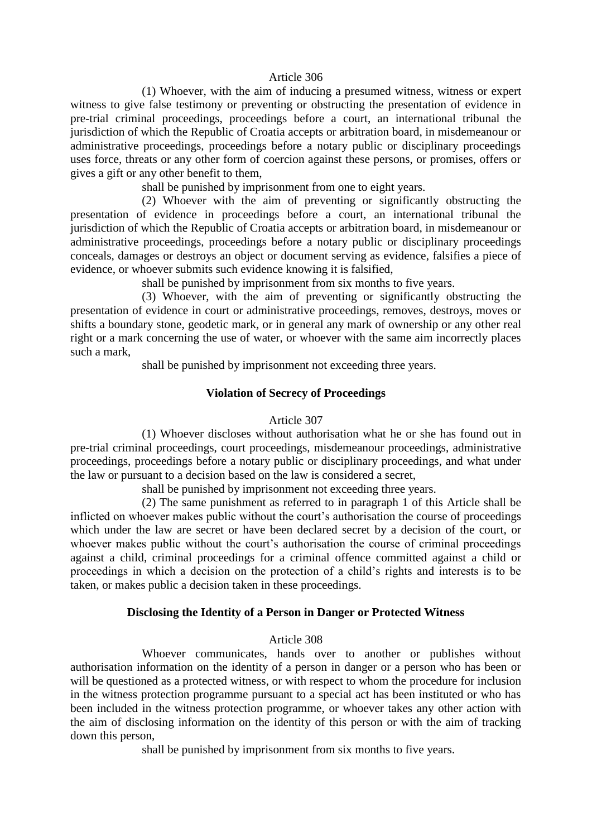#### Article 306

(1) Whoever, with the aim of inducing a presumed witness, witness or expert witness to give false testimony or preventing or obstructing the presentation of evidence in pre-trial criminal proceedings, proceedings before a court, an international tribunal the jurisdiction of which the Republic of Croatia accepts or arbitration board, in misdemeanour or administrative proceedings, proceedings before a notary public or disciplinary proceedings uses force, threats or any other form of coercion against these persons, or promises, offers or gives a gift or any other benefit to them,

shall be punished by imprisonment from one to eight years.

(2) Whoever with the aim of preventing or significantly obstructing the presentation of evidence in proceedings before a court, an international tribunal the jurisdiction of which the Republic of Croatia accepts or arbitration board, in misdemeanour or administrative proceedings, proceedings before a notary public or disciplinary proceedings conceals, damages or destroys an object or document serving as evidence, falsifies a piece of evidence, or whoever submits such evidence knowing it is falsified,

shall be punished by imprisonment from six months to five years.

(3) Whoever, with the aim of preventing or significantly obstructing the presentation of evidence in court or administrative proceedings, removes, destroys, moves or shifts a boundary stone, geodetic mark, or in general any mark of ownership or any other real right or a mark concerning the use of water, or whoever with the same aim incorrectly places such a mark,

shall be punished by imprisonment not exceeding three years.

## **Violation of Secrecy of Proceedings**

#### Article 307

(1) Whoever discloses without authorisation what he or she has found out in pre-trial criminal proceedings, court proceedings, misdemeanour proceedings, administrative proceedings, proceedings before a notary public or disciplinary proceedings, and what under the law or pursuant to a decision based on the law is considered a secret,

shall be punished by imprisonment not exceeding three years.

(2) The same punishment as referred to in paragraph 1 of this Article shall be inflicted on whoever makes public without the court's authorisation the course of proceedings which under the law are secret or have been declared secret by a decision of the court, or whoever makes public without the court's authorisation the course of criminal proceedings against a child, criminal proceedings for a criminal offence committed against a child or proceedings in which a decision on the protection of a child's rights and interests is to be taken, or makes public a decision taken in these proceedings.

## **Disclosing the Identity of a Person in Danger or Protected Witness**

#### Article 308

Whoever communicates, hands over to another or publishes without authorisation information on the identity of a person in danger or a person who has been or will be questioned as a protected witness, or with respect to whom the procedure for inclusion in the witness protection programme pursuant to a special act has been instituted or who has been included in the witness protection programme, or whoever takes any other action with the aim of disclosing information on the identity of this person or with the aim of tracking down this person,

shall be punished by imprisonment from six months to five years.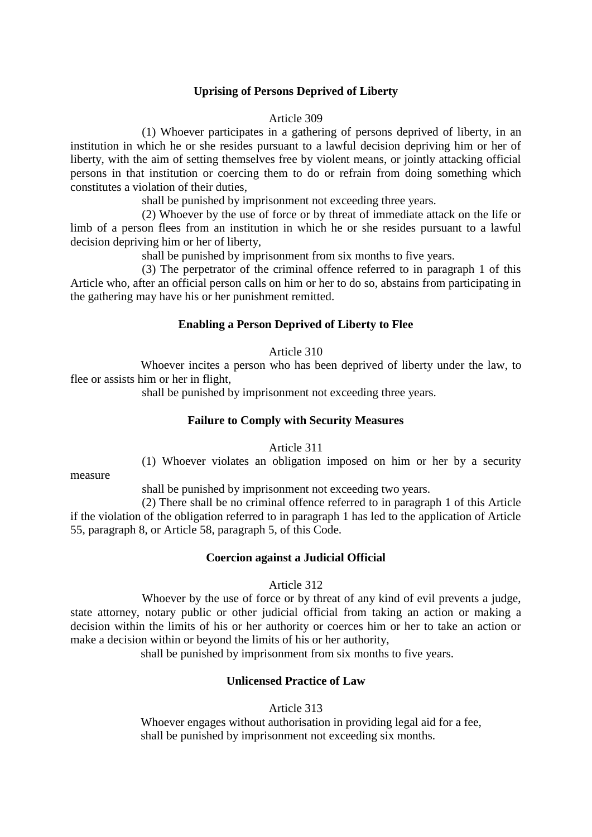# **Uprising of Persons Deprived of Liberty**

#### Article 309

(1) Whoever participates in a gathering of persons deprived of liberty, in an institution in which he or she resides pursuant to a lawful decision depriving him or her of liberty, with the aim of setting themselves free by violent means, or jointly attacking official persons in that institution or coercing them to do or refrain from doing something which constitutes a violation of their duties,

shall be punished by imprisonment not exceeding three years.

(2) Whoever by the use of force or by threat of immediate attack on the life or limb of a person flees from an institution in which he or she resides pursuant to a lawful decision depriving him or her of liberty,

shall be punished by imprisonment from six months to five years.

(3) The perpetrator of the criminal offence referred to in paragraph 1 of this Article who, after an official person calls on him or her to do so, abstains from participating in the gathering may have his or her punishment remitted.

#### **Enabling a Person Deprived of Liberty to Flee**

#### Article 310

Whoever incites a person who has been deprived of liberty under the law, to flee or assists him or her in flight,

shall be punished by imprisonment not exceeding three years.

#### **Failure to Comply with Security Measures**

Article 311

(1) Whoever violates an obligation imposed on him or her by a security

measure

shall be punished by imprisonment not exceeding two years.

(2) There shall be no criminal offence referred to in paragraph 1 of this Article if the violation of the obligation referred to in paragraph 1 has led to the application of Article 55, paragraph 8, or Article 58, paragraph 5, of this Code.

#### **Coercion against a Judicial Official**

## Article 312

Whoever by the use of force or by threat of any kind of evil prevents a judge, state attorney, notary public or other judicial official from taking an action or making a decision within the limits of his or her authority or coerces him or her to take an action or make a decision within or beyond the limits of his or her authority,

shall be punished by imprisonment from six months to five years.

# **Unlicensed Practice of Law**

#### Article 313

Whoever engages without authorisation in providing legal aid for a fee, shall be punished by imprisonment not exceeding six months.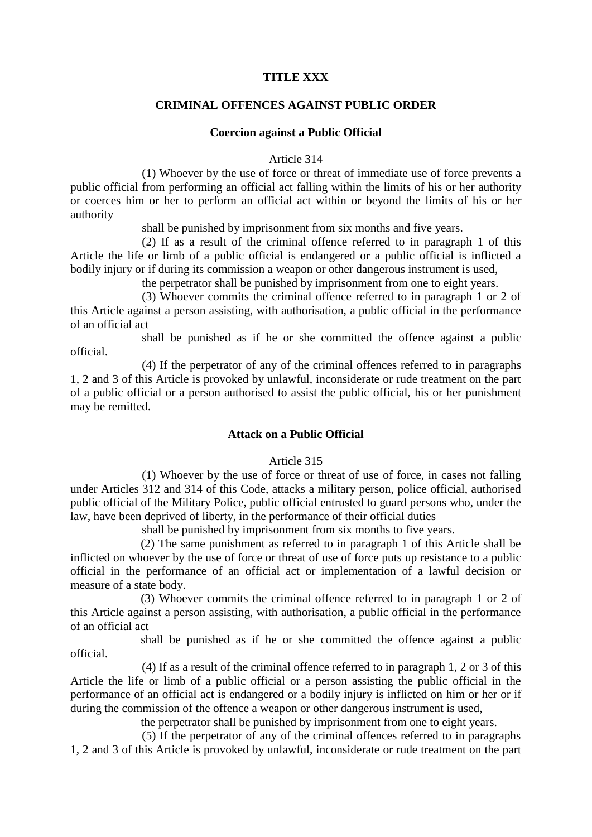#### **TITLE XXX**

## **CRIMINAL OFFENCES AGAINST PUBLIC ORDER**

#### **Coercion against a Public Official**

Article 314

(1) Whoever by the use of force or threat of immediate use of force prevents a public official from performing an official act falling within the limits of his or her authority or coerces him or her to perform an official act within or beyond the limits of his or her authority

shall be punished by imprisonment from six months and five years.

(2) If as a result of the criminal offence referred to in paragraph 1 of this Article the life or limb of a public official is endangered or a public official is inflicted a bodily injury or if during its commission a weapon or other dangerous instrument is used,

the perpetrator shall be punished by imprisonment from one to eight years.

(3) Whoever commits the criminal offence referred to in paragraph 1 or 2 of this Article against a person assisting, with authorisation, a public official in the performance of an official act

shall be punished as if he or she committed the offence against a public official.

(4) If the perpetrator of any of the criminal offences referred to in paragraphs 1, 2 and 3 of this Article is provoked by unlawful, inconsiderate or rude treatment on the part of a public official or a person authorised to assist the public official, his or her punishment may be remitted.

#### **Attack on a Public Official**

#### Article 315

(1) Whoever by the use of force or threat of use of force, in cases not falling under Articles 312 and 314 of this Code, attacks a military person, police official, authorised public official of the Military Police, public official entrusted to guard persons who, under the law, have been deprived of liberty, in the performance of their official duties

shall be punished by imprisonment from six months to five years.

(2) The same punishment as referred to in paragraph 1 of this Article shall be inflicted on whoever by the use of force or threat of use of force puts up resistance to a public official in the performance of an official act or implementation of a lawful decision or measure of a state body.

(3) Whoever commits the criminal offence referred to in paragraph 1 or 2 of this Article against a person assisting, with authorisation, a public official in the performance of an official act

shall be punished as if he or she committed the offence against a public official.

(4) If as a result of the criminal offence referred to in paragraph 1, 2 or 3 of this Article the life or limb of a public official or a person assisting the public official in the performance of an official act is endangered or a bodily injury is inflicted on him or her or if during the commission of the offence a weapon or other dangerous instrument is used,

the perpetrator shall be punished by imprisonment from one to eight years.

(5) If the perpetrator of any of the criminal offences referred to in paragraphs 1, 2 and 3 of this Article is provoked by unlawful, inconsiderate or rude treatment on the part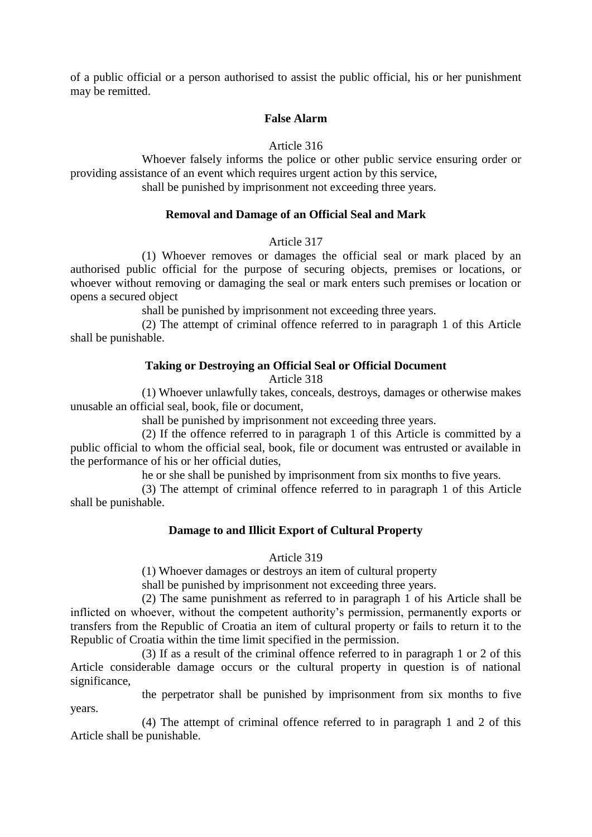of a public official or a person authorised to assist the public official, his or her punishment may be remitted.

#### **False Alarm**

#### Article 316

Whoever falsely informs the police or other public service ensuring order or providing assistance of an event which requires urgent action by this service,

shall be punished by imprisonment not exceeding three years.

## **Removal and Damage of an Official Seal and Mark**

#### Article 317

(1) Whoever removes or damages the official seal or mark placed by an authorised public official for the purpose of securing objects, premises or locations, or whoever without removing or damaging the seal or mark enters such premises or location or opens a secured object

shall be punished by imprisonment not exceeding three years.

(2) The attempt of criminal offence referred to in paragraph 1 of this Article shall be punishable.

# **Taking or Destroying an Official Seal or Official Document**

Article 318

(1) Whoever unlawfully takes, conceals, destroys, damages or otherwise makes unusable an official seal, book, file or document,

shall be punished by imprisonment not exceeding three years.

(2) If the offence referred to in paragraph 1 of this Article is committed by a public official to whom the official seal, book, file or document was entrusted or available in the performance of his or her official duties,

he or she shall be punished by imprisonment from six months to five years.

(3) The attempt of criminal offence referred to in paragraph 1 of this Article shall be punishable.

## **Damage to and Illicit Export of Cultural Property**

## Article 319

(1) Whoever damages or destroys an item of cultural property

shall be punished by imprisonment not exceeding three years.

(2) The same punishment as referred to in paragraph 1 of his Article shall be inflicted on whoever, without the competent authority's permission, permanently exports or transfers from the Republic of Croatia an item of cultural property or fails to return it to the Republic of Croatia within the time limit specified in the permission.

(3) If as a result of the criminal offence referred to in paragraph 1 or 2 of this Article considerable damage occurs or the cultural property in question is of national significance,

the perpetrator shall be punished by imprisonment from six months to five years.

(4) The attempt of criminal offence referred to in paragraph 1 and 2 of this Article shall be punishable.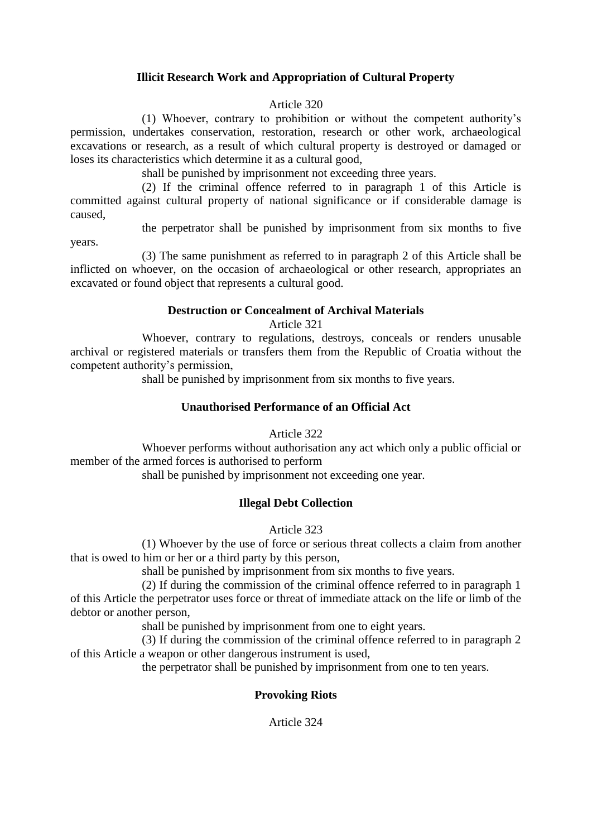# **Illicit Research Work and Appropriation of Cultural Property**

#### Article 320

(1) Whoever, contrary to prohibition or without the competent authority's permission, undertakes conservation, restoration, research or other work, archaeological excavations or research, as a result of which cultural property is destroyed or damaged or loses its characteristics which determine it as a cultural good,

shall be punished by imprisonment not exceeding three years.

(2) If the criminal offence referred to in paragraph 1 of this Article is committed against cultural property of national significance or if considerable damage is caused,

the perpetrator shall be punished by imprisonment from six months to five

years.

(3) The same punishment as referred to in paragraph 2 of this Article shall be inflicted on whoever, on the occasion of archaeological or other research, appropriates an excavated or found object that represents a cultural good.

## **Destruction or Concealment of Archival Materials**

Article 321

Whoever, contrary to regulations, destroys, conceals or renders unusable archival or registered materials or transfers them from the Republic of Croatia without the competent authority's permission,

shall be punished by imprisonment from six months to five years.

# **Unauthorised Performance of an Official Act**

Article 322

Whoever performs without authorisation any act which only a public official or member of the armed forces is authorised to perform

shall be punished by imprisonment not exceeding one year.

## **Illegal Debt Collection**

Article 323

(1) Whoever by the use of force or serious threat collects a claim from another that is owed to him or her or a third party by this person,

shall be punished by imprisonment from six months to five years.

(2) If during the commission of the criminal offence referred to in paragraph 1 of this Article the perpetrator uses force or threat of immediate attack on the life or limb of the debtor or another person,

shall be punished by imprisonment from one to eight years.

(3) If during the commission of the criminal offence referred to in paragraph 2 of this Article a weapon or other dangerous instrument is used,

the perpetrator shall be punished by imprisonment from one to ten years.

# **Provoking Riots**

Article 324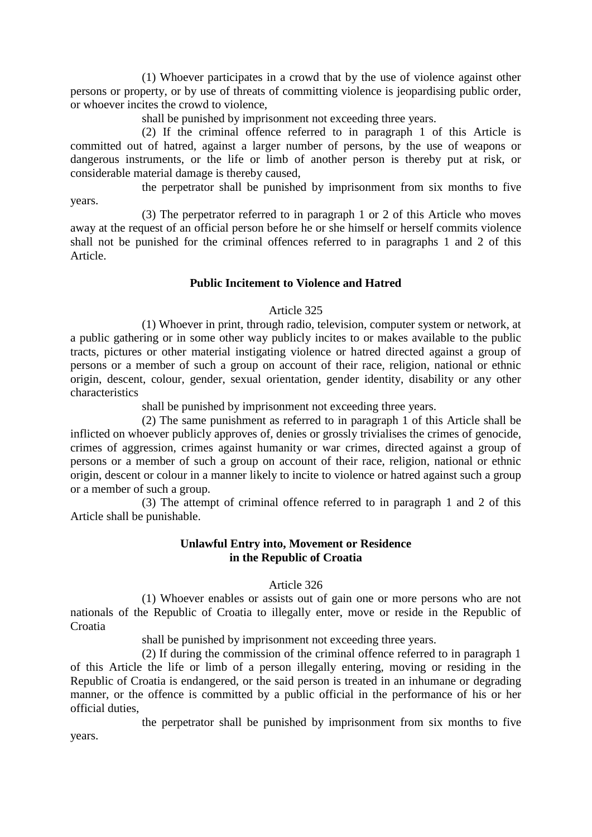(1) Whoever participates in a crowd that by the use of violence against other persons or property, or by use of threats of committing violence is jeopardising public order, or whoever incites the crowd to violence,

shall be punished by imprisonment not exceeding three years.

(2) If the criminal offence referred to in paragraph 1 of this Article is committed out of hatred, against a larger number of persons, by the use of weapons or dangerous instruments, or the life or limb of another person is thereby put at risk, or considerable material damage is thereby caused,

the perpetrator shall be punished by imprisonment from six months to five years.

(3) The perpetrator referred to in paragraph 1 or 2 of this Article who moves away at the request of an official person before he or she himself or herself commits violence shall not be punished for the criminal offences referred to in paragraphs 1 and 2 of this Article.

## **Public Incitement to Violence and Hatred**

## Article 325

(1) Whoever in print, through radio, television, computer system or network, at a public gathering or in some other way publicly incites to or makes available to the public tracts, pictures or other material instigating violence or hatred directed against a group of persons or a member of such a group on account of their race, religion, national or ethnic origin, descent, colour, gender, sexual orientation, gender identity, disability or any other characteristics

shall be punished by imprisonment not exceeding three years.

(2) The same punishment as referred to in paragraph 1 of this Article shall be inflicted on whoever publicly approves of, denies or grossly trivialises the crimes of genocide, crimes of aggression, crimes against humanity or war crimes, directed against a group of persons or a member of such a group on account of their race, religion, national or ethnic origin, descent or colour in a manner likely to incite to violence or hatred against such a group or a member of such a group.

(3) The attempt of criminal offence referred to in paragraph 1 and 2 of this Article shall be punishable.

# **Unlawful Entry into, Movement or Residence in the Republic of Croatia**

## Article 326

(1) Whoever enables or assists out of gain one or more persons who are not nationals of the Republic of Croatia to illegally enter, move or reside in the Republic of Croatia

shall be punished by imprisonment not exceeding three years.

(2) If during the commission of the criminal offence referred to in paragraph 1 of this Article the life or limb of a person illegally entering, moving or residing in the Republic of Croatia is endangered, or the said person is treated in an inhumane or degrading manner, or the offence is committed by a public official in the performance of his or her official duties,

the perpetrator shall be punished by imprisonment from six months to five years.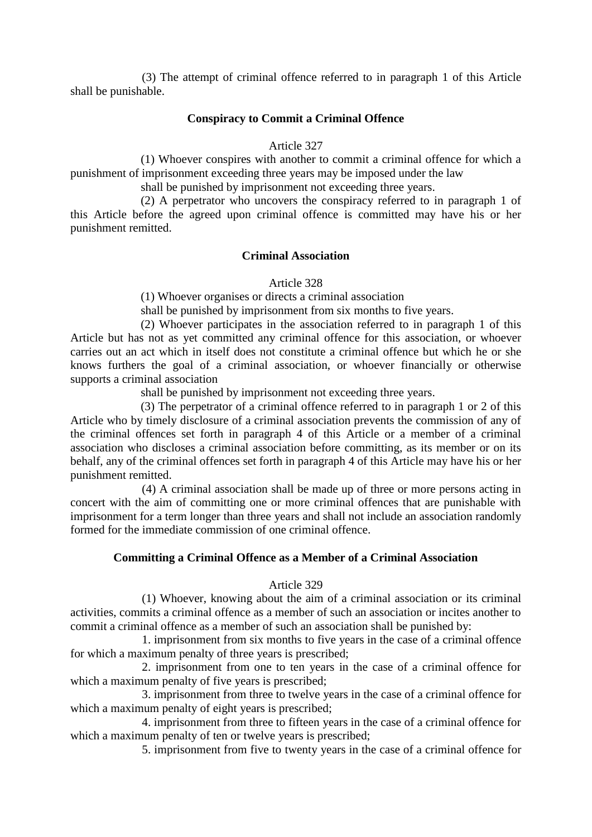(3) The attempt of criminal offence referred to in paragraph 1 of this Article shall be punishable.

#### **Conspiracy to Commit a Criminal Offence**

#### Article 327

(1) Whoever conspires with another to commit a criminal offence for which a punishment of imprisonment exceeding three years may be imposed under the law

shall be punished by imprisonment not exceeding three years.

(2) A perpetrator who uncovers the conspiracy referred to in paragraph 1 of this Article before the agreed upon criminal offence is committed may have his or her punishment remitted.

## **Criminal Association**

Article 328

(1) Whoever organises or directs a criminal association

shall be punished by imprisonment from six months to five years.

(2) Whoever participates in the association referred to in paragraph 1 of this Article but has not as yet committed any criminal offence for this association, or whoever carries out an act which in itself does not constitute a criminal offence but which he or she knows furthers the goal of a criminal association, or whoever financially or otherwise supports a criminal association

shall be punished by imprisonment not exceeding three years.

(3) The perpetrator of a criminal offence referred to in paragraph 1 or 2 of this Article who by timely disclosure of a criminal association prevents the commission of any of the criminal offences set forth in paragraph 4 of this Article or a member of a criminal association who discloses a criminal association before committing, as its member or on its behalf, any of the criminal offences set forth in paragraph 4 of this Article may have his or her punishment remitted.

(4) A criminal association shall be made up of three or more persons acting in concert with the aim of committing one or more criminal offences that are punishable with imprisonment for a term longer than three years and shall not include an association randomly formed for the immediate commission of one criminal offence.

## **Committing a Criminal Offence as a Member of a Criminal Association**

#### Article 329

(1) Whoever, knowing about the aim of a criminal association or its criminal activities, commits a criminal offence as a member of such an association or incites another to commit a criminal offence as a member of such an association shall be punished by:

1. imprisonment from six months to five years in the case of a criminal offence for which a maximum penalty of three years is prescribed;

2. imprisonment from one to ten years in the case of a criminal offence for which a maximum penalty of five years is prescribed;

3. imprisonment from three to twelve years in the case of a criminal offence for which a maximum penalty of eight years is prescribed;

4. imprisonment from three to fifteen years in the case of a criminal offence for which a maximum penalty of ten or twelve years is prescribed;

5. imprisonment from five to twenty years in the case of a criminal offence for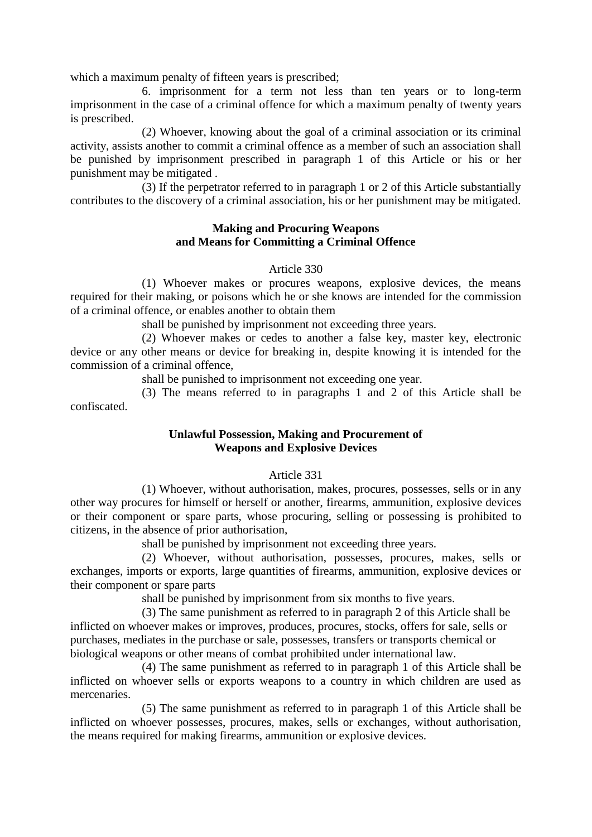which a maximum penalty of fifteen years is prescribed;

6. imprisonment for a term not less than ten years or to long-term imprisonment in the case of a criminal offence for which a maximum penalty of twenty years is prescribed.

(2) Whoever, knowing about the goal of a criminal association or its criminal activity, assists another to commit a criminal offence as a member of such an association shall be punished by imprisonment prescribed in paragraph 1 of this Article or his or her punishment may be mitigated .

(3) If the perpetrator referred to in paragraph 1 or 2 of this Article substantially contributes to the discovery of a criminal association, his or her punishment may be mitigated.

# **Making and Procuring Weapons and Means for Committing a Criminal Offence**

## Article 330

(1) Whoever makes or procures weapons, explosive devices, the means required for their making, or poisons which he or she knows are intended for the commission of a criminal offence, or enables another to obtain them

shall be punished by imprisonment not exceeding three years.

(2) Whoever makes or cedes to another a false key, master key, electronic device or any other means or device for breaking in, despite knowing it is intended for the commission of a criminal offence,

shall be punished to imprisonment not exceeding one year.

(3) The means referred to in paragraphs 1 and 2 of this Article shall be confiscated.

# **Unlawful Possession, Making and Procurement of Weapons and Explosive Devices**

## Article 331

(1) Whoever, without authorisation, makes, procures, possesses, sells or in any other way procures for himself or herself or another, firearms, ammunition, explosive devices or their component or spare parts, whose procuring, selling or possessing is prohibited to citizens, in the absence of prior authorisation,

shall be punished by imprisonment not exceeding three years.

(2) Whoever, without authorisation, possesses, procures, makes, sells or exchanges, imports or exports, large quantities of firearms, ammunition, explosive devices or their component or spare parts

shall be punished by imprisonment from six months to five years.

(3) The same punishment as referred to in paragraph 2 of this Article shall be inflicted on whoever makes or improves, produces, procures, stocks, offers for sale, sells or purchases, mediates in the purchase or sale, possesses, transfers or transports chemical or biological weapons or other means of combat prohibited under international law.

(4) The same punishment as referred to in paragraph 1 of this Article shall be inflicted on whoever sells or exports weapons to a country in which children are used as mercenaries.

(5) The same punishment as referred to in paragraph 1 of this Article shall be inflicted on whoever possesses, procures, makes, sells or exchanges, without authorisation, the means required for making firearms, ammunition or explosive devices.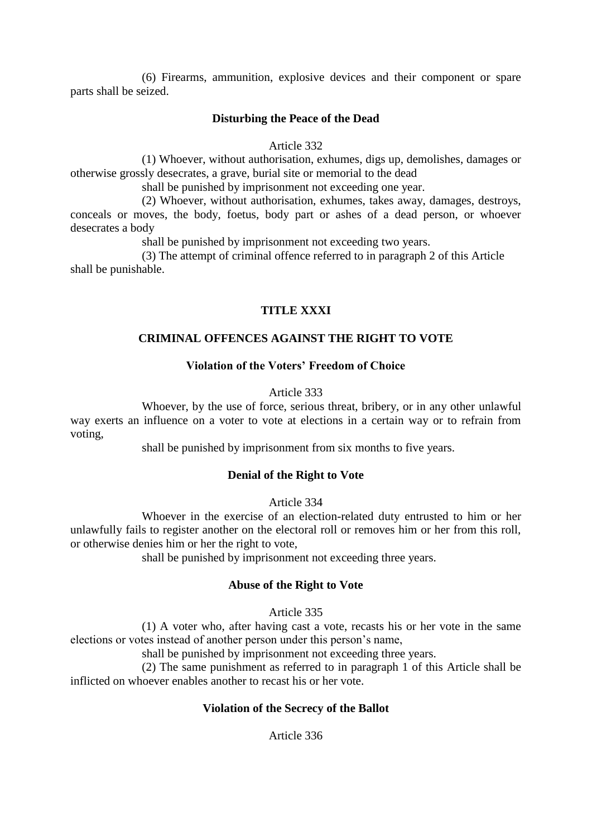(6) Firearms, ammunition, explosive devices and their component or spare parts shall be seized.

#### **Disturbing the Peace of the Dead**

#### Article 332

(1) Whoever, without authorisation, exhumes, digs up, demolishes, damages or otherwise grossly desecrates, a grave, burial site or memorial to the dead

shall be punished by imprisonment not exceeding one year.

(2) Whoever, without authorisation, exhumes, takes away, damages, destroys, conceals or moves, the body, foetus, body part or ashes of a dead person, or whoever desecrates a body

shall be punished by imprisonment not exceeding two years.

(3) The attempt of criminal offence referred to in paragraph 2 of this Article shall be punishable.

# **TITLE XXXI**

## **CRIMINAL OFFENCES AGAINST THE RIGHT TO VOTE**

#### **Violation of the Voters' Freedom of Choice**

#### Article 333

Whoever, by the use of force, serious threat, bribery, or in any other unlawful way exerts an influence on a voter to vote at elections in a certain way or to refrain from voting,

shall be punished by imprisonment from six months to five years.

# **Denial of the Right to Vote**

Article 334

Whoever in the exercise of an election-related duty entrusted to him or her unlawfully fails to register another on the electoral roll or removes him or her from this roll, or otherwise denies him or her the right to vote,

shall be punished by imprisonment not exceeding three years.

#### **Abuse of the Right to Vote**

#### Article 335

(1) A voter who, after having cast a vote, recasts his or her vote in the same elections or votes instead of another person under this person's name,

shall be punished by imprisonment not exceeding three years.

(2) The same punishment as referred to in paragraph 1 of this Article shall be inflicted on whoever enables another to recast his or her vote.

## **Violation of the Secrecy of the Ballot**

Article 336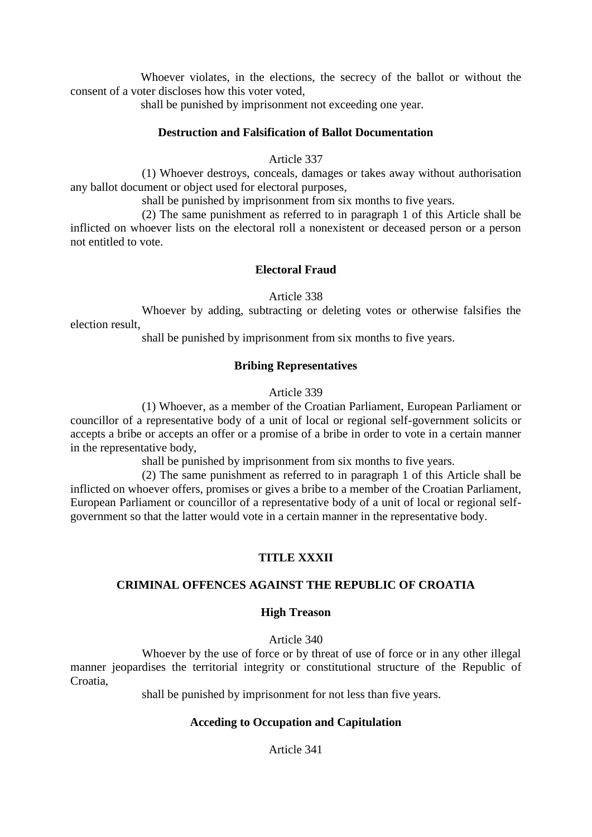Whoever violates, in the elections, the secrecy of the ballot or without the consent of a voter discloses how this voter voted,

shall be punished by imprisonment not exceeding one year.

# **Destruction and Falsification of Ballot Documentation**

### Article 337

(1) Whoever destroys, conceals, damages or takes away without authorisation any ballot document or object used for electoral purposes,

shall be punished by imprisonment from six months to five years.

(2) The same punishment as referred to in paragraph 1 of this Article shall be inflicted on whoever lists on the electoral roll a nonexistent or deceased person or a person not entitled to vote.

# **Electoral Fraud**

Article 338

Whoever by adding, subtracting or deleting votes or otherwise falsifies the election result,

shall be punished by imprisonment from six months to five years.

## **Bribing Representatives**

#### Article 339

(1) Whoever, as a member of the Croatian Parliament, European Parliament or councillor of a representative body of a unit of local or regional self-government solicits or accepts a bribe or accepts an offer or a promise of a bribe in order to vote in a certain manner in the representative body,

shall be punished by imprisonment from six months to five years.

(2) The same punishment as referred to in paragraph 1 of this Article shall be inflicted on whoever offers, promises or gives a bribe to a member of the Croatian Parliament, European Parliament or councillor of a representative body of a unit of local or regional selfgovernment so that the latter would vote in a certain manner in the representative body.

# **TITLE XXXII**

## **CRIMINAL OFFENCES AGAINST THE REPUBLIC OF CROATIA**

## **High Treason**

#### Article 340

Whoever by the use of force or by threat of use of force or in any other illegal manner jeopardises the territorial integrity or constitutional structure of the Republic of Croatia,

shall be punished by imprisonment for not less than five years.

## **Acceding to Occupation and Capitulation**

Article 341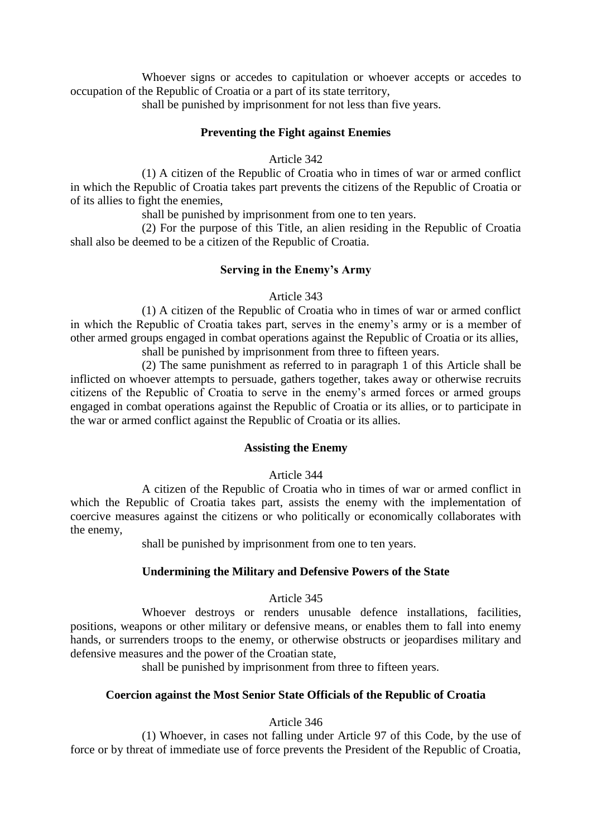Whoever signs or accedes to capitulation or whoever accepts or accedes to occupation of the Republic of Croatia or a part of its state territory,

shall be punished by imprisonment for not less than five years.

# **Preventing the Fight against Enemies**

#### Article 342

(1) A citizen of the Republic of Croatia who in times of war or armed conflict in which the Republic of Croatia takes part prevents the citizens of the Republic of Croatia or of its allies to fight the enemies,

shall be punished by imprisonment from one to ten years.

(2) For the purpose of this Title, an alien residing in the Republic of Croatia shall also be deemed to be a citizen of the Republic of Croatia.

## **Serving in the Enemy's Army**

#### Article 343

(1) A citizen of the Republic of Croatia who in times of war or armed conflict in which the Republic of Croatia takes part, serves in the enemy's army or is a member of other armed groups engaged in combat operations against the Republic of Croatia or its allies,

shall be punished by imprisonment from three to fifteen years.

(2) The same punishment as referred to in paragraph 1 of this Article shall be inflicted on whoever attempts to persuade, gathers together, takes away or otherwise recruits citizens of the Republic of Croatia to serve in the enemy's armed forces or armed groups engaged in combat operations against the Republic of Croatia or its allies, or to participate in the war or armed conflict against the Republic of Croatia or its allies.

#### **Assisting the Enemy**

## Article 344

A citizen of the Republic of Croatia who in times of war or armed conflict in which the Republic of Croatia takes part, assists the enemy with the implementation of coercive measures against the citizens or who politically or economically collaborates with the enemy,

shall be punished by imprisonment from one to ten years.

## **Undermining the Military and Defensive Powers of the State**

## Article 345

Whoever destroys or renders unusable defence installations, facilities, positions, weapons or other military or defensive means, or enables them to fall into enemy hands, or surrenders troops to the enemy, or otherwise obstructs or jeopardises military and defensive measures and the power of the Croatian state,

shall be punished by imprisonment from three to fifteen years.

## **Coercion against the Most Senior State Officials of the Republic of Croatia**

## Article 346

(1) Whoever, in cases not falling under Article 97 of this Code, by the use of force or by threat of immediate use of force prevents the President of the Republic of Croatia,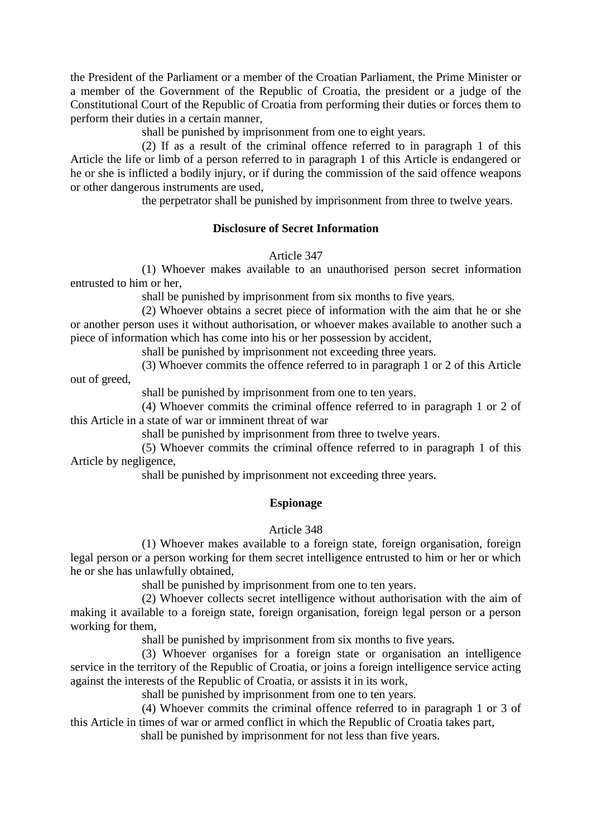the President of the Parliament or a member of the Croatian Parliament, the Prime Minister or a member of the Government of the Republic of Croatia, the president or a judge of the Constitutional Court of the Republic of Croatia from performing their duties or forces them to perform their duties in a certain manner,

shall be punished by imprisonment from one to eight years.

(2) If as a result of the criminal offence referred to in paragraph 1 of this Article the life or limb of a person referred to in paragraph 1 of this Article is endangered or he or she is inflicted a bodily injury, or if during the commission of the said offence weapons or other dangerous instruments are used,

the perpetrator shall be punished by imprisonment from three to twelve years.

#### **Disclosure of Secret Information**

Article 347

(1) Whoever makes available to an unauthorised person secret information entrusted to him or her,

shall be punished by imprisonment from six months to five years.

(2) Whoever obtains a secret piece of information with the aim that he or she or another person uses it without authorisation, or whoever makes available to another such a piece of information which has come into his or her possession by accident,

shall be punished by imprisonment not exceeding three years.

(3) Whoever commits the offence referred to in paragraph 1 or 2 of this Article

out of greed,

shall be punished by imprisonment from one to ten years.

(4) Whoever commits the criminal offence referred to in paragraph 1 or 2 of this Article in a state of war or imminent threat of war

shall be punished by imprisonment from three to twelve years.

(5) Whoever commits the criminal offence referred to in paragraph 1 of this Article by negligence,

shall be punished by imprisonment not exceeding three years.

#### **Espionage**

#### Article 348

(1) Whoever makes available to a foreign state, foreign organisation, foreign legal person or a person working for them secret intelligence entrusted to him or her or which he or she has unlawfully obtained,

shall be punished by imprisonment from one to ten years.

(2) Whoever collects secret intelligence without authorisation with the aim of making it available to a foreign state, foreign organisation, foreign legal person or a person working for them,

shall be punished by imprisonment from six months to five years.

(3) Whoever organises for a foreign state or organisation an intelligence service in the territory of the Republic of Croatia, or joins a foreign intelligence service acting against the interests of the Republic of Croatia, or assists it in its work,

shall be punished by imprisonment from one to ten years.

(4) Whoever commits the criminal offence referred to in paragraph 1 or 3 of this Article in times of war or armed conflict in which the Republic of Croatia takes part,

shall be punished by imprisonment for not less than five years.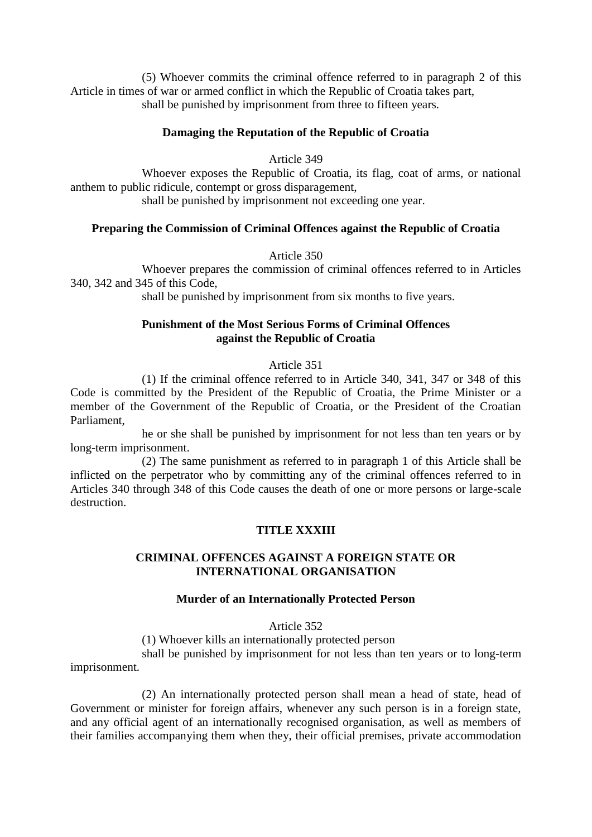(5) Whoever commits the criminal offence referred to in paragraph 2 of this Article in times of war or armed conflict in which the Republic of Croatia takes part, shall be punished by imprisonment from three to fifteen years.

# **Damaging the Reputation of the Republic of Croatia**

Article 349

Whoever exposes the Republic of Croatia, its flag, coat of arms, or national anthem to public ridicule, contempt or gross disparagement,

shall be punished by imprisonment not exceeding one year.

## **Preparing the Commission of Criminal Offences against the Republic of Croatia**

Article 350

Whoever prepares the commission of criminal offences referred to in Articles 340, 342 and 345 of this Code,

shall be punished by imprisonment from six months to five years.

# **Punishment of the Most Serious Forms of Criminal Offences against the Republic of Croatia**

## Article 351

(1) If the criminal offence referred to in Article 340, 341, 347 or 348 of this Code is committed by the President of the Republic of Croatia, the Prime Minister or a member of the Government of the Republic of Croatia, or the President of the Croatian Parliament,

he or she shall be punished by imprisonment for not less than ten years or by long-term imprisonment.

(2) The same punishment as referred to in paragraph 1 of this Article shall be inflicted on the perpetrator who by committing any of the criminal offences referred to in Articles 340 through 348 of this Code causes the death of one or more persons or large-scale destruction.

# **TITLE XXXIII**

## **CRIMINAL OFFENCES AGAINST A FOREIGN STATE OR INTERNATIONAL ORGANISATION**

## **Murder of an Internationally Protected Person**

Article 352

(1) Whoever kills an internationally protected person

shall be punished by imprisonment for not less than ten years or to long-term imprisonment.

(2) An internationally protected person shall mean a head of state, head of Government or minister for foreign affairs, whenever any such person is in a foreign state, and any official agent of an internationally recognised organisation, as well as members of their families accompanying them when they, their official premises, private accommodation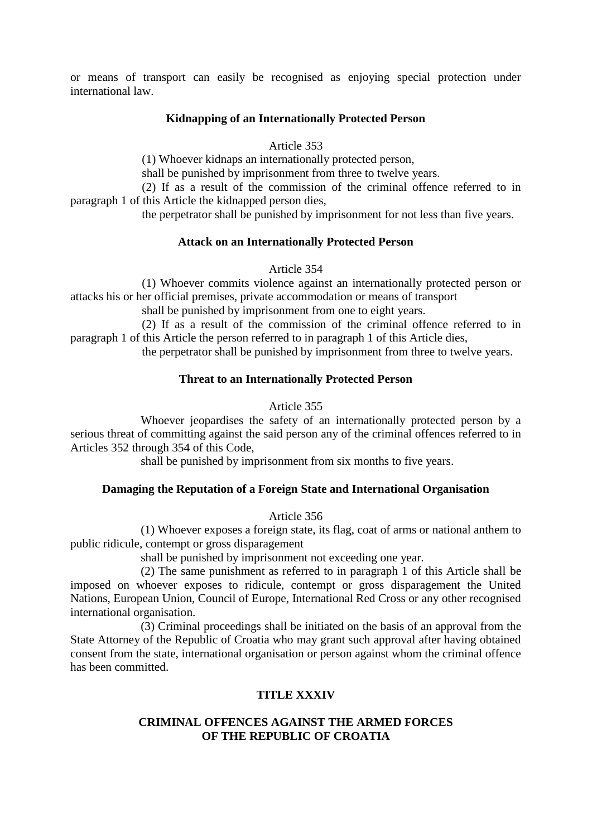or means of transport can easily be recognised as enjoying special protection under international law.

#### **Kidnapping of an Internationally Protected Person**

Article 353

(1) Whoever kidnaps an internationally protected person,

shall be punished by imprisonment from three to twelve years.

(2) If as a result of the commission of the criminal offence referred to in paragraph 1 of this Article the kidnapped person dies,

the perpetrator shall be punished by imprisonment for not less than five years.

#### **Attack on an Internationally Protected Person**

Article 354

(1) Whoever commits violence against an internationally protected person or attacks his or her official premises, private accommodation or means of transport

shall be punished by imprisonment from one to eight years.

(2) If as a result of the commission of the criminal offence referred to in paragraph 1 of this Article the person referred to in paragraph 1 of this Article dies,

the perpetrator shall be punished by imprisonment from three to twelve years.

#### **Threat to an Internationally Protected Person**

#### Article 355

Whoever jeopardises the safety of an internationally protected person by a serious threat of committing against the said person any of the criminal offences referred to in Articles 352 through 354 of this Code,

shall be punished by imprisonment from six months to five years.

#### **Damaging the Reputation of a Foreign State and International Organisation**

#### Article 356

(1) Whoever exposes a foreign state, its flag, coat of arms or national anthem to public ridicule, contempt or gross disparagement

shall be punished by imprisonment not exceeding one year.

(2) The same punishment as referred to in paragraph 1 of this Article shall be imposed on whoever exposes to ridicule, contempt or gross disparagement the United Nations, European Union, Council of Europe, International Red Cross or any other recognised international organisation.

(3) Criminal proceedings shall be initiated on the basis of an approval from the State Attorney of the Republic of Croatia who may grant such approval after having obtained consent from the state, international organisation or person against whom the criminal offence has been committed.

#### **TITLE XXXIV**

## **CRIMINAL OFFENCES AGAINST THE ARMED FORCES OF THE REPUBLIC OF CROATIA**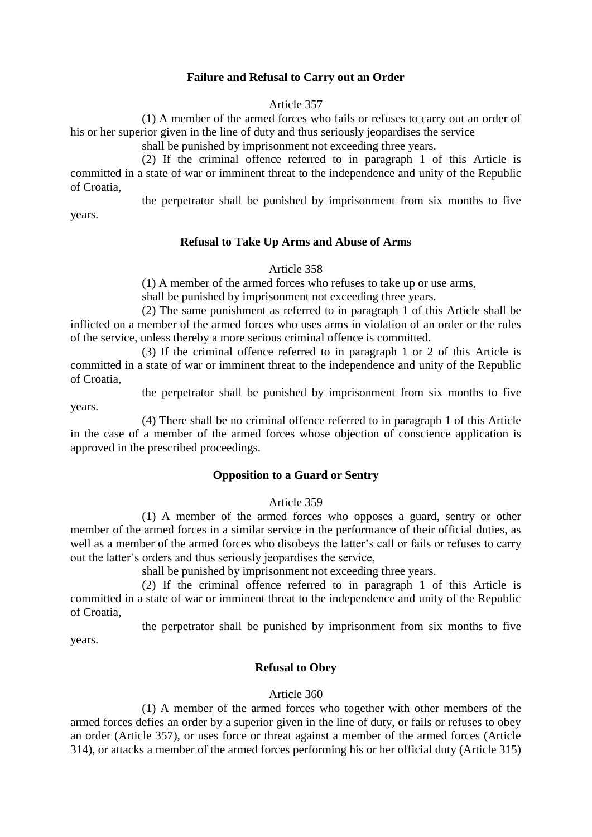## **Failure and Refusal to Carry out an Order**

Article 357

(1) A member of the armed forces who fails or refuses to carry out an order of his or her superior given in the line of duty and thus seriously jeopardises the service

shall be punished by imprisonment not exceeding three years.

(2) If the criminal offence referred to in paragraph 1 of this Article is committed in a state of war or imminent threat to the independence and unity of the Republic of Croatia,

the perpetrator shall be punished by imprisonment from six months to five

years.

# **Refusal to Take Up Arms and Abuse of Arms**

#### Article 358

(1) A member of the armed forces who refuses to take up or use arms,

shall be punished by imprisonment not exceeding three years.

(2) The same punishment as referred to in paragraph 1 of this Article shall be inflicted on a member of the armed forces who uses arms in violation of an order or the rules of the service, unless thereby a more serious criminal offence is committed.

(3) If the criminal offence referred to in paragraph 1 or 2 of this Article is committed in a state of war or imminent threat to the independence and unity of the Republic of Croatia,

the perpetrator shall be punished by imprisonment from six months to five years.

(4) There shall be no criminal offence referred to in paragraph 1 of this Article in the case of a member of the armed forces whose objection of conscience application is approved in the prescribed proceedings.

## **Opposition to a Guard or Sentry**

## Article 359

(1) A member of the armed forces who opposes a guard, sentry or other member of the armed forces in a similar service in the performance of their official duties, as well as a member of the armed forces who disobeys the latter's call or fails or refuses to carry out the latter's orders and thus seriously jeopardises the service,

shall be punished by imprisonment not exceeding three years.

(2) If the criminal offence referred to in paragraph 1 of this Article is committed in a state of war or imminent threat to the independence and unity of the Republic of Croatia,

the perpetrator shall be punished by imprisonment from six months to five years.

## **Refusal to Obey**

## Article 360

(1) A member of the armed forces who together with other members of the armed forces defies an order by a superior given in the line of duty, or fails or refuses to obey an order (Article 357), or uses force or threat against a member of the armed forces (Article 314), or attacks a member of the armed forces performing his or her official duty (Article 315)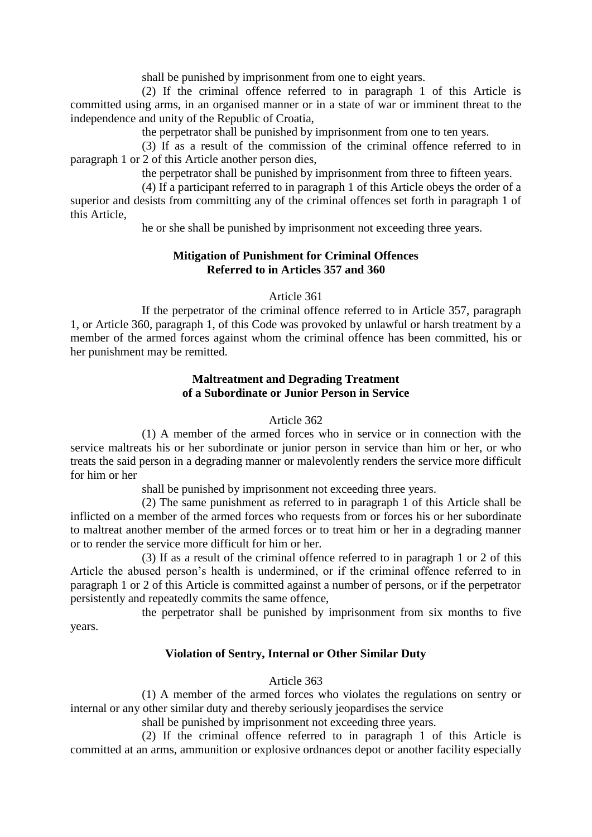shall be punished by imprisonment from one to eight years.

(2) If the criminal offence referred to in paragraph 1 of this Article is committed using arms, in an organised manner or in a state of war or imminent threat to the independence and unity of the Republic of Croatia,

the perpetrator shall be punished by imprisonment from one to ten years.

(3) If as a result of the commission of the criminal offence referred to in paragraph 1 or 2 of this Article another person dies,

the perpetrator shall be punished by imprisonment from three to fifteen years.

(4) If a participant referred to in paragraph 1 of this Article obeys the order of a superior and desists from committing any of the criminal offences set forth in paragraph 1 of this Article,

he or she shall be punished by imprisonment not exceeding three years.

### **Mitigation of Punishment for Criminal Offences Referred to in Articles 357 and 360**

## Article 361

If the perpetrator of the criminal offence referred to in Article 357, paragraph 1, or Article 360, paragraph 1, of this Code was provoked by unlawful or harsh treatment by a member of the armed forces against whom the criminal offence has been committed, his or her punishment may be remitted.

## **Maltreatment and Degrading Treatment of a Subordinate or Junior Person in Service**

## Article 362

(1) A member of the armed forces who in service or in connection with the service maltreats his or her subordinate or junior person in service than him or her, or who treats the said person in a degrading manner or malevolently renders the service more difficult for him or her

shall be punished by imprisonment not exceeding three years.

(2) The same punishment as referred to in paragraph 1 of this Article shall be inflicted on a member of the armed forces who requests from or forces his or her subordinate to maltreat another member of the armed forces or to treat him or her in a degrading manner or to render the service more difficult for him or her.

(3) If as a result of the criminal offence referred to in paragraph 1 or 2 of this Article the abused person's health is undermined, or if the criminal offence referred to in paragraph 1 or 2 of this Article is committed against a number of persons, or if the perpetrator persistently and repeatedly commits the same offence,

the perpetrator shall be punished by imprisonment from six months to five years.

#### **Violation of Sentry, Internal or Other Similar Duty**

#### Article 363

(1) A member of the armed forces who violates the regulations on sentry or internal or any other similar duty and thereby seriously jeopardises the service

shall be punished by imprisonment not exceeding three years.

(2) If the criminal offence referred to in paragraph 1 of this Article is committed at an arms, ammunition or explosive ordnances depot or another facility especially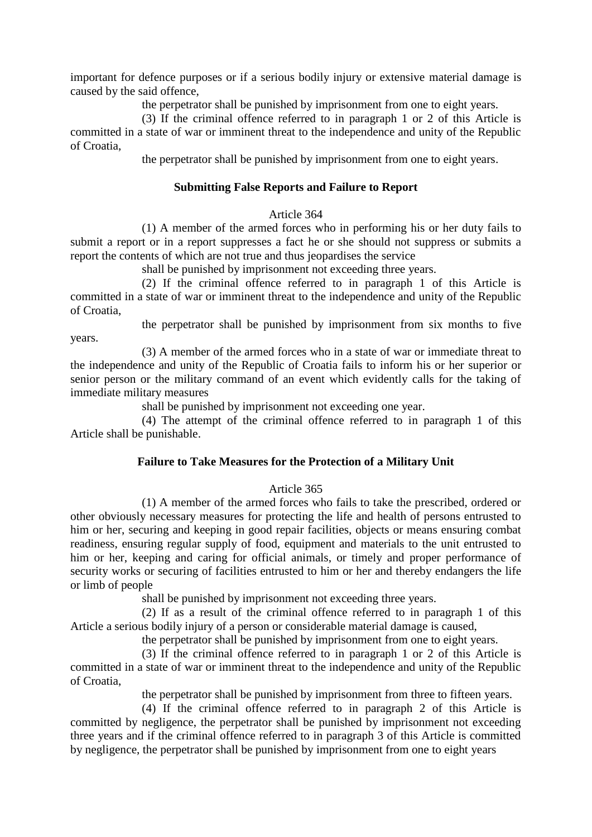important for defence purposes or if a serious bodily injury or extensive material damage is caused by the said offence,

the perpetrator shall be punished by imprisonment from one to eight years.

(3) If the criminal offence referred to in paragraph 1 or 2 of this Article is committed in a state of war or imminent threat to the independence and unity of the Republic of Croatia,

the perpetrator shall be punished by imprisonment from one to eight years.

### **Submitting False Reports and Failure to Report**

#### Article 364

(1) A member of the armed forces who in performing his or her duty fails to submit a report or in a report suppresses a fact he or she should not suppress or submits a report the contents of which are not true and thus jeopardises the service

shall be punished by imprisonment not exceeding three years.

(2) If the criminal offence referred to in paragraph 1 of this Article is committed in a state of war or imminent threat to the independence and unity of the Republic of Croatia,

the perpetrator shall be punished by imprisonment from six months to five

years. (3) A member of the armed forces who in a state of war or immediate threat to the independence and unity of the Republic of Croatia fails to inform his or her superior or senior person or the military command of an event which evidently calls for the taking of

immediate military measures

shall be punished by imprisonment not exceeding one year.

(4) The attempt of the criminal offence referred to in paragraph 1 of this Article shall be punishable.

#### **Failure to Take Measures for the Protection of a Military Unit**

#### Article 365

(1) A member of the armed forces who fails to take the prescribed, ordered or other obviously necessary measures for protecting the life and health of persons entrusted to him or her, securing and keeping in good repair facilities, objects or means ensuring combat readiness, ensuring regular supply of food, equipment and materials to the unit entrusted to him or her, keeping and caring for official animals, or timely and proper performance of security works or securing of facilities entrusted to him or her and thereby endangers the life or limb of people

shall be punished by imprisonment not exceeding three years.

(2) If as a result of the criminal offence referred to in paragraph 1 of this Article a serious bodily injury of a person or considerable material damage is caused,

the perpetrator shall be punished by imprisonment from one to eight years.

(3) If the criminal offence referred to in paragraph 1 or 2 of this Article is committed in a state of war or imminent threat to the independence and unity of the Republic of Croatia,

the perpetrator shall be punished by imprisonment from three to fifteen years.

(4) If the criminal offence referred to in paragraph 2 of this Article is committed by negligence, the perpetrator shall be punished by imprisonment not exceeding three years and if the criminal offence referred to in paragraph 3 of this Article is committed by negligence, the perpetrator shall be punished by imprisonment from one to eight years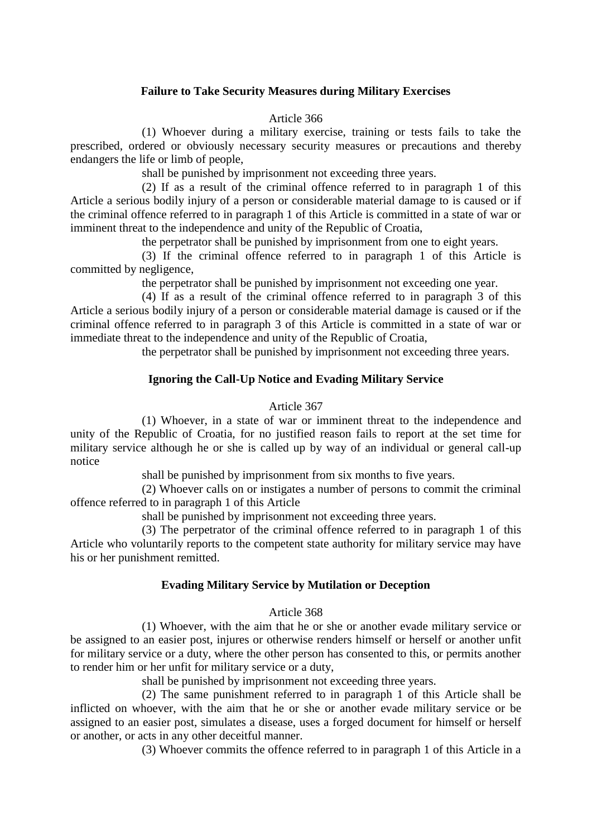### **Failure to Take Security Measures during Military Exercises**

#### Article 366

(1) Whoever during a military exercise, training or tests fails to take the prescribed, ordered or obviously necessary security measures or precautions and thereby endangers the life or limb of people,

shall be punished by imprisonment not exceeding three years.

(2) If as a result of the criminal offence referred to in paragraph 1 of this Article a serious bodily injury of a person or considerable material damage to is caused or if the criminal offence referred to in paragraph 1 of this Article is committed in a state of war or imminent threat to the independence and unity of the Republic of Croatia,

the perpetrator shall be punished by imprisonment from one to eight years.

(3) If the criminal offence referred to in paragraph 1 of this Article is committed by negligence,

the perpetrator shall be punished by imprisonment not exceeding one year.

(4) If as a result of the criminal offence referred to in paragraph 3 of this Article a serious bodily injury of a person or considerable material damage is caused or if the criminal offence referred to in paragraph 3 of this Article is committed in a state of war or immediate threat to the independence and unity of the Republic of Croatia,

the perpetrator shall be punished by imprisonment not exceeding three years.

#### **Ignoring the Call-Up Notice and Evading Military Service**

#### Article 367

(1) Whoever, in a state of war or imminent threat to the independence and unity of the Republic of Croatia, for no justified reason fails to report at the set time for military service although he or she is called up by way of an individual or general call-up notice

shall be punished by imprisonment from six months to five years.

(2) Whoever calls on or instigates a number of persons to commit the criminal offence referred to in paragraph 1 of this Article

shall be punished by imprisonment not exceeding three years.

(3) The perpetrator of the criminal offence referred to in paragraph 1 of this Article who voluntarily reports to the competent state authority for military service may have his or her punishment remitted.

#### **Evading Military Service by Mutilation or Deception**

#### Article 368

(1) Whoever, with the aim that he or she or another evade military service or be assigned to an easier post, injures or otherwise renders himself or herself or another unfit for military service or a duty, where the other person has consented to this, or permits another to render him or her unfit for military service or a duty,

shall be punished by imprisonment not exceeding three years.

(2) The same punishment referred to in paragraph 1 of this Article shall be inflicted on whoever, with the aim that he or she or another evade military service or be assigned to an easier post, simulates a disease, uses a forged document for himself or herself or another, or acts in any other deceitful manner.

(3) Whoever commits the offence referred to in paragraph 1 of this Article in a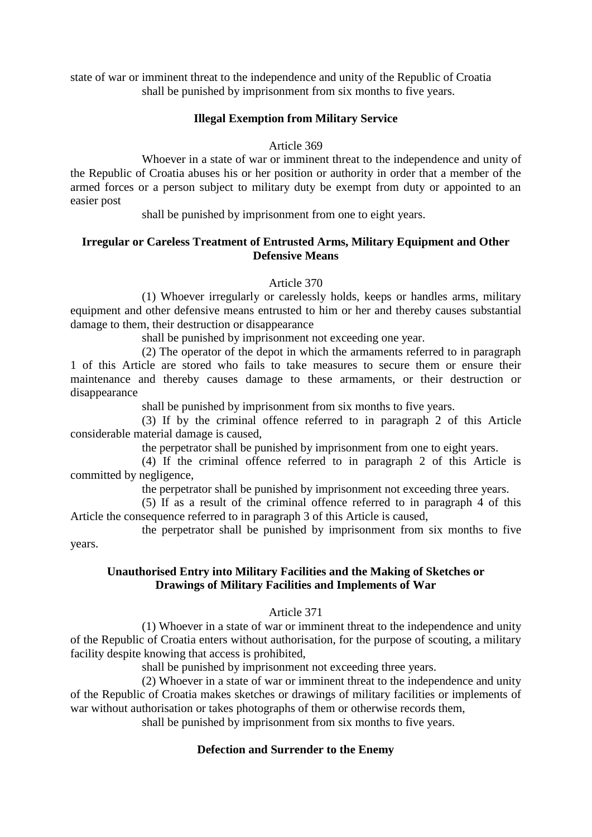state of war or imminent threat to the independence and unity of the Republic of Croatia shall be punished by imprisonment from six months to five years.

#### **Illegal Exemption from Military Service**

Article 369

Whoever in a state of war or imminent threat to the independence and unity of the Republic of Croatia abuses his or her position or authority in order that a member of the armed forces or a person subject to military duty be exempt from duty or appointed to an easier post

shall be punished by imprisonment from one to eight years.

# **Irregular or Careless Treatment of Entrusted Arms, Military Equipment and Other Defensive Means**

Article 370

(1) Whoever irregularly or carelessly holds, keeps or handles arms, military equipment and other defensive means entrusted to him or her and thereby causes substantial damage to them, their destruction or disappearance

shall be punished by imprisonment not exceeding one year.

(2) The operator of the depot in which the armaments referred to in paragraph 1 of this Article are stored who fails to take measures to secure them or ensure their maintenance and thereby causes damage to these armaments, or their destruction or disappearance

shall be punished by imprisonment from six months to five years.

(3) If by the criminal offence referred to in paragraph 2 of this Article considerable material damage is caused,

the perpetrator shall be punished by imprisonment from one to eight years.

(4) If the criminal offence referred to in paragraph 2 of this Article is committed by negligence,

the perpetrator shall be punished by imprisonment not exceeding three years.

(5) If as a result of the criminal offence referred to in paragraph 4 of this Article the consequence referred to in paragraph 3 of this Article is caused,

the perpetrator shall be punished by imprisonment from six months to five years.

## **Unauthorised Entry into Military Facilities and the Making of Sketches or Drawings of Military Facilities and Implements of War**

#### Article 371

(1) Whoever in a state of war or imminent threat to the independence and unity of the Republic of Croatia enters without authorisation, for the purpose of scouting, a military facility despite knowing that access is prohibited,

shall be punished by imprisonment not exceeding three years.

(2) Whoever in a state of war or imminent threat to the independence and unity of the Republic of Croatia makes sketches or drawings of military facilities or implements of war without authorisation or takes photographs of them or otherwise records them,

shall be punished by imprisonment from six months to five years.

## **Defection and Surrender to the Enemy**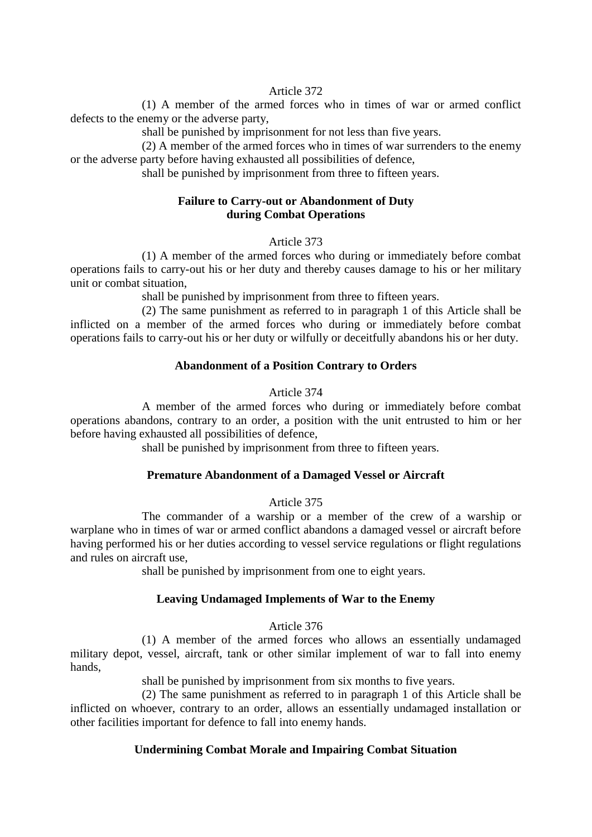#### Article 372

(1) A member of the armed forces who in times of war or armed conflict defects to the enemy or the adverse party,

shall be punished by imprisonment for not less than five years.

(2) A member of the armed forces who in times of war surrenders to the enemy or the adverse party before having exhausted all possibilities of defence,

shall be punished by imprisonment from three to fifteen years.

# **Failure to Carry-out or Abandonment of Duty during Combat Operations**

#### Article 373

(1) A member of the armed forces who during or immediately before combat operations fails to carry-out his or her duty and thereby causes damage to his or her military unit or combat situation,

shall be punished by imprisonment from three to fifteen years.

(2) The same punishment as referred to in paragraph 1 of this Article shall be inflicted on a member of the armed forces who during or immediately before combat operations fails to carry-out his or her duty or wilfully or deceitfully abandons his or her duty.

## **Abandonment of a Position Contrary to Orders**

## Article 374

A member of the armed forces who during or immediately before combat operations abandons, contrary to an order, a position with the unit entrusted to him or her before having exhausted all possibilities of defence,

shall be punished by imprisonment from three to fifteen years.

# **Premature Abandonment of a Damaged Vessel or Aircraft**

## Article 375

The commander of a warship or a member of the crew of a warship or warplane who in times of war or armed conflict abandons a damaged vessel or aircraft before having performed his or her duties according to vessel service regulations or flight regulations and rules on aircraft use,

shall be punished by imprisonment from one to eight years.

## **Leaving Undamaged Implements of War to the Enemy**

#### Article 376

(1) A member of the armed forces who allows an essentially undamaged military depot, vessel, aircraft, tank or other similar implement of war to fall into enemy hands,

shall be punished by imprisonment from six months to five years.

(2) The same punishment as referred to in paragraph 1 of this Article shall be inflicted on whoever, contrary to an order, allows an essentially undamaged installation or other facilities important for defence to fall into enemy hands.

## **Undermining Combat Morale and Impairing Combat Situation**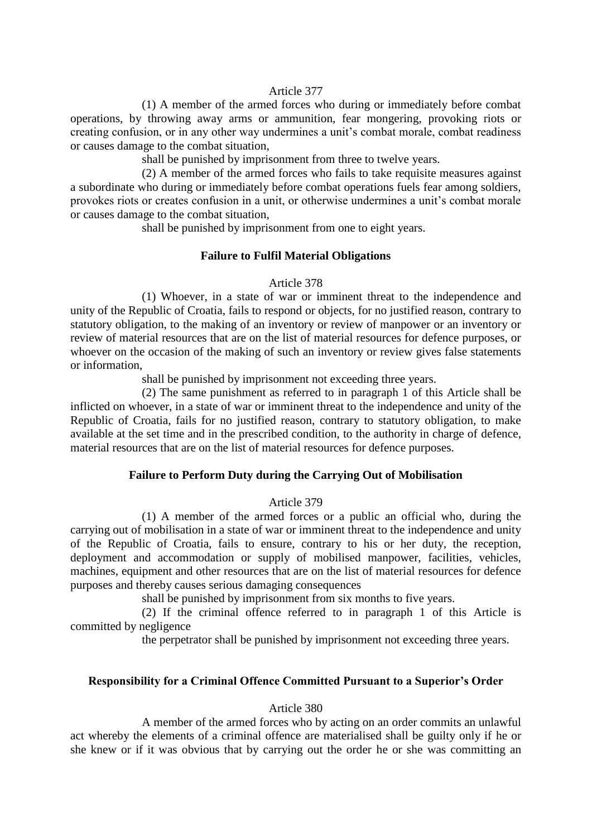#### Article 377

(1) A member of the armed forces who during or immediately before combat operations, by throwing away arms or ammunition, fear mongering, provoking riots or creating confusion, or in any other way undermines a unit's combat morale, combat readiness or causes damage to the combat situation,

shall be punished by imprisonment from three to twelve years.

(2) A member of the armed forces who fails to take requisite measures against a subordinate who during or immediately before combat operations fuels fear among soldiers, provokes riots or creates confusion in a unit, or otherwise undermines a unit's combat morale or causes damage to the combat situation,

shall be punished by imprisonment from one to eight years.

## **Failure to Fulfil Material Obligations**

#### Article 378

(1) Whoever, in a state of war or imminent threat to the independence and unity of the Republic of Croatia, fails to respond or objects, for no justified reason, contrary to statutory obligation, to the making of an inventory or review of manpower or an inventory or review of material resources that are on the list of material resources for defence purposes, or whoever on the occasion of the making of such an inventory or review gives false statements or information,

shall be punished by imprisonment not exceeding three years.

(2) The same punishment as referred to in paragraph 1 of this Article shall be inflicted on whoever, in a state of war or imminent threat to the independence and unity of the Republic of Croatia, fails for no justified reason, contrary to statutory obligation, to make available at the set time and in the prescribed condition, to the authority in charge of defence, material resources that are on the list of material resources for defence purposes.

# **Failure to Perform Duty during the Carrying Out of Mobilisation**

#### Article 379

(1) A member of the armed forces or a public an official who, during the carrying out of mobilisation in a state of war or imminent threat to the independence and unity of the Republic of Croatia, fails to ensure, contrary to his or her duty, the reception, deployment and accommodation or supply of mobilised manpower, facilities, vehicles, machines, equipment and other resources that are on the list of material resources for defence purposes and thereby causes serious damaging consequences

shall be punished by imprisonment from six months to five years.

(2) If the criminal offence referred to in paragraph 1 of this Article is committed by negligence

the perpetrator shall be punished by imprisonment not exceeding three years.

## **Responsibility for a Criminal Offence Committed Pursuant to a Superior's Order**

#### Article 380

A member of the armed forces who by acting on an order commits an unlawful act whereby the elements of a criminal offence are materialised shall be guilty only if he or she knew or if it was obvious that by carrying out the order he or she was committing an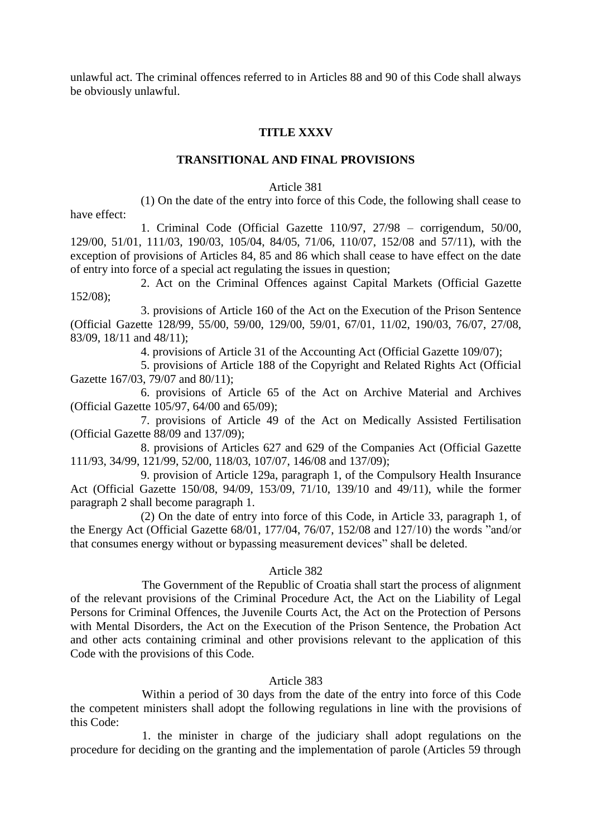unlawful act. The criminal offences referred to in Articles 88 and 90 of this Code shall always be obviously unlawful.

## **TITLE XXXV**

## **TRANSITIONAL AND FINAL PROVISIONS**

### Article 381

(1) On the date of the entry into force of this Code, the following shall cease to have effect:

1. Criminal Code (Official Gazette 110/97, 27/98 – corrigendum, 50/00, 129/00, 51/01, 111/03, 190/03, 105/04, 84/05, 71/06, 110/07, 152/08 and 57/11), with the exception of provisions of Articles 84, 85 and 86 which shall cease to have effect on the date of entry into force of a special act regulating the issues in question;

2. Act on the Criminal Offences against Capital Markets (Official Gazette 152/08);

3. provisions of Article 160 of the Act on the Execution of the Prison Sentence (Official Gazette 128/99, 55/00, 59/00, 129/00, 59/01, 67/01, 11/02, 190/03, 76/07, 27/08, 83/09, 18/11 and 48/11);

4. provisions of Article 31 of the Accounting Act (Official Gazette 109/07);

5. provisions of Article 188 of the Copyright and Related Rights Act (Official Gazette 167/03, 79/07 and 80/11);

6. provisions of Article 65 of the Act on Archive Material and Archives (Official Gazette 105/97, 64/00 and 65/09);

7. provisions of Article 49 of the Act on Medically Assisted Fertilisation (Official Gazette 88/09 and 137/09);

8. provisions of Articles 627 and 629 of the Companies Act (Official Gazette 111/93, 34/99, 121/99, 52/00, 118/03, 107/07, 146/08 and 137/09);

9. provision of Article 129a, paragraph 1, of the Compulsory Health Insurance Act (Official Gazette 150/08, 94/09, 153/09, 71/10, 139/10 and 49/11), while the former paragraph 2 shall become paragraph 1.

(2) On the date of entry into force of this Code, in Article 33, paragraph 1, of the Energy Act (Official Gazette 68/01, 177/04, 76/07, 152/08 and 127/10) the words "and/or that consumes energy without or bypassing measurement devices" shall be deleted.

## Article 382

The Government of the Republic of Croatia shall start the process of alignment of the relevant provisions of the Criminal Procedure Act, the Act on the Liability of Legal Persons for Criminal Offences, the Juvenile Courts Act, the Act on the Protection of Persons with Mental Disorders, the Act on the Execution of the Prison Sentence, the Probation Act and other acts containing criminal and other provisions relevant to the application of this Code with the provisions of this Code.

## Article 383

Within a period of 30 days from the date of the entry into force of this Code the competent ministers shall adopt the following regulations in line with the provisions of this Code:

1. the minister in charge of the judiciary shall adopt regulations on the procedure for deciding on the granting and the implementation of parole (Articles 59 through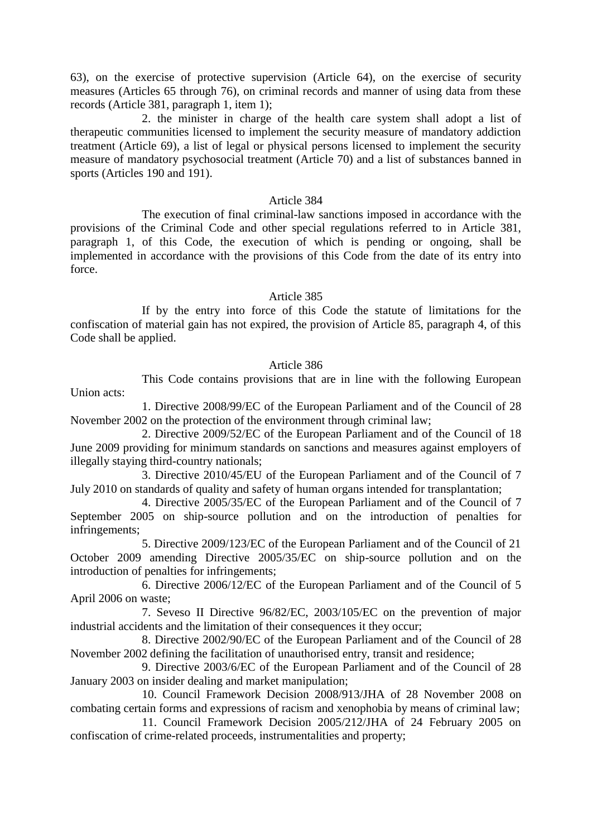63), on the exercise of protective supervision (Article 64), on the exercise of security measures (Articles 65 through 76), on criminal records and manner of using data from these records (Article 381, paragraph 1, item 1);

2. the minister in charge of the health care system shall adopt a list of therapeutic communities licensed to implement the security measure of mandatory addiction treatment (Article 69), a list of legal or physical persons licensed to implement the security measure of mandatory psychosocial treatment (Article 70) and a list of substances banned in sports (Articles 190 and 191).

#### Article 384

The execution of final criminal-law sanctions imposed in accordance with the provisions of the Criminal Code and other special regulations referred to in Article 381, paragraph 1, of this Code, the execution of which is pending or ongoing, shall be implemented in accordance with the provisions of this Code from the date of its entry into force.

## Article 385

If by the entry into force of this Code the statute of limitations for the confiscation of material gain has not expired, the provision of Article 85, paragraph 4, of this Code shall be applied.

## Article 386

This Code contains provisions that are in line with the following European Union acts:

1. Directive 2008/99/EC of the European Parliament and of the Council of 28 November 2002 on the protection of the environment through criminal law;

2. Directive 2009/52/EC of the European Parliament and of the Council of 18 June 2009 providing for minimum standards on sanctions and measures against employers of illegally staying third-country nationals;

3. Directive 2010/45/EU of the European Parliament and of the Council of 7 July 2010 on standards of quality and safety of human organs intended for transplantation;

4. Directive 2005/35/EC of the European Parliament and of the Council of 7 September 2005 on ship-source pollution and on the introduction of penalties for infringements;

5. Directive 2009/123/EC of the European Parliament and of the Council of 21 October 2009 amending Directive 2005/35/EC on ship-source pollution and on the introduction of penalties for infringements;

6. Directive 2006/12/EC of the European Parliament and of the Council of 5 April 2006 on waste;

7. Seveso II Directive 96/82/EC, 2003/105/EC on the prevention of major industrial accidents and the limitation of their consequences it they occur;

8. Directive 2002/90/EC of the European Parliament and of the Council of 28 November 2002 defining the facilitation of unauthorised entry, transit and residence;

9. Directive 2003/6/EC of the European Parliament and of the Council of 28 January 2003 on insider dealing and market manipulation;

10. Council Framework Decision 2008/913/JHA of 28 November 2008 on combating certain forms and expressions of racism and xenophobia by means of criminal law;

11. Council Framework Decision 2005/212/JHA of 24 February 2005 on confiscation of crime-related proceeds, instrumentalities and property;